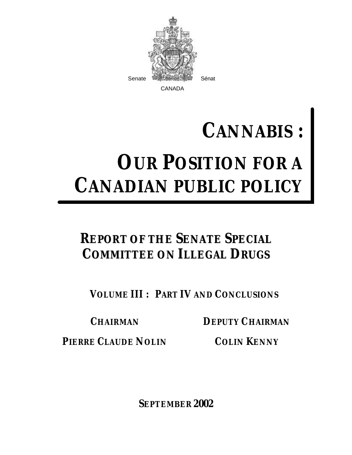

CANADA

# **CANNABIS :** *OUR POSITION FOR A CANADIAN PUBLIC POLICY*

# **REPORT OF THE SENATE SPECIAL COMMITTEE ON ILLEGAL DRUGS**

**VOLUME III : PART IV AND CONCLUSIONS**

**CHAIRMAN**

**DEPUTY CHAIRMAN**

**PIERRE CLAUDE NOLIN**

**COLIN KENNY**

**SEPTEMBER 2002**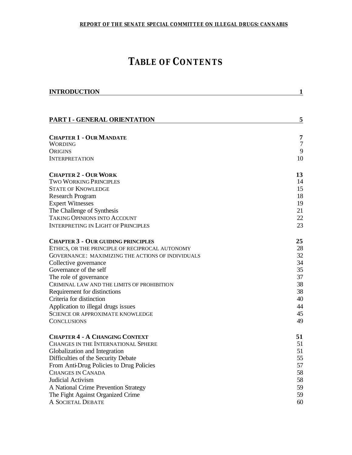# **TABLE OF CONTENTS**

| <b>INTRODUCTION</b>                               | 1      |
|---------------------------------------------------|--------|
|                                                   |        |
| PART I - GENERAL ORIENTATION                      | 5      |
| <b>CHAPTER 1 - OUR MANDATE</b>                    | 7      |
| <b>WORDING</b>                                    | $\tau$ |
| <b>ORIGINS</b>                                    | 9      |
| <b>INTERPRETATION</b>                             | 10     |
| <b>CHAPTER 2 - OUR WORK</b>                       | 13     |
| <b>TWO WORKING PRINCIPLES</b>                     | 14     |
| <b>STATE OF KNOWLEDGE</b>                         | 15     |
| <b>Research Program</b>                           | 18     |
| <b>Expert Witnesses</b>                           | 19     |
| The Challenge of Synthesis                        | 21     |
| TAKING OPINIONS INTO ACCOUNT                      | 22     |
| <b>INTERPRETING IN LIGHT OF PRINCIPLES</b>        | 23     |
| <b>CHAPTER 3 - OUR GUIDING PRINCIPLES</b>         | 25     |
| ETHICS, OR THE PRINCIPLE OF RECIPROCAL AUTONOMY   | 28     |
| GOVERNANCE: MAXIMIZING THE ACTIONS OF INDIVIDUALS | 32     |
| Collective governance                             | 34     |
| Governance of the self                            | 35     |
| The role of governance                            | 37     |
| CRIMINAL LAW AND THE LIMITS OF PROHIBITION        | 38     |
| Requirement for distinctions                      | 38     |
| Criteria for distinction                          | 40     |
| Application to illegal drugs issues               | 44     |
| <b>SCIENCE OR APPROXIMATE KNOWLEDGE</b>           | 45     |
| <b>CONCLUSIONS</b>                                | 49     |
| <b>CHAPTER 4 - A CHANGING CONTEXT</b>             | 51     |
| <b>CHANGES IN THE INTERNATIONAL SPHERE</b>        | 51     |
| Globalization and Integration                     | 51     |
| Difficulties of the Security Debate               | 55     |
| From Anti-Drug Policies to Drug Policies          | 57     |
| <b>CHANGES IN CANADA</b>                          | 58     |
| Judicial Activism                                 | 58     |
| A National Crime Prevention Strategy              | 59     |
| The Fight Against Organized Crime                 | 59     |
| A SOCIETAL DEBATE                                 | 60     |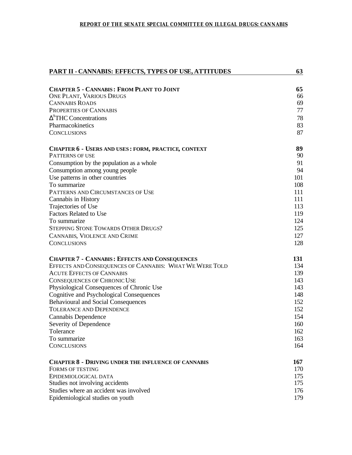| <b>PART II - CANNABIS: EFFECTS, TYPES OF USE, ATTITUDES</b> | 63         |
|-------------------------------------------------------------|------------|
| <b>CHAPTER 5 - CANNABIS: FROM PLANT TO JOINT</b>            | 65         |
| ONE PLANT, VARIOUS DRUGS                                    | 66         |
| <b>CANNABIS ROADS</b>                                       | 69         |
| PROPERTIES OF CANNABIS                                      | 77         |
| $\Delta^9$ THC Concentrations                               | 78         |
| Pharmacokinetics                                            | 83         |
| <b>CONCLUSIONS</b>                                          | 87         |
| <b>CHAPTER 6 - USERS AND USES: FORM, PRACTICE, CONTEXT</b>  | 89         |
| <b>PATTERNS OF USE</b>                                      | 90         |
| Consumption by the population as a whole                    | 91         |
| Consumption among young people                              | 94         |
| Use patterns in other countries                             | 101        |
| To summarize                                                | 108        |
| PATTERNS AND CIRCUMSTANCES OF USE                           | 111<br>111 |
| Cannabis in History<br>Trajectories of Use                  | 113        |
| <b>Factors Related to Use</b>                               | 119        |
| To summarize                                                | 124        |
| STEPPING STONE TOWARDS OTHER DRUGS?                         | 125        |
| CANNABIS, VIOLENCE AND CRIME                                | 127        |
| <b>CONCLUSIONS</b>                                          | 128        |
| <b>CHAPTER 7 - CANNABIS: EFFECTS AND CONSEQUENCES</b>       | 131        |
| EFFECTS AND CONSEQUENCES OF CANNABIS: WHAT WE WERE TOLD     | 134        |
| <b>ACUTE EFFECTS OF CANNABIS</b>                            | 139        |
| <b>CONSEQUENCES OF CHRONIC USE</b>                          | 143        |
| Physiological Consequences of Chronic Use                   | 143        |
| <b>Cognitive and Psychological Consequences</b>             | 148        |
| <b>Behavioural and Social Consequences</b>                  | 152        |
| <b>TOLERANCE AND DEPENDENCE</b>                             | 152        |
| Cannabis Dependence                                         | 154        |
| Severity of Dependence<br>Tolerance                         | 160<br>162 |
| To summarize                                                | 163        |
| <b>CONCLUSIONS</b>                                          | 164        |
| <b>CHAPTER 8 - DRIVING UNDER THE INFLUENCE OF CANNABIS</b>  | 167        |
| FORMS OF TESTING                                            | 170        |
| EPIDEMIOLOGICAL DATA                                        | 175        |
| Studies not involving accidents                             | 175        |
| Studies where an accident was involved                      | 176        |
| Epidemiological studies on youth                            | 179        |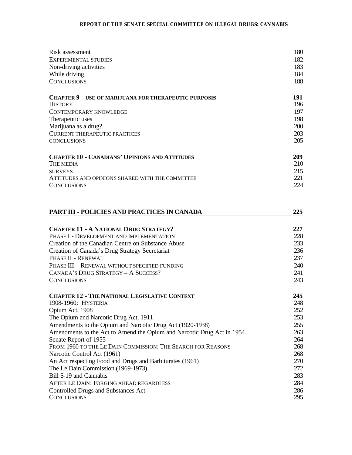| Risk assessment                                                        | 180 |
|------------------------------------------------------------------------|-----|
| <b>EXPERIMENTAL STUDIES</b>                                            | 182 |
| Non-driving activities                                                 | 183 |
| While driving                                                          | 184 |
| <b>CONCLUSIONS</b>                                                     | 188 |
| <b>CHAPTER 9 - USE OF MARIJUANA FOR THERAPEUTIC PURPOSIS</b>           | 191 |
| <b>HISTORY</b>                                                         | 196 |
| CONTEMPORARY KNOWLEDGE                                                 | 197 |
| Therapeutic uses                                                       | 198 |
| Marijuana as a drug?                                                   | 200 |
| <b>CURRENT THERAPEUTIC PRACTICES</b>                                   | 203 |
| <b>CONCLUSIONS</b>                                                     | 205 |
| <b>CHAPTER 10 - CANADIANS' OPINIONS AND ATTITUDES</b>                  | 209 |
| THE MEDIA                                                              | 210 |
| <b>SURVEYS</b>                                                         | 215 |
| ATTITUDES AND OPINIONS SHARED WITH THE COMMITTEE                       | 221 |
| <b>CONCLUSIONS</b>                                                     | 224 |
|                                                                        |     |
| PART III - POLICIES AND PRACTICES IN CANADA                            | 225 |
| <b>CHAPTER 11 - A NATIONAL DRUG STRATEGY?</b>                          | 227 |
| PHASE I - DEVELOPMENT AND IMPLEMENTATION                               | 228 |
| Creation of the Canadian Centre on Substance Abuse                     | 233 |
| Creation of Canada's Drug Strategy Secretariat                         | 236 |
| PHASE II - RENEWAL                                                     | 237 |
| PHASE III - RENEWAL WITHOUT SPECIFIED FUNDING                          | 240 |
| CANADA'S DRUG STRATEGY - A SUCCESS?                                    | 241 |
| <b>CONCLUSIONS</b>                                                     | 243 |
| <b>CHAPTER 12 - THE NATIONAL LEGISLATIVE CONTEXT</b>                   | 245 |
| 1908-1960: HYSTERIA                                                    | 248 |
| Opium Act, 1908                                                        | 252 |
| The Opium and Narcotic Drug Act, 1911                                  | 253 |
| Amendments to the Opium and Narcotic Drug Act (1920-1938)              | 255 |
| Amendments to the Act to Amend the Opium and Narcotic Drug Act in 1954 | 263 |
| Senate Report of 1955                                                  | 264 |
| FROM 1960 TO THE LE DAIN COMMISSION: THE SEARCH FOR REASONS            | 268 |
| Narcotic Control Act (1961)                                            | 268 |
| An Act respecting Food and Drugs and Barbiturates (1961)               | 270 |
| The Le Dain Commission (1969-1973)                                     | 272 |
| Bill S-19 and Cannabis                                                 | 283 |
| AFTER LE DAIN: FORGING AHEAD REGARDLESS                                | 284 |
| Controlled Drugs and Substances Act                                    | 286 |
| <b>CONCLUSIONS</b>                                                     | 295 |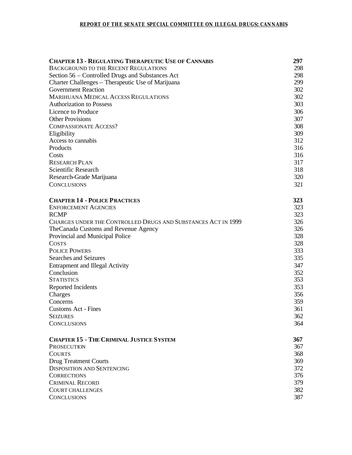| <b>CHAPTER 13 - REGULATING THERAPEUTIC USE OF CANNABIS</b>                                                                          |            |                                      |     |
|-------------------------------------------------------------------------------------------------------------------------------------|------------|--------------------------------------|-----|
| <b>BACKGROUND TO THE RECENT REGULATIONS</b>                                                                                         |            |                                      |     |
| Section 56 – Controlled Drugs and Substances Act<br>Charter Challenges – Therapeutic Use of Marijuana<br><b>Government Reaction</b> |            |                                      |     |
|                                                                                                                                     |            | MARIHUANA MEDICAL ACCESS REGULATIONS | 302 |
|                                                                                                                                     |            | <b>Authorization to Possess</b>      | 303 |
| Licence to Produce                                                                                                                  | 306        |                                      |     |
| <b>Other Provisions</b>                                                                                                             | 307        |                                      |     |
| <b>COMPASSIONATE ACCESS?</b>                                                                                                        | 308        |                                      |     |
| Eligibility                                                                                                                         | 309        |                                      |     |
| Access to cannabis                                                                                                                  | 312        |                                      |     |
| Products                                                                                                                            | 316        |                                      |     |
| Costs                                                                                                                               | 316        |                                      |     |
| <b>RESEARCH PLAN</b>                                                                                                                | 317        |                                      |     |
| Scientific Research                                                                                                                 | 318        |                                      |     |
| Research-Grade Marijuana                                                                                                            | 320        |                                      |     |
| <b>CONCLUSIONS</b>                                                                                                                  | 321        |                                      |     |
|                                                                                                                                     |            |                                      |     |
| <b>CHAPTER 14 - POLICE PRACTICES</b>                                                                                                | 323        |                                      |     |
| <b>ENFORCEMENT AGENCIES</b>                                                                                                         | 323        |                                      |     |
| <b>RCMP</b>                                                                                                                         | 323        |                                      |     |
| CHARGES UNDER THE CONTROLLED DRUGS AND SUBSTANCES ACT IN 1999                                                                       | 326        |                                      |     |
| TheCanada Customs and Revenue Agency                                                                                                | 326        |                                      |     |
| Provincial and Municipal Police                                                                                                     | 328        |                                      |     |
| <b>COSTS</b>                                                                                                                        | 328        |                                      |     |
| <b>POLICE POWERS</b>                                                                                                                | 333        |                                      |     |
| Searches and Seizures                                                                                                               | 335        |                                      |     |
|                                                                                                                                     | 347        |                                      |     |
| <b>Entrapment and Illegal Activity</b><br>Conclusion                                                                                | 352        |                                      |     |
| <b>STATISTICS</b>                                                                                                                   | 353        |                                      |     |
|                                                                                                                                     | 353        |                                      |     |
| Reported Incidents                                                                                                                  |            |                                      |     |
| Charges                                                                                                                             | 356        |                                      |     |
| Concerns                                                                                                                            | 359<br>361 |                                      |     |
| Customs Act - Fines                                                                                                                 |            |                                      |     |
| <b>SEIZURES</b>                                                                                                                     | 362        |                                      |     |
| <b>CONCLUSIONS</b>                                                                                                                  | 364        |                                      |     |
| <b>CHAPTER 15 - THE CRIMINAL JUSTICE SYSTEM</b>                                                                                     |            |                                      |     |
| <b>PROSECUTION</b>                                                                                                                  | 367<br>367 |                                      |     |
| <b>COURTS</b>                                                                                                                       | 368        |                                      |     |
|                                                                                                                                     | 369        |                                      |     |
| <b>Drug Treatment Courts</b>                                                                                                        |            |                                      |     |
| <b>DISPOSITION AND SENTENCING</b>                                                                                                   | 372        |                                      |     |
| <b>CORRECTIONS</b>                                                                                                                  | 376<br>379 |                                      |     |
| <b>CRIMINAL RECORD</b>                                                                                                              |            |                                      |     |
| <b>COURT CHALLENGES</b>                                                                                                             |            |                                      |     |
| <b>CONCLUSIONS</b>                                                                                                                  | 387        |                                      |     |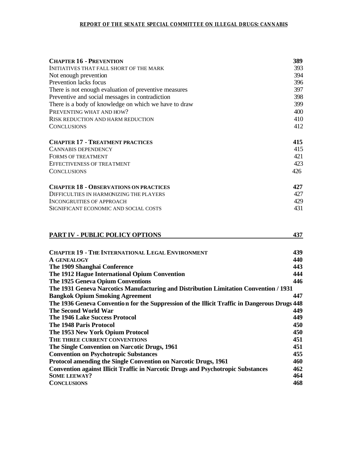| <b>CHAPTER 16 - PREVENTION</b>                        | 389 |
|-------------------------------------------------------|-----|
| INITIATIVES THAT FALL SHORT OF THE MARK               | 393 |
| Not enough prevention                                 | 394 |
| Prevention lacks focus                                | 396 |
| There is not enough evaluation of preventive measures | 397 |
| Preventive and social messages in contradiction       | 398 |
| There is a body of knowledge on which we have to draw | 399 |
| PREVENTING WHAT AND HOW?                              | 400 |
| RISK REDUCTION AND HARM REDUCTION                     | 410 |
| <b>CONCLUSIONS</b>                                    | 412 |
| <b>CHAPTER 17 - TREATMENT PRACTICES</b>               | 415 |
| <b>CANNABIS DEPENDENCY</b>                            | 415 |
| FORMS OF TREATMENT                                    | 421 |
| EFFECTIVENESS OF TREATMENT                            | 423 |
| <b>CONCLUSIONS</b>                                    | 426 |
| <b>CHAPTER 18 - OBSERVATIONS ON PRACTICES</b>         | 427 |
| DIFFICULTIES IN HARMONIZING THE PLAYERS               | 427 |
| INCONGRUITIES OF APPROACH                             | 429 |
| SIGNIFICANT ECONOMIC AND SOCIAL COSTS                 | 431 |

#### **PART IV - PUBLIC POLICY OPTIONS 437**

| <b>CHAPTER 19 - THE INTERNATIONAL LEGAL ENVIRONMENT</b>                                      | 439 |
|----------------------------------------------------------------------------------------------|-----|
| A GENEALOGY                                                                                  | 440 |
| The 1909 Shanghai Conference                                                                 | 443 |
| The 1912 Hague International Opium Convention                                                | 444 |
| The 1925 Geneva Opium Conventions                                                            | 446 |
| The 1931 Geneva Narcotics Manufacturing and Distribution Limitation Convention / 1931        |     |
| <b>Bangkok Opium Smoking Agreement</b>                                                       | 447 |
| The 1936 Geneva Convention for the Suppression of the Illicit Traffic in Dangerous Drugs 448 |     |
| The Second World War                                                                         | 449 |
| The 1946 Lake Success Protocol                                                               | 449 |
| The 1948 Paris Protocol                                                                      | 450 |
| The 1953 New York Opium Protocol                                                             | 450 |
| THE THREE CURRENT CONVENTIONS                                                                | 451 |
| The Single Convention on Narcotic Drugs, 1961                                                | 451 |
| <b>Convention on Psychotropic Substances</b>                                                 | 455 |
| Protocol amending the Single Convention on Narcotic Drugs, 1961                              | 460 |
| <b>Convention against Illicit Traffic in Narcotic Drugs and Psychotropic Substances</b>      | 462 |
| <b>SOME LEEWAY?</b>                                                                          | 464 |
| <b>CONCLUSIONS</b>                                                                           | 468 |
|                                                                                              |     |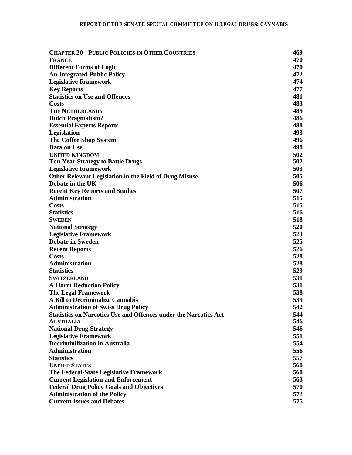| <b>CHAPTER 20 - PUBLIC POLICIES IN OTHER COUNTRIES</b>                  | 469 |
|-------------------------------------------------------------------------|-----|
| <b>FRANCE</b>                                                           | 470 |
| <b>Different Forms of Logic</b>                                         | 470 |
| <b>An Integrated Public Policy</b>                                      | 472 |
| <b>Legislative Framework</b>                                            | 474 |
| <b>Key Reports</b>                                                      | 477 |
| <b>Statistics on Use and Offences</b>                                   | 481 |
| <b>Costs</b>                                                            | 483 |
| <b>THE NETHERLANDS</b>                                                  | 485 |
| <b>Dutch Pragmatism?</b>                                                | 486 |
| <b>Essential Experts Reports</b>                                        | 488 |
| Legislation                                                             | 493 |
| The Coffee Shop System                                                  | 496 |
| Data on Use                                                             | 498 |
| <b>UNITED KINGDOM</b>                                                   | 502 |
| <b>Ten-Year Strategy to Battle Drugs</b>                                | 502 |
| <b>Legislative Framework</b>                                            | 503 |
| Other Relevant Legislation in the Field of Drug Misuse                  | 505 |
| Debate in the UK                                                        | 506 |
| <b>Recent Key Reports and Studies</b>                                   | 507 |
| <b>Administration</b>                                                   | 515 |
| <b>Costs</b>                                                            | 515 |
| <b>Statistics</b>                                                       | 516 |
| <b>SWEDEN</b>                                                           | 518 |
| <b>National Strategy</b>                                                | 520 |
| <b>Legislative Framework</b>                                            | 523 |
| <b>Debate in Sweden</b>                                                 | 525 |
| <b>Recent Reports</b>                                                   | 526 |
| <b>Costs</b>                                                            | 528 |
| <b>Administration</b>                                                   | 528 |
| <b>Statistics</b>                                                       | 529 |
| <b>SWITZERLAND</b>                                                      | 531 |
| <b>A Harm Reduction Policy</b>                                          | 531 |
| <b>The Legal Framework</b>                                              | 538 |
| <b>A Bill to Decriminalize Cannabis</b>                                 | 539 |
| <b>Administration of Swiss Drug Policy</b>                              | 542 |
| <b>Statistics on Narcotics Use and Offences under the Narcotics Act</b> | 544 |
| <b>AUSTRALIA</b>                                                        | 546 |
| <b>National Drug Strategy</b>                                           | 546 |
| <b>Legislative Framework</b>                                            | 551 |
| <b>Decriminilization in Australia</b>                                   | 554 |
| <b>Administration</b>                                                   | 556 |
| <b>Statistics</b>                                                       | 557 |
| <b>UNITED STATES</b>                                                    | 560 |
| The Federal-State Legislative Framework                                 | 560 |
| <b>Current Legislation and Enforcement</b>                              | 563 |
| <b>Federal Drug Policy Goals and Objectives</b>                         | 570 |
| <b>Administration of the Policy</b>                                     | 572 |
| <b>Current Issues and Debates</b>                                       | 575 |
|                                                                         |     |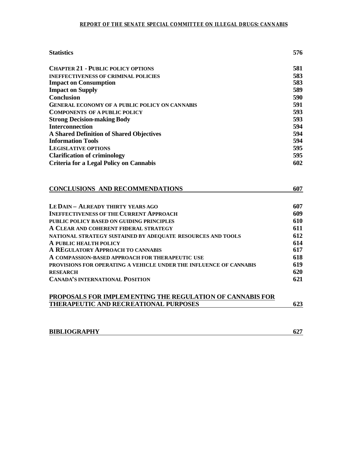| <b>Statistics</b>                                                  | 576 |
|--------------------------------------------------------------------|-----|
| <b>CHAPTER 21 - PUBLIC POLICY OPTIONS</b>                          | 581 |
| <b>INEFFECTIVENESS OF CRIMINAL POLICIES</b>                        | 583 |
| <b>Impact on Consumption</b>                                       | 583 |
| <b>Impact on Supply</b>                                            | 589 |
| <b>Conclusion</b>                                                  | 590 |
| <b>GENERAL ECONOMY OF A PUBLIC POLICY ON CANNABIS</b>              | 591 |
| <b>COMPONENTS OF A PUBLIC POLICY</b>                               | 593 |
| <b>Strong Decision-making Body</b>                                 | 593 |
| <b>Interconnection</b>                                             | 594 |
| <b>A Shared Definition of Shared Objectives</b>                    | 594 |
| <b>Information Tools</b>                                           | 594 |
| <b>LEGISLATIVE OPTIONS</b>                                         | 595 |
| <b>Clarification of criminology</b>                                | 595 |
| <b>Criteria for a Legal Policy on Cannabis</b>                     | 602 |
| CONCLUSIONS AND RECOMMENDATIONS                                    | 607 |
| LE DAIN - ALREADY THIRTY YEARS AGO                                 | 607 |
| <b>INEFFECTIVENESS OF THE CURRENT APPROACH</b>                     | 609 |
| PUBLIC POLICY BASED ON GUIDING PRINCIPLES                          | 610 |
| A CLEAR AND COHERENT FEDERAL STRATEGY                              | 611 |
| NATIONAL STRATEGY SUSTAINED BY ADEQUATE RESOURCES AND TOOLS        | 612 |
| A PUBLIC HEALTH POLICY                                             | 614 |
| A REGULATORY APPROACH TO CANNABIS                                  | 617 |
| A COMPASSION-BASED APPROACH FOR THERAPEUTIC USE                    | 618 |
| PROVISIONS FOR OPERATING A VEHICLE UNDER THE INFLUENCE OF CANNABIS | 619 |
| <b>RESEARCH</b>                                                    | 620 |
| <b>CANADA'S INTERNATIONAL POSITION</b>                             | 621 |
| PROPOSALS FOR IMPLEM ENTING THE REGULATION OF CANNABIS FOR         |     |
| THERAPEUTIC AND RECREATIONAL PURPOSES                              | 623 |

| <b>BIBLIOGRAPHY</b> | $\sim$<br>$0\omega$ |
|---------------------|---------------------|
|                     |                     |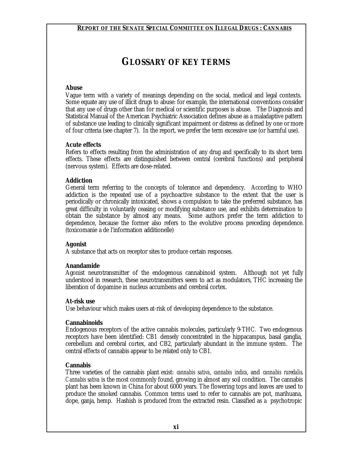## **GLOSSARY OF KEY TERMS**

#### **Abuse**

Vague term with a variety of meanings depending on the social, medical and legal contexts. Some equate any use of illicit drugs to abuse: for example, the international conventions consider that any use of drugs other than for medical or scientific purposes is abuse. The Diagnosis and Statistical Manual of the American Psychiatric Association defines abuse as a maladaptive pattern of substance use leading to clinically significant impairment or distress as defined by one or more of four criteria (see chapter 7). In the report, we prefer the term excessive use (or harmful use).

#### **Acute effects**

Refers to effects resulting from the administration of any drug and specifically to its short term effects. These effects are distinguished between central (cerebral functions) and peripheral (nervous system). Effects are dose-related.

#### **Addiction**

General term referring to the concepts of tolerance and dependency. According to WHO addiction is the repeated use of a psychoactive substance to the extent that the user is periodically or chronically intoxicated, shows a compulsion to take the preferred substance, has great difficulty in voluntarily ceasing or modifying substance use, and exhibits determination to obtain the substance by almost any means. Some authors prefer the term addiction to dependence, because the former also refers to the evolutive process preceding dependence. (toxicomanie a de l'information additionelle)

#### **Agonist**

A substance that acts on receptor sites to produce certain responses.

#### **Anandamide**

Agonist neurotransmitter of the endogenous cannabinoid system. Although not yet fully understood in research, these neurotransmitters seem to act as modulators, THC increasing the liberation of dopamine in nucleus accumbens and cerebral cortex.

#### **At-risk use**

Use behaviour which makes users at-risk of developing dependence to the substance.

#### **Cannabinoids**

Endogenous receptors of the active cannabis molecules, particularly 9-THC. Two endogenous receptors have been identified: CB1 densely concentrated in the hippacampus, basal ganglia, cerebellum and cerebral cortex, and CB2, particularly abundant in the immune system. The central effects of cannabis appear to be related only to CB1.

#### **Cannabis**

Three varieties of the cannabis plant exist: *cannabis sativa*, *cannabis indica*, and *cannabis ruredalis*. *Cannabis sativa* is the most commonly found, growing in almost any soil condition. The cannabis plant has been known in China for about 6000 years. The flowering tops and leaves are used to produce the smoked cannabis. Common terms used to refer to cannabis are pot, marihuana, dope, ganja, hemp. Hashish is produced from the extracted resin. Classified as a psychotropic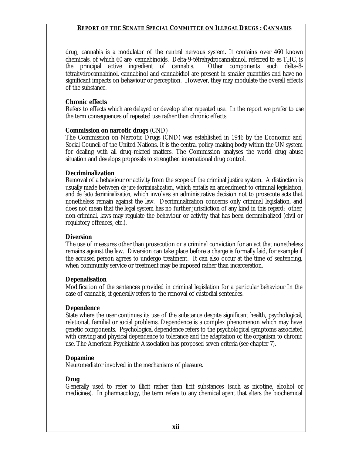drug, cannabis is a modulator of the central nervous system. It contains over 460 known chemicals, of which 60 are cannabinoids. Delta-9-tétrahydrocannabinol, referred to as THC, is the principal active ingredient of cannabis. Other components such delta-8 tétrahydrocannabinol, cannabinol and cannabidiol are present in smaller quantities and have no significant impacts on behaviour or perception. However, they may modulate the overall effects of the substance.

#### **Chronic effects**

Refers to effects which are delayed or develop after repeated use. In the report we prefer to use the term consequences of repeated use rather than chronic effects.

#### **Commission on narcotic drugs** (CND)

The Commission on Narcotic Drugs (CND) was established in 1946 by the Economic and Social Council of the United Nations. It is the central policy-making body within the UN system for dealing with all drug-related matters. The Commission analyses the world drug abuse situation and develops proposals to strengthen international drug control.

#### **Decriminalization**

Removal of a behaviour or activity from the scope of the criminal justice system. A distinction is usually made between *de jure decriminalization*, which entails an amendment to criminal legislation, and *de facto decriminalization*, which involves an administrative decision not to prosecute acts that nonetheless remain against the law. Decriminalization concerns only criminal legislation, and does not mean that the legal system has no further jurisdiction of any kind in this regard: other, non-criminal, laws may regulate the behaviour or activity that has been decriminalized (civil or regulatory offences, etc.).

#### **Diversion**

The use of measures other than prosecution or a criminal conviction for an act that nonetheless remains against the law. Diversion can take place before a charge is formally laid, for example if the accused person agrees to undergo treatment. It can also occur at the time of sentencing, when community service or treatment may be imposed rather than incarceration.

#### **Depenalisation**

Modification of the sentences provided in criminal legislation for a particular behaviour In the case of cannabis, it generally refers to the removal of custodial sentences.

#### **Dependence**

State where the user continues its use of the substance despite significant health, psychological, relational, familial or social problems. Dependence is a complex phenomenon which may have genetic components. Psychological dependence refers to the psychological symptoms associated with craving and physical dependence to tolerance and the adaptation of the organism to chronic use. The American Psychiatric Association has proposed seven criteria (see chapter 7).

#### **Dopamine**

Neuromediator involved in the mechanisms of pleasure.

#### **Drug**

Generally used to refer to illicit rather than licit substances (such as nicotine, alcohol or medicines). In pharmacology, the term refers to any chemical agent that alters the biochemical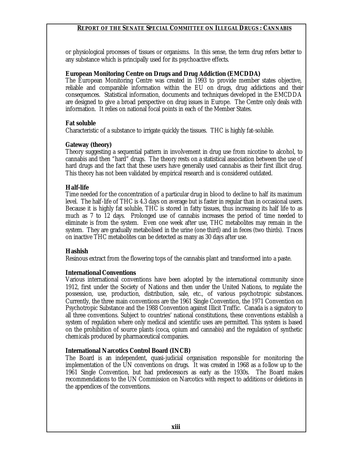or physiological processes of tissues or organisms. In this sense, the term drug refers better to any substance which is principally used for its psychoactive effects.

#### **European Monitoring Centre on Drugs and Drug Addiction (EMCDDA)**

The European Monitoring Centre was created in 1993 to provide member states objective, reliable and comparable information within the EU on drugs, drug addictions and their consequences. Statistical information, documents and techniques developed in the EMCDDA are designed to give a broad perspective on drug issues in Europe. The Centre only deals with information. It relies on national focal points in each of the Member States.

#### **Fat soluble**

Characteristic of a substance to irrigate quickly the tissues. THC is highly fat-soluble.

#### **Gateway (theory)**

Theory suggesting a sequential pattern in involvement in drug use from nicotine to alcohol, to cannabis and then "hard" drugs. The theory rests on a statistical association between the use of hard drugs and the fact that these users have generally used cannabis as their first illicit drug. This theory has not been validated by empirical research and is considered outdated.

#### **Half-life**

Time needed for the concentration of a particular drug in blood to decline to half its maximum level. The half-life of THC is 4.3 days on average but is faster in regular than in occasional users. Because it is highly fat soluble, THC is stored in fatty tissues, thus increasing its half life to as much as 7 to 12 days. Prolonged use of cannabis increases the period of time needed to eliminate is from the system. Even one week after use, THC metabolites may remain in the system. They are gradually metabolised in the urine (one third) and in feces (two thirds). Traces on inactive THC metabolites can be detected as many as 30 days after use.

#### **Hashish**

Resinous extract from the flowering tops of the cannabis plant and transformed into a paste.

#### **International Conventions**

Various international conventions have been adopted by the international community since 1912, first under the Society of Nations and then under the United Nations, to regulate the possession, use, production, distribution, sale, etc., of various psychotropic substances. Currently, the three main conventions are the 1961 Single Convention, the 1971 Convention on Psychotropic Substance and the 1988 Convention against Illicit Traffic. Canada is a signatory to all three conventions. Subject to countries' national constitutions, these conventions establish a system of regulation where only medical and scientific uses are permitted. This system is based on the prohibition of source plants (coca, opium and cannabis) and the regulation of synthetic chemicals produced by pharmaceutical companies.

#### **International Narcotics Control Board (INCB)**

The Board is an independent, quasi-judicial organisation responsible for monitoring the implementation of the UN conventions on drugs. It was created in 1968 as a follow up to the 1961 Single Convention, but had predecessors as early as the 1930s. The Board makes recommendations to the UN Commission on Narcotics with respect to additions or deletions in the appendices of the conventions.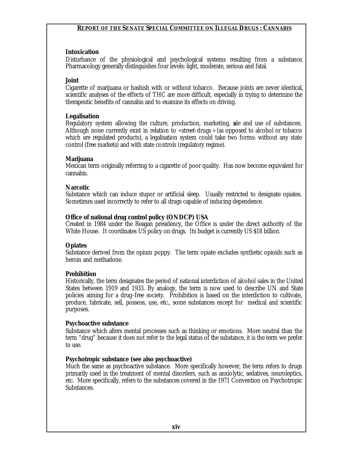#### **Intoxication**

Disturbance of the physiological and psychological systems resulting from a substance. Pharmacology generally distinguishes four levels: light, moderate, serious and fatal.

#### **Joint**

Cigarette of marijuana or hashish with or without tobacco. Because joints are never identical, scientific analyses of the effects of THC are more difficult, especially in trying to determine the therapeutic benefits of cannabis and to examine its effects on driving.

#### **Legalisation**

Regulatory system allowing the culture, production, marketing, sale and use of substances. Although none currently exist in relation to «street-drugs » (as opposed to alcohol or tobacco which are regulated products), a legalisation system could take two forms: without any state control (free markets) and with state controls (regulatory regime).

#### **Marijuana**

Mexican term originally referring to a cigarette of poor quality. Has now become equivalent for cannabis.

#### **Narcotic**

Substance which can induce stupor or artificial sleep. Usually restricted to designate opiates. Sometimes used incorrectly to refer to all drugs capable of inducing dependence.

#### **Office of national drug control policy (ONDCP) USA**

Created in 1984 under the Reagan presidency, the Office is under the direct authority of the White House. It coordinates US policy on drugs. Its budget is currently US \$18 billion.

#### **Opiates**

Substance derived from the opium poppy. The term opiate excludes synthetic opioids such as heroin and methadone.

#### **Prohibition**

Historically, the term designates the period of national interdiction of alcohol sales in the United States between 1919 and 1933. By analogy, the term is now used to describe UN and State policies aiming for a drug-free society. Prohibition is based on the interdiction to cultivate, produce, fabricate, sell, possess, use, etc., some substances except for medical and scientific purposes.

#### **Psychoactive substance**

Substance which alters mental processes such as thinking or emotions. More neutral than the term "drug" because it does not refer to the legal status of the substance, it is the term we prefer to use.

#### **Psychotropic substance (see also psychoactive)**

Much the same as psychoactive substance. More specifically however, the term refers to drugs primarily used in the treatment of mental disorders, such as anxiolytic, sedatives, neuroleptics, etc. More specifically, refers to the substances covered in the 1971 Convention on Psychotropic Substances.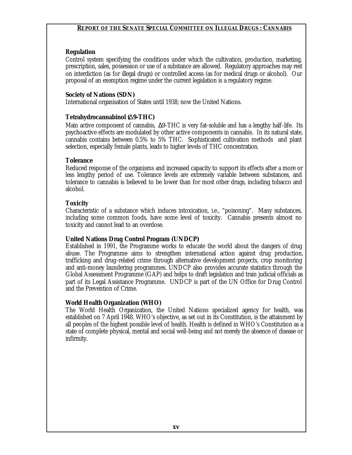#### **Regulation**

Control system specifying the conditions under which the cultivation, production, marketing, prescription, sales, possession or use of a substance are allowed. Regulatory approaches may rest on interdiction (as for illegal drugs) or controlled access (as for medical drugs or alcohol). Our proposal of an exemption regime under the current legislation is a regulatory regime.

#### **Society of Nations (SDN)**

International organisation of States until 1938; now the United Nations.

#### **Tetrahydrocannabinol (D9-THC)**

Main active component of cannabis, Δ9-THC is very fat-soluble and has a lengthy half-life. Its psychoactive effects are modulated by other active components in cannabis. In its natural state, cannabis contains between 0.5% to 5% THC. Sophisticated cultivation methods and plant selection, especially female plants, leads to higher levels of THC concentration.

#### **Tolerance**

Reduced response of the organisms and increased capacity to support its effects after a more or less lengthy period of use. Tolerance levels are extremely variable between substances, and tolerance to cannabis is believed to be lower than for most other drugs, including tobacco and alcohol.

#### **Toxicity**

Characteristic of a substance which induces intoxication, i.e., "poisoning". Many substances, including some common foods, have some level of toxicity. Cannabis presents almost no toxicity and cannot lead to an overdose.

#### **United Nations Drug Control Program (UNDCP)**

Established in 1991, the Programme works to educate the world about the dangers of drug abuse. The Programme aims to strengthen international action against drug production, trafficking and drug-related crime through alternative development projects, crop monitoring and anti-money laundering programmes. UNDCP also provides accurate statistics through the Global Assessment Programme (GAP) and helps to draft legislation and train judicial officials as part of its Legal Assistance Programme. UNDCP is part of the UN Office for Drug Control and the Prevention of Crime.

#### **World Health Organization (WHO)**

The World Health Organization, the United Nations specialized agency for health, was established on 7 April 1948. WHO's objective, as set out in its Constitution, is the attainment by all peoples of the highest possible level of health. Health is defined in WHO's Constitution as a state of complete physical, mental and social well-being and not merely the absence of disease or infirmity.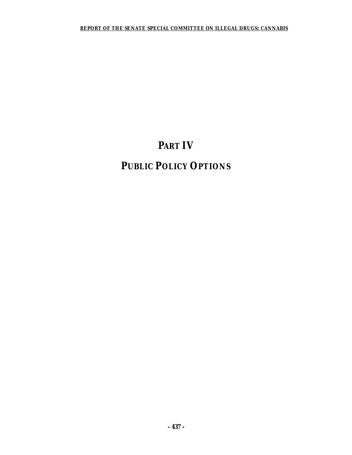# **PART IV**

# **PUBLIC POLICY OPTIONS**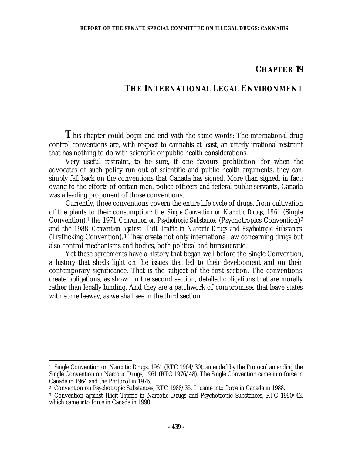### **CHAPTER 19**

### **THE INTERNATIONAL LEGAL ENVIRONMENT**

**T**his chapter could begin and end with the same words: The international drug control conventions are, with respect to cannabis at least, an utterly irrational restraint that has nothing to do with scientific or public health considerations.

Very useful restraint, to be sure, if one favours prohibition, for when the advocates of such policy run out of scientific and public health arguments, they can simply fall back on the conventions that Canada has signed. More than signed, in fact: owing to the efforts of certain men, police officers and federal public servants, Canada was a leading proponent of those conventions.

Currently, three conventions govern the entire life cycle of drugs, from cultivation of the plants to their consumption: the *Single Convention on Narcotic Drugs, 1961* (Single Convention),<sup>1</sup> the 1971 *Convention on Psychotropic Substances* (Psychotropics Convention)<sup>2</sup> and the 1988 *Convention against Illicit Traffic in Narcotic Drugs and Psychotropic Substances*  (Trafficking Convention).<sup>3</sup> They create not only international law concerning drugs but also control mechanisms and bodies, both political and bureaucratic.

Yet these agreements have a history that began well before the Single Convention, a history that sheds light on the issues that led to their development and on their contemporary significance. That is the subject of the first section. The conventions create obligations, as shown in the second section, detailed obligations that are morally rather than legally binding. And they are a patchwork of compromises that leave states with some leeway, as we shall see in the third section.

 $\overline{a}$ <sup>1</sup> Single Convention on Narcotic Drugs, 1961 (RTC 1964/30), amended by the Protocol amending the Single Convention on Narcotic Drugs, 1961 (RTC 1976/48). The Single Convention came into force in Canada in 1964 and the Protocol in 1976.

<sup>2</sup> Convention on Psychotropic Substances, RTC 1988/35. It came into force in Canada in 1988.

<sup>3</sup> Convention against Illicit Traffic in Narcotic Drugs and Psychotropic Substances, RTC 1990/42, which came into force in Canada in 1990.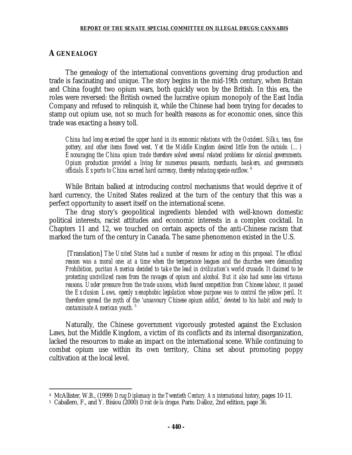#### **A GENEALOGY**

 $\overline{a}$ 

The genealogy of the international conventions governing drug production and trade is fascinating and unique. The story begins in the mid-19th century, when Britain and China fought two opium wars, both quickly won by the British. In this era, the roles were reversed: the British owned the lucrative opium monopoly of the East India Company and refused to relinquish it, while the Chinese had been trying for decades to stamp out opium use, not so much for health reasons as for economic ones, since this trade was exacting a heavy toll.

*China had long exercised the upper hand in its economic relations with the Occident. Silks, teas, fine pottery, and other items flowed west. Yet the Middle Kingdom desired little from the outside. (…) Encouraging the China opium trade therefore solved several related problems for colonial governments. Opium production provided a living for numerous peasants, merchants, bankers, and governments officials. Exports to China earned hard currency, thereby reducing specie outflow.* <sup>4</sup>

While Britain balked at introducing control mechanisms tha t would deprive it of hard currency, the United States realized at the turn of the century that this was a perfect opportunity to assert itself on the international scene.

The drug story's geopolitical ingredients blended with well-known domestic political interests, racist attitudes and economic interests in a complex cocktail. In Chapters 11 and 12, we touched on certain aspects of the anti-Chinese racism that marked the turn of the century in Canada. The same phenomenon existed in the U.S.

 [Translation] *The United States had a number of reasons for acting on this proposal. The official reason was a moral one: at a time when the temperance leagues and the churches were demanding Prohibition, puritan America decided to take the lead in civilization's world crusade. It claimed to be protecting uncivilized races from the ravages of opium and alcohol. But it also had some less virtuous reasons. Under pressure from the trade unions, which feared competition from Chinese labour, it passed the Exclusion Laws, openly xenophobic legislation whose purpose was to control the yellow peril. It therefore spread the myth of the 'unsavoury Chinese opium addict,' devoted to his habit and ready to contaminate American youth.* <sup>5</sup>

Naturally, the Chinese government vigorously protested against the Exclusion Laws, but the Middle Kingdom, a victim of its conflicts and its internal disorganization, lacked the resources to make an impact on the international scene. While continuing to combat opium use within its own territory, China set about promoting poppy cultivation at the local level.

<sup>4</sup> McAllister, W.B., (1999) *Drug Diplomacy in the Twentieth Century. An international history*, pages 10-11.

<sup>5</sup> Caballero, F., and Y. Bisiou (2000) *Droit de la drogue.* Paris: Dalloz, 2nd edition, page 36.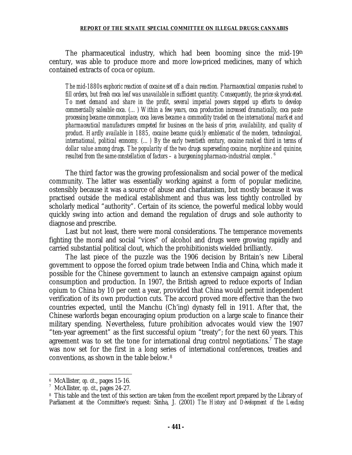The pharmaceutical industry, which had been booming since the mid-19<sup>th</sup> century, was able to produce more and more low-priced medicines, many of which contained extracts of coca or opium.

*The mid-1880s euphoric reaction of cocaine set off a chain reaction. Pharmaceutical companies rushed to fill orders, but fresh coca leaf was unavailable in sufficient quantity. Consequently, the price skyrocketed. To meet demand and share in the profit, several imperial powers stepped up efforts to develop commercially saleable coca. (…) Within a few years, coca production increased dramatically, coca paste processing became commonplace, coca leaves became a commodity traded on the international market and pharmaceutical manufacturers competed for business on the basis of price, availability, and quality of product. Hardly available in 1885, cocaine became quickly emblematic of the modern, technological, international, political economy. (…) By the early twentieth century, cocaine ranked third in terms of dollar value among drugs. The popularity of the two drugs superseding cocaine, morphine and quinine, resulted from the same constellation of factors – a burgeoning pharmaco-industrial complex.* <sup>6</sup>

The third factor was the growing professionalism and social power of the medical community. The latter was essentially working against a form of popular medicine, ostensibly because it was a source of abuse and charlatanism, but mostly because it was practised outside the medical establishment and thus was less tightly controlled by scholarly medical "authority". Certain of its science, the powerful medical lobby would quickly swing into action and demand the regulation of drugs and sole authority to diagnose and prescribe.

Last but not least, there were moral considerations. The temperance movements fighting the moral and social "vices" of alcohol and drugs were growing rapidly and carried substantial political clout, which the prohibitionists wielded brilliantly.

The last piece of the puzzle was the 1906 decision by Britain's new Liberal government to oppose the forced opium trade between India and China, which made it possible for the Chinese government to launch an extensive campaign against opium consumption and production. In 1907, the British agreed to reduce exports of Indian opium to China by 10 per cent a year, provided that China would permit independent verification of its own production cuts. The accord proved more effective than the two countries expected, until the Manchu (Ch'ing) dynasty fell in 1911. After that, the Chinese warlords began encouraging opium production on a large scale to finance their military spending. Nevertheless, future prohibition advocates would view the 1907 "ten-year agreement" as the first successful opium "treaty"; for the next 60 years. This agreement was to set the tone for international drug control negotiations.<sup>7</sup> The stage was now set for the first in a long series of international conferences, treaties and conventions, as shown in the table below. <sup>8</sup>

<sup>6</sup> McAllister, *op. cit*., pages 15-16.

<sup>7</sup> McAllister, *op. cit.*, pages 24-27.

<sup>8</sup> This table and the text of this section are taken from the excellent report prepared by the Library of Parliament at the Committee's request: Sinha, J. (2001) *The History and Development of the Leading*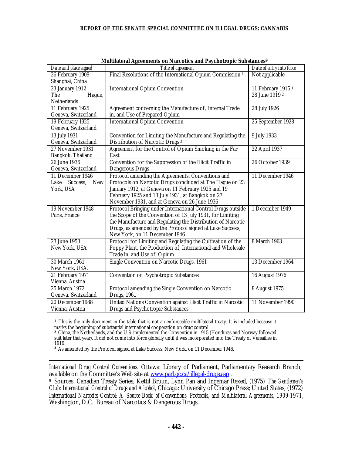|                                | nanimieni ngreements on rancoties und royenotropic substances        |                          |
|--------------------------------|----------------------------------------------------------------------|--------------------------|
| Date and place signed          | Title of agreement                                                   | Date of entry into force |
| 26 February 1909               | Final Resolutions of the International Opium Commission <sup>1</sup> | Not applicable           |
| Shanghai, China                |                                                                      |                          |
| 23 January 1912                | <b>International Opium Convention</b>                                | 11 February 1915 /       |
| The<br>Hague,                  |                                                                      | 28 June 1919 2           |
| Netherlands                    |                                                                      |                          |
| 11 February 1925               | Agreement concerning the Manufacture of, Internal Trade              | 28 July 1926             |
| Geneva, Switzerland            | in, and Use of Prepared Opium                                        |                          |
| 19 February 1925               | <b>International Opium Convention</b>                                | 25 September 1928        |
| Geneva, Switzerland            |                                                                      |                          |
| 13 July 1931                   | Convention for Limiting the Manufacture and Regulating the           | 9 July 1933              |
| Geneva, Switzerland            | Distribution of Narcotic Drugs <sup>3</sup>                          |                          |
| 27 November 1931               | Agreement for the Control of Opium Smoking in the Far                | 22 April 1937            |
| Bangkok, Thailand              | East                                                                 |                          |
| 26 June 1936                   | Convention for the Suppression of the Illicit Traffic in             | 26 October 1939          |
| Geneva, Switzerland            | Dangerous Drugs                                                      |                          |
| 11 December 1946               | Protocol amending the Agreements, Conventions and                    | 11 December 1946         |
| Lake<br>Success,<br><b>New</b> | Protocols on Narcotic Drugs concluded at The Hague on 23             |                          |
| York, USA                      | January 1912, at Geneva on 11 February 1925 and 19                   |                          |
|                                | February 1925 and 13 July 1931, at Bangkok on 27                     |                          |
|                                | November 1931, and at Geneva on 26 June 1936                         |                          |
| 19 November 1948               | Protocol Bringing under International Control Drugs outside          | 1 December 1949          |
| Paris, France                  | the Scope of the Convention of 13 July 1931, for Limiting            |                          |
|                                | the Manufacture and Regulating the Distribution of Narcotic          |                          |
|                                | Drugs, as amended by the Protocol signed at Lake Success,            |                          |
|                                | New York, on 11 December 1946                                        |                          |
| 23 June 1953                   | Protocol for Limiting and Regulating the Cultivation of the          | 8 March 1963             |
| New York, USA                  | Poppy Plant, the Production of, International and Wholesale          |                          |
|                                | Trade in, and Use of, Opium                                          |                          |
| 30 March 1961                  | Single Convention on Narcotic Drugs, 1961                            | 13 December 1964         |
| New York, USA.                 |                                                                      |                          |
| 21 February 1971               | Convention on Psychotropic Substances                                | 16 August 1976           |
| Vienna, Austria                |                                                                      |                          |
| 25 March 1972                  | Protocol amending the Single Convention on Narcotic                  | 8 August 1975            |
| Geneva, Switzerland            | <b>Drugs</b> , 1961                                                  |                          |
| 20 December 1988               | United Nations Convention against Illicit Traffic in Narcotic        | 11 November 1990         |
| Vienna, Austria                | <b>Drugs and Psychotropic Substances</b>                             |                          |

**Multilateral Agreements on Narcotics and Psychotropic Substances<sup>9</sup>**

**<sup>1</sup>**This is the only document in the table that is not an enforceable multilateral treaty. It is included because it marks the beginning of substantial international cooperation on drug control.

**<sup>2</sup>**China, the Netherlands, and the U.S. implemented the Convention in 1915 (Honduras and Norway followed suit later that year). It did not come into force globally until it was incorporated into the Treaty of Versailles in 1919.

**<sup>3</sup>**As amended by the Protocol signed at Lake Success, New York, on 11 December 1946.

 $\overline{a}$ 

*International Drug Control Conventions.* Ottawa: Library of Parliament, Parliamentary Research Branch, available on the Committee's Web site at www.parl.gc.ca/illegal-drugs.asp.

<sup>9</sup> Sources: Canadian Treaty Series; Kettil Bruun, Lynn Pan and Ingemar Rexed, (1975) *The Gentlemen's Club: International Control of Drugs and Alcohol*, Chicago: University of Chicago Press; United States, (1972) *International Narcotics Control: A Source Book of Conventions, Protocols, and Multilateral Agreements, 1909-1971*, Washington, D.C.: Bureau of Narcotics & Dangerous Drugs.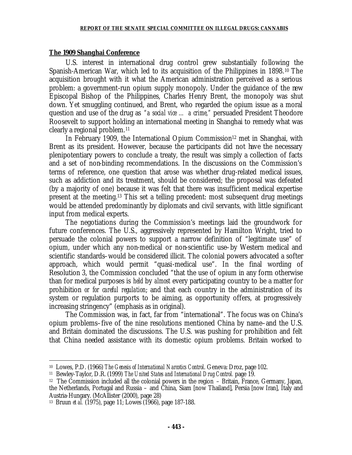#### *The 1909 Shanghai Conference*

U.S. interest in international drug control grew substantially following the Spanish-American War, which led to its acquisition of the Philippines in 1898.<sup>10</sup> The acquisition brought with it what the American administration perceived as a serious problem: a government-run opium supply monopoly. Under the guidance of the new Episcopal Bishop of the Philippines, Charles Henry Brent, the monopoly was shut down. Yet smuggling continued, and Brent, who regarded the opium issue as a moral question and use of the drug as *"a social vice … a crime,"* persuaded President Theodore Roosevelt to support holding an international meeting in Shanghai to remedy what was clearly a regional problem.<sup>11</sup>

In February 1909, the International Opium Commission<sup>12</sup> met in Shanghai, with Brent as its president. However, because the participants did not have the necessary plenipotentiary powers to conclude a treaty, the result was simply a collection of facts and a set of non-binding recommendations. In the discussions on the Commission's terms of reference, one question that arose was whether drug-related medical issues, such as addiction and its treatment, should be considered; the proposal was defeated (by a majority of one) because it was felt that there was insufficient medical expertise present at the meeting.13 This set a telling precedent: most subsequent drug meetings would be attended predominantly by diplomats and civil servants, with little significant input from medical experts.

The negotiations during the Commission's meetings laid the groundwork for future conferences. The U.S., aggressively represented by Hamilton Wright, tried to persuade the colonial powers to support a narrow definition of "legitimate use" of opium, under which any non-medical or non-scientific use–by Western medical and scientific standards–would be considered illicit. The colonial powers advocated a softer approach, which would permit "quasi-medical use". In the final wording of Resolution 3, the Commission concluded "that the use of opium in any form otherwise than for medical purposes is *held* by *almost* every participating country to be a matter for prohibition *or for careful regulation*; and that each country in the administration of its system or regulation purports to be aiming, as opportunity offers, at progressively increasing stringency" (emphasis as in original).

The Commission was, in fact, far from "international". The focus was on China's opium problems–five of the nine resolutions mentioned China by name–and the U.S. and Britain dominated the discussions. The U.S. was pushing for prohibition and felt that China needed assistance with its domestic opium problems. Britain worked to

<sup>10</sup> Lowes, P.D. (1966) *The Genesis of International Narcotics Control*. Geneva: Droz, page 102.

<sup>11</sup> Bewley-Taylor, D.R. (1999) *The United States and International Drug Control.* page 19.

<sup>12</sup> The Commission included all the colonial powers in the region – Britain, France, Germany, Japan, the Netherlands, Portugal and Russia – and China, Siam [now Thailand], Persia [now Iran], Italy and Austria-Hungary. (McAllister (2000), page 28)

<sup>13</sup> Bruun *et al.* (1975), page 11; Lowes (1966), page 187-188.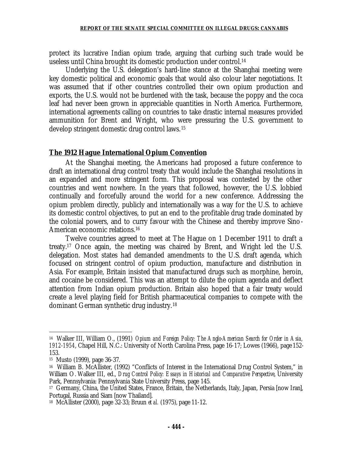protect its lucrative Indian opium trade, arguing that curbing such trade would be useless until China brought its domestic production under control.<sup>14</sup>

Underlying the U.S. delegation's hard-line stance at the Shanghai meeting were key domestic political and economic goals that would also colour later negotiations. It was assumed that if other countries controlled their own opium production and exports, the U.S. would not be burdened with the task, because the poppy and the coca leaf had never been grown in appreciable quantities in North America. Furthermore, international agreements calling on countries to take drastic internal measures provided ammunition for Brent and Wright, who were pressuring the U.S. government to develop stringent domestic drug control laws.<sup>15</sup>

#### *The 1912 Hague International Opium Convention*

At the Shanghai meeting, the Americans had proposed a future conference to draft an international drug control treaty that would include the Shanghai resolutions in an expanded and more stringent form. This proposal was contested by the other countries and went nowhere. In the years that followed, however, the U.S. lobbied continually and forcefully around the world for a new conference. Addressing the opium problem directly, publicly and internationally was a way for the U.S. to achieve its domestic control objectives, to put an end to the profitable drug trade dominated by the colonial powers, and to curry favour with the Chinese and thereby improve Sino-American economic relations.<sup>16</sup>

Twelve countries agreed to meet at The Hague on 1 December 1911 to draft a treaty.17 Once again, the meeting was chaired by Brent, and Wright led the U.S. delegation. Most states had demanded amendments to the U.S. draft agenda, which focused on stringent control of opium production, manufacture and distribution in Asia. For example, Britain insisted that manufactured drugs such as morphine, heroin, and cocaine be considered. This was an attempt to dilute the opium agenda and deflect attention from Indian opium production. Britain also hoped that a fair treaty would create a level playing field for British pharmaceutical companies to compete with the dominant German synthetic drug industry.<sup>18</sup>

<sup>14</sup> Walker III, William O., (1991) *Opium and Foreign Policy: The Anglo-American Search for Order in Asia, 1912-1954*, Chapel Hill, N.C.: University of North Carolina Press, page 16-17; Lowes (1966), page 152- 153.

<sup>15</sup> Musto (1999), page 36-37.

<sup>16</sup> William B. McAllister, (1992) "Conflicts of Interest in the International Drug Control System," in William O. Walker III, ed., *Drug Control Policy: Essays in Historical and Comparative Perspective*, University Park, Pennsylvania: Pennsylvania State University Press, page 145.

<sup>17</sup> Germany, China, the United States, France, Britain, the Netherlands, Italy, Japan, Persia [now Iran], Portugal, Russia and Siam [now Thailand].

<sup>18</sup> McAllister (2000), page 32-33; Bruun *et al.* (1975), page 11-12.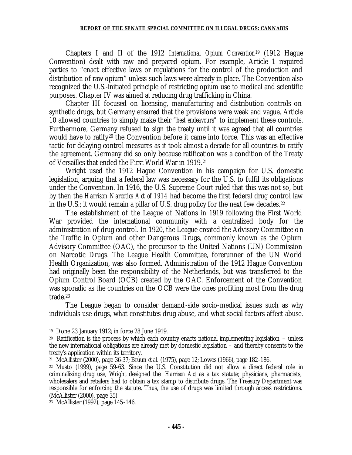Chapters I and II of the 1912 *International Opium Convention*19 (1912 Hague Convention) dealt with raw and prepared opium. For example, Article 1 required parties to "enact effective laws or regulations for the control of the production and distribution of raw opium" unless such laws were already in place. The Convention also recognized the U.S.-initiated principle of restricting opium use to medical and scientific purposes. Chapter IV was aimed at reducing drug trafficking in China.

Chapter III focused on licensing, manufacturing and distribution controls on synthetic drugs, but Germany ensured that the provisions were weak and vague. Article 10 allowed countries to simply make their *"best endeavours"* to implement these controls. Furthermore, Germany refused to sign the treaty until it was agreed that all countries would have to ratify<sup>20</sup> the Convention before it came into force. This was an effective tactic for delaying control measures as it took almost a decade for all countries to ratify the agreement. Germany did so only because ratification was a condition of the Treaty of Versailles that ended the First World War in 1919.<sup>21</sup>

Wright used the 1912 Hague Convention in his campaign for U.S. domestic legislation, arguing that a federal law was necessary for the U.S. to fulfil its obligations under the Convention. In 1916, the U.S. Supreme Court ruled that this was not so, but by then the *Harrison Narcotics Act of 1914* had become the first federal drug control law in the U.S.; it would remain a pillar of U.S. drug policy for the next few decades. $^{22}$ 

The establishment of the League of Nations in 1919 following the First World War provided the international community with a centralized body for the administration of drug control. In 1920, the League created the Advisory Committee on the Traffic in Opium and other Dangerous Drugs, commonly known as the Opium Advisory Committee (OAC), the precursor to the United Nations (UN) Commission on Narcotic Drugs. The League Health Committee, forerunner of the UN World Health Organization, was also formed. Administration of the 1912 Hague Convention had originally been the responsibility of the Netherlands, but was transferred to the Opium Control Board (OCB) created by the OAC. Enforcement of the Convention was sporadic as the countries on the OCB were the ones profiting most from the drug trade.<sup>23</sup>

The League began to consider demand-side socio-medical issues such as why individuals use drugs, what constitutes drug abuse, and what social factors affect abuse.

 $\overline{a}$ <sup>19</sup> Done 23 January 1912; in force 28 June 1919.

 $20$  Ratification is the process by which each country enacts national implementing legislation – unless the new international obligations are already met by domestic legislation – and thereby consents to the treaty's application within its territory.

<sup>21</sup> McAllister (2000), page 36-37; Bruun *et al.* (1975), page 12; Lowes (1966), page 182-186.

<sup>22</sup> Musto (1999), page 59-63. Since the U.S. Constitution did not allow a direct federal role in criminalizing drug use, Wright designed the *Harrison Act* as a tax statute; physicians, pharmacists, wholesalers and retailers had to obtain a tax stamp to distribute drugs. The Treasury Department was responsible for enforcing the statute. Thus, the use of drugs was limited through access restrictions. (McAllister (2000), page 35)

<sup>23</sup> McAllister (1992), page 145-146.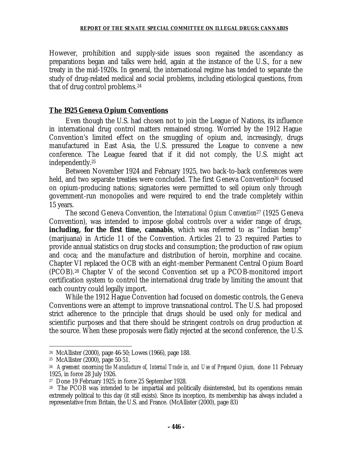However, prohibition and supply-side issues soon regained the ascendancy as preparations began and talks were held, again at the instance of the U.S., for a new treaty in the mid-1920s. In general, the international regime has tended to separate the study of drug-related medical and social problems, including etiological questions, from that of drug control problems.<sup>24</sup>

#### *The 1925 Geneva Opium Conventions*

Even though the U.S. had chosen not to join the League of Nations, its influence in international drug control matters remained strong. Worried by the 1912 Hague Convention's limited effect on the smuggling of opium and, increasingly, drugs manufactured in East Asia, the U.S. pressured the League to convene a new conference. The League feared that if it did not comply, the U.S. might act independently.<sup>25</sup>

Between November 1924 and February 1925, two back-to-back conferences were held, and two separate treaties were concluded. The first Geneva Convention<sup>26</sup> focused on opium-producing nations; signatories were permitted to sell opium only through government-run monopolies and were required to end the trade completely within 15 years.

The second Geneva Convention, the *International Opium Convention*27 (1925 Geneva Convention), was intended to impose global controls over a wider range of drugs, including, for the first time, cannabis, which was referred to as "Indian hemp" (marijuana) in Article 11 of the Convention. Articles 21 to 23 required Parties to provide annual statistics on drug stocks and consumption; the production of raw opium and coca; and the manufacture and distribution of heroin, morphine and cocaine. Chapter VI replaced the OCB with an eight-member Permanent Central Opium Board (PCOB).28 Chapter V of the second Convention set up a PCOB-monitored import certification system to control the international drug trade by limiting the amount that each country could legally import.

While the 1912 Hague Convention had focused on domestic controls, the Geneva Conventions were an attempt to improve transnational control. The U.S. had proposed strict adherence to the principle that drugs should be used only for medical and scientific purposes and that there should be stringent controls on drug production at the source. When these proposals were flatly rejected at the second conference, the U.S.

 $\overline{a}$ <sup>24</sup> McAllister (2000), page 46-50; Lowes (1966), page 188.

<sup>25</sup> McAllister (2000), page 50-51.

<sup>&</sup>lt;sup>26</sup> Agreement concerning the Manufacture of, Internal Trade in, and Use of Prepared Opium, done 11 February 1925, in force 28 July 1926.

<sup>27</sup> Done 19 February 1925; in force 25 September 1928.

<sup>28</sup> The PCOB was intended to be impartial and politically disinterested, but its operations remain extremely political to this day (it still exists). Since its inception, its membership has always included a representative from Britain, the U.S. and France. (McAllister (2000), page 83)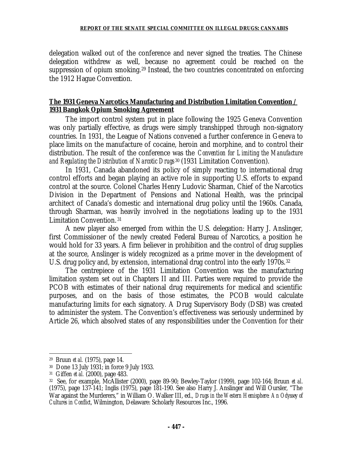delegation walked out of the conference and never signed the treaties. The Chinese delegation withdrew as well, because no agreement could be reached on the suppression of opium smoking.<sup>29</sup> Instead, the two countries concentrated on enforcing the 1912 Hague Convention.

#### *The 1931 Geneva Narcotics Manufacturing and Distribution Limitation Convention / 1931 Bangkok Opium Smoking Agreement*

The import control system put in place following the 1925 Geneva Convention was only partially effective, as drugs were simply transhipped through non-signatory countries. In 1931, the League of Nations convened a further conference in Geneva to place limits on the manufacture of cocaine, heroin and morphine, and to control their distribution. The result of the conference was the *Convention for Limiting the Manufacture and Regulating the Distribution of Narcotic Drugs* <sup>30</sup> (1931 Limitation Convention).

In 1931, Canada abandoned its policy of simply reacting to international drug control efforts and began playing an active role in supporting U.S. efforts to expand control at the source. Colonel Charles Henry Ludovic Sharman, Chief of the Narcotics Division in the Department of Pensions and National Health, was the principal architect of Canada's domestic and international drug policy until the 1960s. Canada, through Sharman, was heavily involved in the negotiations leading up to the 1931 Limitation Convention. <sup>31</sup>

A new player also emerged from within the U.S. delegation: Harry J. Anslinger, first Commissioner of the newly created Federal Bureau of Narcotics, a position he would hold for 33 years. A firm believer in prohibition and the control of drug supplies at the source, Anslinger is widely recognized as a prime mover in the development of U.S. drug policy and, by extension, international drug control into the early 1970s.<sup>32</sup>

The centrepiece of the 1931 Limitation Convention was the manufacturing limitation system set out in Chapters II and III. Parties were required to provide the PCOB with estimates of their national drug requirements for medical and scientific purposes, and on the basis of those estimates, the PCOB would calculate manufacturing limits for each signatory. A Drug Supervisory Body (DSB) was created to administer the system. The Convention's effectiveness was seriously undermined by Article 26, which absolved states of any responsibilities under the Convention for their

 $\overline{a}$ <sup>29</sup> Bruun *et al.* (1975), page 14.

<sup>30</sup> Done 13 July 1931; in force 9 July 1933.

<sup>31</sup> Giffen *et al.* (2000), page 483.

<sup>32</sup> See, for example, McAllister (2000), page 89-90; Bewley-Taylor (1999), page 102-164; Bruun *et al*. (1975), page 137-141; Inglis (1975), page 181-190. See also Harry J. Anslinger and Will Oursler, "The War against the Murderers," in William O. Walker III, ed., *Drugs in the Western Hemisphere: An Odyssey of Cultures in Conflict*, Wilmington, Delaware: Scholarly Resources Inc., 1996.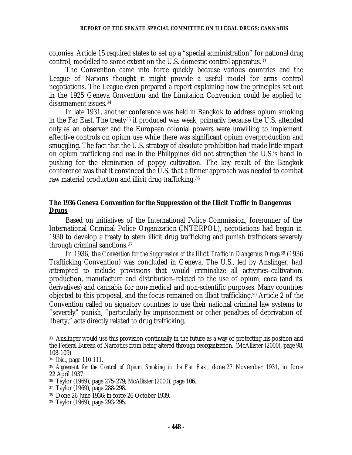colonies. Article 15 required states to set up a "special administration" for national drug control, modelled to some extent on the U.S. domestic control apparatus.<sup>33</sup>

The Convention came into force quickly because various countries and the League of Nations thought it might provide a useful model for arms control negotiations. The League even prepared a report explaining how the principles set out in the 1925 Geneva Convention and the Limitation Convention could be applied to disarmament issues.<sup>34</sup>

In late 1931, another conference was held in Bangkok to address opium smoking in the Far East. The treaty<sup>35</sup> it produced was weak, primarily because the U.S. attended only as an observer and the European colonial powers were unwilling to implement effective controls on opium use while there was significant opium overproduction and smuggling. The fact that the U.S. strategy of absolute prohibition had made little impact on opium trafficking and use in the Philippines did not strengthen the U.S.'s hand in pushing for the elimination of poppy cultivation. The key result of the Bangkok conference was that it convinced the U.S. that a firmer approach was needed to combat raw material production and illicit drug trafficking.<sup>36</sup>

#### *The 1936 Geneva Convention for the Suppression of the Illicit Traffic in Dangerous Drugs*

Based on initiatives of the International Police Commission, forerunner of the International Criminal Police Organization (INTERPOL), negotiations had begun in 1930 to develop a treaty to stem illicit drug trafficking and punish traffickers severely through criminal sanctions.<sup>37</sup>

In 1936, the *Convention for the Suppression of the Illicit Traffic in Dangerous Drugs* <sup>38</sup> (1936 Trafficking Convention) was concluded in Geneva. The U.S., led by Anslinger, had attempted to include provisions that would criminalize all activities–cultivation, production, manufacture and distribution–related to the use of opium, coca (and its derivatives) and cannabis for non-medical and non-scientific purposes. Many countries objected to this proposal, and the focus remained on illicit trafficking.39 Article 2 of the Convention called on signatory countries to use their national criminal law systems to "severely" punish, "particularly by imprisonment or other penalties of deprivation of liberty," acts directly related to drug trafficking.

<sup>33</sup> Anslinger would use this provision continually in the future as a way of protecting his position and the Federal Bureau of Narcotics from being altered through reorganization. (McAllister (2000), page 98, 108-109)

<sup>34</sup> *Ibid.*, page 110-111.

<sup>35</sup> *Agreement for the Control of Opium Smoking in the Far East*, done 27 November 1931, in force 22 April 1937.

<sup>36</sup> Taylor (1969), page 275-279; McAllister (2000), page 106.

<sup>37</sup> Taylor (1969), page 288-298.

<sup>38</sup> Done 26 June 1936; in force 26 October 1939.

<sup>39</sup> Taylor (1969), page 293-295.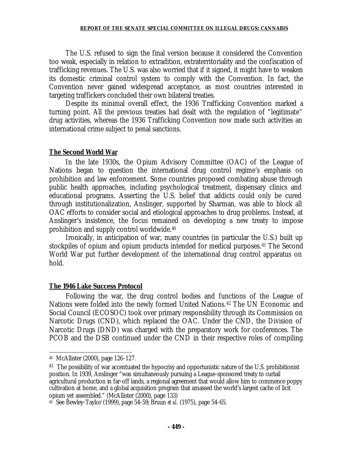The U.S. refused to sign the final version because it considered the Convention too weak, especially in relation to extradition, extraterritoriality and the confiscation of trafficking revenues. The U.S. was also worried that if it signed, it might have to weaken its domestic criminal control system to comply with the Convention. In fact, the Convention never gained widespread acceptance, as most countries interested in targeting traffickers concluded their own bilateral treaties.

Despite its minimal overall effect, the 1936 Trafficking Convention marked a turning point. All the previous treaties had dealt with the regulation of "legitimate" drug activities, whereas the 1936 Trafficking Convention now made such activities an international crime subject to penal sanctions.

#### *The Second World War*

In the late 1930s, the Opium Advisory Committee (OAC) of the League of Nations began to question the international drug control regime's emphasis on prohibition and law enforcement. Some countries proposed combating abuse through public health approaches, including psychological treatment, dispensary clinics and educational programs. Asserting the U.S. belief that addicts could only be cured through institutionalization, Anslinger, supported by Sharman, was able to block all OAC efforts to consider social and etiological approaches to drug problems. Instead, at Anslinger's insistence, the focus remained on developing a new treaty to impose prohibition and supply control worldwide.<sup>40</sup>

Ironically, in anticipation of war, many countries (in particular the U.S.) built up stockpiles of opium and opium products intended for medical purposes.<sup>41</sup> The Second World War put further development of the international drug control apparatus on hold.

#### *The 1946 Lake Success Protocol*

Following the war, the drug control bodies and functions of the League of Nations were folded into the newly formed United Nations.42 The UN Economic and Social Council (ECOSOC) took over primary responsibility through its Commission on Narcotic Drugs (CND), which replaced the OAC. Under the CND, the Division of Narcotic Drugs (DND) was charged with the preparatory work for conferences. The PCOB and the DSB continued under the CND in their respective roles of compiling

 $\overline{a}$ <sup>40</sup> McAllister (2000), page 126-127.

<sup>&</sup>lt;sup>41</sup> The possibility of war accentuated the hypocrisy and opportunistic nature of the U.S. prohibitionist position. In 1939, Anslinger "was simultaneously pursuing a League-sponsored treaty to curtail agricultural production in far-off lands, a regional agreement that would allow him to commence poppy cultivation at home, and a global acquisition program that amassed the world's largest cache of licit opium yet assembled." (McAllister (2000), page 133)

<sup>42</sup> See Bewley-Taylor (1999), page 54-59; Bruun *et al.* (1975), page 54-65.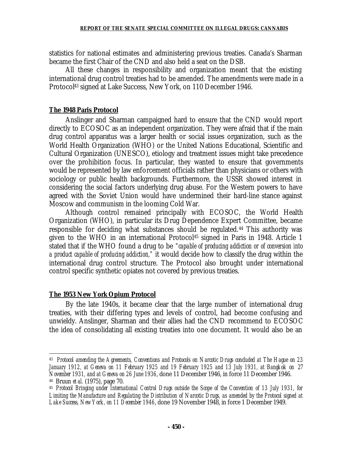statistics for national estimates and administering previous treaties. Canada's Sharman became the first Chair of the CND and also held a seat on the DSB.

All these changes in responsibility and organization meant that the existing international drug control treaties had to be amended. The amendments were made in a Protocol<sup>43</sup> signed at Lake Success, New York, on 110 December 1946.

#### *The 1948 Paris Protocol*

Anslinger and Sharman campaigned hard to ensure that the CND would report directly to ECOSOC as an independent organization. They were afraid that if the main drug control apparatus was a larger health or social issues organization, such as the World Health Organization (WHO) or the United Nations Educational, Scientific and Cultural Organization (UNESCO), etiology and treatment issues might take precedence over the prohibition focus. In particular, they wanted to ensure that governments would be represented by law enforcement officials rather than physicians or others with sociology or public health backgrounds. Furthermore, the USSR showed interest in considering the social factors underlying drug abuse. For the Western powers to have agreed with the Soviet Union would have undermined their hard-line stance against Moscow and communism in the looming Cold War.

Although control remained principally with ECOSOC, the World Health Organization (WHO), in particular its Drug Dependence Expert Committee, became responsible for deciding what substances should be regulated.44 This authority was given to the WHO in an international Protocol45 signed in Paris in 1948. Article 1 stated that if the WHO found a drug to be *"capable of producing addiction or of conversion into a product capable of producing addiction,"* it would decide how to classify the drug within the international drug control structure. The Protocol also brought under international control specific synthetic opiates not covered by previous treaties.

#### *The 1953 New York Opium Protocol*

By the late 1940s, it became clear that the large number of international drug treaties, with their differing types and levels of control, had become confusing and unwieldy. Anslinger, Sharman and their allies had the CND recommend to ECOSOC the idea of consolidating all existing treaties into one document. It would also be an

 $\overline{a}$ <sup>43</sup> *Protocol amending the Agreements, Conventions and Protocols on Narcotic Drugs concluded at The Hague on 23 January 1912, at Geneva on 11 February 1925 and 19 February 1925 and 13 July 1931, at Bangkok on 27 November 1931, and at Geneva on 26 June 1936*, done 11 December 1946, in force 11 December 1946.

<sup>44</sup> Bruun *et al.* (1975), page 70.

<sup>45</sup> *Protocol Bringing under International Control Drugs outside the Scope of the Convention of 13 July 1931, for Limiting the Manufacture and Regulating the Distribution of Narcotic Drugs, as amended by the Protocol signed at Lake Success, New York, on 11 December 1946*, done 19 November 1948, in force 1 December 1949.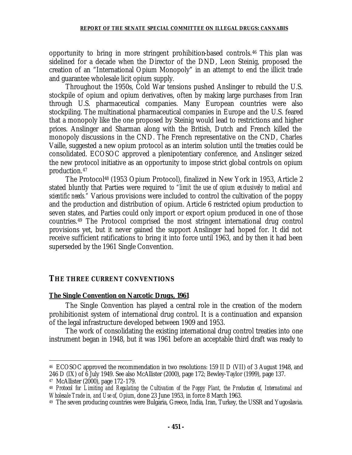opportunity to bring in more stringent prohibition-based controls.46 This plan was sidelined for a decade when the Director of the DND, Leon Steinig, proposed the creation of an "International Opium Monopoly" in an attempt to end the illicit trade and guarantee wholesale licit opium supply.

Throughout the 1950s, Cold War tensions pushed Anslinger to rebuild the U.S. stockpile of opium and opium derivatives, often by making large purchases from Iran through U.S. pharmaceutical companies. Many European countries were also stockpiling. The multinational pharmaceutical companies in Europe and the U.S. feared that a monopoly like the one proposed by Steinig would lead to restrictions and higher prices. Anslinger and Sharman along with the British, Dutch and French killed the monopoly discussions in the CND. The French representative on the CND, Charles Vaille, suggested a new opium protocol as an interim solution until the treaties could be consolidated. ECOSOC approved a plenipotentiary conference, and Anslinger seized the new protocol initiative as an opportunity to impose strict global controls on opium production.<sup>47</sup>

The Protocol48 (1953 Opium Protocol), finalized in New York in 1953, Article 2 stated bluntly that Parties were required *to "limit the use of opium exclusively to medical and scientific needs."* Various provisions were included to control the cultivation of the poppy and the production and distribution of opium. Article 6 restricted opium production to seven states, and Parties could only import or export opium produced in one of those countries.49 The Protocol comprised the most stringent international drug control provisions yet, but it never gained the support Anslinger had hoped for. It did not receive sufficient ratifications to bring it into force until 1963, and by then it had been superseded by the 1961 Single Convention.

#### **THE THREE CURRENT CONVENTIONS**

#### *The Single Convention on Narcotic Drugs, 1961*

The Single Convention has played a central role in the creation of the modern prohibitionist system of international drug control. It is a continuation and expansion of the legal infrastructure developed between 1909 and 1953.

The work of consolidating the existing international drug control treaties into one instrument began in 1948, but it was 1961 before an acceptable third draft was ready to

<sup>46</sup> ECOSOC approved the recommendation in two resolutions: 159 II D (VII) of 3 August 1948, and 246 D (IX) of 6 July 1949. See also McAllister (2000), page 172; Bewley-Taylor (1999), page 137.

<sup>47</sup> McAllister (2000), page 172-179.

<sup>48</sup> *Protocol for Limiting and Regulating the Cultivation of the Poppy Plant, the Production of, International and Wholesale Trade in, and Use of, Opium*, done 23 June 1953, in force 8 March 1963.

<sup>49</sup> The seven producing countries were Bulgaria, Greece, India, Iran, Turkey, the USSR and Yugoslavia.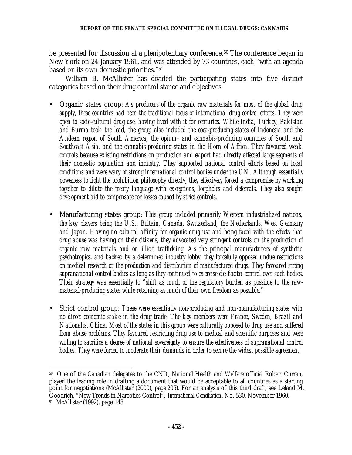be presented for discussion at a plenipotentiary conference.<sup>50</sup> The conference began in New York on 24 January 1961, and was attended by 73 countries, each "with an agenda based on its own domestic priorities."<sup>51</sup>

William B. McAllister has divided the participating states into five distinct categories based on their drug control stance and objectives.

- Organic states group: *As producers of the organic raw materials for most of the global drug supply, these countries had been the traditional focus of international drug control efforts. They were open to socio-cultural drug use, having lived with it for centuries. While India, Turkey, Pakistan and Burma took the lead, the group also included the coca-producing states of Indonesia and the Andean region of South America, the opium- and cannabis-producing countries of South and Southeast Asia, and the cannabis-producing states in the Horn of Africa. They favoured weak controls because existing restrictions on production and export had directly affected large segments of their domestic population and industry. They supported national control efforts based on local conditions and were wary of strong international control bodies under the UN. Although essentially powerless to fight the prohibition philosophy directly, they effectively forced a compromise by working together to dilute the treaty language with exceptions, loopholes and deferrals. They also sought development aid to compensate for losses caused by strict controls.*
- Manufacturing states group: *This group included primarily Western industrialized nations, the key players being the U.S., Britain, Canada, Switzerland, the Netherlands, West Germany*  and Japan. Having no cultural affinity for organic drug use and being faced with the effects that *drug abuse was having on their citizens, they advocated very stringent controls on the production of organic raw materials and on illicit trafficking. As the principal manufacturers of synthetic psychotropics, and backed by a determined industry lobby, they forcefully opposed undue restrictions on medical research or the production and distribution of manufactured drugs. They favoured strong supranational control bodies as long as they continued to exercise* de facto *control over such bodies. Their strategy was essentially to "shift as much of the regulatory burden as possible to the rawmaterial-producing states while retaining as much of their own freedom as possible."*
- Strict control group: *These were essentially non-producing and non-manufacturing states with no direct economic stake in the drug trade. The key members were France, Sweden, Brazil and Nationalist China. Most of the states in this group were culturally opposed to drug use and suffered from abuse problems. They favoured restricting drug use to medical and scientific purposes and were willing to sacrifice a degree of national sovereignty to ensure the effectiveness of supranational control bodies. They were forced to moderate their demands in order to secure the widest possible agreement.*

 $\overline{a}$ <sup>50</sup> One of the Canadian delegates to the CND, National Health and Welfare official Robert Curran, played the leading role in drafting a document that would be acceptable to all countries as a starting point for negotiations (McAllister (2000), page 205). For an analysis of this third draft, see Leland M. Goodrich, "New Trends in Narcotics Control", *International Conciliation*, No. 530, November 1960.

<sup>51</sup> McAllister (1992), page 148.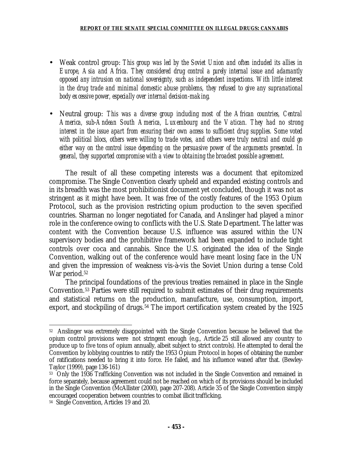- Weak control group: *This group was led by the Soviet Union and often included its allies in Europe, Asia and Africa. They considered drug control a purely internal issue and adamantly opposed any intrusion on national sovereignty, such as independent inspections. With little interest in the drug trade and minimal domestic abuse problems, they refused to give any supranational body excessive power, especially over internal decision-making.*
- Neutral group: *This was a diverse group including most of the African countries, Central America, sub-Andean South America, Luxembourg and the Vatican. They had no strong interest in the issue apart from ensuring their own access to sufficient drug supplies. Some voted with political blocs, others were willing to trade votes, and others were truly neutral and could go either way on the control issue depending on the persuasive power of the arguments presented. In general, they supported compromise with a view to obtaining the broadest possible agreement.*

The result of all these competing interests was a document that epitomized compromise. The Single Convention clearly upheld and expanded existing controls and in its breadth was the most prohibitionist document yet concluded, though it was not as stringent as it might have been. It was free of the costly features of the 1953 Opium Protocol, such as the provision restricting opium production to the seven specified countries. Sharman no longer negotiated for Canada, and Anslinger had played a minor role in the conference owing to conflicts with the U.S. State Department. The latter was content with the Convention because U.S. influence was assured within the UN supervisory bodies and the prohibitive framework had been expanded to include tight controls over coca and cannabis. Since the U.S. originated the idea of the Single Convention, walking out of the conference would have meant losing face in the UN and given the impression of weakness vis-à-vis the Soviet Union during a tense Cold War period.<sup>52</sup>

The principal foundations of the previous treaties remained in place in the Single Convention.53 Parties were still required to submit estimates of their drug requirements and statistical returns on the production, manufacture, use, consumption, import, export, and stockpiling of drugs.<sup>54</sup> The import certification system created by the 1925

 $\overline{a}$ <sup>52</sup> Anslinger was extremely disappointed with the Single Convention because he believed that the opium control provisions were not stringent enough (e.g., Article 25 still allowed any country to produce up to five tons of opium annually, albeit subject to strict controls). He attempted to derail the Convention by lobbying countries to ratify the 1953 Opium Protocol in hopes of obtaining the number of ratifications needed to bring it into force. He failed, and his influence waned after that. (Bewley-Taylor (1999), page 136-161)

<sup>&</sup>lt;sup>53</sup> Only the 1936 Trafficking Convention was not included in the Single Convention and remained in force separately, because agreement could not be reached on which of its provisions should be included in the Single Convention (McAllister (2000), page 207-208). Article 35 of the Single Convention simply encouraged cooperation between countries to combat illicit trafficking.

<sup>54</sup> Single Convention, Articles 19 and 20.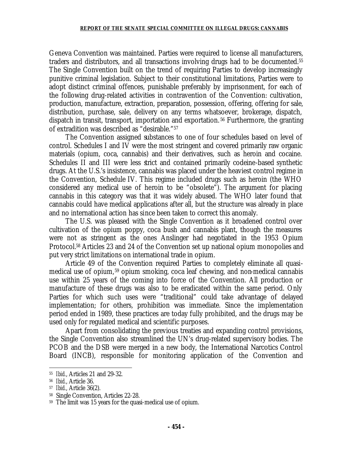Geneva Convention was maintained. Parties were required to license all manufacturers, traders and distributors, and all transactions involving drugs had to be documented.<sup>55</sup> The Single Convention built on the trend of requiring Parties to develop increasingly punitive criminal legislation. Subject to their constitutional limitations, Parties were to adopt distinct criminal offences, punishable preferably by imprisonment, for each of the following drug-related activities in contravention of the Convention: cultivation, production, manufacture, extraction, preparation, possession, offering, offering for sale, distribution, purchase, sale, delivery on any terms whatsoever, brokerage, dispatch, dispatch in transit, transport, importation and exportation. <sup>56</sup> Furthermore, the granting of extradition was described as "desirable."<sup>57</sup>

The Convention assigned substances to one of four schedules based on level of control. Schedules I and IV were the most stringent and covered primarily raw organic materials (opium, coca, cannabis) and their derivatives, such as heroin and cocaine. Schedules II and III were less strict and contained primarily codeine-based synthetic drugs. At the U.S.'s insistence, cannabis was placed under the heaviest control regime in the Convention, Schedule IV. This regime included drugs such as heroin (the WHO considered any medical use of heroin to be "obsolete"). The argument for placing cannabis in this category was that it was widely abused. The WHO later found that cannabis could have medical applications after all, but the structure was already in place and no international action has since been taken to correct this anomaly.

The U.S. was pleased with the Single Convention as it broadened control over cultivation of the opium poppy, coca bush and cannabis plant, though the measures were not as stringent as the ones Anslinger had negotiated in the 1953 Opium Protocol.58 Articles 23 and 24 of the Convention set up national opium monopolies and put very strict limitations on international trade in opium.

Article 49 of the Convention required Parties to completely eliminate all quasimedical use of opium,59 opium smoking, coca leaf chewing, and non-medical cannabis use within 25 years of the coming into force of the Convention. All production or manufacture of these drugs was also to be eradicated within the same period. Only Parties for which such uses were "traditional" could take advantage of delayed implementation; for others, prohibition was immediate. Since the implementation period ended in 1989, these practices are today fully prohibited, and the drugs may be used only for regulated medical and scientific purposes.

Apart from consolidating the previous treaties and expanding control provisions, the Single Convention also streamlined the UN's drug-related supervisory bodies. The PCOB and the DSB were merged in a new body, the International Narcotics Control Board (INCB), responsible for monitoring application of the Convention and

<sup>55</sup> *Ibid.*, Articles 21 and 29-32.

<sup>56</sup> *Ibid.*, Article 36.

<sup>57</sup> *Ibid.*, Article 36(2).

<sup>58</sup> Single Convention, Articles 22-28.

<sup>59</sup> The limit was 15 years for the quasi-medical use of opium.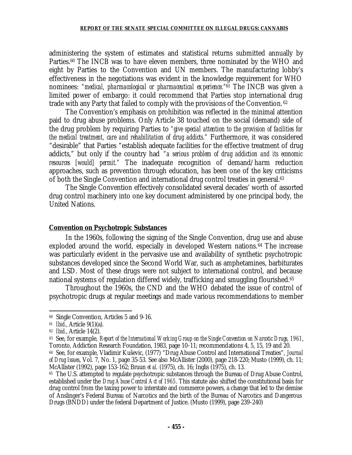administering the system of estimates and statistical returns submitted annually by Parties.<sup>60</sup> The INCB was to have eleven members, three nominated by the WHO and eight by Parties to the Convention and UN members. The manufacturing lobby's effectiveness in the negotiations was evident in the knowledge requirement for WHO nominees: *"medical, pharmacological or pharmaceutical experience."*61 The INCB was given a limited power of embargo: it could recommend that Parties stop international drug trade with any Party that failed to comply with the provisions of the Convention. <sup>62</sup>

The Convention's emphasis on prohibition was reflected in the minimal attention paid to drug abuse problems. Only Article 38 touched on the social (demand) side of the drug problem by requiring Parties to *"give special attention to the provision of facilities for the medical treatment, care and rehabilitation of drug addicts."* Furthermore, it was considered "desirable" that Parties "establish adequate facilities for the effective treatment of drug addicts," but only if the country had *"a serious problem of drug addiction and its economic resources [would] permit."* The inadequate recognition of demand/harm reduction approaches, such as prevention through education, has been one of the key criticisms of both the Single Convention and international drug control treaties in general.<sup>63</sup>

The Single Convention effectively consolidated several decades' worth of assorted drug control machinery into one key document administered by one principal body, the United Nations.

#### *Convention on Psychotropic Substances*

In the 1960s, following the signing of the Single Convention, drug use and abuse exploded around the world, especially in developed Western nations.<sup>64</sup> The increase was particularly evident in the pervasive use and availability of synthetic psychotropic substances developed since the Second World War, such as amphetamines, barbiturates and LSD. Most of these drugs were not subject to international control, and because national systems of regulation differed widely, trafficking and smuggling flourished.<sup>65</sup>

Throughout the 1960s, the CND and the WHO debated the issue of control of psychotropic drugs at regular meetings and made various recommendations to member

 $\overline{a}$ <sup>60</sup> Single Convention, Articles 5 and 9-16.

<sup>61</sup> *Ibid.*, Article 9(1)(a).

<sup>62</sup> *Ibid.*, Article 14(2).

<sup>63</sup> See, for example, *Report of the International Working Group on the Single Convention on Narcotic Drugs, 1961*, Toronto, Addiction Research Foundation, 1983, page 10-11; recommendations 4, 5, 15, 19 and 20.

<sup>64</sup> See, for example, Vladimir Kuševic, (1977) "Drug Abuse Control and International Treaties", *Journal of Drug Issues*, Vol. 7, No. 1, page 35-53. See also McAllister (2000), page 218-220; Musto (1999), ch. 11; McAllister (1992), page 153-162; Bruun *et al.* (1975), ch. 16; Inglis (1975), ch. 13.

<sup>&</sup>lt;sup>65</sup> The U.S. attempted to regulate psychotropic substances through the Bureau of Drug Abuse Control, established under the *Drug Abuse Control Act of 1965*. This statute also shifted the constitutional basis for drug control from the taxing power to interstate and commerce powers, a change that led to the demise of Anslinger's Federal Bureau of Narcotics and the birth of the Bureau of Narcotics and Dangerous Drugs (BNDD) under the federal Department of Justice. (Musto (1999), page 239-240)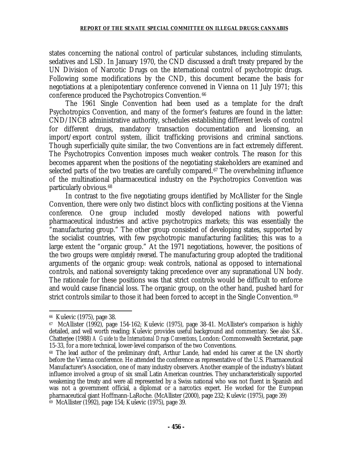states concerning the national control of particular substances, including stimulants, sedatives and LSD. In January 1970, the CND discussed a draft treaty prepared by the UN Division of Narcotic Drugs on the international control of psychotropic drugs. Following some modifications by the CND, this document became the basis for negotiations at a plenipotentiary conference convened in Vienna on 11 July 1971; this conference produced the Psychotropics Convention. <sup>66</sup>

The 1961 Single Convention had been used as a template for the draft Psychotropics Convention, and many of the former's features are found in the latter: CND/INCB administrative authority, schedules establishing different levels of control for different drugs, mandatory transaction documentation and licensing, an import/export control system, illicit trafficking provisions and criminal sanctions. Though superficially quite similar, the two Conventions are in fact extremely different. The Psychotropics Convention imposes much weaker controls. The reason for this becomes apparent when the positions of the negotiating stakeholders are examined and selected parts of the two treaties are carefully compared.<sup>67</sup> The overwhelming influence of the multinational pharmaceutical industry on the Psychotropics Convention was particularly obvious.<sup>68</sup>

In contrast to the five negotiating groups identified by McAllister for the Single Convention, there were only two distinct blocs with conflicting positions at the Vienna conference. One group included mostly developed nations with powerful pharmaceutical industries and active psychotropics markets; this was essentially the "manufacturing group." The other group consisted of developing states, supported by the socialist countries, with few psychotropic manufacturing facilities; this was to a large extent the "organic group." At the 1971 negotiations, however, the positions of the two groups were *completely reversed*. The manufacturing group adopted the traditional arguments of the organic group: weak controls, national as opposed to international controls, and national sovereignty taking precedence over any supranational UN body. The rationale for these positions was that strict controls would be difficult to enforce and would cause financial loss. The organic group, on the other hand, pushed hard for strict controls similar to those it had been forced to accept in the Single Convention.  $^{69}$ 

<sup>66</sup> Kuševic (1975), page 38.

<sup>67</sup> McAllister (1992), page 154-162; Kuševic (1975), page 38-41. McAllister's comparison is highly detailed, and well worth reading; Kuševic provides useful background and commentary. See also S.K. Chatterjee (1988) *A Guide to the International Drugs Conventions*, London: Commonwealth Secretariat, page 15-33, for a more technical, lower-level comparison of the two Conventions.

<sup>68</sup> The lead author of the preliminary draft, Arthur Lande, had ended his career at the UN shortly before the Vienna conference. He attended the conference as representative of the U.S. Pharmaceutical Manufacturer's Association, one of many industry observers. Another example of the industry's blatant influence involved a group of six small Latin American countries. They uncharacteristically supported weakening the treaty and were all represented by a Swiss national who was not fluent in Spanish and was not a government official, a diplomat or a narcotics expert. He worked for the European pharmaceutical giant Hoffmann-LaRoche. (McAllister (2000), page 232; Kuševic (1975), page 39) 69 McAllister (1992), page 154; Kuševic (1975), page 39.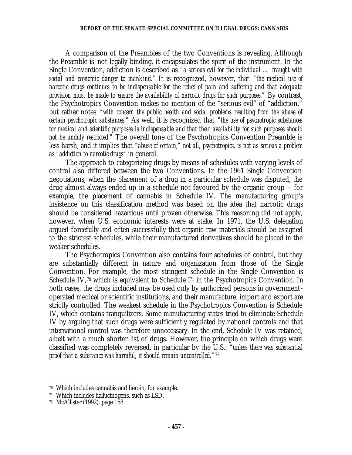A comparison of the Preambles of the two Conventions is revealing. Although the Preamble is not legally binding, it encapsulates the spirit of the instrument. In the Single Convention, addiction is described as *"a serious evil for the individual … fraught with social and economic danger to mankind."* It is recognized, however, that *"the medical use of narcotic drugs continues to be indispensable for the relief of pain and suffering and that adequate provision must be made to ensure the availability of narcotic drugs for such purposes."* By contrast, the Psychotropics Convention makes no mention of the "serious evil" of "addiction," but rather notes *"with concern the public health and social problems resulting from the abuse of certain psychotropic substances."* As well, it is recognized that *"the use of psychotropic substances for medical and scientific purposes is indispensable and that their availability for such purposes should not be unduly restricted."* The overall tone of the Psychotropics Convention Preamble is less harsh, and it implies that *"abuse of certain," not all, psychotropics, is not as serious a problem as "addiction to narcotic drugs"* in general.

The approach to categorizing drugs by means of schedules with varying levels of control also differed between the two Conventions. In the 1961 Single Convention negotiations, when the placement of a drug in a particular schedule was disputed, the drug almost always ended up in a schedule not favoured by the organic group – for example, the placement of cannabis in Schedule IV. The manufacturing group's insistence on this classification method was based on the idea that narcotic drugs should be considered hazardous until proven otherwise. This reasoning did not apply, however, when U.S. economic interests were at stake. In 1971, the U.S. delegation argued forcefully and often successfully that organic raw materials should be assigned to the strictest schedules, while their manufactured derivatives should be placed in the weaker schedules.

The Psychotropics Convention also contains four schedules of control, but they are substantially different in nature and organization from those of the Single Convention. For example, the most stringent schedule in the Single Convention is Schedule IV,70 which is equivalent to Schedule  $I<sup>71</sup>$  in the Psychotropics Convention. In both cases, the drugs included may be used only by authorized persons in governmentoperated medical or scientific institutions, and their manufacture, import and export are strictly controlled. The weakest schedule in the Psychotropics Convention is Schedule IV, which contains tranquilizers. Some manufacturing states tried to eliminate Schedule IV by arguing that such drugs were sufficiently regulated by national controls and that international control was therefore unnecessary. In the end, Schedule IV was retained, albeit with a much shorter list of drugs. However, the principle on which drugs were classified was completely reversed, in particular by the U.S.: *"unless there was substantial proof that a substance was harmful, it should remain uncontrolled."*<sup>72</sup>

 $\overline{a}$ <sup>70</sup> Which includes cannabis and heroin, for example.

<sup>71</sup> Which includes hallucinogens, such as LSD.

<sup>72</sup> McAllister (1992), page 158.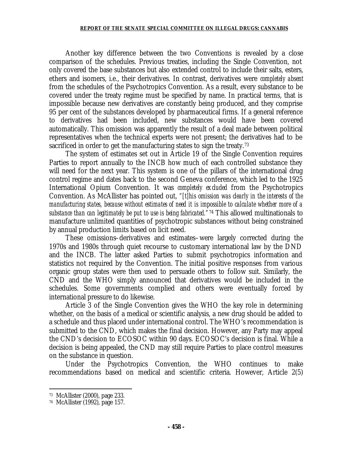Another key difference between the two Conventions is revealed by a close comparison of the schedules. Previous treaties, including the Single Convention, not only covered the base substances but also extended control to include their salts, esters, ethers and isomers, i.e., their derivatives. In contrast, derivatives were *completely absent* from the schedules of the Psychotropics Convention. As a result, every substance to be covered under the treaty regime must be specified by name. In practical terms, that is impossible because new derivatives are constantly being produced, and they comprise 95 per cent of the substances developed by pharmaceutical firms. If a general reference to derivatives had been included, new substances would have been covered automatically. This omission was apparently the result of a deal made between political representatives when the technical experts were not present; the derivatives had to be sacrificed in order to get the manufacturing states to sign the treaty.<sup>73</sup>

The system of estimates set out in Article 19 of the Single Convention requires Parties to report annually to the INCB how much of each controlled substance they will need for the next year. This system is one of the pillars of the international drug control regime and dates back to the second Geneva conference, which led to the 1925 International Opium Convention. It was *completely excluded* from the Psychotropics Convention. As McAllister has pointed out, *"[t]his omission was clearly in the interests of the manufacturing states, because without estimates of need it is impossible to calculate whether more of a substance than can legitimately be put to use is being fabricated."*74 This allowed multinationals to manufacture unlimited quantities of psychotropic substances without being constrained by annual production limits based on licit need.

These omissions–derivatives and estimates–were largely corrected during the 1970s and 1980s through quiet recourse to customary international law by the DND and the INCB. The latter asked Parties to submit psychotropics information and statistics not required by the Convention. The initial positive responses from various organic group states were then used to persuade others to follow suit. Similarly, the CND and the WHO simply announced that derivatives would be included in the schedules. Some governments complied and others were eventually forced by international pressure to do likewise.

Article 3 of the Single Convention gives the WHO the key role in determining whether, on the basis of a medical or scientific analysis, a new drug should be added to a schedule and thus placed under international control. The WHO's recommendation is submitted to the CND, which makes the final decision. However, any Party may appeal the CND's decision to ECOSOC within 90 days. ECOSOC's decision is final. While a decision is being appealed, the CND may still require Parties to place control measures on the substance in question.

Under the Psychotropics Convention, the WHO continues to make recommendations based on medical and scientific criteria. However, Article 2(5)

<sup>73</sup> McAllister (2000), page 233.

<sup>74</sup> McAllister (1992), page 157.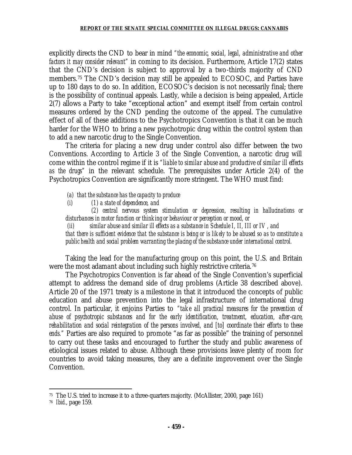explicitly directs the CND to bear in mind *"the economic, social, legal, administrative and other factors it may consider relevant"* in coming to its decision. Furthermore, Article 17(2) states that the CND's decision is subject to approval by a two-thirds majority of CND members.75 The CND's decision may still be appealed to ECOSOC, and Parties have up to 180 days to do so. In addition, ECOSOC's decision is not necessarily final; there is the possibility of continual appeals. Lastly, while a decision is being appealed, Article 2(7) allows a Party to take "exceptional action" and exempt itself from certain control measures ordered by the CND pending the outcome of the appeal. The cumulative effect of all of these additions to the Psychotropics Convention is that it can be much harder for the WHO to bring a new psychotropic drug within the control system than to add a new narcotic drug to the Single Convention.

The criteria for placing a new drug under control also differ between the two Conventions. According to Article 3 of the Single Convention, a narcotic drug will come within the control regime if it is *"liable to similar abuse and productive of similar ill effects as the drugs"* in the relevant schedule. The prerequisites under Article 2(4) of the Psychotropics Convention are significantly more stringent. The WHO must find:

- *(a) that the substance has the capacity to produce*
- *(i) (1) a state of dependence, and*

 *(2) central nervous system stimulation or depression, resulting in hallucinations or disturbances in motor function or thinking or behaviour or perception or mood, or (ii) similar abuse and similar ill effects as a substance in Schedule I, II, III or IV, and that there is sufficient evidence that the substance is being or is likely to be abused so as to constitute a* 

*public health and social problem warranting the placing of the substance under international control.*  Taking the lead for the manufacturing group on this point, the U.S. and Britain

were the most adamant about including such highly restrictive criteria. $^{76}$ The Psychotropics Convention is far ahead of the Single Convention's superficial attempt to address the demand side of drug problems (Article 38 described above). Article 20 of the 1971 treaty is a milestone in that it introduced the concepts of public education and abuse prevention into the legal infrastructure of international drug control. In particular, it enjoins Parties to *"take all practical measures for the prevention of abuse of psychotropic substances and for the early identification, treatment, education, after-care, rehabilitation and social reintegration of the persons involved, and [to] coordinate their efforts to these ends."* Parties are also required to promote "as far as possible" the training of personnel to carry out these tasks and encouraged to further the study and public awareness of etiological issues related to abuse. Although these provisions leave plenty of room for countries to avoid taking measures, they are a definite improvement over the Single Convention.

<sup>75</sup> The U.S. tried to increase it to a three-quarters majority. (McAllister, 2000, page 161)

<sup>76</sup> *Ibid.*, page 159.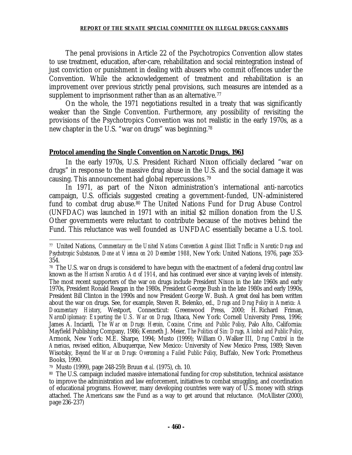The penal provisions in Article 22 of the Psychotropics Convention allow states to use treatment, education, after-care, rehabilitation and social reintegration instead of just conviction or punishment in dealing with abusers who commit offences under the Convention. While the acknowledgement of treatment and rehabilitation is an improvement over previous strictly penal provisions, such measures are intended as a supplement to imprisonment rather than as an alternative.<sup>77</sup>

On the whole, the 1971 negotiations resulted in a treaty that was significantly weaker than the Single Convention. Furthermore, any possibility of revisiting the provisions of the Psychotropics Convention was not realistic in the early 1970s, as a new chapter in the U.S. "war on drugs" was beginning.<sup>78</sup>

#### *Protocol amending the Single Convention on Narcotic Drugs, 1961*

In the early 1970s, U.S. President Richard Nixon officially declared "war on drugs" in response to the massive drug abuse in the U.S. and the social damage it was causing. This announcement had global repercussions.<sup>79</sup>

In 1971, as part of the Nixon administration's international anti-narcotics campaign, U.S. officials suggested creating a government-funded, UN-administered fund to combat drug abuse.<sup>80</sup> The United Nations Fund for Drug Abuse Control (UNFDAC) was launched in 1971 with an initial \$2 million donation from the U.S. Other governments were reluctant to contribute because of the motives behind the Fund. This reluctance was well founded as UNFDAC essentially became a U.S. tool.

 $\overline{a}$ <sup>77</sup> United Nations, *Commentary on the United Nations Convention Against Illicit Traffic in Narcotic Drugs and Psychotropic Substances, Done at Vienna on 20 December 1988*, New York: United Nations, 1976, page 353- 354.

<sup>78</sup> The U.S. war on drugs is considered to have begun with the enactment of a federal drug control law known as the *Harrison Narcotics Act of 1914*, and has continued ever since at varying levels of intensity. The most recent supporters of the war on drugs include President Nixon in the late 1960s and early 1970s, President Ronald Reagan in the 1980s, President George Bush in the late 1980s and early 1990s, President Bill Clinton in the 1990s and now President George W. Bush. A great deal has been written about the war on drugs. See, for example, Steven R. Belenko, ed., *Drugs and Drug Policy in America: A Documentary History*, Westport, Connecticut: Greenwood Press, 2000; H. Richard Friman, *NarcoDiplomacy: Exporting the U.S. War on Drugs*, Ithaca, New York: Cornell University Press, 1996; James A. Inciardi, *The War on Drugs: Heroin, Cocaine, Crime, and Public Policy*, Palo Alto, California: Mayfield Publishing Company, 1986; Kenneth J. Meier, *The Politics of Sin: Drugs, Alcohol and Public Policy*, Armonk, New York: M.E. Sharpe, 1994; Musto (1999); William O. Walker III, *Drug Control in the Americas*, revised edition, Albuquerque, New Mexico: University of New Mexico Press, 1989; Steven Wisotsky, *Beyond the War on Drugs: Overcoming a Failed Public Policy*, Buffalo, New York: Prometheus Books, 1990.

<sup>79</sup> Musto (1999), page 248-259; Bruun *et al.* (1975), ch. 10.

<sup>80</sup> The U.S. campaign included massive international funding for crop substitution, technical assistance to improve the administration and law enforcement, initiatives to combat smuggling, and coordination of educational programs. However, many developing countries were wary of U.S. money with strings attached. The Americans saw the Fund as a way to get around that reluctance. (McAllister (2000), page 236-237)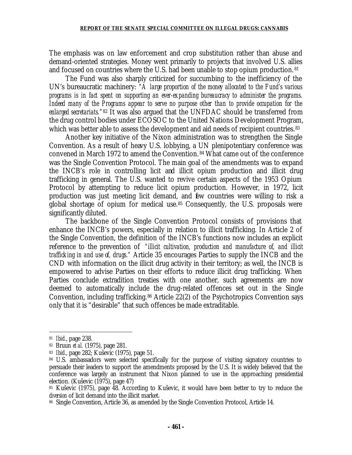The emphasis was on law enforcement and crop substitution rather than abuse and demand-oriented strategies. Money went primarily to projects that involved U.S. allies and focused on countries where the U.S. had been unable to stop opium production. <sup>81</sup>

The Fund was also sharply criticized for succumbing to the inefficiency of the UN's bureaucratic machinery: *"A large proportion of the money allocated to the Fund's various programs is in fact spent on supporting an ever-expanding bureaucracy to administer the programs. Indeed many of the Programs appear to serve no purpose other than to provide occupation for the enlarged secretariats."*82 It was also argued that the UNFDAC should be transferred from the drug control bodies under ECOSOC to the United Nations Development Program, which was better able to assess the development and aid needs of recipient countries.<sup>83</sup>

Another key initiative of the Nixon administration was to strengthen the Single Convention. As a result of heavy U.S. lobbying, a UN plenipotentiary conference was convened in March 1972 to amend the Convention. <sup>84</sup> What came out of the conference was the Single Convention Protocol. The main goal of the amendments was to expand the INCB's role in controlling licit and illicit opium production and illicit drug trafficking in general. The U.S. wanted to revive certain aspects of the 1953 Opium Protocol by attempting to reduce licit opium production. However, in 1972, licit production was just meeting licit demand, and few countries were willing to risk a global shortage of opium for medical use.85 Consequently, the U.S. proposals were significantly diluted.

The backbone of the Single Convention Protocol consists of provisions that enhance the INCB's powers, especially in relation to illicit trafficking. In Article 2 of the Single Convention, the definition of the INCB's functions now includes an explicit reference to the prevention of *"illicit cultivation, production and manufacture of, and illicit trafficking in and use of, drugs."* Article 35 encourages Parties to supply the INCB and the CND with information on the illicit drug activity in their territory; as well, the INCB is empowered to advise Parties on their efforts to reduce illicit drug trafficking. When Parties conclude extradition treaties with one another, such agreements are now deemed to automatically include the drug-related offences set out in the Single Convention, including trafficking.<sup>86</sup> Article 22(2) of the Psychotropics Convention says only that it is "desirable" that such offences be made extraditable.

 $\overline{a}$ 

<sup>81</sup> *Ibid.*, page 238.

<sup>82</sup> Bruun *et al.* (1975), page 281.

<sup>83</sup> *Ibid.*, page 282; Kuševic (1975), page 51.

<sup>84</sup> U.S. ambassadors were selected specifically for the purpose of visiting signatory countries to persuade their leaders to support the amendments proposed by the U.S. It is widely believed that the conference was largely an instrument that Nixon planned to use in the approaching presidential election. (Kuševic (1975), page 47)

<sup>85</sup> Kuševic (1975), page 48. According to Kuševic, it would have been better to try to reduce the *diversion* of licit demand into the illicit market.

<sup>86</sup> Single Convention, Article 36, as amended by the Single Convention Protocol, Article 14.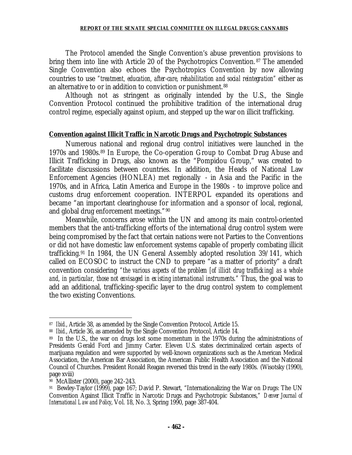The Protocol amended the Single Convention's abuse prevention provisions to bring them into line with Article 20 of the Psychotropics Convention. <sup>87</sup> The amended Single Convention also echoes the Psychotropics Convention by now allowing countries to use *"treatment, education, after-care, rehabilitation and social reintegration"* either as an alternative to or in addition to conviction or punishment.<sup>88</sup>

Although not as stringent as originally intended by the U.S., the Single Convention Protocol continued the prohibitive tradition of the international drug control regime, especially against opium, and stepped up the war on illicit trafficking.

#### *Convention against Illicit Traffic in Narcotic Drugs and Psychotropic Substances*

Numerous national and regional drug control initiatives were launched in the 1970s and 1980s.89 In Europe, the Co-operation Group to Combat Drug Abuse and Illicit Trafficking in Drugs, also known as the "Pompidou Group," was created to facilitate discussions between countries. In addition, the Heads of National Law Enforcement Agencies (HONLEA) met regionally - in Asia and the Pacific in the 1970s, and in Africa, Latin America and Europe in the 1980s - to improve police and customs drug enforcement cooperation. INTERPOL expanded its operations and became "an important clearinghouse for information and a sponsor of local, regional, and global drug enforcement meetings."<sup>90</sup>

Meanwhile, concerns arose within the UN and among its main control-oriented members that the anti-trafficking efforts of the international drug control system were being compromised by the fact that certain nations were not Parties to the Conventions or did not have domestic law enforcement systems capable of properly combating illicit trafficking.91 In 1984, the UN General Assembly adopted resolution 39/141, which called on ECOSOC to instruct the CND to prepare "as a matter of priority" a draft convention considering *"the various aspects of the problem [of illicit drug trafficking] as a whole and, in particular, those not envisaged in existing international instruments."* Thus, the goal was to add an additional, trafficking-specific layer to the drug control system to complement the two existing Conventions.

 $\overline{a}$ 

<sup>87</sup> *Ibid.*, Article 38, as amended by the Single Convention Protocol, Article 15.

<sup>88</sup> *Ibid.*, Article 36, as amended by the Single Convention Protocol, Article 14.

<sup>89</sup> In the U.S., the war on drugs lost some momentum in the 1970s during the administrations of Presidents Gerald Ford and Jimmy Carter. Eleven U.S. states decriminalized certain aspects of marijuana regulation and were supported by well-known organizations such as the American Medical Association, the American Bar Association, the American Public Health Association and the National Council of Churches. President Ronald Reagan reversed this trend in the early 1980s. (Wisotsky (1990), page xviii)

<sup>90</sup> McAllister (2000), page 242-243.

<sup>91</sup> Bewley-Taylor (1999), page 167; David P. Stewart, "Internationalizing the War on Drugs: The UN Convention Against Illicit Traffic in Narcotic Drugs and Psychotropic Substances," *Denver Journal of International Law and Policy*, Vol. 18, No. 3, Spring 1990, page 387-404.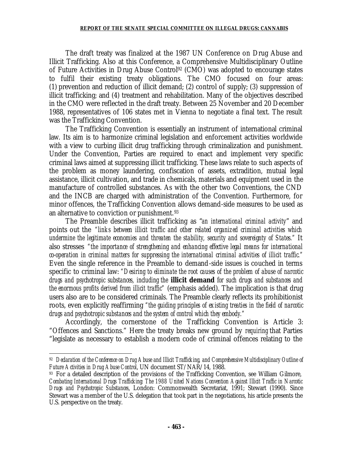The draft treaty was finalized at the 1987 UN Conference on Drug Abuse and Illicit Trafficking. Also at this Conference, a Comprehensive Multidisciplinary Outline of Future Activities in Drug Abuse Control92 (CMO) was adopted to encourage states to fulfil their existing treaty obligations. The CMO focused on four areas: (1) prevention and reduction of illicit demand; (2) control of supply; (3) suppression of illicit trafficking; and (4) treatment and rehabilitation. Many of the objectives described in the CMO were reflected in the draft treaty. Between 25 November and 20 December 1988, representatives of 106 states met in Vienna to negotiate a final text. The result was the Trafficking Convention.

The Trafficking Convention is essentially an instrument of international criminal law. Its aim is to harmonize criminal legislation and enforcement activities worldwide with a view to curbing illicit drug trafficking through criminalization and punishment. Under the Convention, Parties are required to enact and implement very specific criminal laws aimed at suppressing illicit trafficking. These laws relate to such aspects of the problem as money laundering, confiscation of assets, extradition, mutual legal assistance, illicit cultivation, and trade in chemicals, materials and equipment used in the manufacture of controlled substances. As with the other two Conventions, the CND and the INCB are charged with administration of the Convention. Furthermore, for minor offences, the Trafficking Convention allows demand-side measures to be used as an alternative to conviction or punishment.<sup>93</sup>

The Preamble describes illicit trafficking as "*an international criminal activity*" and points out the *"links between illicit traffic and other related organized criminal activities which undermine the legitimate economies and threaten the stability, security and sovereignty of States."* It also stresses *"the importance of strengthening and enhancing effective legal means for international co-operation in criminal matters for suppressing the international criminal activities of illicit traffic."* Even the single reference in the Preamble to demand -side issues is couched in terms specific to criminal law: *"Desiring to eliminate the root causes of the problem of abuse of narcotic drugs and psychotropic substances, including the illicit demand for such drugs and substances and the enormous profits derived from illicit traffic"* (emphasis added). The implication is that drug users also are to be considered criminals. The Preamble clearly reflects its prohibitionist roots, even explicitly reaffirming *"the guiding principles of existing treaties in the field of narcotic drugs and psychotropic substances and the system of control which they embody."*

Accordingly, the cornerstone of the Trafficking Convention is Article 3: "Offences and Sanctions." Here the treaty breaks new ground by *requiring* that Parties "legislate as necessary to establish a modern code of criminal offences relating to the

 $\overline{a}$ <sup>92</sup> *Declaration of the Conference on Drug Abuse and Illicit Trafficking, and Comprehensive Multidisciplinary Outline of Future Activities in Drug Abuse Control*, UN document ST/NAR/14, 1988.

<sup>93</sup> For a detailed description of the provisions of the Trafficking Convention, see William Gilmore, *Combating International Drugs Trafficking: The 1988 United Nations Convention Against Illicit Traffic in Narcotic Drugs and Psychotropic Substances*, London: Commonwealth Secretariat, 1991; Stewart (1990). Since Stewart was a member of the U.S. delegation that took part in the negotiations, his article presents the U.S. perspective on the treaty.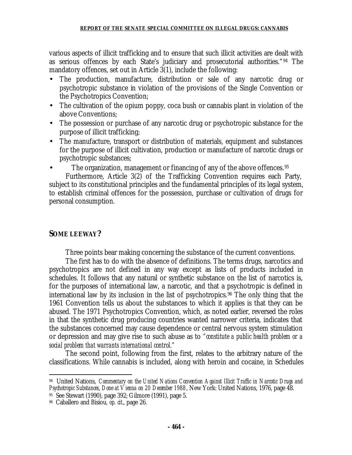various aspects of illicit trafficking and to ensure that such illicit activities are dealt with as serious offences by each State's judiciary and prosecutorial authorities."94 The mandatory offences, set out in Article 3(1), include the following:

- The production, manufacture, distribution or sale of any narcotic drug or psychotropic substance in violation of the provisions of the Single Convention or the Psychotropics Convention;
- The cultivation of the opium poppy, coca bush or cannabis plant in violation of the above Conventions;
- The possession or purchase of any narcotic drug or psychotropic substance for the purpose of illicit trafficking;
- The manufacture, transport or distribution of materials, equipment and substances for the purpose of illicit cultivation, production or manufacture of narcotic drugs or psychotropic substances;

• The organization, management or financing of any of the above offences.<sup>95</sup>

Furthermore, Article 3(2) of the Trafficking Convention requires each Party, subject to its constitutional principles and the fundamental principles of its legal system, to establish criminal offences for the possession, purchase or cultivation of drugs for personal consumption.

# **SOME LEEWAY?**

Three points bear making concerning the substance of the current conventions.

The first has to do with the absence of definitions. The terms drugs, narcotics and psychotropics are not defined in any way except as lists of products included in schedules. It follows that any natural or synthetic substance on the list of narcotics is, for the purposes of international law, a narcotic, and that a psychotropic is defined in international law by its inclusion in the list of psychotropics.96 The only thing that the 1961 Convention tells us about the substances to which it applies is that they can be abused. The 1971 Psychotropics Convention, which, as noted earlier, reversed the roles in that the synthetic drug producing countries wanted narrower criteria, indicates that the substances concerned may cause dependence or central nervous system stimulation or depression and may give rise to such abuse as to *"constitute a public health problem or a social problem that warrants international control."*

The second point, following from the first, relates to the arbitrary nature of the classifications. While cannabis is included, along with heroin and cocaine, in Schedules

 $\overline{a}$ <sup>94</sup> United Nations, *Commentary on the United Nations Convention Against Illicit Traffic in Narcotic Drugs and Psychotropic Substances*, *Done at Vienna on 20 December 1988*, New York: United Nations, 1976, page 48. <sup>95</sup> See Stewart (1990), page 392; Gilmore (1991), page 5.

<sup>96</sup> Caballero and Bisiou, *op. cit.*, page 26.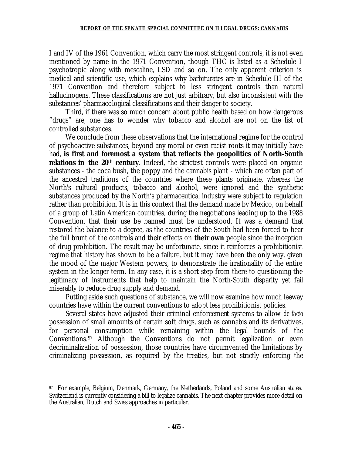I and IV of the 1961 Convention, which carry the most stringent controls, it is not even mentioned by name in the 1971 Convention, though THC is listed as a Schedule I psychotropic along with mescaline, LSD and so on. The only apparent criterion is medical and scientific use, which explains why barbiturates are in Schedule III of the 1971 Convention and therefore subject to less stringent controls than natural hallucinogens. These classifications are not just arbitrary, but also inconsistent with the substances' pharmacological classifications and their danger to society.

Third, if there was so much concern about public health based on how dangerous "drugs" are, one has to wonder why tobacco and alcohol are not on the list of controlled substances.

We conclude from these observations that the international regime for the control of psychoactive substances, beyond any moral or even racist roots it may initially have had, **is first and foremost a system that reflects the geopolitics of North-South relations in the 20<sup>th</sup> century**. Indeed, the strictest controls were placed on organic substances - the coca bush, the poppy and the cannabis plant - which are often part of the ancestral traditions of the countries where these plants originate, whereas the North's cultural products, tobacco and alcohol, were ignored and the synthetic substances produced by the North's pharmaceutical industry were subject to regulation rather than prohibition. It is in this context that the demand made by Mexico, on behalf of a group of Latin American countries, during the negotiations leading up to the 1988 Convention, that their use be banned must be understood. It was a demand that restored the balance to a degree, as the countries of the South had been forced to bear the full brunt of the controls and their effects on **their own** people since the inception of drug prohibition. The result may be unfortunate, since it reinforces a prohibitionist regime that history has shown to be a failure, but it may have been the only way, given the mood of the major Western powers, to demonstrate the irrationality of the entire system in the longer term. In any case, it is a short step from there to questioning the legitimacy of instruments that help to maintain the North-South disparity yet fail miserably to reduce drug supply and demand.

Putting aside such questions of substance, we will now examine how much leeway countries have within the current conventions to adopt less prohibitionist policies.

Several states have adjusted their criminal enforcement systems to allow *de facto* possession of small amounts of certain soft drugs, such as cannabis and its derivatives, for personal consumption while remaining within the legal bounds of the Conventions.97 Although the Conventions do not permit legalization or even decriminalization of possession, those countries have circumvented the limitations by criminalizing possession, as required by the treaties, but not strictly enforcing the

 $\overline{a}$ 97 For example, Belgium, Denmark, Germany, the Netherlands, Poland and some Australian states. Switzerland is currently considering a bill to legalize cannabis. The next chapter provides more detail on the Australian, Dutch and Swiss approaches in particular.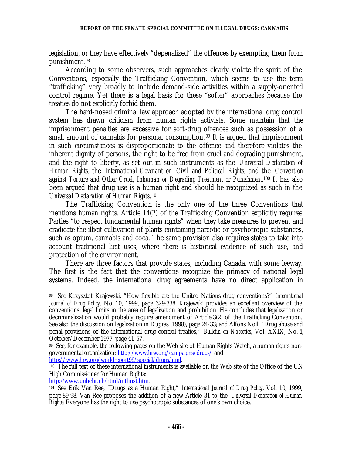legislation, or they have effectively "depenalized" the offences by exempting them from punishment.<sup>98</sup>

According to some observers, such approaches clearly violate the spirit of the Conventions, especially the Trafficking Convention, which seems to use the term "trafficking" very broadly to include demand-side activities within a supply-oriented control regime. Yet there is a legal basis for these "softer" approaches because the treaties do not explicitly forbid them.

The hard-nosed criminal law approach adopted by the international drug control system has drawn criticism from human rights activists. Some maintain that the imprisonment penalties are excessive for soft-drug offences such as possession of a small amount of cannabis for personal consumption.<sup>99</sup> It is argued that imprisonment in such circumstances is disproportionate to the offence and therefore violates the inherent dignity of persons, the right to be free from cruel and degrading punishment, and the right to liberty, as set out in such instruments as the *Universal Declaration of Human Rights*, the *International Covenant on Civil and Political Rights*, and the *Convention against Torture and Other Cruel, Inhuman or Degrading Treatment or Punishment*. <sup>100</sup> It has also been argued that drug use is a human right and should be recognized as such in the *Universal Declaration of Human Rights*. 101

The Trafficking Convention is the only one of the three Conventions that mentions human rights. Article 14(2) of the Trafficking Convention explicitly requires Parties "to respect fundamental human rights" when they take measures to prevent and eradicate the illicit cultivation of plants containing narcotic or psychotropic substances, such as opium, cannabis and coca. The same provision also requires states to take into account traditional licit uses, where there is historical evidence of such use, and protection of the environment.

There are three factors that provide states, including Canada, with some leeway. The first is the fact that the conventions recognize the primacy of national legal systems. Indeed, the international drug agreements have no direct application in

http://www.unhchr.ch/html/intlinst.htm.

 $\overline{a}$ <sup>98</sup> See Krzysztof Krajewski, "How flexible are the United Nations drug conventions?" *International Journal of Drug Policy*, No. 10, 1999, page 329-338. Krajewski provides an excellent overview of the conventions' legal limits in the area of legalization and prohibition. He concludes that legalization or decriminalization would probably require amendment of Article 3(2) of the Trafficking Convention. See also the discussion on legalization in Dupras (1998), page 24-33; and Alfons Noll, "Drug abuse and penal provisions of the international drug control treaties," *Bulletin on Narcotics*, Vol. XXIX, No. 4, October/December 1977, page 41-57.

<sup>&</sup>lt;sup>99</sup> See, for example, the following pages on the Web site of Human Rights Watch, a human rights nongovernmental organization: http://www.hrw.org/campaigns/drugs/ and

http://www.hrw.org/worldreport99/special/drugs.html.

<sup>100</sup> The full text of these international instruments is available on the Web site of the Office of the UN High Commissioner for Human Rights:

<sup>101</sup> See Erik Van Ree, "Drugs as a Human Right," *International Journal of Drug Policy*, Vol. 10, 1999, page 89-98. Van Ree proposes the addition of a new Article 31 to the *Universal Declaration of Human Rights*: Everyone has the right to use psychotropic substances of one's own choice.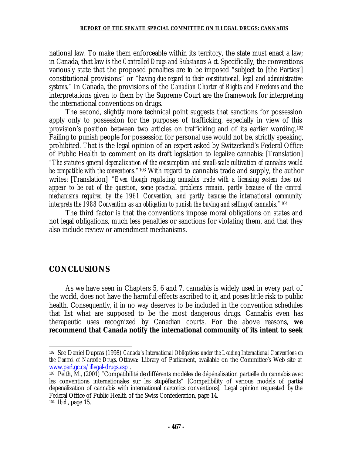national law. To make them enforceable within its territory, the state must enact a law; in Canada, that law is the *Controlled Drugs and Substances Act*. Specifically, the conventions variously state that the proposed penalties are to be imposed "subject to [the Parties'] constitutional provisions" or *"having due regard to their constitutional, legal and administrative systems."* In Canada, the provisions of the *Canadian Charter of Rights and Freedoms* and the interpretations given to them by the Supreme Court are the framework for interpreting the international conventions on drugs.

The second, slightly more technical point suggests that sanctions for possession apply only to possession for the purposes of trafficking, especially in view of this provision's position between two articles on trafficking and of its earlier wording.<sup>102</sup> Failing to punish people for possession for personal use would not be, strictly speaking, prohibited. That is the legal opinion of an expert asked by Switzerland's Federal Office of Public Health to comment on its draft legislation to legalize cannabis: [Translation] *"The statute's general depenalization of the consumption and small-scale cultivation of cannabis would be compatible with the conventions."*103 With regard to cannabis trade and supply, the author writes: [Translation] *"Even though regulating cannabis trade with a licensing system does not appear to be out of the question, some practical problems remain, partly because of the control mechanisms required by the 1961 Convention, and partly because the international community interprets the 1988 Convention as an obligation to punish the buying and selling of cannabis."*<sup>104</sup>

The third factor is that the conventions impose moral obligations on states and not legal obligations, much less penalties or sanctions for violating them, and that they also include review or amendment mechanisms.

# **CONCLUSIONS**

As we have seen in Chapters 5, 6 and 7, cannabis is widely used in every part of the world, does not have the harmful effects ascribed to it, and poses little risk to public health. Consequently, it in no way deserves to be included in the convention schedules that list what are supposed to be the most dangerous drugs. Cannabis even has therapeutic uses recognized by Canadian courts. For the above reasons, **we recommend that Canada notify the international community of its intent to seek** 

 $\overline{a}$ <sup>102</sup> See Daniel Dupras (1998) *Canada's International Obligations under the Leading International Conventions on the Control of Narcotic Drugs.* Ottawa: Library of Parliament, available on the Committee's Web site at www.parl.gc.ca/illegal-drugs.asp .

<sup>103</sup> Peith, M., (2001) "Compatibilité de différents modèles de dépénalisation partielle du cannabis avec les conventions internationales sur les stupéfiants" [Compatibility of various models of partial depenalization of cannabis with international narcotics conventions]. Legal opinion requested by the Federal Office of Public Health of the Swiss Confederation, page 14.

<sup>104</sup> *Ibid.*, page 15.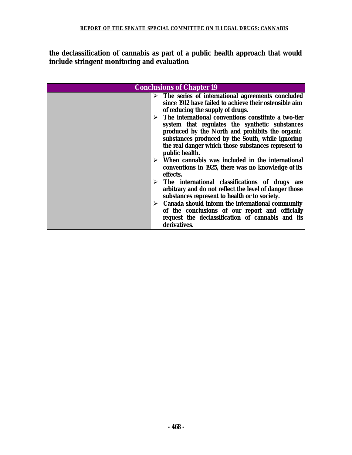**the declassification of cannabis as part of a public health approach that would include stringent monitoring and evaluation**.

| <b>Conclusions of Chapter 19</b> |                                                                                                                                                                                                                                                                                                        |  |
|----------------------------------|--------------------------------------------------------------------------------------------------------------------------------------------------------------------------------------------------------------------------------------------------------------------------------------------------------|--|
|                                  | $\triangleright$ The series of international agreements concluded<br>since 1912 have failed to achieve their ostensible aim<br>of reducing the supply of drugs.                                                                                                                                        |  |
|                                  | $\triangleright$ The international conventions constitute a two-tier<br>system that regulates the synthetic substances<br>produced by the North and prohibits the organic<br>substances produced by the South, while ignoring<br>the real danger which those substances represent to<br>public health. |  |
|                                  | $\triangleright$ When cannabis was included in the international<br>conventions in 1925, there was no knowledge of its<br>effects.                                                                                                                                                                     |  |
|                                  | $\triangleright$ The international classifications of drugs are<br>arbitrary and do not reflect the level of danger those<br>substances represent to health or to society.                                                                                                                             |  |
|                                  | $\triangleright$ Canada should inform the international community<br>of the conclusions of our report and officially<br>request the declassification of cannabis and its<br>derivatives.                                                                                                               |  |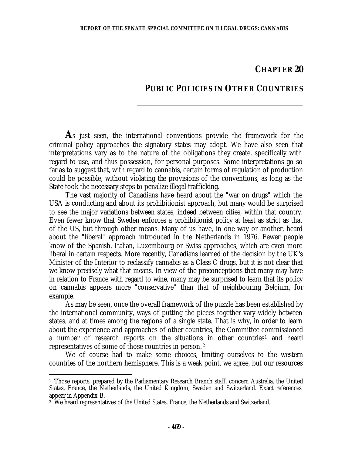# **CHAPTER 20**

# **PUBLIC POLICIES IN OTHER COUNTRIES**

**A**s just seen, the international conventions provide the framework for the criminal policy approaches the signatory states may adopt. We have also seen that interpretations vary as to the nature of the obligations they create, specifically with regard to use, and thus possession, for personal purposes. Some interpretations go so far as to suggest that, with regard to cannabis, certain forms of regulation of production could be possible, without violating the provisions of the conventions, as long as the State took the necessary steps to penalize illegal trafficking.

The vast majority of Canadians have heard about the "war on drugs" which the USA is conducting and about its prohibitionist approach, but many would be surprised to see the major variations between states, indeed between cities, within that country. Even fewer know that Sweden enforces a prohibitionist policy at least as strict as that of the US, but through other means. Many of us have, in one way or another, heard about the "liberal" approach introduced in the Netherlands in 1976. Fewer people know of the Spanish, Italian, Luxembourg or Swiss approaches, which are even more liberal in certain respects. More recently, Canadians learned of the decision by the UK's Minister of the Interior to reclassify cannabis as a Class C drugs, but it is not clear that we know precisely what that means. In view of the preconceptions that many may have in relation to France with regard to wine, many may be surprised to learn that its policy on cannabis appears more "conservative" than that of neighbouring Belgium, for example.

As may be seen, once the overall framework of the puzzle has been established by the international community, ways of putting the pieces together vary widely between states, and at times among the regions of a single state. That is why, in order to learn about the experience and approaches of other countries, the Committee commissioned a number of research reports on the situations in other countries<sup>1</sup> and heard representatives of some of those countries in person. <sup>2</sup>

We of course had to make some choices, limiting ourselves to the western countries of the northern hemisphere. This is a weak point, we agree, but our resources

 $\overline{a}$ 

<sup>&</sup>lt;sup>1</sup> Those reports, prepared by the Parliamentary Research Branch staff, concern Australia, the United States, France, the Netherlands, the United Kingdom, Sweden and Switzerland. Exact references appear in Appendix B.

<sup>&</sup>lt;sup>2</sup> We heard representatives of the United States, France, the Netherlands and Switzerland.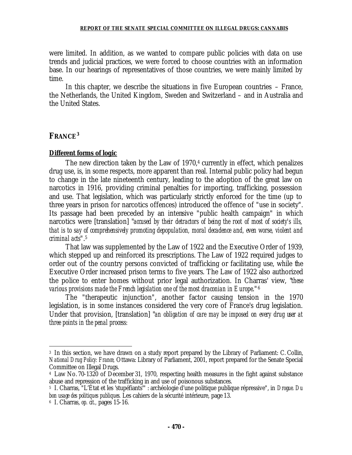were limited. In addition, as we wanted to compare public policies with data on use trends and judicial practices, we were forced to choose countries with an information base. In our hearings of representatives of those countries, we were mainly limited by time.

In this chapter, we describe the situations in five European countries – France, the Netherlands, the United Kingdom, Sweden and Switzerland – and in Australia and the United States.

# **FRANCE<sup>3</sup>**

### *Different forms of logic*

The new direction taken by the Law of 1970,<sup>4</sup> currently in effect, which penalizes drug use, is, in some respects, more apparent than real. Internal public policy had begun to change in the late nineteenth century, leading to the adoption of the great law on narcotics in 1916, providing criminal penalties for importing, trafficking, possession and use. That legislation, which was particularly strictly enforced for the time (up to three years in prison for narcotics offences) introduced the offence of "use in society". Its passage had been preceded by an intensive "public health campaign" in which narcotics were [translation] "*accused by their detractors of being the root of most of society's ills, that is to say of comprehensively promoting depopulation, moral decadence and, even worse, violent and criminal acts*".<sup>5</sup>

That law was supplemented by the Law of 1922 and the Executive Order of 1939, which stepped up and reinforced its prescriptions. The Law of 1922 required judges to order out of the country persons convicted of trafficking or facilitating use, while the Executive Order increased prison terms to five years. The Law of 1922 also authorized the police to enter homes without prior legal authorization. In Charras' view, "*these various provisions made the French legislation one of the most draconian in Europe*."<sup>6</sup>

The "therapeutic injunction", another factor causing tension in the 1970 legislation, is in some instances considered the very core of France's drug legislation. Under that provision, [translation] "*an obligation of care may be imposed on every drug user at three points in the penal process:*

 $\overline{a}$ <sup>3</sup> In this section, we have drawn on a study report prepared by the Library of Parliament: C. Collin, *National Drug Policy: France,* Ottawa: Library of Parliament, 2001, report prepared for the Senate Special Committee on Illegal Drugs.

<sup>4</sup> Law No. 70-1320 of December 31, 1970, respecting health measures in the fight against substance abuse and repression of the trafficking in and use of poisonous substances.

<sup>5</sup> I. Charras, "L'État et les 'stupéfiants'" : archéologie d'une politique publique répressive", in *Drogue. Du bon usage des politiques publiques.* Les cahiers de la sécurité intérieure, page 13.

<sup>6</sup> I. Charras, *op. cit.,* pages 15-16.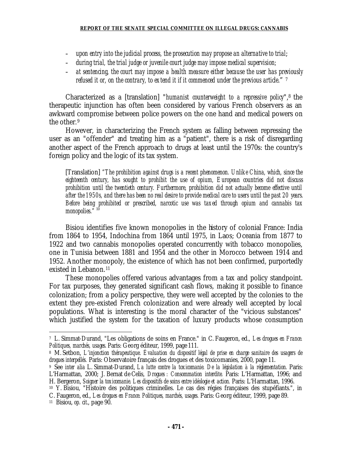- upon entry into the judicial process, the prosecution may propose an alternative to trial;
- *during trial, the trial judge or juvenile court judge may impose medical supervision;*
- *at sentencing, the court may impose a health measure either because the user has previously refused it or, on the contrary, to extend it if it commenced under the previous article*." <sup>7</sup>

Characterized as a [translation] "*humanist counterweight to a repressive policy*",<sup>8</sup> the therapeutic injunction has often been considered by various French observers as an awkward compromise between police powers on the one hand and medical powers on the other.<sup>9</sup>

However, in characterizing the French system as falling between repressing the user as an "offender" and treating him as a "patient", there is a risk of disregarding another aspect of the French approach to drugs at least until the 1970s: the country's foreign policy and the logic of its tax system.

[Translation] *"The prohibition against drugs is a recent phenomenon. Unlike China, which, since the eighteenth century, has sought to prohibit the use of opium, European countries did not discuss prohibition until the twentieth century. Furthermore, prohibition did not actually become effective until after the 1950s, and there has been no real desire to provide medical care to users until the past 20 years. Before being prohibited or prescribed, narcotic use was taxed through opium and cannabis tax monopolies."* <sup>10</sup>

Bisiou identifies five known monopolies in the history of colonial France: India from 1864 to 1954, Indochina from 1864 until 1975, in Laos; Oceania from 1877 to 1922 and two cannabis monopolies operated concurrently with tobacco monopolies, one in Tunisia between 1881 and 1954 and the other in Morocco between 1914 and 1952. Another monopoly, the existence of which has not been confirmed, purportedly existed in Lebanon.<sup>11</sup>

These monopolies offered various advantages from a tax and policy standpoint. For tax purposes, they generated significant cash flows, making it possible to finance colonization; from a policy perspective, they were well accepted by the colonies to the extent they pre-existed French colonization and were already well accepted by local populations. What is interesting is the moral character of the "vicious substances" which justified the system for the taxation of luxury products whose consumption

- <sup>9</sup> See *inter alia* L. Simmat-Durand, *La lutte contre la toxicomanie. De la législation à la réglementation.* Paris: L'Harmattan, 2000; J. Bernat de Celis, *Drogues : Consommation interdite.* Paris: L'Harmattan, 1996; and H. Bergeron, *Soigner la toxicomanie. Les dispositifs de soins entre idéologie et action.* Paris: L'Harmattan, 1996.
- <sup>10</sup> Y. Bisiou, "Histoire des politiques criminelles. Le cas des régies françaises des stupéfiants.", in

 $\overline{a}$ <sup>7</sup> L. Simmat-Durand, "Les obligations de soins en France." in C. Faugeron, ed., *Les drogues en France. Politiques, marchés, usages.* Paris: Georg éditeur, 1999, page 111.

<sup>8</sup> M. Setbon, *L'injonction thérapeutique. Évaluation du dispositif légal de prise en charge sanitaire des usagers de drogues interpellés.* Paris: Observatoire français des drogues et des toxicomanies, 2000, page 11.

C. Faugeron, ed., *Les drogues en France. Politiques, marchés, usages.* Paris: Georg éditeur, 1999, page 89.

<sup>11</sup> Bisiou, *op. cit.*, page 90.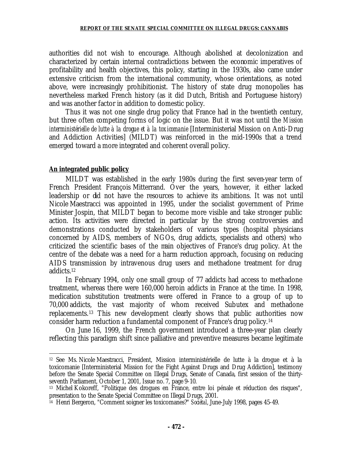authorities did not wish to encourage. Although abolished at decolonization and characterized by certain internal contradictions between the economic imperatives of profitability and health objectives, this policy, starting in the 1930s, also came under extensive criticism from the international community, whose orientations, as noted above, were increasingly prohibitionist. The history of state drug monopolies has nevertheless marked French history (as it did Dutch, British and Portuguese history) and was another factor in addition to domestic policy.

Thus it was not one single drug policy that France had in the twentieth century, but three often competing forms of logic on the issue. But it was not until the *Mission interministérielle de lutte à la drogue et à la toxicomanie* [Interministerial Mission on Anti-Drug and Addiction Activities] (MILDT) was reinforced in the mid-1990s that a trend emerged toward a more integrated and coherent overall policy.

### *An integrated public policy*

MILDT was established in the early 1980s during the first seven-year term of French President François Mitterrand. Over the years, however, it either lacked leadership or did not have the resources to achieve its ambitions. It was not until Nicole Maestracci was appointed in 1995, under the socialist government of Prime Minister Jospin, that MILDT began to become more visible and take stronger public action. Its activities were directed in particular by the strong controversies and demonstrations conducted by stakeholders of various types (hospital physicians concerned by AIDS, members of NGOs, drug addicts, specialists and others) who criticized the scientific bases of the main objectives of France's drug policy. At the centre of the debate was a need for a harm reduction approach, focusing on reducing AIDS transmission by intravenous drug users and methadone treatment for drug addicts.<sup>12</sup>

In February 1994, only one small group of 77 addicts had access to methadone treatment, whereas there were 160,000 heroin addicts in France at the time. In 1998, medication substitution treatments were offered in France to a group of up to 70,000 addicts, the vast majority of whom received Subutex and methadone replacements.13 This new development clearly shows that public authorities now consider harm reduction a fundamental component of France's drug policy.<sup>14</sup>

On June 16, 1999, the French government introduced a three-year plan clearly reflecting this paradigm shift since palliative and preventive measures became legitimate

 $\overline{a}$ <sup>12</sup> See Ms. Nicole Maestracci, President, Mission interministérielle de lutte à la drogue et à la toxicomanie [Interministerial Mission for the Fight Against Drugs and Drug Addiction], testimony before the Senate Special Committee on Illegal Drugs, Senate of Canada, first session of the thirtyseventh Parliament, October 1, 2001, Issue no. 7, page 9-10.

<sup>13</sup> Michel Kokoreff, "Politique des drogues en France, entre loi pénale et réduction des risques", presentation to the Senate Special Committee on Illegal Drugs, 2001.

<sup>14</sup> Henri Bergeron, "Comment soigner les toxicomanes?" *Sociétal*, June-July 1998, pages 45-49.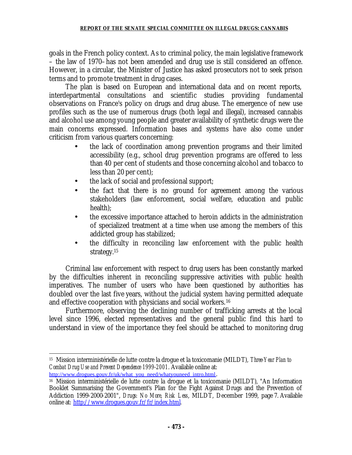goals in the French policy context. As to criminal policy, the main legislative framework – the law of 1970–has not been amended and drug use is still considered an offence. However, in a circular, the Minister of Justice has asked prosecutors not to seek prison terms and to promote treatment in drug cases.

The plan is based on European and international data and on recent reports, interdepartmental consultations and scientific studies providing fundamental observations on France's policy on drugs and drug abuse. The emergence of new use profiles such as the use of numerous drugs (both legal and illegal), increased cannabis and alcohol use among young people and greater availability of synthetic drugs were the main concerns expressed. Information bases and systems have also come under criticism from various quarters concerning:

- the lack of coordination among prevention programs and their limited accessibility (e.g., school drug prevention programs are offered to less than 40 per cent of students and those concerning alcohol and tobacco to less than 20 per cent);
- the lack of social and professional support;
- the fact that there is no ground for agreement among the various stakeholders (law enforcement, social welfare, education and public health);
- the excessive importance attached to heroin addicts in the administration of specialized treatment at a time when use among the members of this addicted group has stabilized;
- the difficulty in reconciling law enforcement with the public health strategy.<sup>15</sup>

Criminal law enforcement with respect to drug users has been constantly marked by the difficulties inherent in reconciling suppressive activities with public health imperatives. The number of users who have been questioned by authorities has doubled over the last five years, without the judicial system having permitted adequate and effective cooperation with physicians and social workers.<sup>16</sup>

Furthermore, observing the declining number of trafficking arrests at the local level since 1996, elected representatives and the general public find this hard to understand in view of the importance they feel should be attached to monitoring drug

 $\overline{a}$ <sup>15</sup> Mission interministérielle de lutte contre la drogue et la toxicomanie (MILDT), *Three-Year Plan to Combat Drug Use and Prevent Dependence 1999-2001*. Available online at: http://www.drogues.gouv.fr/uk/what\_you\_need/whatyouneed\_intro.html.

<sup>16</sup> Mission interministérielle de lutte contre la drogue et la toxicomanie (MILDT), "An Information Booklet Summarising the Government's Plan for the Fight Against Drugs and the Prevention of Addiction 1999-2000-2001", *Drugs: No More, Risk Less*, MILDT, December 1999, page 7. Available online at: http://www.drogues.gouv.fr/fr/index.html.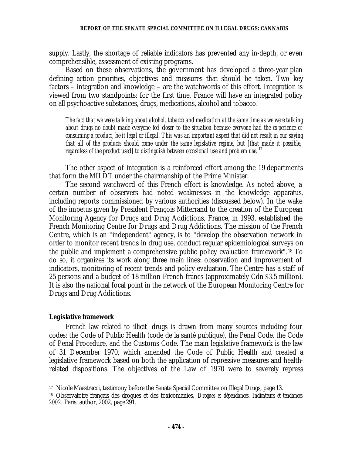supply. Lastly, the shortage of reliable indicators has prevented any in-depth, or even comprehensible, assessment of existing programs.

Based on these observations, the government has developed a three-year plan defining action priorities, objectives and measures that should be taken. Two key factors – integration and knowledge – are the watchwords of this effort. Integration is viewed from two standpoints: for the first time, France will have an integrated policy on all psychoactive substances, drugs, medications, alcohol and tobacco.

*The fact that we were talking about alcohol, tobacco and medication at the same time as we were talking about drugs no doubt made everyone feel closer to the situation because everyone had the experience of consuming a product, be it legal or illegal. This was an important aspect that did not result in our saying that all of the products should come under the same legislative regime, but [that made it possible, regardless of the product used] to distinguish between occasional use and problem use.* <sup>17</sup>

The other aspect of integration is a reinforced effort among the 19 departments that form the MILDT under the chairmanship of the Prime Minister.

The second watchword of this French effort is knowledge. As noted above, a certain number of observers had noted weaknesses in the knowledge apparatus, including reports commissioned by various authorities (discussed below). In the wake of the impetus given by President François Mitterrand to the creation of the European Monitoring Agency for Drugs and Drug Addictions, France, in 1993, established the French Monitoring Centre for Drugs and Drug Addictions. The mission of the French Centre, which is an "independent" agency, is to "develop the observation network in order to monitor recent trends in drug use, conduct regular epidemiological surveys on the public and implement a comprehensive public policy evaluation framework".18 To do so, it organizes its work along three main lines: observation and improvement of indicators, monitoring of recent trends and policy evaluation. The Centre has a staff of 25 persons and a budget of 18 million French francs (approximately Cdn \$3.5 million). It is also the national focal point in the network of the European Monitoring Centre for Drugs and Drug Addictions.

## *Legislative framework*

French law related to illicit drugs is drawn from many sources including four codes: the Code of Public Health (code de la santé publique), the Penal Code, the Code of Penal Procedure, and the Customs Code. The main legislative framework is the law of 31 December 1970, which amended the Code of Public Health and created a legislative framework based on both the application of repressive measures and healthrelated dispositions. The objectives of the Law of 1970 were to severely repress

 $\overline{a}$ <sup>17</sup> Nicole Maestracci, testimony before the Senate Special Committee on Illegal Drugs, page 13.

<sup>18</sup> Observatoire français des drogues et des toxicomanies, *Drogues et dépendances. Indicateurs et tendances 2002.* Paris: author, 2002, page 291.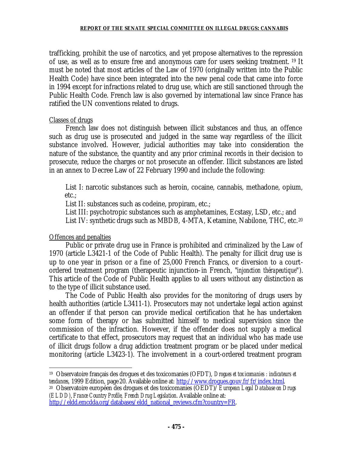trafficking, prohibit the use of narcotics, and yet propose alternatives to the repression of use, as well as to ensure free and anonymous care for users seeking treatment. <sup>19</sup> It must be noted that most articles of the Law of 1970 (originally written into the Public Health Code) have since been integrated into the new penal code that came into force in 1994 except for infractions related to drug use, which are still sanctioned through the Public Health Code. French law is also governed by international law since France has ratified the UN conventions related to drugs.

### Classes of drugs

French law does not distinguish between illicit substances and thus, an offence such as drug use is prosecuted and judged in the same way regardless of the illicit substance involved. However, judicial authorities may take into consideration the nature of the substance, the quantity and any prior criminal records in their decision to prosecute, reduce the charges or not prosecute an offender. Illicit substances are listed in an annex to Decree Law of 22 February 1990 and include the following:

List I: narcotic substances such as heroin, cocaine, cannabis, methadone, opium, etc.;

List II: substances such as codeine, propiram, etc.;

List III: psychotropic substances such as amphetamines, Ecstasy, LSD, etc.; and

List IV: synthetic drugs such as MBDB, 4-MTA, Ketamine, Nabilone, THC, etc.<sup>20</sup>

# Offences and penalties

Public or private drug use in France is prohibited and criminalized by the Law of 1970 (article L3421-1 of the Code of Public Health). The penalty for illicit drug use is up to one year in prison or a fine of 25,000 French Francs, or diversion to a courtordered treatment program (therapeutic injunction–in French, "*injonction thérapeutique*"). This article of the Code of Public Health applies to all users without any distinction as to the type of illicit substance used.

The Code of Public Health also provides for the monitoring of drugs users by health authorities (article L3411-1). Prosecutors may not undertake legal action against an offender if that person can provide medical certification that he has undertaken some form of therapy or has submitted himself to medical supervision since the commission of the infraction. However, if the offender does not supply a medical certificate to that effect, prosecutors may request that an individual who has made use of illicit drugs follow a drug addiction treatment program or be placed under medical monitoring (article L3423-1). The involvement in a court-ordered treatment program

 $\overline{a}$ <sup>19</sup> Observatoire français des drogues et des toxicomanies (OFDT), *Drogues et toxicomanies : indicateurs et tendances*, 1999 Edition, page 20. Available online at: http://www.drogues.gouv.fr/fr/index.html. <sup>20</sup> Observatoire européen des drogues et des toxicomanies (OEDT)/*European Legal Database on Drugs* 

*(ELDD)*, *France Country Profile, French Drug Legislation*. Available online at: http://eldd.emcdda.org/databases/eldd\_national\_reviews.cfm?country=FR.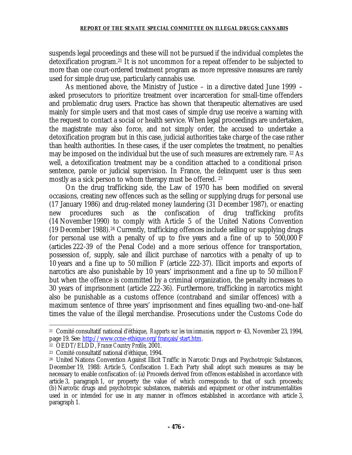suspends legal proceedings and these will not be pursued if the individual completes the detoxification program.21 It is not uncommon for a repeat offender to be subjected to more than one court-ordered treatment program as more repressive measures are rarely used for simple drug use, particularly cannabis use.

As mentioned above, the Ministry of Justice – in a directive dated June 1999 – asked prosecutors to prioritize treatment over incarceration for small-time offenders and problematic drug users. Practice has shown that therapeutic alternatives are used mainly for simple users and that most cases of simple drug use receive a warning with the request to contact a social or health service. When legal proceedings are undertaken, the magistrate may also force, and not simply order, the accused to undertake a detoxification program but in this case, judicial authorities take charge of the case rather than health authorities. In these cases, if the user completes the treatment, no penalties may be imposed on the individual but the use of such measures are extremely rare. <sup>22</sup> As well, a detoxification treatment may be a condition attached to a conditional prison sentence, parole or judicial supervision. In France, the delinquent user is thus seen mostly as a sick person to whom therapy must be offered. <sup>23</sup>

On the drug trafficking side, the Law of 1970 has been modified on several occasions, creating new offences such as the selling or supplying drugs for personal use (17 January 1986) and drug-related money laundering (31 December 1987), or enacting new procedures such as the confiscation of drug trafficking profits (14 November 1990) to comply with Article 5 of the United Nations Convention (19 December 1988).24 Currently, trafficking offences include selling or supplying drugs for personal use with a penalty of up to five years and a fine of up to  $500,000 \text{ F}$ (articles 222-39 of the Penal Code) and a more serious offence for transportation, possession of, supply, sale and illicit purchase of narcotics with a penalty of up to 10 years and a fine up to 50 million F (article 222-37). Illicit imports and exports of narcotics are also punishable by 10 years' imprisonment and a fine up to 50 million F but when the offence is committed by a criminal organization, the penalty increases to 30 years of imprisonment (article 222-36). Furthermore, trafficking in narcotics might also be punishable as a customs offence (contraband and similar offences) with a maximum sentence of three years' imprisonment and fines equalling two-and-one-half times the value of the illegal merchandise. Prosecutions under the Customs Code do

 $\overline{a}$ <sup>21</sup> Comité consultatif national d'éthique, *Rapports sur les toxicomanies*, rapport n<sup>o</sup> 43, November 23, 1994, page 19. See: http://www.ccne-ethique.org/français/start.htm.

<sup>22</sup> OEDT/ELDD, *France Country Profile*, 2001.

<sup>23</sup> Comité consultatif national d'éthique, 1994.

<sup>24</sup> United Nations Convention Against Illicit Traffic in Narcotic Drugs and Psychotropic Substances, December 19, 1988: Article 5, Confiscation 1. Each Party shall adopt such measures as may be necessary to enable confiscation of: (a) Proceeds derived from offences established in accordance with article 3, paragraph 1, or property the value of which corresponds to that of such proceeds; (b) Narcotic drugs and psychotropic substances, materials and equipment or other instrumentalities used in or intended for use in any manner in offences established in accordance with article 3, paragraph 1.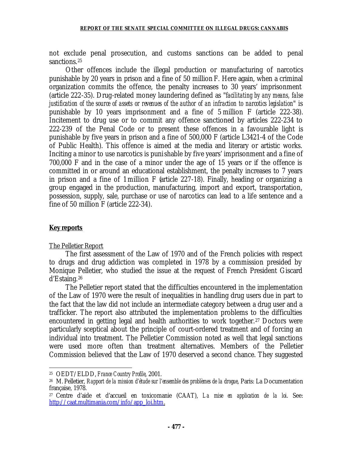not exclude penal prosecution, and customs sanctions can be added to penal sanctions.<sup>25</sup>

Other offences include the illegal production or manufacturing of narcotics punishable by 20 years in prison and a fine of 50 million F. Here again, when a criminal organization commits the offence, the penalty increases to 30 years' imprisonment (article 222-35). Drug-related money laundering defined as "*facilitating by any means, false justification of the source of assets or revenues of the author of an infraction to narcotics legislation*" is punishable by 10 years imprisonment and a fine of 5 million F (article 222-38). Incitement to drug use or to commit any offence sanctioned by articles 222-234 to 222-239 of the Penal Code or to present these offences in a favourable light is punishable by five years in prison and a fine of 500,000 F (article L3421-4 of the Code of Public Health). This offence is aimed at the media and literary or artistic works. Inciting a minor to use narcotics is punishable by five years' imprisonment and a fine of 700,000 F and in the case of a minor under the age of 15 years or if the offence is committed in or around an educational establishment, the penalty increases to 7 years in prison and a fine of 1million F (article 227-18). Finally, heading or organizing a group engaged in the production, manufacturing, import and export, transportation, possession, supply, sale, purchase or use of narcotics can lead to a life sentence and a fine of 50 million F (article 222-34).

### *Key reports*

The Pelletier Report

The first assessment of the Law of 1970 and of the French policies with respect to drugs and drug addiction was completed in 1978 by a commission presided by Monique Pelletier, who studied the issue at the request of French President Giscard d'Estaing.<sup>26</sup>

The Pelletier report stated that the difficulties encountered in the implementation of the Law of 1970 were the result of inequalities in handling drug users due in part to the fact that the law did not include an intermediate category between a drug user and a trafficker. The report also attributed the implementation problems to the difficulties encountered in getting legal and health authorities to work together.<sup>27</sup> Doctors were particularly sceptical about the principle of court-ordered treatment and of forcing an individual into treatment. The Pelletier Commission noted as well that legal sanctions were used more often than treatment alternatives. Members of the Pelletier Commission believed that the Law of 1970 deserved a second chance. They suggested

 $\overline{a}$ <sup>25</sup> OEDT/ELDD, *France Country Profile*, 2001.

<sup>26</sup> M. Pelletier, *Rapport de la mission d'étude sur l'ensemble des problèmes de la drogue*, Paris: La Documentation française, 1978.

<sup>27</sup> Centre d'aide et d'accueil en toxicomanie (CAAT), *La mise en application de la loi*. See: http://caat.multimania.com/info/app\_loi.htm.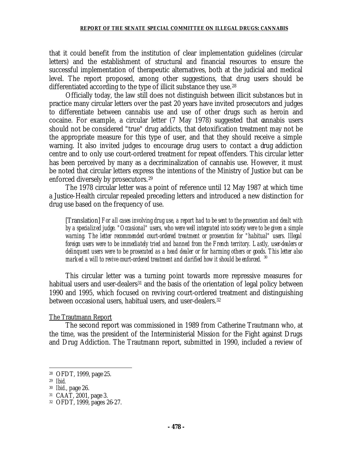that it could benefit from the institution of clear implementation guidelines (circular letters) and the establishment of structural and financial resources to ensure the successful implementation of therapeutic alternatives, both at the judicial and medical level. The report proposed, among other suggestions, that drug users should be differentiated according to the type of illicit substance they use.<sup>28</sup>

Officially today, the law still does not distinguish between illicit substances but in practice many circular letters over the past 20 years have invited prosecutors and judges to differentiate between cannabis use and use of other drugs such as heroin and cocaine. For example, a circular letter (7 May 1978) suggested that cannabis users should not be considered "true" drug addicts, that detoxification treatment may not be the appropriate measure for this type of user, and that they should receive a simple warning. It also invited judges to encourage drug users to contact a drug addiction centre and to only use court-ordered treatment for repeat offenders. This circular letter has been perceived by many as a decriminalization of cannabis use. However, it must be noted that circular letters express the intentions of the Ministry of Justice but can be enforced diversely by prosecutors.<sup>29</sup>

The 1978 circular letter was a point of reference until 12 May 1987 at which time a Justice-Health circular repealed preceding letters and introduced a new distinction for drug use based on the frequency of use.

[Translation] *For all cases involving drug use, a report had to be sent to the prosecution and dealt with by a specialized judge. "Occasional" users, who were well integrated into society were to be given a simple warning. The letter recommended court-ordered treatment or prosecution for "habitual" users. Illegal foreign users were to be immediately tried and banned from the French territory. Lastly, user-dealers or delinquent users were to be prosecuted as a head dealer or for harming others or goods. This letter also marked a will to revive court-ordered treatment and clarified how it should be enforced.* <sup>30</sup>

This circular letter was a turning point towards more repressive measures for habitual users and user-dealers<sup>31</sup> and the basis of the orientation of legal policy between 1990 and 1995, which focused on reviving court-ordered treatment and distinguishing between occasional users, habitual users, and user-dealers.<sup>32</sup>

The Trautmann Report

The second report was commissioned in 1989 from Catherine Trautmann who, at the time, was the president of the Interministerial Mission for the Fight against Drugs and Drug Addiction. The Trautmann report, submitted in 1990, included a review of

 $\overline{a}$ <sup>28</sup> OFDT, 1999, page 25.

<sup>29</sup> *Ibid.*

<sup>30</sup> *Ibid.*, page 26.

<sup>31</sup> CAAT, 2001, page 3.

<sup>32</sup> OFDT, 1999, pages 26-27.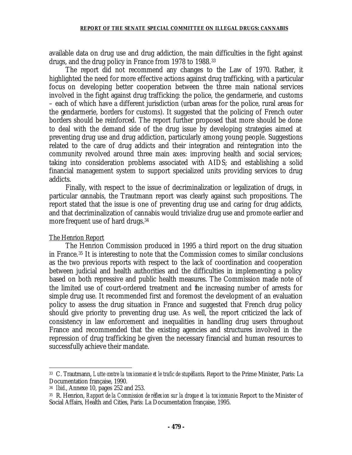available data on drug use and drug addiction, the main difficulties in the fight against drugs, and the drug policy in France from 1978 to 1988.<sup>33</sup>

The report did not recommend any changes to the Law of 1970. Rather, it highlighted the need for more effective actions against drug trafficking, with a particular focus on developing better cooperation between the three main national services involved in the fight against drug trafficking: the police, the gendarmerie, and customs – each of which have a different jurisdiction (urban areas for the police, rural areas for the gendarmerie, borders for customs). It suggested that the policing of French outer borders should be reinforced. The report further proposed that more should be done to deal with the demand side of the drug issue by developing strategies aimed at preventing drug use and drug addiction, particularly among young people. Suggestions related to the care of drug addicts and their integration and reintegration into the community revolved around three main axes: improving health and social services; taking into consideration problems associated with AIDS; and establishing a solid financial management system to support specialized units providing services to drug addicts.

Finally, with respect to the issue of decriminalization or legalization of drugs, in particular cannabis, the Trautmann report was clearly against such propositions. The report stated that the issue is one of preventing drug use and caring for drug addicts, and that decriminalization of cannabis would trivialize drug use and promote earlier and more frequent use of hard drugs.<sup>34</sup>

### The Henrion Report

The Henrion Commission produced in 1995 a third report on the drug situation in France.35 It is interesting to note that the Commission comes to similar conclusions as the two previous reports with respect to the lack of coordination and cooperation between judicial and health authorities and the difficulties in implementing a policy based on both repressive and public health measures. The Commission made note of the limited use of court-ordered treatment and the increasing number of arrests for simple drug use. It recommended first and foremost the development of an evaluation policy to assess the drug situation in France and suggested that French drug policy should give priority to preventing drug use. As well, the report criticized the lack of consistency in law enforcement and inequalities in handling drug users throughout France and recommended that the existing agencies and structures involved in the repression of drug trafficking be given the necessary financial and human resources to successfully achieve their mandate.

 $\overline{a}$ <sup>33</sup> C. Trautmann, *Lutte contre la toxicomanie et le trafic de stupéfiants*. Report to the Prime Minister, Paris: La Documentation française, 1990.

<sup>34</sup> *Ibid.*, Annexe 10, pages 252 and 253.

<sup>35</sup> R. Henrion, *Rapport de la Commission de réflexion sur la drogue et la toxicomanie*. Report to the Minister of Social Affairs, Health and Cities, Paris: La Documentation française, 1995.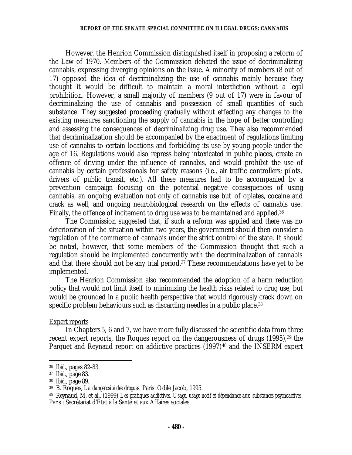However, the Henrion Commission distinguished itself in proposing a reform of the Law of 1970. Members of the Commission debated the issue of decriminalizing cannabis, expressing diverging opinions on the issue. A minority of members (8 out of 17) opposed the idea of decriminalizing the use of cannabis mainly because they thought it would be difficult to maintain a moral interdiction without a legal prohibition. However, a small majority of members (9 out of 17) were in favour of decriminalizing the use of cannabis and possession of small quantities of such substance. They suggested proceeding gradually without effecting any changes to the existing measures sanctioning the supply of cannabis in the hope of better controlling and assessing the consequences of decriminalizing drug use. They also recommended that decriminalization should be accompanied by the enactment of regulations limiting use of cannabis to certain locations and forbidding its use by young people under the age of 16. Regulations would also repress being intoxicated in public places, create an offence of driving under the influence of cannabis, and would prohibit the use of cannabis by certain professionals for safety reasons (i.e., air traffic controllers; pilots, drivers of public transit, etc.). All these measures had to be accompanied by a prevention campaign focusing on the potential negative consequences of using cannabis, an ongoing evaluation not only of cannabis use but of opiates, cocaine and crack as well, and ongoing neurobiological research on the effects of cannabis use. Finally, the offence of incitement to drug use was to be maintained and applied.<sup>36</sup>

The Commission suggested that, if such a reform was applied and there was no deterioration of the situation within two years, the government should then consider a regulation of the commerce of cannabis under the strict control of the state. It should be noted, however, that some members of the Commission thought that such a regulation should be implemented concurrently with the decriminalization of cannabis and that there should not be any trial period.37 These recommendations have yet to be implemented.

The Henrion Commission also recommended the adoption of a harm reduction policy that would not limit itself to minimizing the health risks related to drug use, but would be grounded in a public health perspective that would rigorously crack down on specific problem behaviours such as discarding needles in a public place.<sup>38</sup>

#### Expert reports

In Chapters 5, 6 and 7, we have more fully discussed the scientific data from three recent expert reports, the Roques report on the dangerousness of drugs (1995), 39 the Parquet and Reynaud report on addictive practices (1997)<sup>40</sup> and the INSERM expert

 $\overline{a}$ 

<sup>36</sup> *Ibid*., pages 82-83.

<sup>37</sup> *Ibid*., page 83.

<sup>38</sup> *Ibid.*, page 89.

<sup>39</sup> B. Roques, *La dangerosité des drogues.* Paris: Odile Jacob, 1995.

<sup>40</sup> Reynaud, M. et al., (1999) *Les pratiques addictives. Usage, usage nocif et dépendance aux substances psychoactives.* Paris : Secrétariat d'État à la Santé et aux Affaires sociales.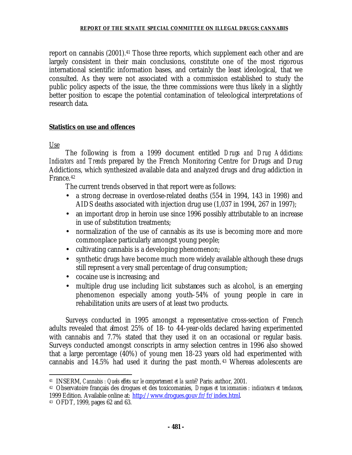report on cannabis (2001).<sup>41</sup> Those three reports, which supplement each other and are largely consistent in their main conclusions, constitute one of the most rigorous international scientific information bases, and certainly the least ideological, that we consulted. As they were not associated with a commission established to study the public policy aspects of the issue, the three commissions were thus likely in a slightly better position to escape the potential contamination of teleological interpretations of research data.

## *Statistics on use and offences*

Use

The following is from a 1999 document entitled *Drugs and Drug Addictions: Indicators and Trends* prepared by the French Monitoring Centre for Drugs and Drug Addictions, which synthesized available data and analyzed drugs and drug addiction in France.<sup>42</sup>

The current trends observed in that report were as follows:

- a strong decrease in overdose-related deaths (554 in 1994, 143 in 1998) and AIDS deaths associated with injection drug use (1,037 in 1994, 267 in 1997);
- an important drop in heroin use since 1996 possibly attributable to an increase in use of substitution treatments;
- normalization of the use of cannabis as its use is becoming more and more commonplace particularly amongst young people;
- cultivating cannabis is a developing phenomenon;
- synthetic drugs have become much more widely available although these drugs still represent a very small percentage of drug consumption;
- cocaine use is increasing; and
- multiple drug use including licit substances such as alcohol, is an emerging phenomenon especially among youth–54% of young people in care in rehabilitation units are users of at least two products.

Surveys conducted in 1995 amongst a representative cross-section of French adults revealed that almost 25% of 18- to 44-year-olds declared having experimented with cannabis and 7.7% stated that they used it on an occasional or regular basis. Surveys conducted amongst conscripts in army selection centres in 1996 also showed that a large percentage (40%) of young men 18-23 years old had experimented with cannabis and 14.5% had used it during the past month. <sup>43</sup> Whereas adolescents are

 $\overline{a}$ <sup>41</sup> INSERM, *Cannabis : Quels effets sur le comportement et la santé?* Paris: author, 2001.

<sup>42</sup> Observatoire français des drogues et des toxicomanies, *Drogues et toxicomanies : indicateurs et tendances*, 1999 Edition. Available online at: http://www.drogues.gouv.fr/fr/index.html.

<sup>43</sup> OFDT, 1999, pages 62 and 63.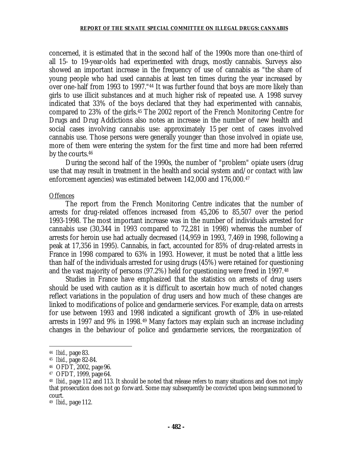concerned, it is estimated that in the second half of the 1990s more than one-third of all 15- to 19-year-olds had experimented with drugs, mostly cannabis. Surveys also showed an important increase in the frequency of use of cannabis as "the share of young people who had used cannabis at least ten times during the year increased by over one-half from 1993 to 1997."<sup>44</sup> It was further found that boys are more likely than girls to use illicit substances and at much higher risk of repeated use. A 1998 survey indicated that 33% of the boys declared that they had experimented with cannabis, compared to 23% of the girls.45 The 2002 report of the French Monitoring Centre for Drugs and Drug Addictions also notes an increase in the number of new health and social cases involving cannabis use: approximately 15 per cent of cases involved cannabis use. Those persons were generally younger than those involved in opiate use, more of them were entering the system for the first time and more had been referred by the courts.<sup>46</sup>

During the second half of the 1990s, the number of "problem" opiate users (drug use that may result in treatment in the health and social system and/or contact with law enforcement agencies) was estimated between 142,000 and 176,000.<sup>47</sup>

#### **Offences**

The report from the French Monitoring Centre indicates that the number of arrests for drug-related offences increased from 45,206 to 85,507 over the period 1993-1998. The most important increase was in the number of individuals arrested for cannabis use (30,344 in 1993 compared to 72,281 in 1998) whereas the number of arrests for heroin use had actually decreased (14,959 in 1993, 7,469 in 1998, following a peak at 17,356 in 1995). Cannabis, in fact, accounted for 85% of drug-related arrests in France in 1998 compared to 63% in 1993. However, it must be noted that a little less than half of the individuals arrested for using drugs (45%) were retained for questioning and the vast majority of persons (97.2%) held for questioning were freed in 1997.<sup>48</sup>

Studies in France have emphasized that the statistics on arrests of drug users should be used with caution as it is difficult to ascertain how much of noted changes reflect variations in the population of drug users and how much of these changes are linked to modifications of police and gendarmerie services. For example, data on arrests for use between 1993 and 1998 indicated a significant growth of 30% in use-related arrests in 1997 and 9% in 1998.49 Many factors may explain such an increase including changes in the behaviour of police and gendarmerie services, the reorganization of

 $\overline{a}$ 

<sup>44</sup> *Ibid.*, page 83.

<sup>45</sup> *Ibid.*, page 82-84.

<sup>46</sup> OFDT, 2002, page 96.

<sup>47</sup> OFDT, 1999, page 64.

<sup>48</sup> *Ibid.*, page 112 and 113. It should be noted that release refers to many situations and does not imply that prosecution does not go forward. Some may subsequently be convicted upon being summoned to court.

<sup>49</sup> *Ibid*., page 112.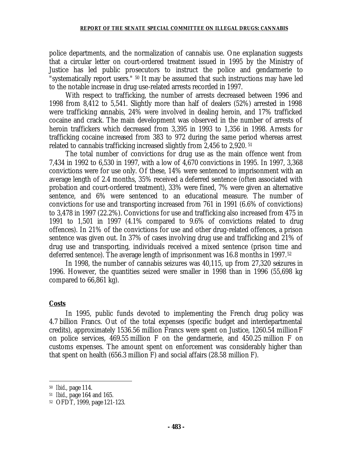police departments, and the normalization of cannabis use. One explanation suggests that a circular letter on court-ordered treatment issued in 1995 by the Ministry of Justice has led public prosecutors to instruct the police and gendarmerie to "systematically report users." <sup>50</sup> It may be assumed that such instructions may have led to the notable increase in drug use-related arrests recorded in 1997.

With respect to trafficking, the number of arrests decreased between 1996 and 1998 from 8,412 to 5,541. Slightly more than half of dealers (52%) arrested in 1998 were trafficking cannabis, 24% were involved in dealing heroin, and 17% trafficked cocaine and crack. The main development was observed in the number of arrests of heroin traffickers which decreased from 3,395 in 1993 to 1,356 in 1998. Arrests for trafficking cocaine increased from 383 to 972 during the same period whereas arrest related to cannabis trafficking increased slightly from 2,456 to 2,920. <sup>51</sup>

The total number of convictions for drug use as the main offence went from 7,434 in 1992 to 6,530 in 1997, with a low of 4,670 convictions in 1995. In 1997, 3,368 convictions were for use only. Of these, 14% were sentenced to imprisonment with an average length of 2.4 months, 35% received a deferred sentence (often associated with probation and court-ordered treatment), 33% were fined, 7% were given an alternative sentence, and 6% were sentenced to an educational measure. The number of convictions for use and transporting increased from 761 in 1991 (6.6% of convictions) to 3,478 in 1997 (22.2%). Convictions for use and trafficking also increased from 475 in 1991 to 1,501 in 1997 (4.1% compared to 9.6% of convictions related to drug offences). In 21% of the convictions for use and other drug-related offences, a prison sentence was given out. In 37% of cases involving drug use and trafficking and 21% of drug use and transporting, individuals received a mixed sentence (prison time and deferred sentence). The average length of imprisonment was 16.8 months in 1997.<sup>52</sup>

In 1998, the number of cannabis seizures was 40,115, up from 27,320 seizures in 1996. However, the quantities seized were smaller in 1998 than in 1996 (55,698 kg compared to 66,861 kg).

### *Costs*

In 1995, public funds devoted to implementing the French drug policy was 4.7 billion Francs. Out of the total expenses (specific budget and interdepartmental credits), approximately 1536.56 million Francs were spent on Justice, 1260.54 million F on police services, 469.55 million F on the gendarmerie, and 450.25 million F on customs expenses. The amount spent on enforcement was considerably higher than that spent on health (656.3 million F) and social affairs (28.58 million F).

 $\overline{a}$ 

<sup>50</sup> *Ibid*., page 114.

<sup>51</sup> *Ibid*., page 164 and 165.

<sup>52</sup> OFDT, 1999, page 121-123.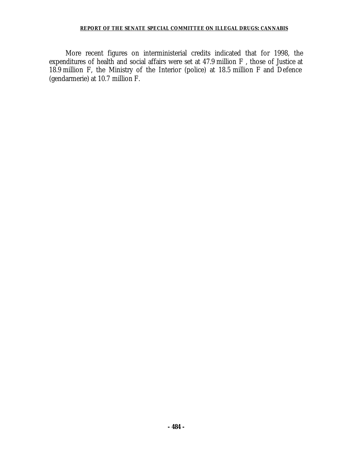More recent figures on interministerial credits indicated that for 1998, the expenditures of health and social affairs were set at 47.9 million F , those of Justice at 18.9 million F, the Ministry of the Interior (police) at 18.5 million F and Defence (gendarmerie) at 10.7 million F.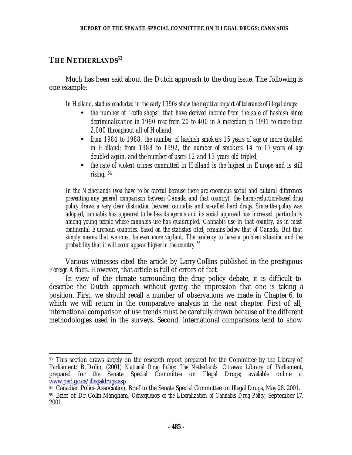# **THE NETHERLANDS**<sup>53</sup>

Much has been said about the Dutch approach to the drug issue. The following is one example:

*In Holland, studies conducted in the early 1990s show the negative impact of tolerance of illegal drugs:*

- *the number of "coffe shops" that have derived income from the sale of hashish since decriminalization in 1990 rose from 20 to 400 in Amsterdam in 1991 to more than 2,000 throughout all of Holland;*
- *from 1984 to 1988, the number of hashish smokers 15 years of age or more doubled in Holland; from 1988 to 1992, the number of smokers 14 to 17 years of age doubled again, and the number of users 12 and 13 years old tripled;*
- *the rate of violent crimes committed in Holland is the highest in Europe and is still rising.* <sup>54</sup>

*In the Netherlands (you have to be careful because there are enormous social and cultural differences preventing any general comparison between Canada and that country), the harm-reduction-based drug policy draws a very clear distinction between cannabis and so-called hard drugs. Since the policy was adopted, cannabis has appeared to be less dangerous and its social approval has increased, particularly among young people whose cannabis use has quadrupled. Cannabis use in that country, as in most continental European countries, based on the statistics cited, remains below that of Canada. But that simply means that we must be even more vigilant. The tendency to have a problem situation and the probability that it will occur appear higher in the country. <sup>55</sup>*

Various witnesses cited the article by Larry Collins published in the prestigious *Foreign Affairs.* However, that article is full of errors of fact.

In view of the climate surrounding the drug policy debate, it is difficult to describe the Dutch approach without giving the impression that one is taking a position. First, we should recall a number of observations we made in Chapter 6, to which we will return in the comparative analysis in the next chapter. First of all, international comparison of use trends must be carefully drawn because of the different methodologies used in the surveys. Second, international comparisons tend to show

 $\overline{a}$ 53 This section draws largely on the research report prepared for the Committee by the Library of Parliament: B. Dolin, (2001) *National Drug Policy: The Netherlands.* Ottawa: Library of Parliament, prepared for the Senate Special Committee on Illegal Drugs; available online at www.parl.gc.ca/illegaldrugs.asp.

<sup>&</sup>lt;sup>54</sup> Canadian Police Association, Brief to the Senate Special Committee on Illegal Drugs, May 28, 2001.

<sup>55</sup> Brief of Dr. Colin Mangham, *Consequences of the Liberalization of Cannabis Drug Policy*, September 17, 2001.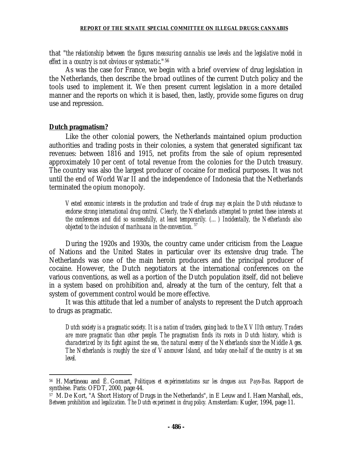that "*the relationship between the figures measuring cannabis use levels and the legislative model in effect in a country is not obvious or systematic*."<sup>56</sup>

As was the case for France, we begin with a brief overview of drug legislation in the Netherlands, then describe the broad outlines of the current Dutch policy and the tools used to implement it. We then present current legislation in a more detailed manner and the reports on which it is based, then, lastly, provide some figures on drug use and repression.

#### *Dutch pragmatism?*

Like the other colonial powers, the Netherlands maintained opium production authorities and trading posts in their colonies, a system that generated significant tax revenues: between 1816 and 1915, net profits from the sale of opium represented approximately 10 per cent of total revenue from the colonies for the Dutch treasury. The country was also the largest producer of cocaine for medical purposes. It was not until the end of World War II and the independence of Indonesia that the Netherlands terminated the opium monopoly.

*Vested economic interests in the production and trade of drugs may explain the Dutch reluctance to endorse strong international drug control. Clearly, the Netherlands attempted to protect these interests at the conferences and did so successfully, at least temporarily. (…) Incidentally, the Netherlands also objected to the inclusion of marihuana in the convention.*<sup>57</sup>

During the 1920s and 1930s, the country came under criticism from the League of Nations and the United States in particular over its extensive drug trade. The Netherlands was one of the main heroin producers and the principal producer of cocaine. However, the Dutch negotiators at the international conferences on the various conventions, as well as a portion of the Dutch population itself, did not believe in a system based on prohibition and, already at the turn of the century, felt that a system of government control would be more effective.

It was this attitude that led a number of analysts to represent the Dutch approach to drugs as pragmatic.

*Dutch society is a pragmatic society. It is a nation of traders, going back to the XVIIth century. Traders are more pragmatic than other people. The pragmatism finds its roots in Dutch history, which is characterized by its fight against the sea, the natural enemy of the Netherlands since the Middle Ages. The Netherlands is roughly the size of Vancouver Island, and today one-half of the country is at sea level.*

 $\overline{a}$ <sup>56</sup> H. Martineau and É. Gomart, *Politiques et expérimentations sur les drogues aux Pays-Bas*. Rapport de synthèse. Paris: OFDT, 2000, page 44.

<sup>&</sup>lt;sup>57</sup> M. De Kort, "A Short History of Drugs in the Netherlands", in E Leuw and I. Haen Marshall, eds., *Between prohibition and legalization. The Dutch experiment in drug policy.* Amsterdam: Kugler, 1994, page 11.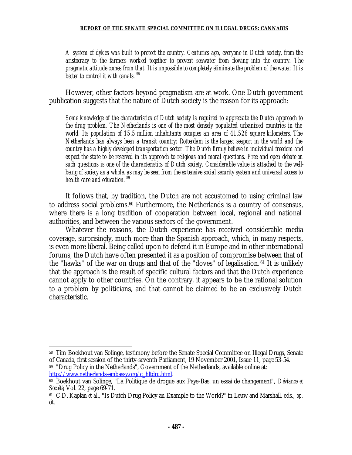*A system of dykes was built to protect the country. Centuries ago, everyone in Dutch society, from the aristocracy to the farmers worked together to prevent seawater from flowing into the country. The pragmatic attitude comes from that. It is impossible to completely eliminate the problem of the water. It is better to control it with canals.* <sup>58</sup>

However, other factors beyond pragmatism are at work. One Dutch government publication suggests that the nature of Dutch society is the reason for its approach:

*Some knowledge of the characteristics of Dutch society is required to appreciate the Dutch approach to the drug problem. The Netherlands is one of the most densely populated urbanized countries in the world. Its population of 15.5 million inhabitants occupies an area of 41,526 square kilometers. The Netherlands has always been a transit country: Rotterdam is the largest seaport in the world and the country has a highly developed transportation sector. The Dutch firmly believe in individual freedom and expect the state to be reserved in its approach to religious and moral questions. Free and open debate on such questions is one of the characteristics of Dutch society. Considerable value is attached to the wellbeing of society as a whole, as may be seen from the extensive social security system and universal access to health care and education.* <sup>59</sup>

It follows that, by tradition, the Dutch are not accustomed to using criminal law to address social problems.60 Furthermore, the Netherlands is a country of consensus, where there is a long tradition of cooperation between local, regional and national authorities, and between the various sectors of the government.

Whatever the reasons, the Dutch experience has received considerable media coverage, surprisingly, much more than the Spanish approach, which, in many respects, is even more liberal. Being called upon to defend it in Europe and in other international forums, the Dutch have often presented it as a position of compromise between that of the "hawks" of the war on drugs and that of the "doves" of legalisation. <sup>61</sup> It is unlikely that the approach is the result of specific cultural factors and that the Dutch experience cannot apply to other countries. On the contrary, it appears to be the rational solution to a problem by politicians, and that cannot be claimed to be an exclusively Dutch characteristic.

 $\overline{a}$ <sup>58</sup> Tim Boekhout van Solinge, testimony before the Senate Special Committee on Illegal Drugs, Senate of Canada, first session of the thirty-seventh Parliament, 19 November 2001, Issue 11, page 53-54.

<sup>59</sup> "Drug Policy in the Netherlands", Government of the Netherlands, available online at: http://www.netherlands-embassy.org/c\_hltdru.html.

<sup>60</sup> Boekhout van Solinge, "La Politique de drogue aux Pays-Bas: un essai de changement", *Déviance et Société*, Vol. 22, page 69-71.

<sup>61</sup> C.D. Kaplan *et al*., "Is Dutch Drug Policy an Example to the World?" in Leuw and Marshall, eds., *op. cit*.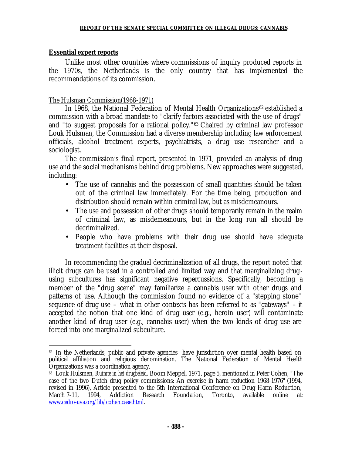### *Essential expert reports*

Unlike most other countries where commissions of inquiry produced reports in the 1970s, the Netherlands is the only country that has implemented the recommendations of its commission.

### The Hulsman Commission(1968-1971)

In 1968, the National Federation of Mental Health Organizations<sup>62</sup> established a commission with a broad mandate to "clarify factors associated with the use of drugs" and "to suggest proposals for a rational policy."<sup>63</sup> Chaired by criminal law professor Louk Hulsman, the Commission had a diverse membership including law enforcement officials, alcohol treatment experts, psychiatrists, a drug use researcher and a sociologist.

The commission's final report, presented in 1971, provided an analysis of drug use and the social mechanisms behind drug problems. New approaches were suggested, including:

- The use of cannabis and the possession of small quantities should be taken out of the criminal law immediately. For the time being, production and distribution should remain within criminal law, but as misdemeanours.
- The use and possession of other drugs should temporarily remain in the realm of criminal law, as misdemeanours, but in the long run all should be decriminalized.
- People who have problems with their drug use should have adequate treatment facilities at their disposal.

In recommending the gradual decriminalization of all drugs, the report noted that illicit drugs can be used in a controlled and limited way and that marginalizing drug using subcultures has significant negative repercussions. Specifically, becoming a member of the "drug scene" may familiarize a cannabis user with other drugs and patterns of use. Although the commission found no evidence of a "stepping stone" sequence of drug use – what in other contexts has been referred to as "gateways" – it accepted the notion that one kind of drug user (e.g., heroin user) will contaminate another kind of drug user (e.g., cannabis user) when the two kinds of drug use are forced into one marginalized subculture.

 $\overline{a}$ <sup>62</sup> In the Netherlands, public and private agencies have jurisdiction over mental health based on political affiliation and religious denomination. The National Federation of Mental Health Organizations was a coordination agency.

<sup>63</sup> Louk Hulsman, *Ruimte in het drugbeleid*, Boom Meppel, 1971, page 5, mentioned in Peter Cohen, "The case of the two Dutch drug policy commissions: An exercise in harm reduction 1968-1976" (1994, revised in 1996), Article presented to the 5th International Conference on Drug Harm Reduction, March 7-11, 1994, Addiction Research Foundation, Toronto, available online at: www.cedro-uva.org/lib/cohen.case.html.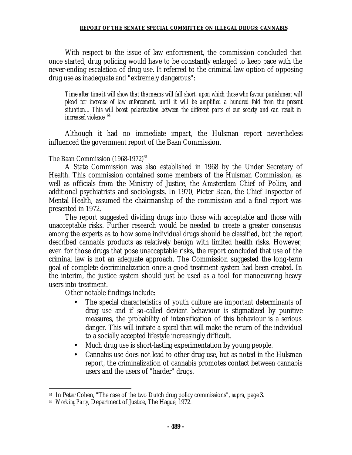With respect to the issue of law enforcement, the commission concluded that once started, drug policing would have to be constantly enlarged to keep pace with the never-ending escalation of drug use. It referred to the criminal law option of opposing drug use as inadequate and "extremely dangerous":

*Time after time it will show that the means will fall short, upon which those who favour punishment will plead for increase of law enforcement, until it will be amplified a hundred fold from the present situation…This will boost polarization between the different parts of our society and can result in increased violence.* <sup>64</sup>

Although it had no immediate impact, the Hulsman report nevertheless influenced the government report of the Baan Commission.

### The Baan Commission  $(1968-1972)^{65}$

A State Commission was also established in 1968 by the Under Secretary of Health. This commission contained some members of the Hulsman Commission, as well as officials from the Ministry of Justice, the Amsterdam Chief of Police, and additional psychiatrists and sociologists. In 1970, Pieter Baan, the Chief Inspector of Mental Health, assumed the chairmanship of the commission and a final report was presented in 1972.

The report suggested dividing drugs into those with acceptable and those with unacceptable risks. Further research would be needed to create a greater consensus among the experts as to how some individual drugs should be classified, but the report described cannabis products as relatively benign with limited health risks. However, even for those drugs that pose unacceptable risks, the report concluded that use of the criminal law is not an adequate approach. The Commission suggested the long-term goal of complete decriminalization once a good treatment system had been created. In the interim, the justice system should just be used as a tool for manoeuvring heavy users into treatment.

Other notable findings include:

- The special characteristics of youth culture are important determinants of drug use and if so-called deviant behaviour is stigmatized by punitive measures, the probability of intensification of this behaviour is a serious danger. This will initiate a spiral that will make the return of the individual to a socially accepted lifestyle increasingly difficult.
- Much drug use is short-lasting experimentation by young people.
- Cannabis use does not lead to other drug use, but as noted in the Hulsman report, the criminalization of cannabis promotes contact between cannabis users and the users of "harder" drugs.

 $\overline{a}$ <sup>64</sup> In Peter Cohen, "The case of the two Dutch drug policy commissions", *supra*, page 3.

<sup>65</sup> *Working Party*, Department of Justice, The Hague, 1972.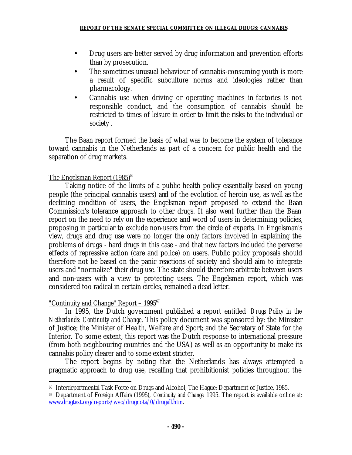- Drug users are better served by drug information and prevention efforts than by prosecution.
- The sometimes unusual behaviour of cannabis-consuming youth is more a result of specific subculture norms and ideologies rather than pharmacology.
- Cannabis use when driving or operating machines in factories is not responsible conduct, and the consumption of cannabis should be restricted to times of leisure in order to limit the risks to the individual or society .

The Baan report formed the basis of what was to become the system of tolerance toward cannabis in the Netherlands as part of a concern for public health and the separation of drug markets.

# The Engelsman Report  $(1985)^{66}$

Taking notice of the limits of a public health policy essentially based on young people (the principal cannabis users) and of the evolution of heroin use, as well as the declining condition of users, the Engelsman report proposed to extend the Baan Commission's tolerance approach to other drugs. It also went further than the Baan report on the need to rely on the experience and word of users in determining policies, proposing in particular to exclude non-users from the circle of experts. In Engelsman's view, drugs and drug use were no longer the only factors involved in explaining the problems of drugs - hard drugs in this case - and that new factors included the perverse effects of repressive action (care and police) on users. Public policy proposals should therefore not be based on the panic reactions of society and should aim to integrate users and "normalize" their drug use. The state should therefore arbitrate between users and non-users with a view to protecting users. The Engelsman report, which was considered too radical in certain circles, remained a dead letter.

## "Continuity and Change" Report  $-1995^{\circ7}$

In 1995, the Dutch government published a report entitled *Drugs Policy in the Netherlands: Continuity and Change*. This policy document was sponsored by: the Minister of Justice; the Minister of Health, Welfare and Sport; and the Secretary of State for the Interior. To some extent, this report was the Dutch response to international pressure (from both neighbouring countries and the USA) as well as an opportunity to make its cannabis policy clearer and to some extent stricter.

The report begins by noting that the Netherlands has always attempted a pragmatic approach to drug use, recalling that prohibitionist policies throughout the

 $\overline{a}$ <sup>66</sup> Interdepartmental Task Force on Drugs and Alcohol, The Hague: Department of Justice, 1985.

<sup>67</sup> Department of Foreign Affairs (1995), *Continuity and Change.* 1995. The report is available online at: www.drugtext.org/reports/wvc/drugnota/0/drugall.htm.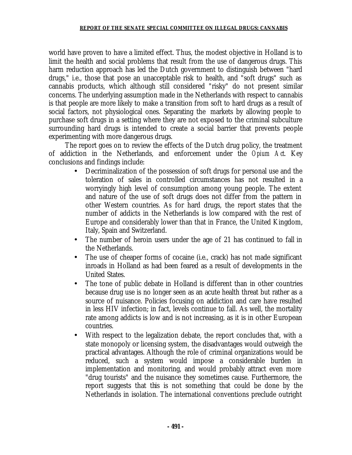world have proven to have a limited effect. Thus, the modest objective in Holland is to limit the health and social problems that result from the use of dangerous drugs. This harm reduction approach has led the Dutch government to distinguish between "hard drugs," i.e., those that pose an unacceptable risk to health, and "soft drugs" such as cannabis products, which although still considered "risky" do not present similar concerns. The underlying assumption made in the Netherlands with respect to cannabis is that people are more likely to make a transition from soft to hard drugs as a result of social factors, not physiological ones. Separating the markets by allowing people to purchase soft drugs in a setting where they are not exposed to the criminal subculture surrounding hard drugs is intended to create a social barrier that prevents people experimenting with more dangerous drugs.

The report goes on to review the effects of the Dutch drug policy, the treatment of addiction in the Netherlands, and enforcement under the *Opium Act*. Key conclusions and findings include:

- Decriminalization of the possession of soft drugs for personal use and the toleration of sales in controlled circumstances has not resulted in a worryingly high level of consumption among young people. The extent and nature of the use of soft drugs does not differ from the pattern in other Western countries. As for hard drugs, the report states that the number of addicts in the Netherlands is low compared with the rest of Europe and considerably lower than that in France, the United Kingdom, Italy, Spain and Switzerland.
- The number of heroin users under the age of 21 has continued to fall in the Netherlands.
- The use of cheaper forms of cocaine (i.e., crack) has not made significant inroads in Holland as had been feared as a result of developments in the United States.
- The tone of public debate in Holland is different than in other countries because drug use is no longer seen as an acute health threat but rather as a source of nuisance. Policies focusing on addiction and care have resulted in less HIV infection; in fact, levels continue to fall. As well, the mortality rate among addicts is low and is not increasing, as it is in other European countries.
- With respect to the legalization debate, the report concludes that, with a state monopoly or licensing system, the disadvantages would outweigh the practical advantages. Although the role of criminal organizations would be reduced, such a system would impose a considerable burden in implementation and monitoring, and would probably attract even more "drug tourists" and the nuisance they sometimes cause. Furthermore, the report suggests that this is not something that could be done by the Netherlands in isolation. The international conventions preclude outright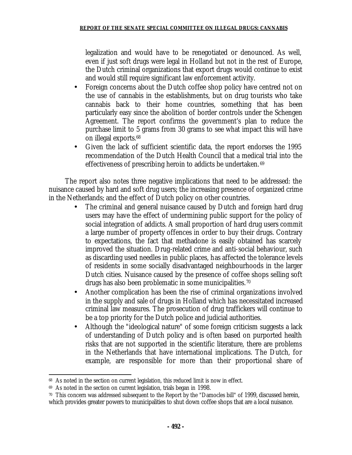legalization and would have to be renegotiated or denounced. As well, even if just soft drugs were legal in Holland but not in the rest of Europe, the Dutch criminal organizations that export drugs would continue to exist and would still require significant law enforcement activity.

- Foreign concerns about the Dutch coffee shop policy have centred not on the use of cannabis in the establishments, but on drug tourists who take cannabis back to their home countries, something that has been particularly easy since the abolition of border controls under the Schengen Agreement. The report confirms the government's plan to reduce the purchase limit to 5 grams from 30 grams to see what impact this will have on illegal exports.<sup>68</sup>
- Given the lack of sufficient scientific data, the report endorses the 1995 recommendation of the Dutch Health Council that a medical trial into the effectiveness of prescribing heroin to addicts be undertaken. <sup>69</sup>

The report also notes three negative implications that need to be addressed: the nuisance caused by hard and soft drug users; the increasing presence of organized crime in the Netherlands; and the effect of Dutch policy on other countries.

- The criminal and general nuisance caused by Dutch and foreign hard drug users may have the effect of undermining public support for the policy of social integration of addicts. A small proportion of hard drug users commit a large number of property offences in order to buy their drugs. Contrary to expectations, the fact that methadone is easily obtained has scarcely improved the situation. Drug-related crime and anti-social behaviour, such as discarding used needles in public places, has affected the tolerance levels of residents in some socially disadvantaged neighbourhoods in the larger Dutch cities. Nuisance caused by the presence of coffee shops selling soft drugs has also been problematic in some municipalities.<sup>70</sup>
- Another complication has been the rise of criminal organizations involved in the supply and sale of drugs in Holland which has necessitated increased criminal law measures. The prosecution of drug traffickers will continue to be a top priority for the Dutch police and judicial authorities.
- Although the "ideological nature" of some foreign criticism suggests a lack of understanding of Dutch policy and is often based on purported health risks that are not supported in the scientific literature, there are problems in the Netherlands that have international implications. The Dutch, for example, are responsible for more than their proportional share of

 $\overline{a}$ <sup>68</sup> As noted in the section on current legislation, this reduced limit is now in effect.

<sup>69</sup> As noted in the section on current legislation, trials began in 1998.

<sup>70</sup> This concern was addressed subsequent to the Report by the "Damocles bill" of 1999, discussed herein, which provides greater powers to municipalities to shut down coffee shops that are a local nuisance.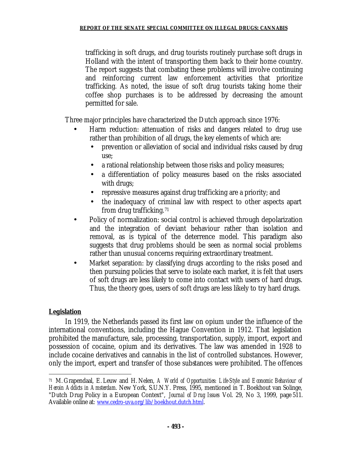trafficking in soft drugs, and drug tourists routinely purchase soft drugs in Holland with the intent of transporting them back to their home country. The report suggests that combating these problems will involve continuing and reinforcing current law enforcement activities that prioritize trafficking. As noted, the issue of soft drug tourists taking home their coffee shop purchases is to be addressed by decreasing the amount permitted for sale.

Three major principles have characterized the Dutch approach since 1976:

- Harm reduction: attenuation of risks and dangers related to drug use rather than prohibition of all drugs, the key elements of which are:
	- prevention or alleviation of social and individual risks caused by drug use;
	- a rational relationship between those risks and policy measures;
	- a differentiation of policy measures based on the risks associated with drugs;
	- repressive measures against drug trafficking are a priority; and
	- the inadequacy of criminal law with respect to other aspects apart from drug trafficking.<sup>71</sup>
- Policy of normalization: social control is achieved through depolarization and the integration of deviant behaviour rather than isolation and removal, as is typical of the deterrence model. This paradigm also suggests that drug problems should be seen as normal social problems rather than unusual concerns requiring extraordinary treatment.
- Market separation: by classifying drugs according to the risks posed and then pursuing policies that serve to isolate each market, it is felt that users of soft drugs are less likely to come into contact with users of hard drugs. Thus, the theory goes, users of soft drugs are less likely to try hard drugs.

# *Legislation*

In 1919, the Netherlands passed its first law on opium under the influence of the international conventions, including the Hague Convention in 1912. That legislation prohibited the manufacture, sale, processing, transportation, supply, import, export and possession of cocaine, opium and its derivatives. The law was amended in 1928 to include cocaine derivatives and cannabis in the list of controlled substances. However, only the import, expert and transfer of those substances were prohibited. The offences

 $\overline{a}$ <sup>71</sup> M. Grapendaal, E. Leuw and H. Nelen, *A World of Opportunities: Life-Style and Economic Behaviour of Heroin Addicts in Amsterdam*. New York, S.U.N.Y. Press, 1995, mentioned in T. Boekhout van Solinge, "Dutch Drug Policy in a European Context", *Journal of Drug Issues* Vol. 29, No 3, 1999, page 511. Available online at: www.cedro-uva.org/lib/boekhout.dutch.html.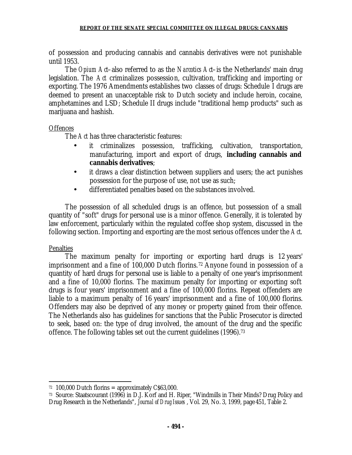of possession and producing cannabis and cannabis derivatives were not punishable until 1953.

The *Opium Act*–also referred to as the *Narcotics Act*–is the Netherlands' main drug legislation. The *Act* criminalizes possession, cultivation, trafficking and importing or exporting. The 1976 Amendments establishes two classes of drugs: Schedule I drugs are deemed to present an unacceptable risk to Dutch society and include heroin, cocaine, amphetamines and LSD; Schedule II drugs include "traditional hemp products" such as marijuana and hashish.

#### **Offences**

The *Act* has three characteristic features:

- it criminalizes possession, trafficking, cultivation, transportation, manufacturing, import and export of drugs, **including cannabis and cannabis derivatives**;
- it draws a clear distinction between suppliers and users; the act punishes possession for the purpose of use, not use as such;
- differentiated penalties based on the substances involved.

The possession of all scheduled drugs is an offence, but possession of a small quantity of "soft" drugs for personal use is a minor offence. Generally, it is tolerated by law enforcement, particularly within the regulated coffee shop system, discussed in the following section. Importing and exporting are the most serious offences under the *Act*.

### Penalties

The maximum penalty for importing or exporting hard drugs is 12 years' imprisonment and a fine of 100,000 Dutch florins.72 Anyone found in possession of a quantity of hard drugs for personal use is liable to a penalty of one year's imprisonment and a fine of 10,000 florins. The maximum penalty for importing or exporting soft drugs is four years' imprisonment and a fine of 100,000 florins. Repeat offenders are liable to a maximum penalty of 16 years' imprisonment and a fine of 100,000 florins. Offenders may also be deprived of any money or property gained from their offence. The Netherlands also has guidelines for sanctions that the Public Prosecutor is directed to seek, based on: the type of drug involved, the amount of the drug and the specific offence. The following tables set out the current guidelines (1996).<sup>73</sup>

 $\overline{a}$  $72 \quad 100,000$  Dutch florins = approximately C\$63,000.

<sup>73</sup> Source: Staatscourant (1996) in D.J. Korf and H. Riper, "Windmills in Their Minds? Drug Policy and Drug Research in the Netherlands", *Journal of Drug Issues* , Vol. 29, No. 3, 1999, page 451, Table 2.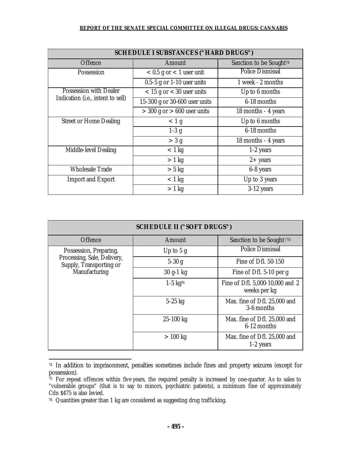| <b>SCHEDULE I SUBSTANCES ("HARD DRUGS")</b>                        |                                 |                                     |  |
|--------------------------------------------------------------------|---------------------------------|-------------------------------------|--|
| <b>Offence</b>                                                     | Amount                          | Sanction to be Sought <sup>74</sup> |  |
| Possession                                                         | $< 0.5$ g or $< 1$ user unit    | <b>Police Dismissal</b>             |  |
|                                                                    | $0.5 - 5$ g or 1-10 user units  | 1 week - 2 months                   |  |
| <b>Possession with Dealer</b><br>Indication (i.e., intent to sell) | $< 15$ g or $< 30$ user units   | Up to 6 months                      |  |
|                                                                    | 15-300 g or 30-600 user units   | 6-18 months                         |  |
|                                                                    | $>$ 300 g or $>$ 600 user units | 18 months - 4 years                 |  |
| <b>Street or Home Dealing</b>                                      | < 1 g                           | Up to 6 months                      |  |
|                                                                    | $1-3$ g                         | 6-18 months                         |  |
|                                                                    | $>$ 3 g                         | 18 months - 4 years                 |  |
| Middle-level Dealing                                               | $< 1$ kg                        | 1-2 years                           |  |
|                                                                    | $> 1$ kg                        | $2 + years$                         |  |
| <b>Wholesale Trade</b>                                             | $> 5$ kg                        | 6-8 years                           |  |
| <b>Import and Export</b>                                           | $< 1$ kg                        | Up to 3 years                       |  |
|                                                                    | $> 1$ kg                        | $3-12$ years                        |  |

| <b>SCHEDULE II ("SOFT DRUGS")</b>                                                                 |                          |                                                 |  |
|---------------------------------------------------------------------------------------------------|--------------------------|-------------------------------------------------|--|
| <b>Offence</b>                                                                                    | Amount                   | Sanction to be Sought <sup>(75)</sup>           |  |
| Possession, Preparing,<br>Processing, Sale, Delivery,<br>Supply, Transporting or<br>Manufacturing | Up to $5 g$              | Police Dismissal                                |  |
|                                                                                                   | $5-30$ g                 | Fine of Dfl. 50-150                             |  |
|                                                                                                   | $30$ g-1 kg              | Fine of Dfl. 5-10 per g                         |  |
|                                                                                                   | $1 - 5$ kg <sup>76</sup> | Fine of Dfl. 5,000-10,000 and 2<br>weeks per kg |  |
|                                                                                                   | $5-25$ kg                | Max. fine of Dfl. 25,000 and<br>3-6 months      |  |
|                                                                                                   | $25-100$ kg              | Max. fine of Dfl. 25,000 and<br>6-12 months     |  |
|                                                                                                   | $>100$ kg                | Max. fine of Dfl. 25,000 and<br>$1-2$ years     |  |

 $\overline{a}$ <sup>74</sup> In addition to imprisonment, penalties sometimes include fines and property seizures (except for possession).

<sup>75</sup> For repeat offences within five years, the required penalty is increased by one-quarter. As to sales to "vulnerable groups" (that is to say to minors, psychiatric patients), a minimum fine of approximately Cdn \$475 is also levied.

<sup>76</sup> Quantities greater than 1 kg are considered as suggesting drug trafficking.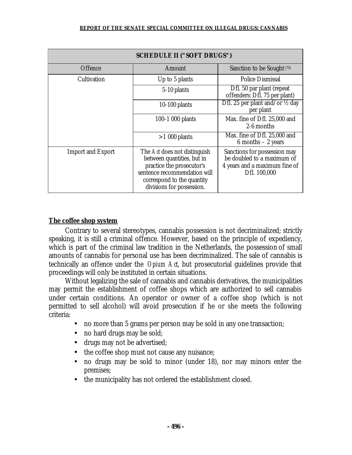| <b>SCHEDULE II ("SOFT DRUGS")</b> |                                                                                                                                                                                           |                                                                                                             |  |
|-----------------------------------|-------------------------------------------------------------------------------------------------------------------------------------------------------------------------------------------|-------------------------------------------------------------------------------------------------------------|--|
| Offence                           | Amount                                                                                                                                                                                    | Sanction to be Sought (75)                                                                                  |  |
| Cultivation                       | Up to 5 plants                                                                                                                                                                            | <b>Police Dismissal</b>                                                                                     |  |
|                                   | 5-10 plants                                                                                                                                                                               | Dfl. 50 par plant (repeat<br>offenders: Dfl. 75 per plant)                                                  |  |
|                                   | $10-100$ plants                                                                                                                                                                           | Dfl. 25 per plant and/or $\frac{1}{2}$ day<br>per plant                                                     |  |
|                                   | 100-1 000 plants                                                                                                                                                                          | Max. fine of Dfl. 25,000 and<br>2-6 months                                                                  |  |
|                                   | $>1$ 000 plants                                                                                                                                                                           | Max. fine of Dfl. 25,000 and<br>$6$ months $-2$ years                                                       |  |
| <b>Import and Export</b>          | The <i>Act</i> does not distinguish<br>between quantities, but in<br>practice the prosecutor's<br>sentence recommendation will<br>correspond to the quantity<br>divisions for possession. | Sanctions for possession may<br>be doubled to a maximum of<br>4 years and a maximum fine of<br>Dfl. 100,000 |  |

# *The coffee shop system*

Contrary to several stereotypes, cannabis possession is not decriminalized; strictly speaking, it is still a criminal offence. However, based on the principle of expediency, which is part of the criminal law tradition in the Netherlands, the possession of small amounts of cannabis for personal use has been decriminalized. The sale of cannabis is technically an offence under the *Opium Act*, but prosecutorial guidelines provide that proceedings will only be instituted in certain situations.

Without legalizing the sale of cannabis and cannabis derivatives, the municipalities may permit the establishment of coffee shops which are authorized to sell cannabis under certain conditions. An operator or owner of a coffee shop (which is not permitted to sell alcohol) will avoid prosecution if he or she meets the following criteria:

- no more than 5 grams per person may be sold in any one transaction;
- no hard drugs may be sold;
- drugs may not be advertised;
- the coffee shop must not cause any nuisance;
- no drugs may be sold to minor (under 18), nor may minors enter the premises;
- the municipality has not ordered the establishment closed.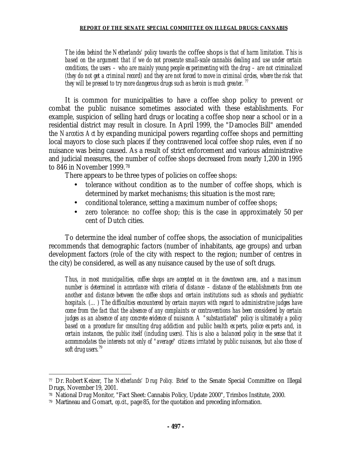*The idea behind the Netherlands' policy towards the* coffee shops *is that of harm limitation. This is based on the argument that if we do not prosecute small-scale cannabis dealing and use under certain conditions, the users – who are mainly young people experimenting with the drug – are not criminalized (they do not get a criminal record) and they are not forced to move in criminal circles, where the risk that they will be pressed to try more dangerous drugs such as heroin is much greater.* <sup>77</sup>

It is common for municipalities to have a coffee shop policy to prevent or combat the public nuisance sometimes associated with these establishments. For example, suspicion of selling hard drugs or locating a coffee shop near a school or in a residential district may result in closure. In April 1999, the "Damocles Bill" amended the *Narcotics Act* by expanding municipal powers regarding coffee shops and permitting local mayors to close such places if they contravened local coffee shop rules, even if no nuisance was being caused. As a result of strict enforcement and various administrative and judicial measures, the number of coffee shops decreased from nearly 1,200 in 1995 to 846 in November 1999.<sup>78</sup>

There appears to be three types of policies on coffee shops:

- tolerance without condition as to the number of coffee shops, which is determined by market mechanisms; this situation is the most rare;
- conditional tolerance, setting a maximum number of coffee shops;
- zero tolerance: no coffee shop; this is the case in approximately 50 per cent of Dutch cities.

To determine the ideal number of coffee shops, the association of municipalities recommends that demographic factors (number of inhabitants, age groups) and urban development factors (role of the city with respect to the region; number of centres in the city) be considered, as well as any nuisance caused by the use of soft drugs.

*Thus, in most municipalities, coffee shops are accepted on in the downtown area, and a maximum number is determined in accordance with criteria of distance – distance of the establishments from one another and distance between the coffee shops and certain institutions such as schools and psychiatric hospitals. (…) The difficulties encountered by certain mayors with regard to administrative judges have come from the fact that the absence of any complaints or contraventions has been considered by certain judges as an absence of any concrete evidence of nuisance. A "substantiated" policy is ultimately a policy based on a procedure for consulting drug addiction and public health experts, police experts and, in certain instances, the public itself (including users). This is also a balanced policy in the sense that it accommodates the interests not only of "average" citizens irritated by public nuisances, but also those of soft drug users.*<sup>79</sup>

 $\overline{a}$ <sup>77</sup> Dr. Robert Keizer, *The Netherlands' Drug Policy.* Brief to the Senate Special Committee on Illegal Drugs, November 19, 2001.

<sup>78</sup> National Drug Monitor, "Fact Sheet: Cannabis Policy, Update 2000", Trimbos Institute, 2000.

<sup>79</sup> Martineau and Gomart, *op.cit.*, page 85, for the quotation and preceding information.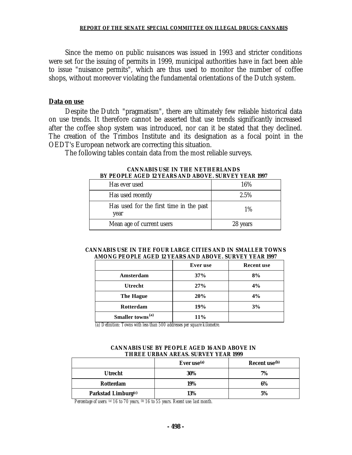Since the memo on public nuisances was issued in 1993 and stricter conditions were set for the issuing of permits in 1999, municipal authorities have in fact been able to issue "nuisance permits", which are thus used to monitor the number of coffee shops, without moreover violating the fundamental orientations of the Dutch system.

## *Data on use*

Despite the Dutch "pragmatism", there are ultimately few reliable historical data on use trends. It therefore cannot be asserted that use trends significantly increased after the coffee shop system was introduced, nor can it be stated that they declined. The creation of the Trimbos Institute and its designation as a focal point in the OEDT's European network are correcting this situation.

The following tables contain data from the most reliable surveys.

| DI I LOI DE AGED IN IEANG ARD ADO IE. GON I EL IEAN 1997 |          |  |
|----------------------------------------------------------|----------|--|
| Has ever used                                            | 16%      |  |
| Has used recently                                        | 2.5%     |  |
| Has used for the first time in the past<br>year          | 1%       |  |
| Mean age of current users                                | 28 years |  |

**CANNABIS USE IN THE NETHERLANDS BY PEOPLE AGED 12 YEARS AND ABOVE. SURVEY YEAR 1997**

#### **CANNABIS USE IN THE FOUR LARGE CITIES AND IN SMALLER TOWNS AMONG PEOPLE AGED 12 YEARS AND ABOVE. SURVEY YEAR 1997**

|                              | Ever use   | <b>Recent</b> use |
|------------------------------|------------|-------------------|
| Amsterdam                    | 37%        | 8%                |
| <b>Utrecht</b>               | 27%        | 4%                |
| The Hague                    | 20%        | 4%                |
| <b>Rotterdam</b>             | 19%        | 3%                |
| Smaller towns <sup>(a)</sup> | <b>11%</b> |                   |

*(a) Definition: Towns with less than 500 addresses per square kilometre.*

#### **CANNABIS USE BY PEOPLE AGED 16 AND ABOVE IN THREE URBAN AREAS. SURVEY YEAR 1999**

|                     | Ever use $(a)$ | Recent use <sup>(b)</sup> |
|---------------------|----------------|---------------------------|
| <b>Utrecht</b>      | 30%            | 7%                        |
| <b>Rotterdam</b>    | 19%            | 6%                        |
| Parkstad Limburg(c) | 13%            | 5%                        |

*Percentage of users: (a) 16 to 70 years, (b) 16 to 55 years. Recent use: last month.*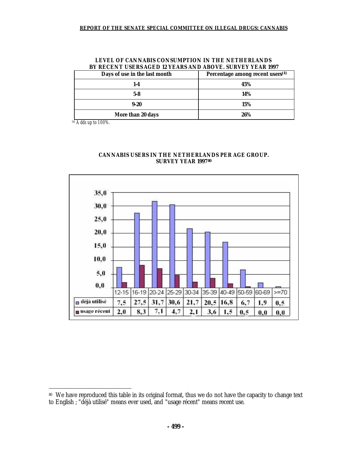| Days of use in the last month | Percentage among recent users <sup>(4)</sup> |  |
|-------------------------------|----------------------------------------------|--|
| 1-4                           | 45%                                          |  |
| $5-8$                         | 14%                                          |  |
| $9-20$                        | 15%                                          |  |
| More than 20 days             | 26%                                          |  |

#### **LEVEL OF CANNABIS CONSUMPTION IN THE NETHERLANDS BY RECENT USERS AGED 12 YEARS AND ABOVE. SURVEY YEAR 1997**

*(a) Adds up to 100%.*

### **CANNABIS USERS IN THE NETHERLANDS PER AGE GROUP. SURVEY YEAR 1997<sup>80</sup>**



 $\overline{a}$ <sup>80</sup> We have reproduced this table in its original format, thus we do not have the capacity to change text to English ; "déjà utilisé" means ever used, and "usage récent" means recent use.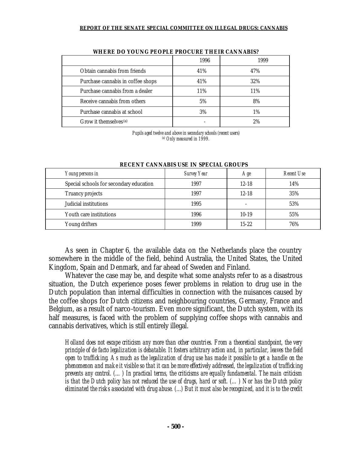| MHLINL DO TOUNG I LOI LETTROCONE THEIR CANNADID; |      |      |
|--------------------------------------------------|------|------|
|                                                  | 1996 | 1999 |
| Obtain cannabis from friends                     | 41%  | 47%  |
| Purchase cannabis in coffee shops                | 41%  | 32%  |
| Purchase cannabis from a dealer                  | 11%  | 11%  |
| Receive cannabis from others                     | 5%   | 8%   |
| Purchase cannabis at school                      | 3%   | 1%   |
| Grow it themselves <sup>(a)</sup>                |      | 2%   |

#### **WHERE DO YOUNG PEOPLE PROCURE THEIR CANNABIS?**

*Pupils aged twelve and above in secondary schools (recent users) (a) Only measured in 1999.*

| Young persons in                        | <b>Survey Year</b> | Age                      | Recent Use |
|-----------------------------------------|--------------------|--------------------------|------------|
| Special schools for secondary education | 1997               | $12 - 18$                | 14%        |
| Truancy projects                        | 1997               | $12 - 18$                | 35%        |
| Judicial institutions                   | 1995               | $\overline{\phantom{a}}$ | 53%        |
| Youth care institutions                 | 1996               | $10-19$                  | 55%        |
| Young drifters                          | 1999               | $15 - 22$                | 76%        |

## **RECENT CANNABIS USE IN SPECIAL GROUPS**

As seen in Chapter 6, the available data on the Netherlands place the country somewhere in the middle of the field, behind Australia, the United States, the United Kingdom, Spain and Denmark, and far ahead of Sweden and Finland.

Whatever the case may be, and despite what some analysts refer to as a disastrous situation, the Dutch experience poses fewer problems in relation to drug use in the Dutch population than internal difficulties in connection with the nuisances caused by the coffee shops for Dutch citizens and neighbouring countries, Germany, France and Belgium, as a result of narco-tourism. Even more significant, the Dutch system, with its half measures, is faced with the problem of supplying coffee shops with cannabis and cannabis derivatives, which is still entirely illegal.

*Holland does not escape criticism any more than other countries. From a theoretical standpoint, the very principle of de facto legalization is debatable. It fosters arbitrary action and, in particular, leaves the field open to trafficking. As much as the legalization of drug use has made it possible to get a handle on the phenomenon and make it visible so that it can be more effectively addressed, the legalization of trafficking prevents any control. (…) In practical terms, the criticisms are equally fundamental. The main criticism is that the Dutch policy has not reduced the use of drugs, hard or soft. (…) Nor has the Dutch policy eliminated the risks associated with drug abuse. (...) But it must also be recognized, and it is to the credit*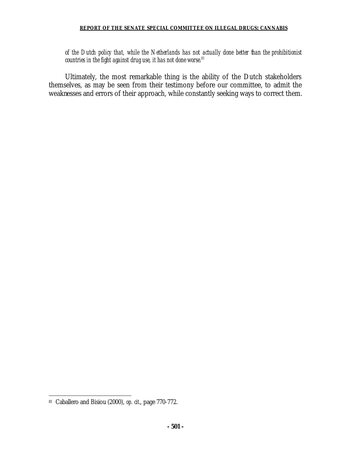*of the Dutch policy that, while the Netherlands has not actually done better than the prohibitionist countries in the fight against drug use, it has not done worse.<sup>81</sup>*

Ultimately, the most remarkable thing is the ability of the Dutch stakeholders themselves, as may be seen from their testimony before our committee, to admit the weaknesses and errors of their approach, while constantly seeking ways to correct them.

 $\overline{a}$ <sup>81</sup> Caballero and Bisiou (2000), *op. cit.*, page 770-772.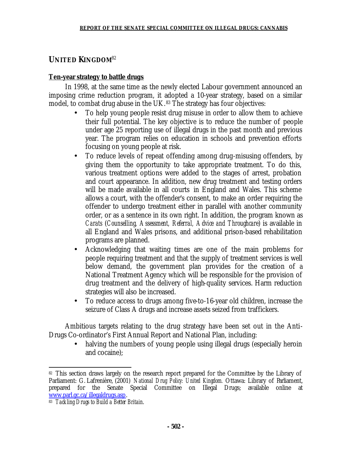# **UNITED KINGDOM**<sup>82</sup>

# *Ten-year strategy to battle drugs*

In 1998, at the same time as the newly elected Labour government announced an imposing crime reduction program, it adopted a 10-year strategy, based on a similar model, to combat drug abuse in the UK.<sup>83</sup> The strategy has four objectives:

- To help young people resist drug misuse in order to allow them to achieve their full potential. The key objective is to reduce the number of people under age 25 reporting use of illegal drugs in the past month and previous year. The program relies on education in schools and prevention efforts focusing on young people at risk.
- To reduce levels of repeat offending among drug-misusing offenders, by giving them the opportunity to take appropriate treatment. To do this, various treatment options were added to the stages of arrest, probation and court appearance. In addition, new drug treatment and testing orders will be made available in all courts in England and Wales. This scheme allows a court, with the offender's consent, to make an order requiring the offender to undergo treatment either in parallel with another community order, or as a sentence in its own right. In addition, the program known as *Carats* (*Counselling, Assessment, Referral, Advice and Throughcare*) is available in all England and Wales prisons, and additional prison-based rehabilitation programs are planned.
- Acknowledging that waiting times are one of the main problems for people requiring treatment and that the supply of treatment services is well below demand, the government plan provides for the creation of a National Treatment Agency which will be responsible for the provision of drug treatment and the delivery of high-quality services. Harm reduction strategies will also be increased.
- To reduce access to drugs among five-to-16-year old children, increase the seizure of Class A drugs and increase assets seized from traffickers.

Ambitious targets relating to the drug strategy have been set out in the Anti-Drugs Co-ordinator's First Annual Report and National Plan, including:

> • halving the numbers of young people using illegal drugs (especially heroin and cocaine);

 $\overline{a}$ 82 This section draws largely on the research report prepared for the Committee by the Library of Parliament: G. Lafrenière, (2001) *National Drug Policy: United Kingdom.* Ottawa: Library of Parliament, prepared for the Senate Special Committee on Illegal Drugs; available online at www.parl.gc.ca/illegaldrugs.asp.

<sup>83</sup> *Tackling Drugs to Build a Better Britain*.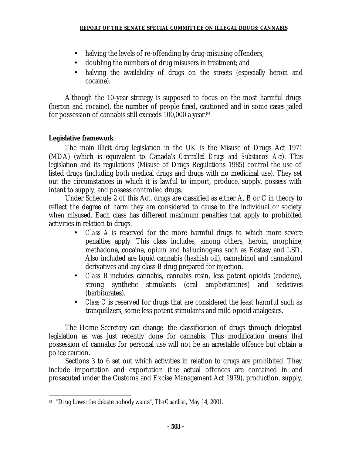- halving the levels of re-offending by drug-misusing offenders;
- doubling the numbers of drug misusers in treatment; and
- halving the availability of drugs on the streets (especially heroin and cocaine).

Although the 10-year strategy is supposed to focus on the most harmful drugs (heroin and cocaine), the number of people fined, cautioned and in some cases jailed for possession of cannabis still exceeds 100,000 a year.<sup>84</sup>

# *Legislative framework*

The main illicit drug legislation in the UK is the Misuse of Drugs Act 1971 (MDA) (which is equivalent to Canada's *Controlled Drugs and Substances Act*). This legislation and its regulations (Misuse of Drugs Regulations 1985) control the use of listed drugs (including both medical drugs and drugs with no medicinal use). They set out the circumstances in which it is lawful to import, produce, supply, possess with intent to supply, and possess controlled drugs.

Under Schedule 2 of this Act, drugs are classified as either A, B or C in theory to reflect the degree of harm they are considered to cause to the individual or society when misused. Each class has different maximum penalties that apply to prohibited activities in relation to drugs.

- *Class A* is reserved for the more harmful drugs to which more severe penalties apply. This class includes, among others, heroin, morphine, methadone, cocaine, opium and hallucinogens such as Ecstasy and LSD. Also included are liquid cannabis (hashish oil), cannabinol and cannabinol derivatives and any class B drug prepared for injection.
- *Class B* includes cannabis, cannabis resin, less potent opioids (codeine), strong synthetic stimulants (oral amphetamines) and sedatives (barbiturates).
- *Class C* is reserved for drugs that are considered the least harmful such as tranquillzers, some less potent stimulants and mild opioid analgesics.

The Home Secretary can change the classification of drugs through delegated legislation as was just recently done for cannabis. This modification means that possession of cannabis for personal use will not be an arrestable offence but obtain a police caution.

Sections 3 to 6 set out which activities in relation to drugs are prohibited. They include importation and exportation (the actual offences are contained in and prosecuted under the Customs and Excise Management Act 1979), production, supply,

 $\overline{a}$ <sup>84</sup> "Drug Laws: the debate nobody wants", *The Guardian*, May 14, 2001.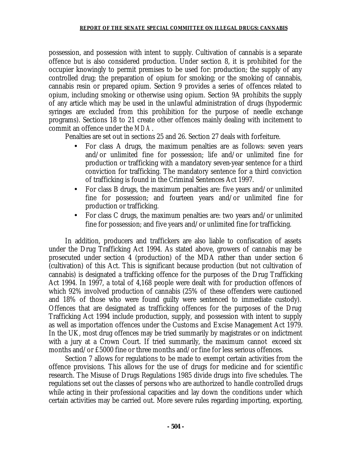possession, and possession with intent to supply. Cultivation of cannabis is a separate offence but is also considered production. Under section 8, it is prohibited for the occupier knowingly to permit premises to be used for: production; the supply of any controlled drug; the preparation of opium for smoking; or the smoking of cannabis, cannabis resin or prepared opium. Section 9 provides a series of offences related to opium, including smoking or otherwise using opium. Section 9A prohibits the supply of any article which may be used in the unlawful administration of drugs (hypodermic syringes are excluded from this prohibition for the purpose of needle exchange programs). Sections 18 to 21 create other offences mainly dealing with incitement to commit an offence under the *MDA*.

Penalties are set out in sections 25 and 26. Section 27 deals with forfeiture.

- For class A drugs, the maximum penalties are as follows: seven years and/or unlimited fine for possession; life and/or unlimited fine for production or trafficking with a mandatory seven-year sentence for a third conviction for trafficking. The mandatory sentence for a third conviction of trafficking is found in the Criminal Sentences Act 1997.
- For class B drugs, the maximum penalties are: five years and/or unlimited fine for possession; and fourteen years and/or unlimited fine for production or trafficking.
- For class C drugs, the maximum penalties are: two years and/or unlimited fine for possession; and five years and/or unlimited fine for trafficking.

In addition, producers and traffickers are also liable to confiscation of assets under the Drug Trafficking Act 1994. As stated above, growers of cannabis may be prosecuted under section 4 (production) of the MDA rather than under section 6 (cultivation) of this Act. This is significant because production (but not cultivation of cannabis) is designated a trafficking offence for the purposes of the Drug Trafficking Act 1994. In 1997, a total of 4,168 people were dealt with for production offences of which 92% involved production of cannabis (25% of these offenders were cautioned and 18% of those who were found guilty were sentenced to immediate custody). Offences that are designated as trafficking offences for the purposes of the Drug Trafficking Act 1994 include production, supply, and possession with intent to supply as well as importation offences under the Customs and Excise Management Act 1979. In the UK, most drug offences may be tried summarily by magistrates or on indictment with a jury at a Crown Court. If tried summarily, the maximum cannot exceed six months and/or £5000 fine or three months and/or fine for less serious offences.

Section 7 allows for regulations to be made to exempt certain activities from the offence provisions. This allows for the use of drugs for medicine and for scientifi c research. The Misuse of Drugs Regulations 1985 divide drugs into five schedules. The regulations set out the classes of persons who are authorized to handle controlled drugs while acting in their professional capacities and lay down the conditions under which certain activities may be carried out. More severe rules regarding importing, exporting,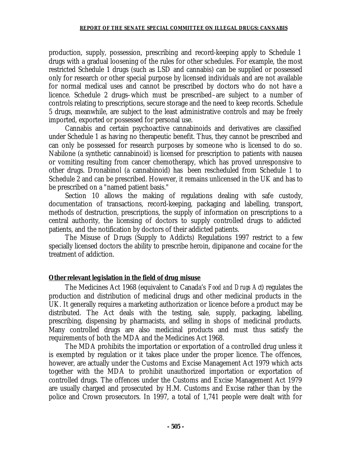production, supply, possession, prescribing and record-keeping apply to Schedule 1 drugs with a gradual loosening of the rules for other schedules. For example, the most restricted Schedule 1 drugs (such as LSD and cannabis) can be supplied or possessed only for research or other special purpose by licensed individuals and are not available for normal medical uses and cannot be prescribed by doctors who do not have a licence. Schedule 2 drugs–which must be prescribed–are subject to a number of controls relating to prescriptions, secure storage and the need to keep records. Schedule 5 drugs, meanwhile, are subject to the least administrative controls and may be freely imported, exported or possessed for personal use.

Cannabis and certain psychoactive cannabinoids and derivatives are classified under Schedule 1 as having no therapeutic benefit. Thus, they cannot be prescribed and can only be possessed for research purposes by someone who is licensed to do so. Nabilone (a synthetic cannabinoid) is licensed for prescription to patients with nausea or vomiting resulting from cancer chemotherapy, which has proved unresponsive to other drugs. Dronabinol (a cannabinoid) has been rescheduled from Schedule 1 to Schedule 2 and can be prescribed. However, it remains unlicensed in the UK and has to be prescribed on a "named patient basis."

Section 10 allows the making of regulations dealing with safe custody, documentation of transactions, record-keeping, packaging and labelling, transport, methods of destruction, prescriptions, the supply of information on prescriptions to a central authority, the licensing of doctors to supply controlled drugs to addicted patients, and the notification by doctors of their addicted patients.

The Misuse of Drugs (Supply to Addicts) Regulations 1997 restrict to a few specially licensed doctors the ability to prescribe heroin, dipipanone and cocaine for the treatment of addiction.

# *Other relevant legislation in the field of drug misuse*

The Medicines Act 1968 (equivalent to Canada's *Food and Drugs Act*) regulates the production and distribution of medicinal drugs and other medicinal products in the UK. It generally requires a marketing authorization or licence before a product may be distributed. The Act deals with the testing, sale, supply, packaging, labelling, prescribing, dispensing by pharmacists, and selling in shops of medicinal products. Many controlled drugs are also medicinal products and must thus satisfy the requirements of both the MDA and the Medicines Act 1968.

The MDA prohibits the importation or exportation of a controlled drug unless it is exempted by regulation or it takes place under the proper licence. The offences, however, are actually under the Customs and Excise Management Act 1979 which acts together with the MDA to prohibit unauthorized importation or exportation of controlled drugs. The offences under the Customs and Excise Management Act 1979 are usually charged and prosecuted by H.M. Customs and Excise rather than by the police and Crown prosecutors. In 1997, a total of 1,741 people were dealt with for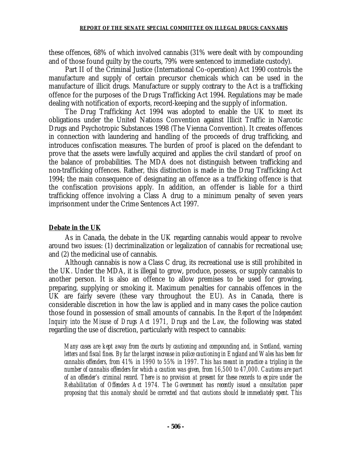these offences, 68% of which involved cannabis (31% were dealt with by compounding and of those found guilty by the courts, 79% were sentenced to immediate custody).

Part II of the Criminal Justice (International Co-operation) Act 1990 controls the manufacture and supply of certain precursor chemicals which can be used in the manufacture of illicit drugs. Manufacture or supply contrary to the Act is a trafficking offence for the purposes of the Drugs Trafficking Act 1994. Regulations may be made dealing with notification of exports, record-keeping and the supply of information.

The Drug Trafficking Act 1994 was adopted to enable the UK to meet its obligations under the United Nations Convention against Illicit Traffic in Narcotic Drugs and Psychotropic Substances 1998 (The Vienna Convention). It creates offences in connection with laundering and handling of the proceeds of drug trafficking, and introduces confiscation measures. The burden of proof is placed on the defendant to prove that the assets were lawfully acquired and applies the civil standard of proof on the balance of probabilities. The MDA does not distinguish between trafficking and non-trafficking offences. Rather, this distinction is made in the Drug Trafficking Act 1994; the main consequence of designating an offence as a trafficking offence is that the confiscation provisions apply. In addition, an offender is liable for a third trafficking offence involving a Class A drug to a minimum penalty of seven years imprisonment under the Crime Sentences Act 1997.

# *Debate in the UK*

As in Canada, the debate in the UK regarding cannabis would appear to revolve around two issues: (1) decriminalization or legalization of cannabis for recreational use; and (2) the medicinal use of cannabis.

Although cannabis is now a Class C drug, its recreational use is still prohibited in the UK. Under the MDA, it is illegal to grow, produce, possess, or supply cannabis to another person. It is also an offence to allow premises to be used for growing, preparing, supplying or smoking it. Maximum penalties for cannabis offences in the UK are fairly severe (these vary throughout the EU). As in Canada, there is considerable discretion in how the law is applied and in many cases the police caution those found in possession of small amounts of cannabis. In the *Report of the Independent Inquiry into the Misuse of Drugs Act 1971, Drugs and the Law*, the following was stated regarding the use of discretion, particularly with respect to cannabis:

*Many cases are kept away from the courts by cautioning and compounding and, in Scotland, warning letters and fiscal fines. By far the largest increase in police cautioning in England and Wales has been for cannabis offenders, from 41% in 1990 to 55% in 1997. This has meant in practice a tripling in the number of cannabis offenders for which a caution was given, from 16,500 to 47,000. Cautions are part of an offender's criminal record. There is no provision at present for these records to expire under the Rehabilitation of Offenders Act 1974. The Government has recently issued a consultation paper proposing that this anomaly should be corrected and that cautions should be immediately spent. This*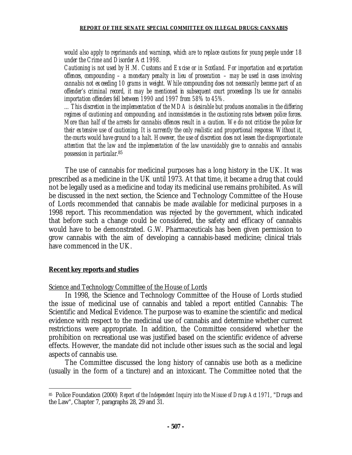*would also apply to reprimands and warnings, which are to replace cautions for young people under 18 under the Crime and Disorder Act 1998.*

*Cautioning is not used by H.M. Customs and Excise or in Scotland. For importation and exportation offences, compounding – a monetary penalty in lieu of prosecution – may be used in cases involving cannabis not exceeding 10 grams in weight. While compounding does not necessarily become part of an offender's criminal record, it may be mentioned in subsequent court proceedings Its use for cannabis importation offenders fell between 1990 and 1997 from 58% to 45%.*

*…This discretion in the implementation of the MDA is desirable but produces anomalies in the differing regimes of cautioning and compounding, and inconsistencies in the cautioning rates between police forces. More than half of the arrests for cannabis offences result in a caution. We do not criticise the police for their extensive use of cautioning. It is currently the only realistic and proportional response. Without it, the courts would have ground to a halt. However, the use of discretion does not lessen the disproportionate attention that the law and the implementation of the law unavoidably give to cannabis and cannabis possession in particular.*<sup>85</sup>

The use of cannabis for medicinal purposes has a long history in the UK. It was prescribed as a medicine in the UK until 1973. At that time, it became a drug that could not be legally used as a medicine and today its medicinal use remains prohibited. As will be discussed in the next section, the Science and Technology Committee of the House of Lords recommended that cannabis be made available for medicinal purposes in a 1998 report. This recommendation was rejected by the government, which indicated that before such a change could be considered, the safety and efficacy of cannabis would have to be demonstrated. G.W. Pharmaceuticals has been given permission to grow cannabis with the aim of developing a cannabis-based medicine; clinical trials have commenced in the UK.

## *Recent key reports and studies*

 $\overline{a}$ 

Science and Technology Committee of the House of Lords

In 1998, the Science and Technology Committee of the House of Lords studied the issue of medicinal use of cannabis and tabled a report entitled Cannabis: The Scientific and Medical Evidence. The purpose was to examine the scientific and medical evidence with respect to the medicinal use of cannabis and determine whether current restrictions were appropriate. In addition, the Committee considered whether the prohibition on recreational use was justified based on the scientific evidence of adverse effects. However, the mandate did not include other issues such as the social and legal aspects of cannabis use.

The Committee discussed the long history of cannabis use both as a medicine (usually in the form of a tincture) and an intoxicant. The Committee noted that the

<sup>85</sup> Police Foundation (2000) *Report of the Independent Inquiry into the Misuse of Drugs Act 1971*, "Drugs and the Law", Chapter 7, paragraphs 28, 29 and 31.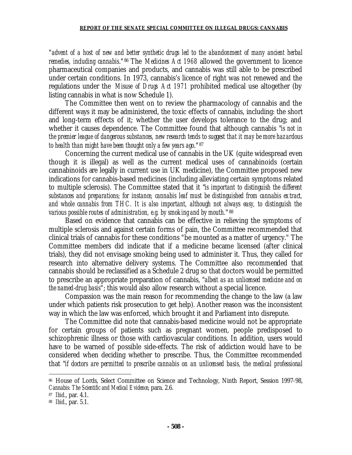"*advent of a host of new and better synthetic drugs led to the abandonment of many ancient herbal remedies, including cannabis*."86 The *Medicines Act 1968* allowed the government to licence pharmaceutical companies and products, and cannabis was still able to be prescribed under certain conditions. In 1973, cannabis's licence of right was not renewed and the regulations under the *Misuse of Drugs Act 1971* prohibited medical use altogether (by listing cannabis in what is now Schedule 1).

The Committee then went on to review the pharmacology of cannabis and the different ways it may be administered, the toxic effects of cannabis, including: the short and long-term effects of it; whether the user develops tolerance to the drug; and whether it causes dependence. The Committee found that although cannabis "*is not in the premier league of dangerous substances, new research tends to suggest that it may be more hazardous to health than might have been thought only a few years ago*."<sup>87</sup>

Concerning the current medical use of cannabis in the UK (quite widespread even though it is illegal) as well as the current medical uses of cannabinoids (certain cannabinoids are legally in current use in UK medicine), the Committee proposed new indications for cannabis-based medicines (including alleviating certain symptoms related to multiple sclerosis). The Committee stated that it "*is important to distinguish the different substances and preparations; for instance, cannabis leaf must be distinguished from cannabis extract, and whole cannabis from THC. It is also important, although not always easy, to distinguish the various possible routes of administration, e.g. by smoking and by mouth.*" 88

Based on evidence that cannabis can be effective in relieving the symptoms of multiple sclerosis and against certain forms of pain, the Committee recommended that clinical trials of cannabis for these conditions "be mounted as a matter of urgency." The Committee members did indicate that if a medicine became licensed (after clinical trials), they did not envisage smoking being used to administer it. Thus, they called for research into alternative delivery systems. The Committee also recommended that cannabis should be reclassified as a Schedule 2 drug so that doctors would be permitted to prescribe an appropriate preparation of cannabis, "*albeit as an unlicensed medicine and on the named-drug basis*"; this would also allow research without a special licence.

Compassion was the main reason for recommending the change to the law (a law under which patients risk prosecution to get help). Another reason was the inconsistent way in which the law was enforced, which brought it and Parliament into disrepute.

The Committee did note that cannabis-based medicine would not be appropriate for certain groups of patients such as pregnant women, people predisposed to schizophrenic illness or those with cardiovascular conditions. In addition, users would have to be warned of possible side-effects. The risk of addiction would have to be considered when deciding whether to prescribe. Thus, the Committee recommended that "*if doctors are permitted to prescribe cannabis on an unlicensed basis, the medical professional* 

<sup>86</sup> House of Lords, Select Committee on Science and Technology, Ninth Report, Session 1997-98, *Cannabis: The Scientific and Medical Evidence*, para. 2.6.

<sup>87</sup> *Ibid*., par. 4.1.

<sup>88</sup> *Ibid*., par. 5.1.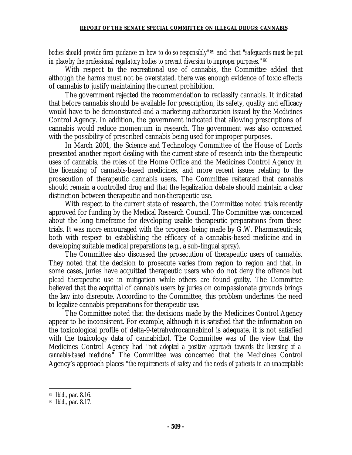*bodies should provide firm guidance on how to do so responsibly*" <sup>89</sup> and that "*safeguards must be put in place by the professional regulatory bodies to prevent diversion to improper purposes*."<sup>90</sup>

With respect to the recreational use of cannabis, the Committee added that although the harms must not be overstated, there was enough evidence of toxic effects of cannabis to justify maintaining the current prohibition.

The government rejected the recommendation to reclassify cannabis. It indicated that before cannabis should be available for prescription, its safety, quality and efficacy would have to be demonstrated and a marketing authorization issued by the Medicines Control Agency. In addition, the government indicated that allowing prescriptions of cannabis would reduce momentum in research. The government was also concerned with the possibility of prescribed cannabis being used for improper purposes.

In March 2001, the Science and Technology Committee of the House of Lords presented another report dealing with the current state of research into the therapeutic uses of cannabis, the roles of the Home Office and the Medicines Control Agency in the licensing of cannabis-based medicines, and more recent issues relating to the prosecution of therapeutic cannabis users. The Committee reiterated that cannabis should remain a controlled drug and that the legalization debate should maintain a clear distinction between therapeutic and non-therapeutic use.

With respect to the current state of research, the Committee noted trials recently approved for funding by the Medical Research Council. The Committee was concerned about the long timeframe for developing usable therapeutic preparations from these trials. It was more encouraged with the progress being made by G.W. Pharmaceuticals, both with respect to establishing the efficacy of a cannabis-based medicine and in developing suitable medical preparations (e.g., a sub-lingual spray).

The Committee also discussed the prosecution of therapeutic users of cannabis. They noted that the decision to prosecute varies from region to region and that, in some cases, juries have acquitted therapeutic users who do not deny the offence but plead therapeutic use in mitigation while others are found guilty. The Committee believed that the acquittal of cannabis users by juries on compassionate grounds brings the law into disrepute. According to the Committee, this problem underlines the need to legalize cannabis preparations for therapeutic use.

The Committee noted that the decisions made by the Medicines Control Agency appear to be inconsistent. For example, although it is satisfied that the information on the toxicological profile of delta-9-tetrahydrocannabinol is adequate, it is not satisfied with the toxicology data of cannabidiol. The Committee was of the view that the Medicines Control Agency had "*not adopted a positive approach towards the licensing of a cannabis-based medicine*." The Committee was concerned that the Medicines Control Agency's approach places "*the requirements of safety and the needs of patients in an unacceptable* 

<sup>89</sup> *Ibid*., par. 8.16.

<sup>90</sup> *Ibid*., par. 8.17.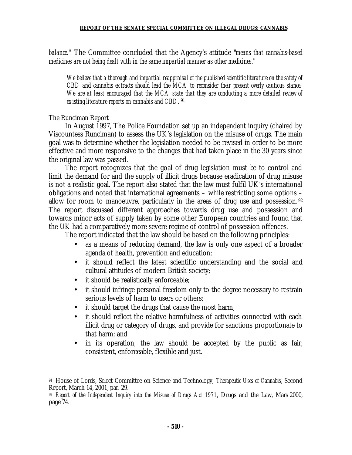*balance*." The Committee concluded that the Agency's attitude "*means that cannabis-based medicines are not being dealt with in the same impartial manner as other medicines*."

*We believe that a thorough and impartial reappraisal of the published scientific literature on the safety of CBD and cannabis extracts should lead the MCA to reconsider their present overly cautious stance.*  We are at least encouraged that the MCA state that they are conducting a more detailed review of *existing literature reports on cannabis and CBD.* <sup>91</sup>

# The Runciman Report

In August 1997, The Police Foundation set up an independent inquiry (chaired by Viscountess Runciman) to assess the UK's legislation on the misuse of drugs. The main goal was to determine whether the legislation needed to be revised in order to be more effective and more responsive to the changes that had taken place in the 30 years since the original law was passed.

The report recognizes that the goal of drug legislation must be to control and limit the demand for and the supply of illicit drugs because eradication of drug misuse is not a realistic goal. The report also stated that the law must fulfil UK's international obligations and noted that international agreements – while restricting some options – allow for room to manoeuvre, particularly in the areas of drug use and possession. <sup>92</sup> The report discussed different approaches towards drug use and possession and towards minor acts of supply taken by some other European countries and found that the UK had a comparatively more severe regime of control of possession offences.

The report indicated that the law should be based on the following principles:

- as a means of reducing demand, the law is only one aspect of a broader agenda of health, prevention and education;
- it should reflect the latest scientific understanding and the social and cultural attitudes of modern British society;
- it should be realistically enforceable;
- it should infringe personal freedom only to the degree ne cessary to restrain serious levels of harm to users or others;
- it should target the drugs that cause the most harm;
- it should reflect the relative harmfulness of activities connected with each illicit drug or category of drugs, and provide for sanctions proportionate to that harm; and
- in its operation, the law should be accepted by the public as fair, consistent, enforceable, flexible and just.

 $\overline{a}$ <sup>91</sup> House of Lords, Select Committee on Science and Technology, *Therapeutic Uses of Cannabis*, Second Report, March 14, 2001, par. 29.

<sup>92</sup> *Report of the Independent Inquiry into the Misuse of Drugs Act 1971*, Drugs and the Law, Mars 2000, page 74.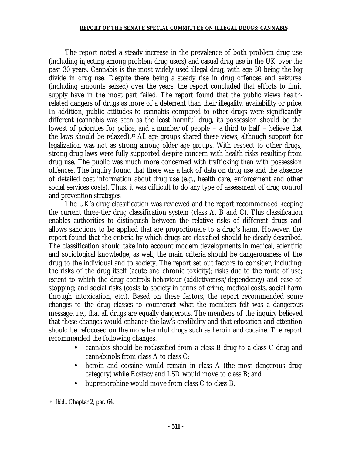The report noted a steady increase in the prevalence of both problem drug use (including injecting among problem drug users) and casual drug use in the UK over the past 30 years. Cannabis is the most widely used illegal drug, with age 30 being the big divide in drug use. Despite there being a steady rise in drug offences and seizures (including amounts seized) over the years, the report concluded that efforts to limit supply have in the most part failed. The report found that the public views healthrelated dangers of drugs as more of a deterrent than their illegality, availability or price. In addition, public attitudes to cannabis compared to other drugs were significantly different (cannabis was seen as the least harmful drug, its possession should be the lowest of priorities for police, and a number of people – a third to half – believe that the laws should be relaxed).93 All age groups shared these views, although support for legalization was not as strong among older age groups. With respect to other drugs, strong drug laws were fully supported despite concern with health risks resulting from drug use. The public was much more concerned with trafficking than with possession offences. The inquiry found that there was a lack of data on drug use and the absence of detailed cost information about drug use (e.g., health care, enforcement and other social services costs). Thus, it was difficult to do any type of assessment of drug control and prevention strategies

The UK's drug classification was reviewed and the report recommended keeping the current three-tier drug classification system (class A, B and C). This classification enables authorities to distinguish between the relative risks of different drugs and allows sanctions to be applied that are proportionate to a drug's harm. However, the report found that the criteria by which drugs are classified should be clearly described. The classification should take into account modern developments in medical, scientific and sociological knowledge; as well, the main criteria should be dangerousness of the drug to the individual and to society. The report set out factors to consider, including: the risks of the drug itself (acute and chronic toxicity); risks due to the route of use; extent to which the drug controls behaviour (addictiveness/dependency) and ease of stopping; and social risks (costs to society in terms of crime, medical costs, social harm through intoxication, etc.). Based on these factors, the report recommended some changes to the drug classes to counteract what the members felt was a dangerous message, i.e., that all drugs are equally dangerous. The members of the inquiry believed that these changes would enhance the law's credibility and that education and attention should be refocused on the more harmful drugs such as heroin and cocaine. The report recommended the following changes:

- cannabis should be reclassified from a class B drug to a class C drug and cannabinols from class A to class C;
- heroin and cocaine would remain in class A (the most dangerous drug category) while Ecstacy and LSD would move to class B; and
- buprenorphine would move from class C to class B.

 $\overline{a}$ <sup>93</sup> *Ibid*., Chapter 2, par. 64.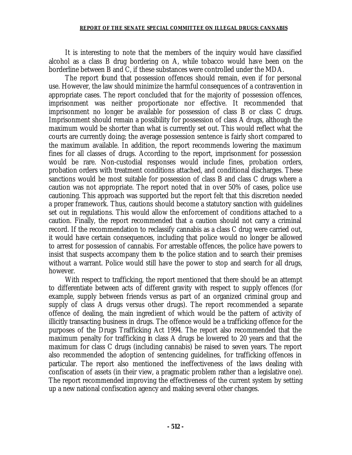It is interesting to note that the members of the inquiry would have classified alcohol as a class B drug bordering on A, while tobacco would have been on the borderline between B and C, if these substances were controlled under the MDA.

The report found that possession offences should remain, even if for personal use. However, the law should minimize the harmful consequences of a contravention in appropriate cases. The report concluded that for the majority of possession offences, imprisonment was neither proportionate nor effective. It recommended that imprisonment no longer be available for possession of class B or class C drugs. Imprisonment should remain a possibility for possession of class A drugs, although the maximum would be shorter than what is currently set out. This would reflect what the courts are currently doing; the average possession sentence is fairly short compared to the maximum available. In addition, the report recommends lowering the maximum fines for all classes of drugs. According to the report, imprisonment for possession would be rare. Non-custodial responses would include fines, probation orders, probation orders with treatment conditions attached, and conditional discharges. These sanctions would be most suitable for possession of class B and class C drugs where a caution was not appropriate. The report noted that in over 50% of cases, police use cautioning. This approach was supported but the report felt that this discretion needed a proper framework. Thus, cautions should become a statutory sanction with guidelines set out in regulations. This would allow the enforcement of conditions attached to a caution. Finally, the report recommended that a caution should not carry a criminal record. If the recommendation to reclassify cannabis as a class C drug were carried out, it would have certain consequences, including that police would no longer be allowed to arrest for possession of cannabis. For arrestable offences, the police have powers to insist that suspects accompany them to the police station and to search their premises without a warrant. Police would still have the power to stop and search for all drugs, however.

With respect to trafficking, the report mentioned that there should be an attempt to differentiate between acts of different gravity with respect to supply offences (for example, supply between friends versus as part of an organized criminal group and supply of class A drugs versus other drugs). The report recommended a separate offence of dealing, the main ingredient of which would be the pattern of activity of illicitly transacting business in drugs. The offence would be a trafficking offence for the purposes of the Drugs Trafficking Act 1994. The report also recommended that the maximum penalty for trafficking in class A drugs be lowered to 20 years and that the maximum for class C drugs (including cannabis) be raised to seven years. The report also recommended the adoption of sentencing guidelines, for trafficking offences in particular. The report also mentioned the ineffectiveness of the laws dealing with confiscation of assets (in their view, a pragmatic problem rather than a legislative one). The report recommended improving the effectiveness of the current system by setting up a new national confiscation agency and making several other changes.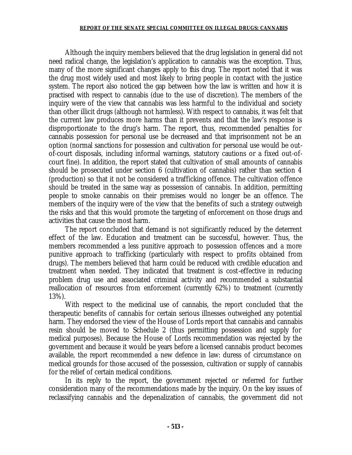Although the inquiry members believed that the drug legislation in general did not need radical change, the legislation's application to cannabis was the exception. Thus, many of the more significant changes apply to this drug. The report noted that it was the drug most widely used and most likely to bring people in contact with the justice system. The report also noticed the gap between how the law is written and how it is practised with respect to cannabis (due to the use of discretion). The members of the inquiry were of the view that cannabis was less harmful to the individual and society than other illicit drugs (although not harmless). With respect to cannabis, it was felt that the current law produces more harms than it prevents and that the law's response is disproportionate to the drug's harm. The report, thus, recommended penalties for cannabis possession for personal use be decreased and that imprisonment not be an option (normal sanctions for possession and cultivation for personal use would be outof-court disposals, including informal warnings, statutory cautions or a fixed out-ofcourt fine). In addition, the report stated that cultivation of small amounts of cannabis should be prosecuted under section 6 (cultivation of cannabis) rather than section 4 (production) so that it not be considered a trafficking offence. The cultivation offence should be treated in the same way as possession of cannabis. In addition, permitting people to smoke cannabis on their premises would no longer be an offence. The members of the inquiry were of the view that the benefits of such a strategy outweigh the risks and that this would promote the targeting of enforcement on those drugs and activities that cause the most harm.

The report concluded that demand is not significantly reduced by the deterrent effect of the law. Education and treatment can be successful, however. Thus, the members recommended a less punitive approach to possession offences and a more punitive approach to trafficking (particularly with respect to profits obtained from drugs). The members believed that harm could be reduced with credible education and treatment when needed. They indicated that treatment is cost-effective in reducing problem drug use and associated criminal activity and recommended a substantial reallocation of resources from enforcement (currently 62%) to treatment (currently 13%).

With respect to the medicinal use of cannabis, the report concluded that the therapeutic benefits of cannabis for certain serious illnesses outweighed any potential harm. They endorsed the view of the House of Lords report that cannabis and cannabis resin should be moved to Schedule 2 (thus permitting possession and supply for medical purposes). Because the House of Lords recommendation was rejected by the government and because it would be years before a licensed cannabis product becomes available, the report recommended a new defence in law: duress of circumstance on medical grounds for those accused of the possession, cultivation or supply of cannabis for the relief of certain medical conditions.

In its reply to the report, the government rejected or referred for further consideration many of the recommendations made by the inquiry. On the key issues of reclassifying cannabis and the depenalization of cannabis, the government did not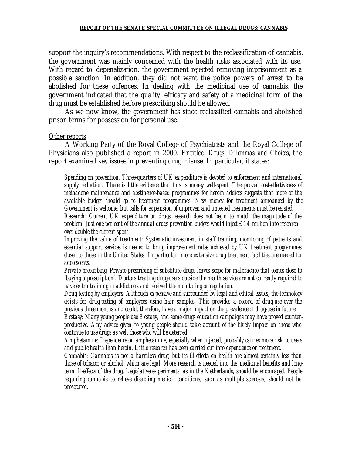support the inquiry's recommendations. With respect to the reclassification of cannabis, the government was mainly concerned with the health risks associated with its use. With regard to depenalization, the government rejected removing imprisonment as a possible sanction. In addition, they did not want the police powers of arrest to be abolished for these offences. In dealing with the medicinal use of cannabis, the government indicated that the quality, efficacy and safety of a medicinal form of the drug must be established before prescribing should be allowed.

As we now know, the government has since reclassified cannabis and abolished prison terms for possession for personal use.

## **Other reports**

A Working Party of the Royal College of Psychiatrists and the Royal College of Physicians also published a report in 2000. Entitled *Drugs: Dilemmas and Choices*, the report examined key issues in preventing drug misuse. In particular, it states:

*Spending on prevention: Three-quarters of UK expenditure is devoted to enforcement and international supply reduction. There is little evidence that this is money well-spent. The proven cost-effectiveness of methadone maintenance and abstinence-based programmes for heroin addicts suggests that more of the available budget should go to treatment programmes. New money for treatment announced by the Government is welcome, but calls for expansion of unproven and untested treatments must be resisted.*

*Research: Current UK expenditure on drugs research does not begin to match the magnitude of the problem. Just one per cent of the annual drugs prevention budget would inject £14 million into research – over double the current spent.*

*Improving the value of treatment: Systematic investment in staff training, monitoring of patients and essential support services is needed to bring improvement rates achieved by UK treatment programmes closer to those in the United States. In particular, more extensive drug treatment facilities are needed for adolescents.*

*Private prescribing: Private prescribing of substitute drugs leaves scope for malpractice that comes close to 'buying a prescription'. Doctors treating drug-users outside the health service are not currently required to have extra training in addictions and receive little monitoring or regulation.*

*Drug-testing by employers: Although expensive and surrounded by legal and ethical issues, the technology exists for drug-testing of employees using hair samples. This provides a record of drug-use over the previous three months and could, therefore, have a major impact on the prevalence of drug-use in future.*

*Ecstasy: Many young people use Ecstasy, and some drugs education campaigns may have proved counterproductive. Any advice given to young people should take account of the likely impact on those who continue to use drugs as well those who will be deterred.*

*Amphetamine: Dependence on amphetamine, especially when injected, probably carries more risk to users and public health than heroin. Little research has been carried out into dependence or treatment.*

*Cannabis: Cannabis is not a harmless drug, but its ill-effects on health are almost certainly less than those of tobacco or alcohol, which are legal. More research is needed into the medicinal benefits and longterm ill-effects of the drug. Legislative experiments, as in the Netherlands, should be encouraged. People requiring cannabis to relieve disabling medical conditions, such as multiple sclerosis, should not be prosecuted.*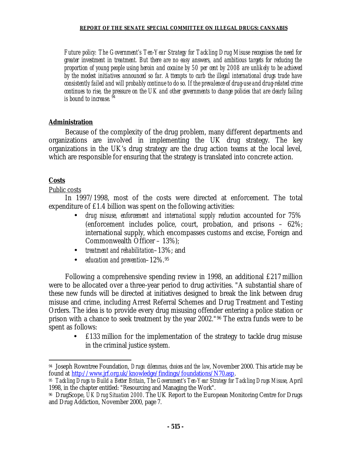*Future policy: The Government's Ten-Year Strategy for Tackling Drug Misuse recognises the need for greater investment in treatment. But there are no easy answers, and ambitious targets for reducing the proportion of young people using heroin and cocaine by 50 per cent by 2008 are unlikely to be achieved by the modest initiatives announced so far. Attempts to curb the illegal international drugs trade have consistently failed and will probably continue to do so. If the prevalence of drug-use and drug-related crime continues to rise, the pressure on the UK and other governments to change policies that are clearly failing is bound to increase.* <sup>94</sup>

# *Administration*

Because of the complexity of the drug problem, many different departments and organizations are involved in implementing the UK drug strategy. The key organizations in the UK's drug strategy are the drug action teams at the local level, which are responsible for ensuring that the strategy is translated into concrete action.

# *Costs*

# Public costs

In 1997/1998, most of the costs were directed at enforcement. The total expenditure of £1.4 billion was spent on the following activities:

- *drug misuse, enforcement and international supply reduction* accounted for 75% (enforcement includes police, court, probation, and prisons – 62%; international supply, which encompasses customs and excise, Foreign and Commonwealth Officer – 13%);
- *treatment and rehabilitation*–13%; and
- *education and prevention*–12%.<sup>95</sup>

Following a comprehensive spending review in 1998, an additional £217 million were to be allocated over a three-year period to drug activities. "A substantial share of these new funds will be directed at initiatives designed to break the link between drug misuse and crime, including Arrest Referral Schemes and Drug Treatment and Testing Orders. The idea is to provide every drug misusing offender entering a police station or prison with a chance to seek treatment by the year 2002."96 The extra funds were to be spent as follows:

• £133 million for the implementation of the strategy to tackle drug misuse in the criminal justice system.

 $\overline{a}$ <sup>94</sup> Joseph Rowntree Foundation, *Drugs: dilemmas, choices and the law*, November 2000. This article may be found at http://www.jrf.org.uk/knowledge/findings/foundations/N70.asp.

<sup>95</sup> *Tackling Drugs to Build a Better Britain*, *The Government's Ten-Year Strategy for Tackling Drugs Misuse*, April 1998, in the chapter entitled: "Resourcing and Managing the Work".

<sup>96</sup> DrugScope, *UK Drug Situation 2000*. The UK Report to the European Monitoring Centre for Drugs and Drug Addiction, November 2000, page 7.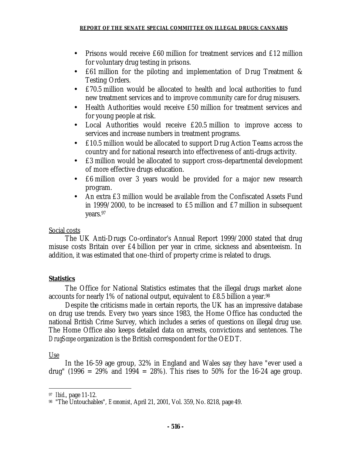- Prisons would receive £60 million for treatment services and £12 million for voluntary drug testing in prisons.
- £61 million for the piloting and implementation of Drug Treatment & Testing Orders.
- £70.5 million would be allocated to health and local authorities to fund new treatment services and to improve community care for drug misusers.
- Health Authorities would receive £50 million for treatment services and for young people at risk.
- Local Authorities would receive £20.5 million to improve access to services and increase numbers in treatment programs.
- £10.5 million would be allocated to support Drug Action Teams across the country and for national research into effectiveness of anti-drugs activity.
- £3 million would be allocated to support cross-departmental development of more effective drugs education.
- £6 million over 3 years would be provided for a major new research program.
- An extra £3 million would be available from the Confiscated Assets Fund in 1999/2000, to be increased to £5 million and £7 million in subsequent years.<sup>97</sup>

# Social costs

The UK Anti-Drugs Co-ordinator's Annual Report 1999/2000 stated that drug misuse costs Britain over £4 billion per year in crime, sickness and absenteeism. In addition, it was estimated that one -third of property crime is related to drugs.

# *Statistics*

The Office for National Statistics estimates that the illegal drugs market alone accounts for nearly 1% of national output, equivalent to £8.5 billion a year.<sup>98</sup>

Despite the criticisms made in certain reports, the UK has an impressive database on drug use trends. Every two years since 1983, the Home Office has conducted the national British Crime Survey, which includes a series of questions on illegal drug use. The Home Office also keeps detailed data on arrests, convictions and sentences. The *DrugScope* organization is the British correspondent for the OEDT.

# Use

In the 16-59 age group, 32% in England and Wales say they have "ever used a drug" (1996 = 29% and 1994 = 28%). This rises to 50% for the 16-24 age group.

 $\overline{a}$ <sup>97</sup> *Ibid*., page 11-12.

<sup>98</sup> "The Untouchables", *Economist*, April 21, 2001, Vol. 359, No. 8218, page 49.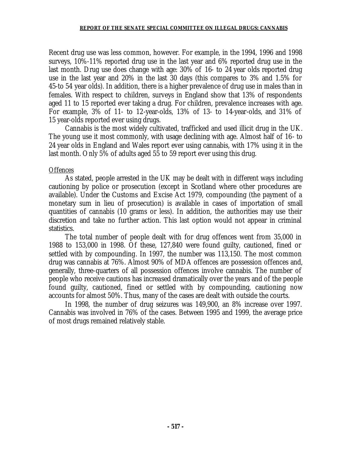Recent drug use was less common, however. For example, in the 1994, 1996 and 1998 surveys, 10%-11% reported drug use in the last year and 6% reported drug use in the last month. Drug use does change with age: 30% of 16- to 24 year olds reported drug use in the last year and 20% in the last 30 days (this compares to 3% and 1.5% for 45-to 54 year olds). In addition, there is a higher prevalence of drug use in males than in females. With respect to children, surveys in England show that 13% of respondents aged 11 to 15 reported ever taking a drug. For children, prevalence increases with age. For example, 3% of 11- to 12-year-olds, 13% of 13- to 14-year-olds, and 31% of 15 year-olds reported ever using drugs.

Cannabis is the most widely cultivated, trafficked and used illicit drug in the UK. The young use it most commonly, with usage declining with age. Almost half of 16- to 24 year olds in England and Wales report ever using cannabis, with 17% using it in the last month. Only 5% of adults aged 55 to 59 report ever using this drug.

# **Offences**

As stated, people arrested in the UK may be dealt with in different ways including cautioning by police or prosecution (except in Scotland where other procedures are available). Under the Customs and Excise Act 1979, compounding (the payment of a monetary sum in lieu of prosecution) is available in cases of importation of small quantities of cannabis (10 grams or less). In addition, the authorities may use their discretion and take no further action. This last option would not appear in criminal statistics.

The total number of people dealt with for drug offences went from 35,000 in 1988 to 153,000 in 1998. Of these, 127,840 were found guilty, cautioned, fined or settled with by compounding. In 1997, the number was 113,150. The most common drug was cannabis at 76%. Almost 90% of MDA offences are possession offences and, generally, three-quarters of all possession offences involve cannabis. The number of people who receive cautions has increased dramatically over the years and of the people found guilty, cautioned, fined or settled with by compounding, cautioning now accounts for almost 50%. Thus, many of the cases are dealt with outside the courts.

In 1998, the number of drug seizures was 149,900, an 8% increase over 1997. Cannabis was involved in 76% of the cases. Between 1995 and 1999, the average price of most drugs remained relatively stable.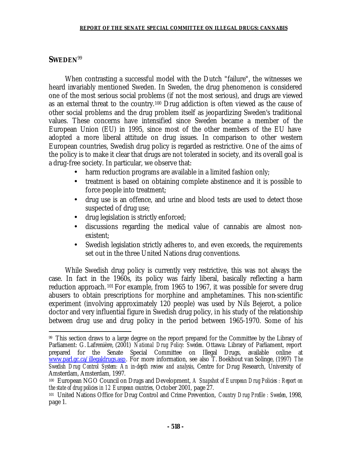# **SWEDEN**<sup>99</sup>

When contrasting a successful model with the Dutch "failure", the witnesses we heard invariably mentioned Sweden. In Sweden, the drug phenomenon is considered one of the most serious social problems (if not the most serious), and drugs are viewed as an external threat to the country.100 Drug addiction is often viewed as the cause of other social problems and the drug problem itself as jeopardizing Sweden's traditional values. These concerns have intensified since Sweden became a member of the European Union (EU) in 1995, since most of the other members of the EU have adopted a more liberal attitude on drug issues. In comparison to other western European countries, Swedish drug policy is regarded as restrictive. One of the aims of the policy is to make it clear that drugs are not tolerated in society, and its overall goal is a drug-free society. In particular, we observe that:

- harm reduction programs are available in a limited fashion only;
- treatment is based on obtaining complete abstinence and it is possible to force people into treatment;
- drug use is an offence, and urine and blood tests are used to detect those suspected of drug use;
- drug legislation is strictly enforced;
- discussions regarding the medical value of cannabis are almost nonexistent;
- Swedish legislation strictly adheres to, and even exceeds, the requirements set out in the three United Nations drug conventions.

While Swedish drug policy is currently very restrictive, this was not always the case. In fact in the 1960s, its policy was fairly liberal, basically reflecting a harm reduction approach. <sup>101</sup> For example, from 1965 to 1967, it was possible for severe drug abusers to obtain prescriptions for morphine and amphetamines. This non-scientific experiment (involving approximately 120 people) was used by Nils Bejerot, a police doctor and very influential figure in Swedish drug policy, in his study of the relationship between drug use and drug policy in the period between 1965-1970. Some of his

 $\overline{a}$ <sup>99</sup> This section draws to a large degree on the report prepared for the Committee by the Library of Parliament: G. Lafrenière, (2001) *National Drug Policy: Sweden*. Ottawa: Library of Parliament, report prepared for the Senate Special Committee on Illegal Drugs, available online at www.parl.gc.ca/illegaldrugs.asp. For more information, see also T. Boekhout van Solinge, (1997) *The Swedish Drug Control System: An in-depth review and analysis*, Centre for Drug Research, University of Amsterdam, Amsterdam, 1997.

<sup>100</sup> European NGO Council on Drugs and Development, *A Snapshot of European Drug Policies : Report on the state of drug policies in 12 European countries*, October 2001, page 27.

<sup>101</sup> United Nations Office for Drug Control and Crime Prevention, *Country Drug Profile : Sweden*, 1998, page 1.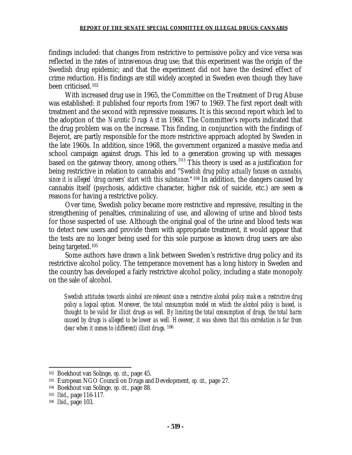findings included: that changes from restrictive to permissive policy and vice versa was reflected in the rates of intravenous drug use; that this experiment was the origin of the Swedish drug epidemic; and that the experiment did not have the desired effect of crime reduction. His findings are still widely accepted in Sweden even though they have been criticised.<sup>102</sup>

With increased drug use in 1965, the Committee on the Treatment of Drug Abuse was established: it published four reports from 1967 to 1969. The first report dealt with treatment and the second with repressive measures. It is this second report which led to the adoption of the *Narcotic Drugs Act* in 1968. The Committee's reports indicated that the drug problem was on the increase. This finding, in conjunction with the findings of Bejerot, are partly responsible for the more restrictive approach adopted by Sweden in the late 1960s. In addition, since 1968, the government organized a massive media and school campaign against drugs. This led to a generation growing up with messages based on the gateway theory, among others.<sup>103</sup> This theory is used as a justification for being restrictive in relation to cannabis and "*Swedish drug policy actually focuses on cannabis, since it is alleged 'drug careers' start with this substance*."<sup>104</sup> In addition, the dangers caused by cannabis itself (psychosis, addictive character, higher risk of suicide, etc.) are seen as reasons for having a restrictive policy.

Over time, Swedish policy became more restrictive and repressive, resulting in the strengthening of penalties, criminalizing of use, and allowing of urine and blood tests for those suspected of use. Although the original goal of the urine and blood tests was to detect new users and provide them with appropriate treatment, it would appear that the tests are no longer being used for this sole purpose as known drug users are also being targeted.<sup>105</sup>

Some authors have drawn a link between Sweden's restrictive drug policy and its restrictive alcohol policy. The temperance movement has a long history in Sweden and the country has developed a fairly restrictive alcohol policy, including a state monopoly on the sale of alcohol.

*Swedish attitudes towards alcohol are relevant since a restrictive alcohol policy makes a restrictive drug policy a logical option. Moreover, the total consumption model on which the alcohol policy is based, is thought to be valid for illicit drugs as well. By limiting the total consumption of drugs, the total harm caused by drugs is alleged to be lower as well. However, it was shown that this correlation is far from clear when it comes to (different) illicit drugs.* <sup>106</sup>

 $\overline{a}$ <sup>102</sup> Boekhout van Solinge, *op. cit.*, page 45.

<sup>103</sup> European NGO Council on Drugs and Development, *op. cit.,* page 27.

<sup>104</sup> Boekhout van Solinge, *op. cit.,* page 88.

<sup>105</sup> *Ibid*., page 116-117.

<sup>106</sup> *Ibid*., page 103.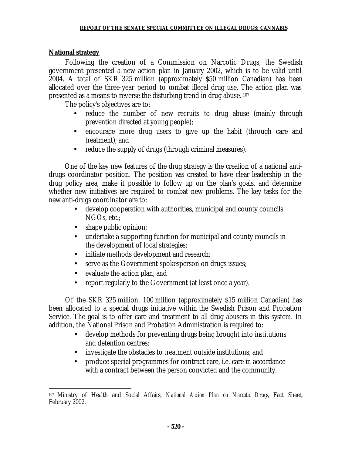## *National strategy*

Following the creation of a Commission on Narcotic Drugs, the Swedish government presented a new action plan in January 2002, which is to be valid until 2004. A total of SKR 325 million (approximately \$50 million Canadian) has been allocated over the three-year period to combat illegal drug use. The action plan was presented as a means to reverse the disturbing trend in drug abuse. <sup>107</sup>

The policy's objectives are to:

- reduce the number of new recruits to drug abuse (mainly through prevention directed at young people);
- encourage more drug users to give up the habit (through care and treatment); and
- reduce the supply of drugs (through criminal measures).

One of the key new features of the drug strategy is the creation of a national antidrugs coordinator position. The position was created to have clear leadership in the drug policy area, make it possible to follow up on the plan's goals, and determine whether new initiatives are required to combat new problems. The key tasks for the new anti-drugs coordinator are to:

- develop cooperation with authorities, municipal and county councils, NGOs, etc.;
- shape public opinion;
- undertake a supporting function for municipal and county councils in the development of local strategies;
- initiate methods development and research;
- serve as the Government spokesperson on drugs issues;
- evaluate the action plan; and
- report regularly to the Government (at least once a year).

Of the SKR 325 million, 100 million (approximately \$15 million Canadian) has been allocated to a special drugs initiative within the Swedish Prison and Probation Service. The goal is to offer care and treatment to all drug abusers in this system. In addition, the National Prison and Probation Administration is required to:

- develop methods for preventing drugs being brought into institutions and detention centres;
- investigate the obstacles to treatment outside institutions; and
- produce special programmes for contract care, i.e. care in accordance with a contract between the person convicted and the community.

 $\overline{a}$ <sup>107</sup> Ministry of Health and Social Affairs, *National Action Plan on Narcotic Drugs*, Fact Sheet, February 2002.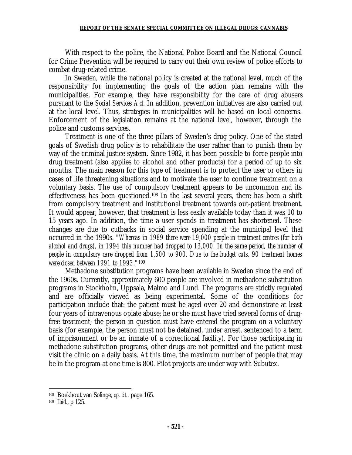With respect to the police, the National Police Board and the National Council for Crime Prevention will be required to carry out their own review of police efforts to combat drug-related crime.

In Sweden, while the national policy is created at the national level, much of the responsibility for implementing the goals of the action plan remains with the municipalities. For example, they have responsibility for the care of drug abusers pursuant to the *Social Services Act*. In addition, prevention initiatives are also carried out at the local level. Thus, strategies in municipalities will be based on local concerns. Enforcement of the legislation remains at the national level, however, through the police and customs services.

Treatment is one of the three pillars of Sweden's drug policy. One of the stated goals of Swedish drug policy is to rehabilitate the user rather than to punish them by way of the criminal justice system. Since 1982, it has been possible to force people into drug treatment (also applies to alcohol and other products) for a period of up to six months. The main reason for this type of treatment is to protect the user or others in cases of life threatening situations and to motivate the user to continue treatment on a voluntary basis. The use of compulsory treatment appears to be uncommon and its effectiveness has been questioned.108 In the last several years, there has been a shift from compulsory treatment and institutional treatment towards out-patient treatment. It would appear, however, that treatment is less easily available today than it was 10 to 15 years ago. In addition, the time a user spends in treatment has shortened. These changes are due to cutbacks in social service spending at the municipal level that occurred in the 1990s. "*Whereas in 1989 there were 19,000 people in treatment centres (for both alcohol and drugs), in 1994 this number had dropped to 13,000. In the same period, the number of people in compulsory care dropped from 1,500 to 900. Due to the budget cuts, 90 treatment homes were closed between 1991 to 1993*."<sup>109</sup>

Methadone substitution programs have been available in Sweden since the end of the 1960s. Currently, approximately 600 people are involved in methadone substitution programs in Stockholm, Uppsala, Malmo and Lund. The programs are strictly regulated and are officially viewed as being experimental. Some of the conditions for participation include that: the patient must be aged over 20 and demonstrate at least four years of intravenous opiate abuse; he or she must have tried several forms of drugfree treatment; the person in question must have entered the program on a voluntary basis (for example, the person must not be detained, under arrest, sentenced to a term of imprisonment or be an inmate of a correctional facility). For those participating in methadone substitution programs, other drugs are not permitted and the patient must visit the clinic on a daily basis. At this time, the maximum number of people that may be in the program at one time is 800. Pilot projects are under way with Subutex.

<sup>108</sup> Boekhout van Solinge, *op. cit.,* page 165.

<sup>109</sup> *Ibid*., p 125.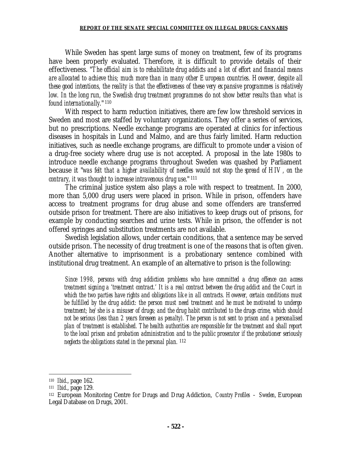While Sweden has spent large sums of money on treatment, few of its programs have been properly evaluated. Therefore, it is difficult to provide details of their effectiveness. "*The official aim is to rehabilitate drug addicts and a lot of effort and financial means are allocated to achieve this; much more than in many other European countries. However, despite all these good intentions, the reality is that the effectiveness of these very expansive programmes is relatively low. In the long run, the Swedish drug treatment programmes do not show better results than what is found internationally.*" 110

With respect to harm reduction initiatives, there are few low threshold services in Sweden and most are staffed by voluntary organizations. They offer a series of services, but no prescriptions. Needle exchange programs are operated at clinics for infectious diseases in hospitals in Lund and Malmo, and are thus fairly limited. Harm reduction initiatives, such as needle exchange programs, are difficult to promote under a vision of a drug-free society where drug use is not accepted. A proposal in the late 1980s to introduce needle exchange programs throughout Sweden was quashed by Parliament because it "*was felt that a higher availability of needles would not stop the spread of HIV, on the contrary, it was thought to increase intravenous drug use*."<sup>111</sup>

The criminal justice system also plays a role with respect to treatment. In 2000, more than 5,000 drug users were placed in prison. While in prison, offenders have access to treatment programs for drug abuse and some offenders are transferred outside prison for treatment. There are also initiatives to keep drugs out of prisons, for example by conducting searches and urine tests. While in prison, the offender is not offered syringes and substitution treatments are not available.

Swedish legislation allows, under certain conditions, that a sentence may be served outside prison. The necessity of drug treatment is one of the reasons that is often given. Another alternative to imprisonment is a probationary sentence combined with institutional drug treatment. An example of an alternative to prison is the following:

*Since 1998, persons with drug addiction problems who have committed a drug offence can access treatment signing a 'treatment contract.' It is a real contract between the drug addict and the Court in which the two parties have rights and obligations like in all contracts. However, certain conditions must be fulfilled by the drug addict: the person must need treatment and he must be motivated to undergo treatment; he/she is a misuser of drugs; and the drug habit contributed to the drugs crime, which should not be serious (less than 2 years foreseen as penalty). The person is not sent to prison and a personalised plan of treatment is established. The health authorities are responsible for the treatment and shall report to the local prison and probation administration and to the public prosecutor if the probationer seriously neglects the obligations stated in the personal plan.* <sup>112</sup>

<sup>110</sup> *Ibid*., page 162.

<sup>111</sup> *Ibid*., page 129.

<sup>112</sup> European Monitoring Centre for Drugs and Drug Addiction, *Country Profiles – Sweden*, European Legal Database on Drugs, 2001.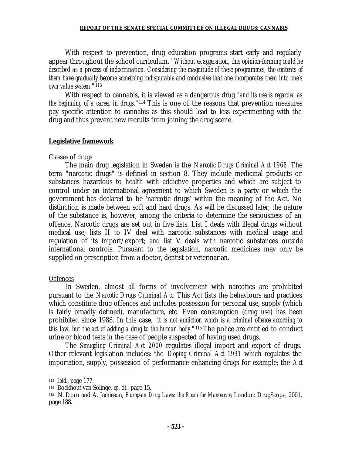With respect to prevention, drug education programs start early and regularly appear throughout the school curriculum. "*Without exaggeration, this opinion-forming could be described as a process of indoctrination. Considering the magnitude of these programmes, the contents of them have gradually become something indisputable and conclusive that one incorporates them into one's own value system*."<sup>113</sup>

With respect to cannabis, it is viewed as a dangerous drug "*and its use is regarded as the beginning of a career in drugs.*" <sup>114</sup> This is one of the reasons that prevention measures pay specific attention to cannabis as this should lead to less experimenting with the drug and thus prevent new recruits from joining the drug scene.

## *Legislative framework*

## Classes of drugs

The main drug legislation in Sweden is the *Narcotic Drugs Criminal Act 1968*. The term "narcotic drugs" is defined in section 8. They include medicinal products or substances hazardous to health with addictive properties and which are subject to control under an international agreement to which Sweden is a party or which the government has declared to be 'narcotic drugs' within the meaning of the Act. No distinction is made between soft and hard drugs. As will be discussed later, the nature of the substance is, however, among the criteria to determine the seriousness of an offence. Narcotic drugs are set out in five lists. List I deals with illegal drugs without medical use; lists II to IV deal with narcotic substances with medical usage and regulation of its import/export; and list V deals with narcotic substances outside international controls. Pursuant to the legislation, narcotic medicines may only be supplied on prescription from a doctor, dentist or veterinarian.

## **Offences**

In Sweden, almost all forms of involvement with narcotics are prohibited pursuant to the *Narcotic Drugs Criminal Act*. This Act lists the behaviours and practices which constitute drug offences and includes possession for personal use, supply (which is fairly broadly defined), manufacture, etc. Even consumption (drug use) has been prohibited since 1988. In this case, "*it is not addiction which is a criminal offence according to this law, but the act of adding a drug to the human body*."<sup>115</sup> The police are entitled to conduct urine or blood tests in the case of people suspected of having used drugs.

The *Smuggling Criminal Act 2000* regulates illegal import and export of drugs. Other relevant legislation includes: the *Doping Criminal Act 1991* which regulates the importation, supply, possession of performance enhancing drugs for example; the *Act* 

<sup>113</sup> *Ibid*., page 177.

<sup>114</sup> Boekhout van Solinge, *op. cit.,* page 15.

<sup>115</sup> N. Dorn and A. Jamieson, *European Drug Laws: the Room for Manoeuvre*, London: DrugScope, 2001, page 188.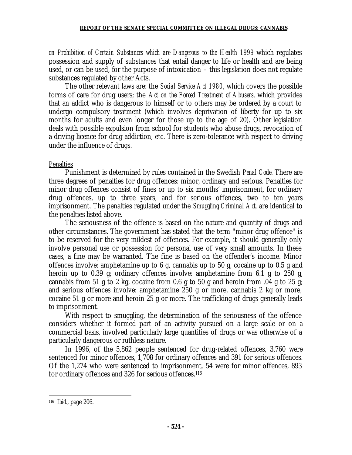*on Prohibition of Certain Substances which are Dangerous to the Health 1999* which regulates possession and supply of substances that entail danger to life or health and are being used, or can be used, for the purpose of intoxication – this legislation does not regulate substances regulated by other Acts.

The other relevant laws are: the *Social Service Act 1980*, which covers the possible forms of care for drug users; the *Act on the Forced Treatment of Abusers,* which provides that an addict who is dangerous to himself or to others may be ordered by a court to undergo compulsory treatment (which involves deprivation of liberty for up to six months for adults and even longer for those up to the age of 20). Other legislation deals with possible expulsion from school for students who abuse drugs, revocation of a driving licence for drug addiction, etc. There is zero-tolerance with respect to driving under the influence of drugs.

# Penalties

Punishment is determined by rules contained in the Swedish *Penal Code*. There are three degrees of penalties for drug offences: minor, ordinary and serious. Penalties for minor drug offences consist of fines or up to six months' imprisonment, for ordinary drug offences, up to three years, and for serious offences, two to ten years imprisonment. The penalties regulated under the *Smuggling Criminal Act*, are identical to the penalties listed above.

The seriousness of the offence is based on the nature and quantity of drugs and other circumstances. The government has stated that the term "minor drug offence" is to be reserved for the very mildest of offences. For example, it should generally only involve personal use or possession for personal use of very small amounts. In these cases, a fine may be warranted. The fine is based on the offender's income. Minor offences involve: amphetamine up to 6 g, cannabis up to 50 g, cocaine up to 0.5 g and heroin up to 0.39 g; ordinary offences involve: amphetamine from 6.1 g to 250 g, cannabis from 51 g to 2 kg, cocaine from 0.6 g to 50 g and heroin from .04 g to 25 g; and serious offences involve: amphetamine 250 g or more, cannabis 2 kg or more, cocaine 51 g or more and heroin 25 g or more. The trafficking of drugs generally leads to imprisonment.

With respect to smuggling, the determination of the seriousness of the offence considers whether it formed part of an activity pursued on a large scale or on a commercial basis, involved particularly large quantities of drugs or was otherwise of a particularly dangerous or ruthless nature.

In 1996, of the 5,862 people sentenced for drug-related offences, 3,760 were sentenced for minor offences, 1,708 for ordinary offences and 391 for serious offences. Of the 1,274 who were sentenced to imprisonment, 54 were for minor offences, 893 for ordinary offences and 326 for serious offences.<sup>116</sup>

 $\overline{a}$ <sup>116</sup> *Ibid*., page 206.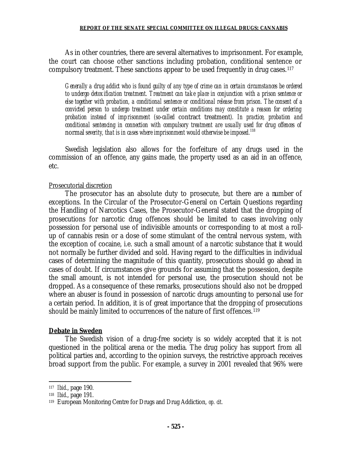As in other countries, there are several alternatives to imprisonment. For example, the court can choose other sanctions including probation, conditional sentence or compulsory treatment. These sanctions appear to be used frequently in drug cases.<sup>117</sup>

*Generally a drug addict who is found guilty of any type of crime can in certain circumstances be ordered to undergo detoxification treatment. Treatment can take place in conjunction with a prison sentence or else together with probation, a conditional sentence or conditional release from prison. The consent of a convicted person to undergo treatment under certain conditions may constitute a reason for ordering probation instead of imp risonment (so-called* contract treatment*). In practice, probation and conditional sentencing in connection with compulsory treatment are usually used for drug offences of*  normal *severity, that is in cases where imprisonment would otherwise be imposed.*<sup>118</sup>

Swedish legislation also allows for the forfeiture of any drugs used in the commission of an offence, any gains made, the property used as an aid in an offence, etc.

# Prosecutorial discretion

The prosecutor has an absolute duty to prosecute, but there are a number of exceptions. In the Circular of the Prosecutor-General on Certain Questions regarding the Handling of Narcotics Cases, the Prosecutor-General stated that the dropping of prosecutions for narcotic drug offences should be limited to cases involving only possession for personal use of indivisible amounts or corresponding to at most a rollup of cannabis resin or a dose of some stimulant of the central nervous system, with the exception of cocaine, i.e. such a small amount of a narcotic substance that it would not normally be further divided and sold. Having regard to the difficulties in individual cases of determining the magnitude of this quantity, prosecutions should go ahead in cases of doubt. If circumstances give grounds for assuming that the possession, despite the small amount, is not intended for personal use, the prosecution should not be dropped. As a consequence of these remarks, prosecutions should also not be dropped where an abuser is found in possession of narcotic drugs amounting to personal use for a certain period. In addition, it is of great importance that the dropping of prosecutions should be mainly limited to occurrences of the nature of first offences.<sup>119</sup>

# *Debate in Sweden*

The Swedish vision of a drug-free society is so widely accepted that it is not questioned in the political arena or the media. The drug policy has support from all political parties and, according to the opinion surveys, the restrictive approach receives broad support from the public. For example, a survey in 2001 revealed that 96% were

 $\overline{a}$ <sup>117</sup> *Ibid*., page 190.

<sup>118</sup> *Ibid*., page 191.

<sup>119</sup> European Monitoring Centre for Drugs and Drug Addiction, *op. cit.*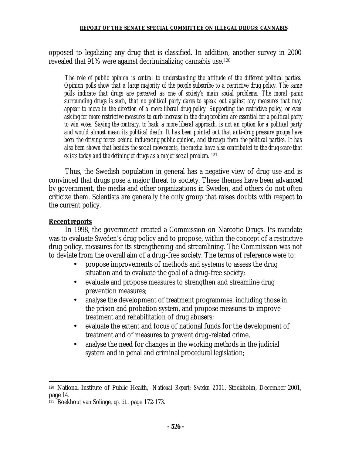opposed to legalizing any drug that is classified. In addition, another survey in 2000 revealed that 91% were against decriminalizing cannabis use.<sup>120</sup>

*The role of public opinion is central to understanding the attitude of the different political parties. Opinion polls show that a large majority of the people subscribe to a restrictive drug policy. The same polls indicate that drugs are perceived as one of society's main social problems. The moral panic surrounding drugs is such, that no political party dares to speak out against any measures that may appear to move in the direction of a more liberal drug policy. Supporting the restrictive policy, or even asking for more restrictive measures to curb increase in the drug problem are essential for a political party to win votes. Saying the contrary, to back a more liberal approach, is not an option for a political party and would almost mean its political death. It has been pointed out that anti-drug pressure groups have been the driving forces behind influencing public opinion, and through them the political parties. It has also been shown that besides the social movements, the media have also contributed to the drug scare that exists today and the defining of drugs as a major social problem.*  121

Thus, the Swedish population in general has a negative view of drug use and is convinced that drugs pose a major threat to society. These themes have been advanced by government, the media and other organizations in Sweden, and others do not often criticize them. Scientists are generally the only group that raises doubts with respect to the current policy.

# *Recent reports*

In 1998, the government created a Commission on Narcotic Drugs. Its mandate was to evaluate Sweden's drug policy and to propose, within the concept of a restrictive drug policy, measures for its strengthening and streamlining. The Commission was not to deviate from the overall aim of a drug -free society. The terms of reference were to:

- propose improvements of methods and systems to assess the drug situation and to evaluate the goal of a drug-free society;
- evaluate and propose measures to strengthen and streamline drug prevention measures;
- analyse the development of treatment programmes, including those in the prison and probation system, and propose measures to improve treatment and rehabilitation of drug abusers;
- evaluate the extent and focus of national funds for the development of treatment and of measures to prevent drug -related crime,
- analyse the need for changes in the working methods in the judicial system and in penal and criminal procedural legislation;

 $\overline{a}$ <sup>120</sup> National Institute of Public Health, *National Report: Sweden 2001*, Stockholm, December 2001, page 14.

<sup>121</sup> Boekhout van Solinge, *op. cit.,* page 172-173.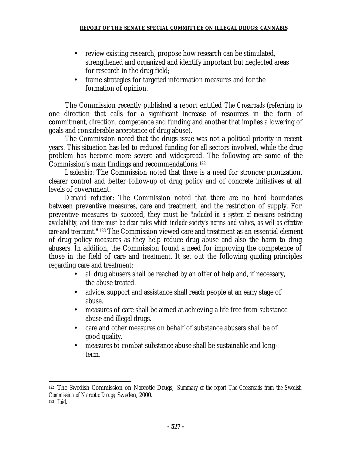- review existing research, propose how research can be stimulated, strengthened and organized and identify important but neglected areas for research in the drug field;
- frame strategies for targeted information measures and for the formation of opinion.

The Commission recently published a report entitled *The Crossroads* (referring to one direction that calls for a significant increase of resources in the form of commitment, direction, competence and funding and another that implies a lowering of goals and considerable acceptance of drug abuse).

The Commission noted that the drugs issue was not a political priority in recent years. This situation has led to reduced funding for all sectors involved, while the drug problem has become more severe and widespread. The following are some of the Commission's main findings and recommendations.<sup>122</sup>

*Leadership*: The Commission noted that there is a need for stronger priorization, clearer control and better follow-up of drug policy and of concrete initiatives at all levels of government.

*Demand reduction*: The Commission noted that there are no hard boundaries between preventive measures, care and treatment, and the restriction of supply. For preventive measures to succeed, they must be "*included in a system of measures restricting availability, and there must be clear rules which include society's norms and values, as well as effective care and treatment*."123 The Commission viewed care and treatment as an essential element of drug policy measures as they help reduce drug abuse and also the harm to drug abusers. In addition, the Commission found a need for improving the competence of those in the field of care and treatment. It set out the following guiding principles regarding care and treatment:

- all drug abusers shall be reached by an offer of help and, if necessary, the abuse treated.
- advice, support and assistance shall reach people at an early stage of abuse.
- measures of care shall be aimed at achieving a life free from substance abuse and illegal drugs.
- care and other measures on behalf of substance abusers shall be of good quality.
- measures to combat substance abuse shall be sustainable and longterm.

 $\overline{a}$ <sup>122</sup> The Swedish Commission on Narcotic Drugs, *Summary of the report The Crossroads from the Swedish Commission of Narcotic Drugs*, Sweden, 2000.

<sup>123</sup> *Ibid.*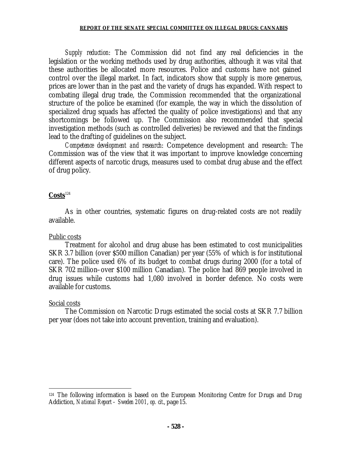*Supply reduction*: The Commission did not find any real deficiencies in the legislation or the working methods used by drug authorities, although it was vital that these authorities be allocated more resources. Police and customs have not gained control over the illegal market. In fact, indicators show that supply is more generous, prices are lower than in the past and the variety of drugs has expanded. With respect to combating illegal drug trade, the Commission recommended that the organizational structure of the police be examined (for example, the way in which the dissolution of specialized drug squads has affected the quality of police investigations) and that any shortcomings be followed up. The Commission also recommended that special investigation methods (such as controlled deliveries) be reviewed and that the findings lead to the drafting of guidelines on the subject.

*Competence development and research*: Competence development and research: The Commission was of the view that it was important to improve knowledge concerning different aspects of narcotic drugs, measures used to combat drug abuse and the effect of drug policy.

# *Costs*<sup>124</sup>

As in other countries, systematic figures on drug-related costs are not readily available.

# Public costs

Treatment for alcohol and drug abuse has been estimated to cost municipalities SKR 3.7 billion (over \$500 million Canadian) per year (55% of which is for institutional care). The police used 6% of its budget to combat drugs during 2000 (for a total of SKR 702 million–over \$100 million Canadian). The police had 869 people involved in drug issues while customs had 1,080 involved in border defence. No costs were available for customs.

# Social costs

 $\overline{a}$ 

The Commission on Narcotic Drugs estimated the social costs at SKR 7.7 billion per year (does not take into account prevention, training and evaluation).

<sup>124</sup> The following information is based on the European Monitoring Centre for Drugs and Drug Addiction, *National Report – Sweden 2001*, *op. cit.*, page 15.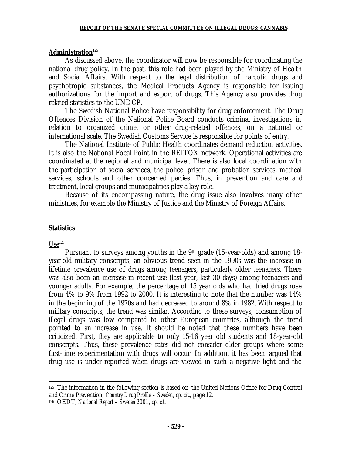# Administration<sup>125</sup>

As discussed above, the coordinator will now be responsible for coordinating the national drug policy. In the past, this role had been played by the Ministry of Health and Social Affairs. With respect to the legal distribution of narcotic drugs and psychotropic substances, the Medical Products Agency is responsible for issuing authorizations for the import and export of drugs. This Agency also provides drug related statistics to the UNDCP.

The Swedish National Police have responsibility for drug enforcement. The Drug Offences Division of the National Police Board conducts criminal investigations in relation to organized crime, or other drug-related offences, on a national or international scale. The Swedish Customs Service is responsible for points of entry.

The National Institute of Public Health coordinates demand reduction activities. It is also the National Focal Point in the REITOX network. Operational activities are coordinated at the regional and municipal level. There is also local coordination with the participation of social services, the police, prison and probation services, medical services, schools and other concerned parties. Thus, in prevention and care and treatment, local groups and municipalities play a key role.

Because of its encompassing nature, the drug issue also involves many other ministries, for example the Ministry of Justice and the Ministry of Foreign Affairs.

# *Statistics*

 $Use<sup>126</sup>$ 

Pursuant to surveys among youths in the 9<sup>th</sup> grade (15-year-olds) and among 18year-old military conscripts, an obvious trend seen in the 1990s was the increase in lifetime prevalence use of drugs among teenagers, particularly older teenagers. There was also been an increase in recent use (last year, last 30 days) among teenagers and younger adults. For example, the percentage of 15 year olds who had tried drugs rose from 4% to 9% from 1992 to 2000. It is interesting to note that the number was 14% in the beginning of the 1970s and had decreased to around 8% in 1982. With respect to military conscripts, the trend was similar. According to these surveys, consumption of illegal drugs was low compared to other European countries, although the trend pointed to an increase in use. It should be noted that these numbers have been criticized. First, they are applicable to only 15-16 year old students and 18-year-old conscripts. Thus, these prevalence rates did not consider older groups where some first-time experimentation with drugs will occur. In addition, it has been argued that drug use is under-reported when drugs are viewed in such a negative light and the

 $\overline{a}$ <sup>125</sup> The information in the following section is based on the United Nations Office for Drug Control and Crime Prevention, *Country Drug Profile – Sweden*, *op. cit.*, page 12.

<sup>126</sup> OEDT, *National Report – Sweden 2001*, *op. cit.*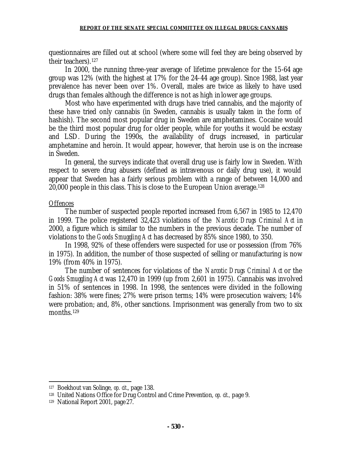questionnaires are filled out at school (where some will feel they are being observed by their teachers).<sup>127</sup>

In 2000, the running three-year average of lifetime prevalence for the 15-64 age group was 12% (with the highest at 17% for the 24-44 age group). Since 1988, last year prevalence has never been over 1%. Overall, males are twice as likely to have used drugs than females although the difference is not as high in lower age groups.

Most who have experimented with drugs have tried cannabis, and the majority of these have tried only cannabis (in Sweden, cannabis is usually taken in the form of hashish). The second most popular drug in Sweden are amphetamines. Cocaine would be the third most popular drug for older people, while for youths it would be ecstasy and LSD. During the 1990s, the availability of drugs increased, in particular amphetamine and heroin. It would appear, however, that heroin use is on the increase in Sweden.

In general, the surveys indicate that overall drug use is fairly low in Sweden. With respect to severe drug abusers (defined as intravenous or daily drug use), it would appear that Sweden has a fairly serious problem with a range of between 14,000 and 20,000 people in this class. This is close to the European Union average.<sup>128</sup>

## **Offences**

The number of suspected people reported increased from 6,567 in 1985 to 12,470 in 1999. The police registered 32,423 violations of the *Narcotic Drugs Criminal Act* in 2000, a figure which is similar to the numbers in the previous decade. The number of violations to the *Goods Smuggling Act* has decreased by 85% since 1980, to 350.

In 1998, 92% of these offenders were suspected for use or possession (from 76% in 1975). In addition, the number of those suspected of selling or manufacturing is now 19% (from 40% in 1975).

The number of sentences for violations of the *Narcotic Drugs Criminal Act* or the *Goods Smuggling Act* was 12,470 in 1999 (up from 2,601 in 1975). Cannabis was involved in 51% of sentences in 1998. In 1998, the sentences were divided in the following fashion: 38% were fines; 27% were prison terms; 14% were prosecution waivers; 14% were probation; and, 8%, other sanctions. Imprisonment was generally from two to six months.<sup>129</sup>

 $\overline{a}$ <sup>127</sup> Boekhout van Solinge, *op. cit.*, page 138.

<sup>128</sup> United Nations Office for Drug Control and Crime Prevention, *op. cit.,* page 9.

<sup>129</sup> National Report 2001, page 27.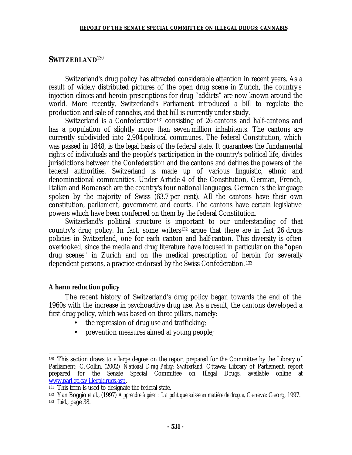# **SWITZERLAND**<sup>130</sup>

Switzerland's drug policy has attracted considerable attention in recent years. As a result of widely distributed pictures of the open drug scene in Zurich, the country's injection clinics and heroin prescriptions for drug "addicts" are now known around the world. More recently, Switzerland's Parliament introduced a bill to regulate the production and sale of cannabis, and that bill is currently under study.

Switzerland is a Confederation<sup>131</sup> consisting of 26 cantons and half-cantons and has a population of slightly more than seven million inhabitants. The cantons are currently subdivided into 2,904 political communes. The federal Constitution, which was passed in 1848, is the legal basis of the federal state. It guarantees the fundamental rights of individuals and the people's participation in the country's political life, divides jurisdictions between the Confederation and the cantons and defines the powers of the federal authorities. Switzerland is made up of various linguistic, ethnic and denominational communities. Under Article 4 of the Constitution, German, French, Italian and Romansch are the country's four national languages. German is the language spoken by the majority of Swiss (63.7 per cent). All the cantons have their own constitution, parliament, government and courts. The cantons have certain legislative powers which have been conferred on them by the federal Constitution.

Switzerland's political structure is important to our understanding of that country's drug policy. In fact, some writers132 argue that there are in fact 26 drugs policies in Switzerland, one for each canton and half-canton. This diversity is often overlooked, since the media and drug literature have focused in particular on the "open drug scenes" in Zurich and on the medical prescription of heroin for severally dependent persons, a practice endorsed by the Swiss Confederation. <sup>133</sup>

# *A harm reduction policy*

The recent history of Switzerland's drug policy began towards the end of the 1960s with the increase in psychoactive drug use. As a result, the cantons developed a first drug policy, which was based on three pillars, namely:

- the repression of drug use and trafficking;
- prevention measures aimed at young people;

 $\overline{a}$ <sup>130</sup> This section draws to a large degree on the report prepared for the Committee by the Library of Parliament: C. Collin, (2002) *National Drug Policy: Switzerland*. Ottawa: Library of Parliament, report prepared for the Senate Special Committee on Illegal Drugs, available online at www.parl.gc.ca/illegaldrugs.asp.

<sup>&</sup>lt;sup>131</sup> This term is used to designate the federal state.

<sup>132</sup> Yan Boggio *et al.*, (1997) *Apprendre à gérer : La politique suisse en matière de drogue*, Geneva: Georg, 1997. <sup>133</sup> *Ibid.*, page 38.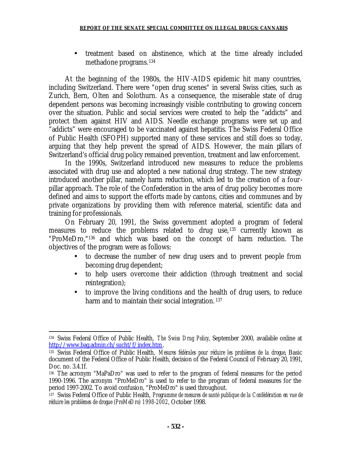• treatment based on abstinence, which at the time already included methadone programs.<sup>134</sup>

At the beginning of the 1980s, the HIV-AIDS epidemic hit many countries, including Switzerland. There were "open drug scenes" in several Swiss cities, such as Zurich, Bern, Olten and Solothurn. As a consequence, the miserable state of drug dependent persons was becoming increasingly visible contributing to growing concern over the situation. Public and social services were created to help the "addicts" and protect them against HIV and AIDS. Needle exchange programs were set up and "addicts" were encouraged to be vaccinated against hepatitis. The Swiss Federal Office of Public Health (SFOPH) supported many of these services and still does so today, arguing that they help prevent the spread of AIDS. However, the main pillars of Switzerland's official drug policy remained prevention, treatment and law enforcement.

In the 1990s, Switzerland introduced new measures to reduce the problems associated with drug use and adopted a new national drug strategy. The new strategy introduced another pillar, namely harm reduction, which led to the creation of a fourpillar approach. The role of the Confederation in the area of drug policy becomes more defined and aims to support the efforts made by cantons, cities and communes and by private organizations by providing them with reference material, scientific data and training for professionals.

On February 20, 1991, the Swiss government adopted a program of federal measures to reduce the problems related to drug use,<sup>135</sup> currently known as "ProMeDro,"136 and which was based on the concept of harm reduction. The objectives of the program were as follows:

- to decrease the number of new drug users and to prevent people from becoming drug dependent;
- to help users overcome their addiction (through treatment and social reintegration);
- to improve the living conditions and the health of drug users, to reduce harm and to maintain their social integration.<sup>137</sup>

 $\overline{a}$ <sup>134</sup> Swiss Federal Office of Public Health, *The Swiss Drug Policy*, September 2000, available online at http://www.bag.admin.ch/sucht/f/index.htm.

<sup>135</sup> Swiss Federal Office of Public Health, *Mesures fédérales pour réduire les problèmes de la drogue*, Basic document of the Federal Office of Public Health, decision of the Federal Council of February 20, 1991, Doc. no. 3.4.1f.

<sup>136</sup> The acronym "MaPaDro" was used to refer to the program of federal measures for the period 1990-1996. The acronym "ProMeDro" is used to refer to the program of federal measures for the period 1997-2002. To avoid confusion, "ProMeDro" is used throughout.

<sup>137</sup> Swiss Federal Office of Public Health, *Programme de mesures de santé publique de la Confédération en vue de réduire les problèmes de drogue (ProMeDro) 1998-2002*, October 1998.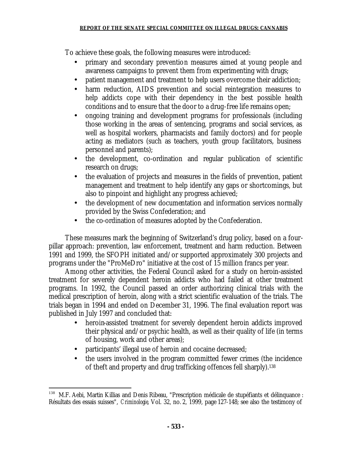To achieve these goals, the following measures were introduced:

- primary and secondary prevention measures aimed at young people and awareness campaigns to prevent them from experimenting with drugs;
- patient management and treatment to help users overcome their addiction;
- harm reduction, AIDS prevention and social reintegration measures to help addicts cope with their dependency in the best possible health conditions and to ensure that the door to a drug-free life remains open;
- ongoing training and development programs for professionals (including those working in the areas of sentencing, programs and social services, as well as hospital workers, pharmacists and family doctors) and for people acting as mediators (such as teachers, youth group facilitators, business personnel and parents);
- the development, co-ordination and regular publication of scientific research on drugs;
- the evaluation of projects and measures in the fields of prevention, patient management and treatment to help identify any gaps or shortcomings, but also to pinpoint and highlight any progress achieved;
- the development of new documentation and information services normally provided by the Swiss Confederation; and
- the co-ordination of measures adopted by the Confederation.

These measures mark the beginning of Switzerland's drug policy, based on a fourpillar approach: prevention, law enforcement, treatment and harm reduction. Between 1991 and 1999, the SFOPH initiated and/or supported approximately 300 projects and programs under the "ProMeDro" initiative at the cost of 15 million francs per year.

Among other activities, the Federal Council asked for a study on heroin-assisted treatment for severely dependent heroin addicts who had failed at other treatment programs. In 1992, the Council passed an order authorizing clinical trials with the medical prescription of heroin, along with a strict scientific evaluation of the trials. The trials began in 1994 and ended on December 31, 1996. The final evaluation report was published in July 1997 and concluded that:

- heroin-assisted treatment for severely dependent heroin addicts improved their physical and/or psychic health, as well as their quality of life (in terms of housing, work and other areas);
- participants' illegal use of heroin and cocaine decreased;
- the users involved in the program committed fewer crimes (the incidence of theft and property and drug trafficking offences fell sharply).<sup>138</sup>

 $\overline{a}$ 138 M.F. Aebi, Martin Killias and Denis Ribeau, "Prescription médicale de stupéfiants et délinquance : Résultats des essais suisses", *Criminologie*, Vol. 32, no. 2, 1999, page 127-148; see also the testimony of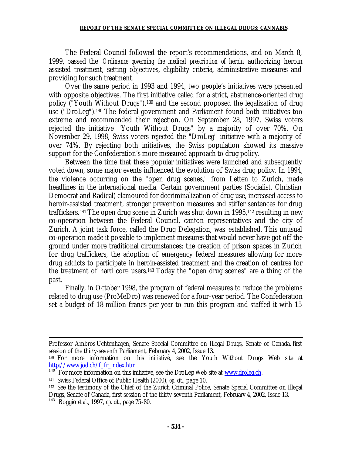The Federal Council followed the report's recommendations, and on March 8, 1999, passed the *Ordinance governing the medical prescription of heroin* authorizing heroin assisted treatment, setting objectives, eligibility criteria, administrative measures and providing for such treatment.

Over the same period in 1993 and 1994, two people's initiatives were presented with opposite objectives. The first initiative called for a strict, abstinence-oriented drug policy ("Youth Without Drugs"),<sup>139</sup> and the second proposed the legalization of drug use ("DroLeg").<sup>140</sup> The federal government and Parliament found both initiatives too extreme and recommended their rejection. On September 28, 1997, Swiss voters rejected the initiative "Youth Without Drugs" by a majority of over 70%. On November 29, 1998, Swiss voters rejected the "DroLeg" initiative with a majority of over 74%. By rejecting both initiatives, the Swiss population showed its massive support for the Confederation's more measured approach to drug policy.

Between the time that these popular initiatives were launched and subsequently voted down, some major events influenced the evolution of Swiss drug policy. In 1994, the violence occurring on the "open drug scenes," from Letten to Zurich, made headlines in the international media. Certain government parties (Socialist, Christian Democrat and Radical) clamoured for decriminalization of drug use, increased access to heroin-assisted treatment, stronger prevention measures and stiffer sentences for drug traffickers.<sup>141</sup> The open drug scene in Zurich was shut down in 1995,142 resulting in new co-operation between the Federal Council, canton representatives and the city of Zurich. A joint task force, called the Drug Delegation, was established. This unusual co-operation made it possible to implement measures that would never have got off the ground under more traditional circumstances: the creation of prison spaces in Zurich for drug traffickers, the adoption of emergency federal measures allowing for more drug addicts to participate in heroin-assisted treatment and the creation of centres for the treatment of hard core users.<sup>143</sup> Today the "open drug scenes" are a thing of the past.

Finally, in October 1998, the program of federal measures to reduce the problems related to drug use (ProMeDro) was renewed for a four-year period. The Confederation set a budget of 18 million francs per year to run this program and staffed it with 15

 $\overline{a}$ Professor Ambros Uchtenhagen, Senate Special Committee on Illegal Drugs, Senate of Canada, first session of the thirty-seventh Parliament, February 4, 2002, Issue 13.

<sup>139</sup> For more information on this initiative, see the Youth Without Drugs Web site at http://www.jod.ch/f\_fr\_index.htm.

 $140<sup>°</sup>$  For more information on this initiative, see the DroLeg Web site at www.droleg.ch.

<sup>141</sup> Swiss Federal Office of Public Health (2000), *op. cit.,* page 10.

<sup>142</sup> See the testimony of the Chief of the Zurich Criminal Police, Senate Special Committee on Illegal Drugs, Senate of Canada, first session of the thirty-seventh Parliament, February 4, 2002, Issue 13.

<sup>143</sup> Boggio *et al.*, 1997, *op. cit.,* page 75-80.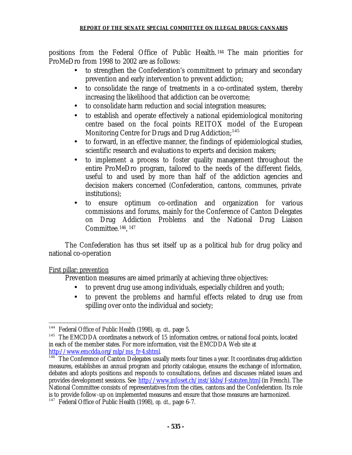positions from the Federal Office of Public Health. <sup>144</sup> The main priorities for ProMeDro from 1998 to 2002 are as follows:

- to strengthen the Confederation's commitment to primary and secondary prevention and early intervention to prevent addiction;
- to consolidate the range of treatments in a co-ordinated system, thereby increasing the likelihood that addiction can be overcome;
- to consolidate harm reduction and social integration measures;
- to establish and operate effectively a national epidemiological monitoring centre based on the focal points REITOX model of the European Monitoring Centre for Drugs and Drug Addiction;<sup>145</sup>
- to forward, in an effective manner, the findings of epidemiological studies, scientific research and evaluations to experts and decision makers;
- to implement a process to foster quality management throughout the entire ProMeDro program, tailored to the needs of the different fields, useful to and used by more than half of the addiction agencies and decision makers concerned (Confederation, cantons, communes, private institutions);
- to ensure optimum co-ordination and organization for various commissions and forums, mainly for the Conference of Canton Delegates on Drug Addiction Problems and the National Drug Liaison Committee.<sup>146</sup>, <sup>147</sup>

The Confederation has thus set itself up as a political hub for drug policy and national co-operation

First pillar: prevention

Prevention measures are aimed primarily at achieving three objectives:

- to prevent drug use among individuals, especially children and youth;
- to prevent the problems and harmful effects related to drug use from spilling over onto the individual and society;

 $\overline{a}$ <sup>144</sup> Federal Office of Public Health (1998), *op. cit.,* page 5.

<sup>&</sup>lt;sup>145</sup> The EMCDDA coordinates a network of 15 information centres, or national focal points, located in each of the member states. For more information, visit the EMCDDA Web site at http://www.emcdda.org/mlp/ms\_fr-4.shtml.

 $146^{\degree}$  The Conference of Canton Delegates usually meets four times a year. It coordinates drug addiction measures, establishes an annual program and priority catalogue, ensures the exchange of information, debates and adopts positions and responds to consultations, defines and discusses related issues and provides development sessions. See http://www.infoset.ch/inst/kkbs/f-statuten.html (in French). The National Committee consists of representatives from the cities, cantons and the Confederation. Its role is to provide follow-up on implemented measures and ensure that those measures are harmonized. <sup>147</sup> Federal Office of Public Health (1998), op. cit., page 6-7.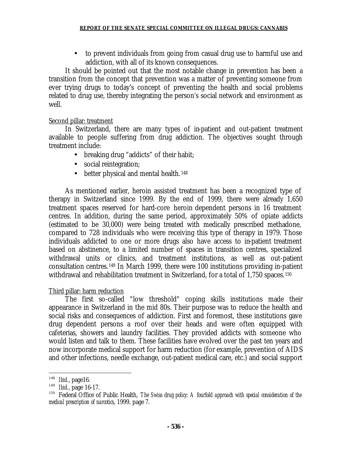• to prevent individuals from going from casual drug use to harmful use and addiction, with all of its known consequences.

It should be pointed out that the most notable change in prevention has been a transition from the concept that prevention was a matter of preventing someone from ever trying drugs to today's concept of preventing the health and social problems related to drug use, thereby integrating the person's social network and environment as well.

# Second pillar: treatment

In Switzerland, there are many types of in-patient and out-patient treatment available to people suffering from drug addiction. The objectives sought through treatment include:

- breaking drug "addicts" of their habit;
- social reintegration;
- better physical and mental health.<sup>148</sup>

As mentioned earlier, heroin assisted treatment has been a recognized type of therapy in Switzerland since 1999. By the end of 1999, there were already 1,650 treatment spaces reserved for hard-core heroin dependent persons in 16 treatment centres. In addition, during the same period, approximately 50% of opiate addicts (estimated to be 30,000) were being treated with medically prescribed methadone, compared to 728 individuals who were receiving this type of therapy in 1979. Those individuals addicted to one or more drugs also have access to in-patient treatment based on abstinence, to a limited number of spaces in transition centres, specialized withdrawal units or clinics, and treatment institutions, as well as out-patient consultation centres.149 In March 1999, there were 100 institutions providing in-patient withdrawal and rehabilitation treatment in Switzerland, for a total of 1,750 spaces.<sup>150</sup>

# Third pillar: harm reduction

The first so-called "low threshold" coping skills institutions made their appearance in Switzerland in the mid 80s. Their purpose was to reduce the health and social risks and consequences of addiction. First and foremost, these institutions gave drug dependent persons a roof over their heads and were often equipped with cafeterias, showers and laundry facilities. They provided addicts with someone who would listen and talk to them. These facilities have evolved over the past ten years and now incorporate medical support for harm reduction (for example, prevention of AIDS and other infections, needle exchange, out-patient medical care, etc.) and social support

 $\overline{a}$ <sup>148</sup> *Ibid.*, page16.

<sup>149</sup> *Ibid.*, page 16-17.

<sup>&</sup>lt;sup>150</sup> Federal Office of Public Health, *The Swiss drug policy: A fourfold approach with special consideration of the medical prescription of narcotics*, 1999, page 7.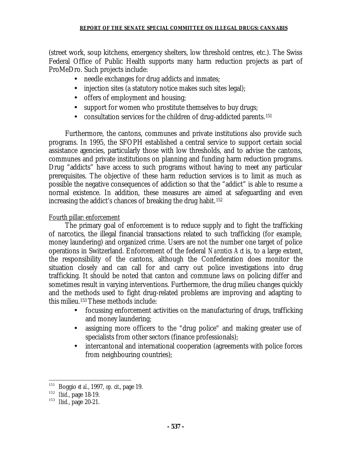(street work, soup kitchens, emergency shelters, low threshold centres, etc.). The Swiss Federal Office of Public Health supports many harm reduction projects as part of ProMeDro. Such projects include:

- needle exchanges for drug addicts and inmates;
- injection sites (a statutory notice makes such sites legal);
- offers of employment and housing;
- support for women who prostitute themselves to buy drugs;
- consultation services for the children of drug-addicted parents.<sup>151</sup>

Furthermore, the cantons, communes and private institutions also provide such programs. In 1995, the SFOPH established a central service to support certain social assistance agencies, particularly those with low thresholds, and to advise the cantons, communes and private institutions on planning and funding harm reduction programs. Drug "addicts" have access to such programs without having to meet any particular prerequisites. The objective of these harm reduction services is to limit as much as possible the negative consequences of addiction so that the "addict" is able to resume a normal existence. In addition, these measures are aimed at safeguarding and even increasing the addict's chances of breaking the drug habit.<sup>152</sup>

## Fourth pillar: enforcement

The primary goal of enforcement is to reduce supply and to fight the trafficking of narcotics, the illegal financial transactions related to such trafficking (for example, money laundering) and organized crime. Users are not the number one target of police operations in Switzerland. Enforcement of the federal *Narcotics Act* is, to a large extent, the responsibility of the cantons, although the Confederation does monitor the situation closely and can call for and carry out police investigations into drug trafficking. It should be noted that canton and commune laws on policing differ and sometimes result in varying interventions. Furthermore, the drug milieu changes quickly and the methods used to fight drug-related problems are improving and adapting to this milieu.<sup>153</sup> These methods include:

- focussing enforcement activities on the manufacturing of drugs, trafficking and money laundering;
- assigning more officers to the "drug police" and making greater use of specialists from other sectors (finance professionals);
- intercantonal and international cooperation (agreements with police forces from neighbouring countries);

<sup>151</sup> <sup>151</sup> Boggio *et al.*, 1997, *op. cit.*, page 19.

<sup>152</sup> *Ibid.*, page 18-19.

<sup>153</sup> *Ibid.*, page 20-21.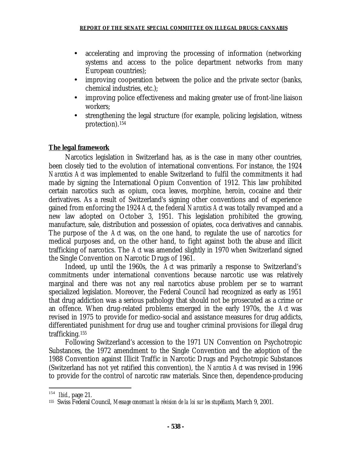- accelerating and improving the processing of information (networking systems and access to the police department networks from many European countries);
- improving cooperation between the police and the private sector (banks, chemical industries, etc.);
- improving police effectiveness and making greater use of front-line liaison workers;
- strengthening the legal structure (for example, policing legislation, witness protection).<sup>154</sup>

# *The legal framework*

Narcotics legislation in Switzerland has, as is the case in many other countries, been closely tied to the evolution of international conventions. For instance, the 1924 *Narcotics Act* was implemented to enable Switzerland to fulfil the commitments it had made by signing the International Opium Convention of 1912. This law prohibited certain narcotics such as opium, coca leaves, morphine, heroin, cocaine and their derivatives. As a result of Switzerland's signing other conventions and of experience gained from enforcing the 1924 *Act*, the federal *Narcotics Act* was totally revamped and a new law adopted on October 3, 1951. This legislation prohibited the growing, manufacture, sale, distribution and possession of opiates, coca derivatives and cannabis. The purpose of the *Act* was, on the one hand, to regulate the use of narcotics for medical purposes and, on the other hand, to fight against both the abuse and illicit trafficking of narcotics. The *Act* was amended slightly in 1970 when Switzerland signed the Single Convention on Narcotic Drugs of 1961.

Indeed, up until the 1960s, the *Act* was primarily a response to Switzerland's commitments under international conventions because narcotic use was relatively marginal and there was not any real narcotics abuse problem per se to warrant specialized legislation. Moreover, the Federal Council had recognized as early as 1951 that drug addiction was a serious pathology that should not be prosecuted as a crime or an offence. When drug-related problems emerged in the early 1970s, the *Act* was revised in 1975 to provide for medico-social and assistance measures for drug addicts, differentiated punishment for drug use and tougher criminal provisions for illegal drug trafficking.<sup>155</sup>

Following Switzerland's accession to the 1971 UN Convention on Psychotropic Substances, the 1972 amendment to the Single Convention and the adoption of the 1988 Convention against Illicit Traffic in Narcotic Drugs and Psychotropic Substances (Switzerland has not yet ratified this convention), the *Narcotics Act* was revised in 1996 to provide for the control of narcotic raw materials. Since then, dependence-producing

 $\overline{a}$ 

<sup>154</sup> *Ibid.*, page 21.

<sup>155</sup> Swiss Federal Council, *Message concernant la révision de la loi sur les stupéfiants*, March 9, 2001.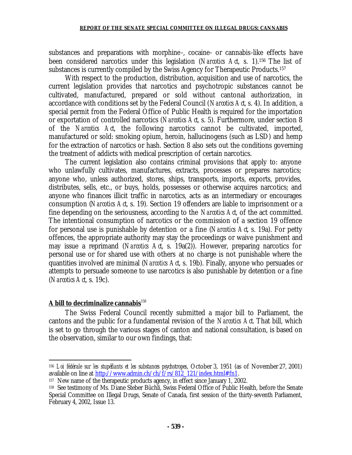substances and preparations with morphine -, cocaine- or cannabis-like effects have been considered narcotics under this legislation (*Narcotics Act*, s. 1).<sup>156</sup> The list of substances is currently compiled by the Swiss Agency for Therapeutic Products.<sup>157</sup>

With respect to the production, distribution, acquisition and use of narcotics, the current legislation provides that narcotics and psychotropic substances cannot be cultivated, manufactured, prepared or sold without cantonal authorization, in accordance with conditions set by the Federal Council (*Narcotics Act*, s. 4). In addition, a special permit from the Federal Office of Public Health is required for the importation or exportation of controlled narcotics (*Narcotics Act*, s. 5). Furthermore, under section 8 of the *Narcotics Act*, the following narcotics cannot be cultivated, imported, manufactured or sold: smoking opium, heroin, hallucinogens (such as LSD) and hemp for the extraction of narcotics or hash. Section 8 also sets out the conditions governing the treatment of addicts with medical prescription of certain narcotics.

The current legislation also contains criminal provisions that apply to: anyone who unlawfully cultivates, manufactures, extracts, processes or prepares narcotics; anyone who, unless authorized, stores, ships, transports, imports, exports, provides, distributes, sells, etc., or buys, holds, possesses or otherwise acquires narcotics; and anyone who finances illicit traffic in narcotics, acts as an intermediary or encourages consumption (*Narcotics Act*, s. 19). Section 19 offenders are liable to imprisonment or a fine depending on the seriousness, according to the *Narcotics Act*, of the act committed. The intentional consumption of narcotics or the commission of a section 19 offence for personal use is punishable by detention or a fine (*Narcotics Act*, s. 19a). For petty offences, the appropriate authority may stay the proceedings or waive punishment and may issue a reprimand (*Narcotics Act*, s. 19a(2)). However, preparing narcotics for personal use or for shared use with others at no charge is not punishable where the quantities involved are minimal (*Narcotics Act*, s. 19b). Finally, anyone who persuades or attempts to persuade someone to use narcotics is also punishable by detention or a fine (*Narcotics Act*, s. 19c).

## A *bill to decriminalize cannabis*<sup>158</sup>

The Swiss Federal Council recently submitted a major bill to Parliament, the cantons and the public for a fundamental revision of the *Narcotics Act*. That bill, which is set to go through the various stages of canton and national consultation, is based on the observation, similar to our own findings, that:

 $\overline{a}$ <sup>156</sup> *Loi fédérale sur les stupéfiants et les substances psychotropes*, October 3, 1951 (as of November 27, 2001) available on line at http://www.admin.ch/ch/f/rs/812\_121/index.html#fn1.

<sup>157</sup> New name of the therapeutic products agency, in effect since January 1, 2002.

<sup>158</sup> See testimony of Ms. Diane Steber Büchli, Swiss Federal Office of Public Health, before the Senate Special Committee on Illegal Drugs, Senate of Canada, first session of the thirty-seventh Parliament, February 4, 2002, Issue 13.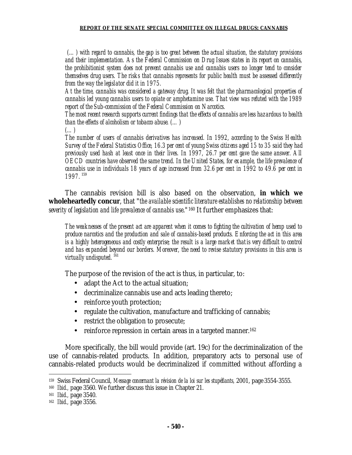#### **REPORT OF THE SENATE SPECIAL COMMITTEE ON ILLEGAL DRUGS: CANNABIS**

 *(…) with regard to cannabis, the gap is too great between the actual situation, the statutory provisions and their implementation. As the Federal Commission on Drug Issues states in its report on cannabis, the prohibitionist system does not prevent cannabis use and cannabis users no longer tend to consider themselves drug users. The risks that cannabis represents for public health must be assessed differently from the way the legislator did it in 1975.*

*At the time, cannabis was considered a gateway drug. It was felt that the pharmacological properties of cannabis led young cannabis users to opiate or amphetamine use. That view was refuted with the 1989 report of the Sub-commission of the Federal Commission on Narcotics.*

*The most recent research supports current findings that the effects of cannabis are less hazardous to health than the effects of alcoholism or tobacco abuse. (…)*

*(…)*

*The number of users of cannabis derivatives has increased. In 1992, according to the Swiss Health Survey of the Federal Statistics Office, 16.3 per cent of young Swiss citizens aged 15 to 35 said they had previously used hash at least once in their lives. In 1997, 26.7 per cent gave the same answer. All OECD countries have observed the same trend. In the United States, for example, the life prevalence of cannabis use in individuals 18 years of age increased from 32.6 per cent in 1992 to 49.6 per cent in 1997.* <sup>159</sup>

The cannabis revision bill is also based on the observation, **in which we wholeheartedly concur**, that "*the available scientific literature establishes no relationship between severity of legislation and life prevalence of cannabis use*."160 It further emphasizes that:

*The weaknesses of the present act are apparent when it comes to fighting the cultivation of hemp used to produce narcotics and the production and sale of cannabis-based products. Enforcing the act in this area is a highly heterogeneous and costly enterprise; the result is a large market that is very difficult to control and has expanded beyond our borders. Moreover, the need to revise statutory provisions in this area is virtually undisputed.* <sup>161</sup>

The purpose of the revision of the act is thus, in particular, to:

- adapt the Act to the actual situation;
- decriminalize cannabis use and acts leading thereto;
- reinforce youth protection;
- regulate the cultivation, manufacture and trafficking of cannabis;
- restrict the obligation to prosecute;
- reinforce repression in certain areas in a targeted manner.<sup>162</sup>

More specifically, the bill would provide (art. 19c) for the decriminalization of the use of cannabis-related products. In addition, preparatory acts to personal use of cannabis-related products would be decriminalized if committed without affording a

 $\overline{a}$ <sup>159</sup> Swiss Federal Council, *Message concernant la révision de la loi sur les stupéfiants,* 2001, page 3554-3555.

<sup>160</sup> *Ibid.,* page 3560. We further discuss this issue in Chapter 21.

<sup>161</sup> *Ibid.,* page 3540.

<sup>162</sup> *Ibid.,* page 3556.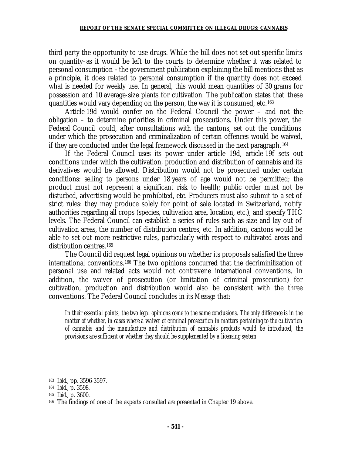third party the opportunity to use drugs. While the bill does not set out specific limits on quantity–as it would be left to the courts to determine whether it was related to personal consumption - the government publication explaining the bill mentions that as a principle, it does related to personal consumption if the quantity does not exceed what is needed for weekly use. In general, this would mean quantities of 30 grams for possession and 10 average-size plants for cultivation. The publication states that these quantities would vary depending on the person, the way it is consumed, etc.<sup>163</sup>

Article 19d would confer on the Federal Council the power – and not the obligation – to determine priorities in criminal prosecutions. Under this power, the Federal Council could, after consultations with the cantons, set out the conditions under which the prosecution and criminalization of certain offences would be waived, if they are conducted under the legal framework discussed in the next paragraph. <sup>164</sup>

If the Federal Council uses its power under article 19d, article 19f sets out conditions under which the cultivation, production and distribution of cannabis and its derivatives would be allowed. Distribution would not be prosecuted under certain conditions: selling to persons under 18 years of age would not be permitted; the product must not represent a significant risk to health; public order must not be disturbed, advertising would be prohibited, etc. Producers must also submit to a set of strict rules: they may produce solely for point of sale located in Switzerland, notify authorities regarding all crops (species, cultivation area, location, etc.), and specify THC levels. The Federal Council can establish a series of rules such as size and lay out of cultivation areas, the number of distribution centres, etc. In addition, cantons would be able to set out more restrictive rules, particularly with respect to cultivated areas and distribution centres.<sup>165</sup>

The Council did request legal opinions on whether its proposals satisfied the three international conventions.166 The two opinions concurred that the decriminilization of personal use and related acts would not contravene international conventions. In addition, the waiver of prosecution (or limitation of criminal prosecution) for cultivation, production and distribution would also be consistent with the three conventions. The Federal Council concludes in its *Message* that:

*In their essential points, the two legal opinions come to the same conclusions. The only difference is in the matter of whether, in cases where a waiver of criminal prosecution in matters pertaining to the cultivation of cannabis and the manufacture and distribution of cannabis products would be introduced, the provisions are sufficient or whether they should be supplemented by a licensing system.* 

 $\overline{a}$ 

<sup>163</sup> *Ibid.,* pp. 3596-3597.

<sup>164</sup> *Ibid.,* p. 3598.

<sup>165</sup> *Ibid.,* p. 3600.

<sup>166</sup> The findings of one of the experts consulted are presented in Chapter 19 above.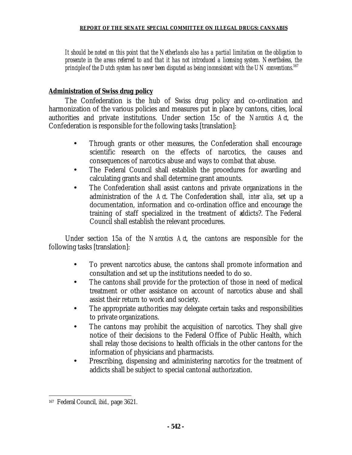#### **REPORT OF THE SENATE SPECIAL COMMITTEE ON ILLEGAL DRUGS: CANNABIS**

*It should be noted on this point that the Netherlands also has a partial limitation on the obligation to prosecute in the areas referred to and that it has not introduced a licensing system. Nevertheless, the principle of the Dutch system has never been disputed as being inconsistent with the UN conventions.*<sup>167</sup>

# *Administration of Swiss drug policy*

The Confederation is the hub of Swiss drug policy and co-ordination and harmonization of the various policies and measures put in place by cantons, cities, local authorities and private institutions. Under section 15c of the *Narcotics Act*, the Confederation is responsible for the following tasks [translation]:

- Through grants or other measures, the Confederation shall encourage scientific research on the effects of narcotics, the causes and consequences of narcotics abuse and ways to combat that abuse.
- The Federal Council shall establish the procedures for awarding and calculating grants and shall determine grant amounts.
- The Confederation shall assist cantons and private organizations in the administration of the *Act*. The Confederation shall, *inter alia*, set up a documentation, information and co-ordination office and encourage the training of staff specialized in the treatment of addicts?. The Federal Council shall establish the relevant procedures.

Under section 15a of the *Narcotics Act*, the cantons are responsible for the following tasks [translation]:

- To prevent narcotics abuse, the cantons shall promote information and consultation and set up the institutions needed to do so.
- The cantons shall provide for the protection of those in need of medical treatment or other assistance on account of narcotics abuse and shall assist their return to work and society.
- The appropriate authorities may delegate certain tasks and responsibilities to private organizations.
- The cantons may prohibit the acquisition of narcotics. They shall give notice of their decisions to the Federal Office of Public Health, which shall relay those decisions to health officials in the other cantons for the information of physicians and pharmacists.
- Prescribing, dispensing and administering narcotics for the treatment of addicts shall be subject to special cantonal authorization.

 $\overline{a}$ 167 Federal Council, *ibid.,* page 3621.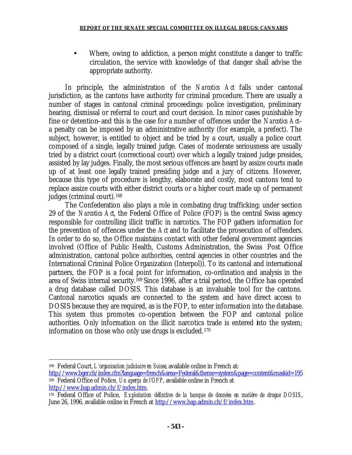Where, owing to addiction, a person might constitute a danger to traffic circulation, the service with knowledge of that danger shall advise the appropriate authority.

In principle, the administration of the *Narcotics Act* falls under cantonal jurisdiction, as the cantons have authority for criminal procedure. There are usually a number of stages in cantonal criminal proceedings: police investigation, preliminary hearing, dismissal or referral to court and court decision. In minor cases punishable by fine or detention–and this is the case for a number of offences under the *Narcotics Act*– a penalty can be imposed by an administrative authority (for example, a prefect). The subject, however, is entitled to object and be tried by a court, usually a police court composed of a single, legally trained judge. Cases of moderate seriousness are usually tried by a district court (correctional court) over which a legally trained judge presides, assisted by lay judges. Finally, the most serious offences are heard by assize courts made up of at least one legally trained presiding judge and a jury of citizens. However, because this type of procedure is lengthy, elaborate and costly, most cantons tend to replace assize courts with either district courts or a higher court made up of permanent judges (criminal court).<sup>168</sup>

The Confederation also plays a role in combating drug trafficking; under section 29 of the *Narcotics Act*, the Federal Office of Police (FOP) is the central Swiss agency responsible for controlling illicit traffic in narcotics. The FOP gathers information for the prevention of offences under the *Act* and to facilitate the prosecution of offenders. In order to do so, the Office maintains contact with other federal government agencies involved (Office of Public Health, Customs Administration, the Swiss Post Office administration, cantonal police authorities, central agencies in other countries and the International Criminal Police Organization (Interpol)). To its cantonal and international partners, the FOP is a focal point for information, co-ordination and analysis in the area of Swiss internal security.<sup>169</sup> Since 1996, after a trial period, the Office has operated a drug database called DOSIS. This database is an invaluable tool for the cantons. Cantonal narcotics squads are connected to the system and have direct access to DOSIS because they are required, as is the FOP, to enter information into the database. This system thus promotes co-operation between the FOP and cantonal police authorities. Only information on the illicit narcotics trade is entered into the system; information on those who only use drugs is excluded.<sup>170</sup>

 $\overline{a}$ <sup>168</sup> Federal Court, *L'organisation judiciaire en Suisse*, available online in French at: http://www.bger.ch/index.cfm?language=french&area=Federal&theme=system&page=content&maskid=195 <sup>169</sup> Federal Office of Police, *Un aperçu de l'OFP*, available online in French at http://www.bap.admin.ch/f/index.htm.

<sup>170</sup> Federal Office of Police, *Exploitation définitive de la banque de données en matière de drogue DOSIS*, June 26, 1996, available online in French at http://www.bap.admin.ch/f/index.htm.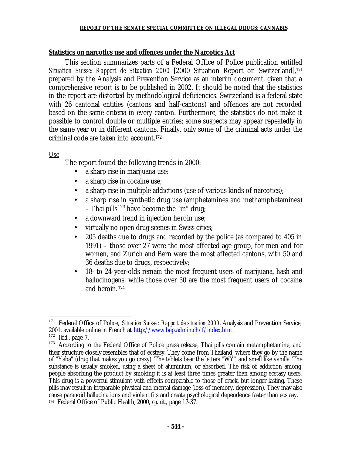#### **REPORT OF THE SENATE SPECIAL COMMITTEE ON ILLEGAL DRUGS: CANNABIS**

### *Statistics on narcotics use and offences under the Narcotics Act*

This section summarizes parts of a Federal Office of Police publication entitled *Situation Suisse: Rapport de Situation 2000* [2000 Situation Report on Switzerland],<sup>171</sup> prepared by the Analysis and Prevention Service as an interim document, given that a comprehensive report is to be published in 2002. It should be noted that the statistics in the report are distorted by methodological deficiencies. Switzerland is a federal state with 26 cantonal entities (cantons and half-cantons) and offences are not recorded based on the same criteria in every canton. Furthermore, the statistics do not make it possible to control double or multiple entries; some suspects may appear repeatedly in the same year or in different cantons. Finally, only some of the criminal acts under the criminal code are taken into account.<sup>172</sup>

### Use

The report found the following trends in 2000:

- a sharp rise in marijuana use;
- a sharp rise in cocaine use;
- a sharp rise in multiple addictions (use of various kinds of narcotics);
- a sharp rise in synthetic drug use (amphetamines and methamphetamines)  $-$  Thai pills<sup>173</sup> have become the "in" drug;
- a downward trend in injection heroin use;
- virtually no open drug scenes in Swiss cities;
- 205 deaths due to drugs and recorded by the police (as compared to 405 in 1991) – those over 27 were the most affected age group, for men and for women, and Zurich and Bern were the most affected cantons, with 50 and 36 deaths due to drugs, respectively;
- 18- to 24-year-olds remain the most frequent users of marijuana, hash and hallucinogens, while those over 30 are the most frequent users of cocaine and heroin. <sup>174</sup>

 171 Federal Office of Police, *Situation Suisse : Rapport de situation 2000*, Analysis and Prevention Service, 2001, available online in French at http://www.bap.admin.ch/f/index.htm.

*Ibid.*, page 7.

<sup>&</sup>lt;sup>173</sup> According to the Federal Office of Police press release, Thai pills contain metamphetamine, and their structure closely resembles that of ecstasy. They come from Thailand, where they go by the name of "Yaba" (drug that makes you go crazy). The tablets bear the letters "WY" and smell like vanilla. The substance is usually smoked, using a sheet of aluminium, or absorbed. The risk of addiction among people absorbing the product by smoking it is at least three times greater than among ecstasy users. This drug is a powerful stimulant with effects comparable to those of crack, but longer lasting. These pills may result in irreparable physical and mental damage (loss of memory, depression). They may also cause paranoid hallucinations and violent fits and create psychological dependence faster than ecstasy. 174Federal Office of Public Health, 2000, *op. cit.,* page 17-37.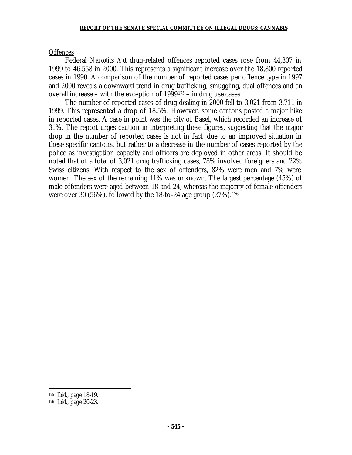### **Offences**

Federal *Narcotics Act* drug-related offences reported cases rose from 44,307 in 1999 to 46,558 in 2000. This represents a significant increase over the 18,800 reported cases in 1990. A comparison of the number of reported cases per offence type in 1997 and 2000 reveals a downward trend in drug trafficking, smuggling, dual offences and an overall increase – with the exception of 1999<sup>175</sup> – in drug use cases.

The number of reported cases of drug dealing in 2000 fell to 3,021 from 3,711 in 1999. This represented a drop of 18.5%. However, some cantons posted a major hike in reported cases. A case in point was the city of Basel, which recorded an increase of 31%. The report urges caution in interpreting these figures, suggesting that the major drop in the number of reported cases is not in fact due to an improved situation in these specific cantons, but rather to a decrease in the number of cases reported by the police as investigation capacity and officers are deployed in other areas. It should be noted that of a total of 3,021 drug trafficking cases, 78% involved foreigners and 22% Swiss citizens. With respect to the sex of offenders, 82% were men and 7% were women. The sex of the remaining 11% was unknown. The largest percentage (45%) of male offenders were aged between 18 and 24, whereas the majority of female offenders were over 30 (56%), followed by the 18-to-24 age group (27%).<sup>176</sup>

 $\overline{a}$ 

<sup>175</sup> *Ibid.*, page 18-19.

<sup>176</sup> *Ibid.*, page 20-23.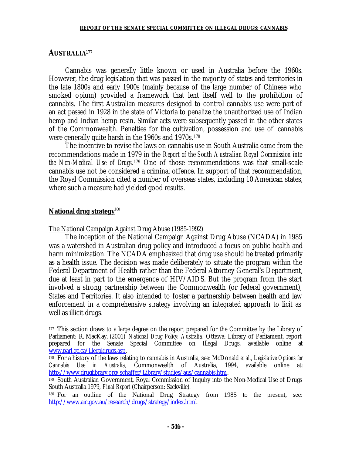## **AUSTRALIA**<sup>177</sup>

Cannabis was generally little known or used in Australia before the 1960s. However, the drug legislation that was passed in the majority of states and territories in the late 1800s and early 1900s (mainly because of the large number of Chinese who smoked opium) provided a framework that lent itself well to the prohibition of cannabis. The first Australian measures designed to control cannabis use were part of an act passed in 1928 in the state of Victoria to penalize the unauthorized use of Indian hemp and Indian hemp resin. Similar acts were subsequently passed in the other states of the Commonwealth. Penalties for the cultivation, possession and use of cannabis were generally quite harsh in the 1960s and 1970s.<sup>178</sup>

The incentive to revise the laws on cannabis use in South Australia came from the recommendations made in 1979 in the *Report of the South Australian Royal Commission into the Non-Medical Use of Drugs.*179 One of those recommendations was that small-scale cannabis use not be considered a criminal offence. In support of that recommendation, the Royal Commission cited a number of overseas states, including 10 American states, where such a measure had yielded good results.

## *National drug strategy*<sup>180</sup>

The National Campaign Against Drug Abuse (1985-1992)

The inception of the National Campaign Against Drug Abuse (NCADA) in 1985 was a watershed in Australian drug policy and introduced a focus on public health and harm minimization. The NCADA emphasized that drug use should be treated primarily as a health issue. The decision was made deliberately to situate the program within the Federal Department of Health rather than the Federal Attorney General's Department, due at least in part to the emergence of HIV/AIDS. But the program from the start involved a strong partnership between the Commonwealth (or federal government), States and Territories. It also intended to foster a partnership between health and law enforcement in a comprehensive strategy involving an integrated approach to licit as well as illicit drugs.

 $\overline{a}$ <sup>177</sup> This section draws to a large degree on the report prepared for the Committee by the Library of Parliament: R. MacKay, (2001) *National Drug Policy: Australia*. Ottawa: Library of Parliament, report prepared for the Senate Special Committee on Illegal Drugs, available online at www.parl.gc.ca/illegaldrugs.asp.

<sup>178</sup> For a history of the laws relating to cannabis in Australia, see: McDonald *et al.*, *Legislative Options for Cannabis Use in Australia*, Commonwealth of Australia, 1994, available online at: http://www.druglibrary.org/schaffer/Library/studies/aus/cannabis.htm.

<sup>&</sup>lt;sup>179</sup> South Australian Government, Royal Commission of Inquiry into the Non-Medical Use of Drugs South Australia 1979, *Final Report* (Chairperson: Sackville).

<sup>180</sup> For an outline of the National Drug Strategy from 1985 to the present, see: http://www.aic.gov.au/research/drugs/strategy/index.html.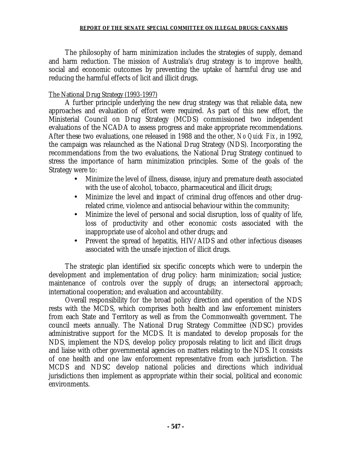The philosophy of harm minimization includes the strategies of supply, demand and harm reduction. The mission of Australia's drug strategy is to improve health, social and economic outcomes by preventing the uptake of harmful drug use and reducing the harmful effects of licit and illicit drugs.

## The National Drug Strategy (1993-1997)

A further principle underlying the new drug strategy was that reliable data, new approaches and evaluation of effort were required. As part of this new effort, the Ministerial Council on Drug Strategy (MCDS) commissioned two independent evaluations of the NCADA to assess progress and make appropriate recommendations. After these two evaluations, one released in 1988 and the other, *No Quick Fix*, in 1992, the campaign was relaunched as the National Drug Strategy (NDS). Incorporating the recommendations from the two evaluations, the National Drug Strategy continued to stress the importance of harm minimization principles. Some of the goals of the Strategy were to:

- Minimize the level of illness, disease, injury and premature death associated with the use of alcohol, tobacco, pharmaceutical and illicit drugs;
- Minimize the level and impact of criminal drug offences and other drugrelated crime, violence and antisocial behaviour within the community;
- Minimize the level of personal and social disruption, loss of quality of life, loss of productivity and other economic costs associated with the inappropriate use of alcohol and other drugs; and
- Prevent the spread of hepatitis, HIV/AIDS and other infectious diseases associated with the unsafe injection of illicit drugs.

The strategic plan identified six specific concepts which were to underpin the development and implementation of drug policy: harm minimization; social justice; maintenance of controls over the supply of drugs; an intersectoral approach; international cooperation; and evaluation and accountability.

Overall responsibility for the broad policy direction and operation of the NDS rests with the MCDS, which comprises both health and law enforcement ministers from each State and Territory as well as from the Commonwealth government. The council meets annually. The National Drug Strategy Committee (NDSC) provides administrative support for the MCDS. It is mandated to develop proposals for the NDS, implement the NDS, develop policy proposals relating to licit and illicit drugs and liaise with other governmental agencies on matters relating to the NDS. It consists of one health and one law enforcement representative from each jurisdiction. The MCDS and NDSC develop national policies and directions which individual jurisdictions then implement as appropriate within their social, political and economic environments.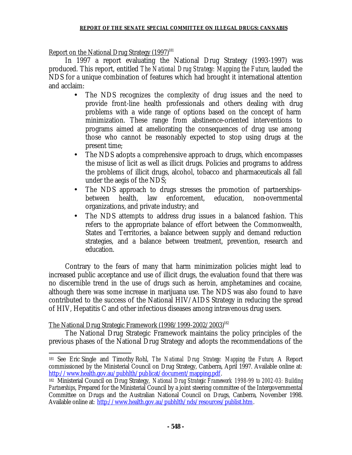#### **REPORT OF THE SENATE SPECIAL COMMITTEE ON ILLEGAL DRUGS: CANNABIS**

Report on the National Drug Strategy  $(1997)^{181}$ 

In 1997 a report evaluating the National Drug Strategy (1993-1997) was produced. This report, entitled *The National Drug Strategy: Mapping the Future*, lauded the NDS for a unique combination of features which had brought it international attention and acclaim:

- The NDS recognizes the complexity of drug issues and the need to provide front-line health professionals and others dealing with drug problems with a wide range of options based on the concept of harm minimization. These range from abstinence-oriented interventions to programs aimed at ameliorating the consequences of drug use among those who cannot be reasonably expected to stop using drugs at the present time;
- The NDS adopts a comprehensive approach to drugs, which encompasses the misuse of licit as well as illicit drugs. Policies and programs to address the problems of illicit drugs, alcohol, tobacco and pharmaceuticals all fall under the aegis of the NDS;
- The NDS approach to drugs stresses the promotion of partnerships– between health, law enforcement, education, non-overnmental organizations, and private industry; and
- The NDS attempts to address drug issues in a balanced fashion. This refers to the appropriate balance of effort between the Commonwealth, States and Territories, a balance between supply and demand reduction strategies, and a balance between treatment, prevention, research and education.

Contrary to the fears of many that harm minimization policies might lead to increased public acceptance and use of illicit drugs, the evaluation found that there was no discernible trend in the use of drugs such as heroin, amphetamines and cocaine, although there was some increase in marijuana use. The NDS was also found to have contributed to the success of the National HIV/AIDS Strategy in reducing the spread of HIV, Hepatitis C and other infectious diseases among intravenous drug users.

# The National Drug Strategic Framework (1998/1999-2002/2003)<sup>182</sup>

The National Drug Strategic Framework maintains the policy principles of the previous phases of the National Drug Strategy and adopts the recommendations of the

 $\overline{a}$ <sup>181</sup> See Eric Single and Timothy Rohl, *The National Drug Strategy: Mapping the Future*, A Report commissioned by the Ministerial Council on Drug Strategy, Canberra, April 1997. Available online at: http://www.health.gov.au/pubhlth/publicat/document/mapping.pdf.

<sup>182</sup> Ministerial Council on Drug Strategy, *National Drug Strategic Framework 1998-99 to 2002-03: Building*  Partnerships, Prepared for the Ministerial Council by a joint steering committee of the Intergovernmental Committee on Drugs and the Australian National Council on Drugs, Canberra, November 1998. Available online at: http://www.health.gov.au/pubhlth/nds/resources/publist.htm.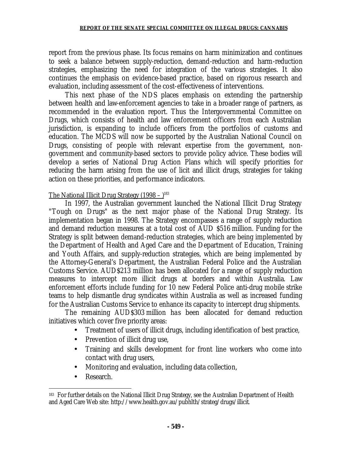report from the previous phase. Its focus remains on harm minimization and continues to seek a balance between supply-reduction, demand-reduction and harm-reduction strategies, emphasizing the need for integration of the various strategies. It also continues the emphasis on evidence-based practice, based on rigorous research and evaluation, including assessment of the cost-effectiveness of interventions.

This next phase of the NDS places emphasis on extending the partnership between health and law-enforcement agencies to take in a broader range of partners, as recommended in the evaluation report. Thus the Intergovernmental Committee on Drugs, which consists of health and law enforcement officers from each Australian jurisdiction, is expanding to include officers from the portfolios of customs and education. The MCDS will now be supported by the Australian National Council on Drugs, consisting of people with relevant expertise from the government, nongovernment and community-based sectors to provide policy advice. These bodies will develop a series of National Drug Action Plans which will specify priorities for reducing the harm arising from the use of licit and illicit drugs, strategies for taking action on these priorities, and performance indicators.

## The National Illicit Drug Strategy  $(1998 -)^{183}$

In 1997, the Australian government launched the National Illicit Drug Strategy "Tough on Drugs" as the next major phase of the National Drug Strategy. Its implementation began in 1998. The Strategy encompasses a range of supply reduction and demand reduction measures at a total cost of AUD \$516 million. Funding for the Strategy is split between demand-reduction strategies, which are being implemented by the Department of Health and Aged Care and the Department of Education, Training and Youth Affairs, and supply-reduction strategies, which are being implemented by the Attorney-General's Department, the Australian Federal Police and the Australian Customs Service. AUD\$213 million has been allocated for a range of supply reduction measures to intercept more illicit drugs at borders and within Australia. Law enforcement efforts include funding for 10 new Federal Police anti-drug mobile strike teams to help dismantle drug syndicates within Australia as well as increased funding for the Australian Customs Service to enhance its capacity to intercept drug shipments.

The remaining AUD\$303 million has been allocated for demand reduction initiatives which cover five priority areas:

- Treatment of users of illicit drugs, including identification of best practice,
- Prevention of illicit drug use,
- Training and skills development for front line workers who come into contact with drug users,
- Monitoring and evaluation, including data collection,
- Research.

 $\overline{a}$ <sup>183</sup> For further details on the National Illicit Drug Strategy, see the Australian Department of Health and Aged Care Web site: http://www.health.gov.au/pubhlth/strateg/drugs/illicit.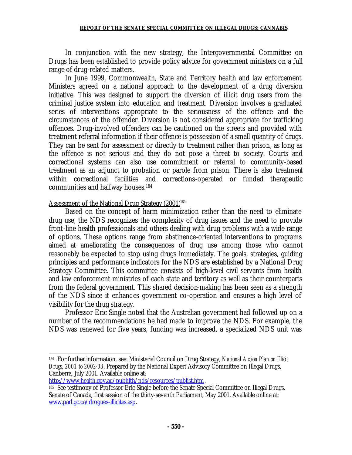In conjunction with the new strategy, the Intergovernmental Committee on Drugs has been established to provide policy advice for government ministers on a full range of drug-related matters.

In June 1999, Commonwealth, State and Territory health and law enforcement Ministers agreed on a national approach to the development of a drug diversion initiative. This was designed to support the diversion of illicit drug users from the criminal justice system into education and treatment. Diversion involves a graduated series of interventions appropriate to the seriousness of the offence and the circumstances of the offender. Diversion is not considered appropriate for trafficking offences. Drug-involved offenders can be cautioned on the streets and provided with treatment referral information if their offence is possession of a small quantity of drugs. They can be sent for assessment or directly to treatment rather than prison, as long as the offence is not serious and they do not pose a threat to society. Courts and correctional systems can also use commitment or referral to community-based treatment as an adjunct to probation or parole from prison. There is also treatment within correctional facilities and corrections-operated or funded therapeutic communities and halfway houses.<sup>184</sup>

## Assessment of the National Drug Strategy  $(2001)^{185}$

Based on the concept of harm minimization rather than the need to eliminate drug use, the NDS recognizes the complexity of drug issues and the need to provide front-line health professionals and others dealing with drug problems with a wide range of options. These options range from abstinence-oriented interventions to programs aimed at ameliorating the consequences of drug use among those who cannot reasonably be expected to stop using drugs immediately. The goals, strategies, guiding principles and performance indicators for the NDS are established by a National Drug Strategy Committee. This committee consists of high-level civil servants from health and law enforcement ministries of each state and territory as well as their counterparts from the federal government. This shared decision-making has been seen as a strength of the NDS since it enhanc es government co-operation and ensures a high level of visibility for the drug strategy.

Professor Eric Single noted that the Australian government had followed up on a number of the recommendations he had made to improve the NDS. For example, the NDS was renewed for five years, funding was increased, a specialized NDS unit was

http://www.health.gov.au/pubhlth/nds/resources/publist.htm.

 $\overline{a}$ <sup>184</sup> For further information, see: Ministerial Council on Drug Strategy, *National Action Plan on Illicit Drugs, 2001 to 2002-03*, Prepared by the National Expert Advisory Committee on Illegal Drugs, Canberra, July 2001. Available online at:

<sup>&</sup>lt;sup>185</sup> See testimony of Professor Eric Single before the Senate Special Committee on Illegal Drugs, Senate of Canada, first session of the thirty-seventh Parliament, May 2001. Available online at: www.parl.gc.ca/drogues-illicites.asp.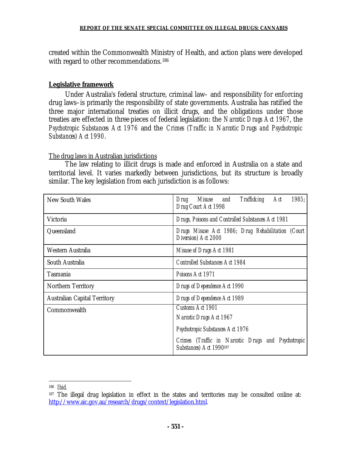created within the Commonwealth Ministry of Health, and action plans were developed with regard to other recommendations.<sup>186</sup>

## *Legislative framework*

Under Australia's federal structure, criminal law– and responsibility for enforcing drug laws–is primarily the responsibility of state governments. Australia has ratified the three major international treaties on illicit drugs, and the obligations under those treaties are effected in three pieces of federal legislation: the *Narcotic Drugs Act 1967*, the *Psychotropic Substances Act 1976* and the *Crimes (Traffic in Narcotic Drugs and Psychotropic Substances) Act 1990*.

### The drug laws in Australian jurisdictions

The law relating to illicit drugs is made and enforced in Australia on a state and territorial level. It varies markedly between jurisdictions, but its structure is broadly similar. The key legislation from each jurisdiction is as follows:

| <b>New South Wales</b>              | Misuse and<br>Trafficking Act<br>1985;<br>Drug<br>Drug Court Act 1998                    |  |  |  |
|-------------------------------------|------------------------------------------------------------------------------------------|--|--|--|
| Victoria                            | Drugs, Poisons and Controlled Substances Act 1981                                        |  |  |  |
| Queensland                          | Drugs Misuse Act 1986; Drug Rehabilitation (Court<br>Diversion) Act 2000                 |  |  |  |
| Western Australia                   | Misuse of Drugs Act 1981                                                                 |  |  |  |
| South Australia                     | Controlled Substances Act 1984                                                           |  |  |  |
| Tasmania                            | Poisons Act 1971                                                                         |  |  |  |
| <b>Northern Territory</b>           | Drugs of Dependence Act 1990                                                             |  |  |  |
| <b>Australian Capital Territory</b> | Drugs of Dependence Act 1989                                                             |  |  |  |
| Commonwealth                        | Customs Act 1901                                                                         |  |  |  |
|                                     | Narcotic Drugs Act 1967                                                                  |  |  |  |
|                                     | Psychotropic Substances Act 1976                                                         |  |  |  |
|                                     | Crimes (Traffic in Narcotic Drugs and Psychotropic<br>Substances) Act 1990 <sup>87</sup> |  |  |  |

 $\overline{a}$ <sup>186</sup> *Ibid.*

<sup>187</sup> The illegal drug legislation in effect in the states and territories may be consulted online at: http://www.aic.gov.au/research/drugs/context/legislation.html.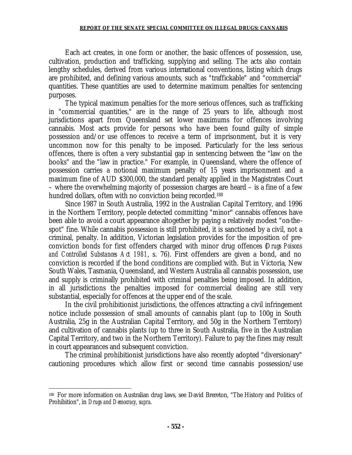Each act creates, in one form or another, the basic offences of possession, use, cultivation, production and trafficking, supplying and selling. The acts also contain lengthy schedules, derived from various international conventions, listing which drugs are prohibited, and defining various amounts, such as "traffickable" and "commercial" quantities. These quantities are used to determine maximum penalties for sentencing purposes.

The typical maximum penalties for the more serious offences, such as trafficking in "commercial quantities," are in the range of 25 years to life, although most jurisdictions apart from Queensland set lower maximums for offences involving cannabis. Most acts provide for persons who have been found guilty of simple possession and/or use offences to receive a term of imprisonment, but it is very uncommon now for this penalty to be imposed. Particularly for the less serious offences, there is often a very substantial gap in sentencing between the "law on the books" and the "law in practice." For example, in Queensland, where the offence of possession carries a notional maximum penalty of 15 years imprisonment and a maximum fine of AUD \$300,000, the standard penalty applied in the Magistrates Court – where the overwhelming majority of possession charges are heard – is a fine of a few hundred dollars, often with no conviction being recorded.<sup>188</sup>

Since 1987 in South Australia, 1992 in the Australian Capital Territory, and 1996 in the Northern Territory, people detected committing "minor" cannabis offences have been able to avoid a court appearance altogether by paying a relatively modest "on-thespot" fine. While cannabis possession is still prohibited, it is sanctioned by a civil, not a criminal, penalty. In addition, Victorian legislation provides for the imposition of preconviction bonds for first offenders charged with minor drug offences (*Drugs Poisons and Controlled Substances Act 1981*, s. 76). First offenders are given a bond, and no conviction is recorded if the bond conditions are complied with. But in Victoria, New South Wales, Tasmania, Queensland, and Western Australia all cannabis possession, use and supply is criminally prohibited with criminal penalties being imposed. In addition, in all jurisdictions the penalties imposed for commercial dealing are still very substantial, especially for offences at the upper end of the scale.

In the civil prohibitionist jurisdictions, the offences attracting a civil infringement notice include possession of small amounts of cannabis plant (up to 100g in South Australia, 25g in the Australian Capital Territory, and 50g in the Northern Territory) and cultivation of cannabis plants (up to three in South Australia, five in the Australian Capital Territory, and two in the Northern Territory). Failure to pay the fines may result in court appearances and subsequent conviction.

The criminal prohibitionist jurisdictions have also recently adopted "diversionary" cautioning procedures which allow first or second time cannabis possession/use

 $\overline{a}$ 

<sup>188</sup> For more information on Australian drug laws, see David Brereton, "The History and Politics of Prohibition", in *Drugs and Democracy*, *supra*.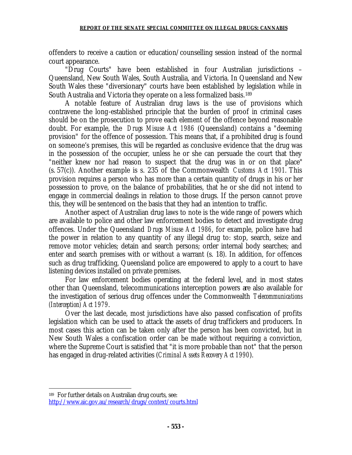offenders to receive a caution or education/counselling session instead of the normal court appearance.

"Drug Courts" have been established in four Australian jurisdictions – Queensland, New South Wales, South Australia, and Victoria. In Queensland and New South Wales these "diversionary" courts have been established by legislation while in South Australia and Victoria they operate on a less formalized basis.<sup>189</sup>

A notable feature of Australian drug laws is the use of provisions which contravene the long -established principle that the burden of proof in criminal cases should be on the prosecution to prove each element of the offence beyond reasonable doubt. For example, the *Drugs Misuse Act 1986* (Queensland) contains a "deeming provision" for the offence of possession. This means that, if a prohibited drug is found on someone's premises, this will be regarded as conclusive evidence that the drug was in the possession of the occupier, unless he or she can persuade the court that they "neither knew nor had reason to suspect that the drug was in or on that place" (s. 57(c)). Another example is s. 235 of the Commonwealth *Customs Act 1901*. This provision requires a person who has more than a certain quantity of drugs in his or her possession to prove, on the balance of probabilities, that he or she did not intend to engage in commercial dealings in relation to those drugs. If the person cannot prove this, they will be sentenced on the basis that they had an intention to traffic.

Another aspect of Australian drug laws to note is the wide range of powers which are available to police and other law enforcement bodies to detect and investigate drug offences. Under the Queensland *Drugs Misuse Act 1986*, for example, police have had the power in relation to any quantity of any illegal drug to: stop, search, seize and remove motor vehicles; detain and search persons; order internal body searches; and enter and search premises with or without a warrant (s. 18). In addition, for offences such as drug trafficking, Queensland police are empowered to apply to a court to have listening devices installed on private premises.

For law enforcement bodies operating at the federal level, and in most states other than Queensland, telecommunications interception powers are also available for the investigation of serious drug offences under the Commonwealth *Telecommunications (Interception) Act 1979*.

Over the last decade, most jurisdictions have also passed confiscation of profits legislation which can be used to attack the assets of drug traffickers and producers. In most cases this action can be taken only after the person has been convicted, but in New South Wales a confiscation order can be made without requiring a conviction, where the Supreme Court is satisfied that "it is more probable than not" that the person has engaged in drug-related activities (*Criminal Assets Recovery Act 1990*).

 $\overline{a}$ 

<sup>189</sup> For further details on Australian drug courts, see:

http://www.aic.gov.au/research/drugs/context/courts.html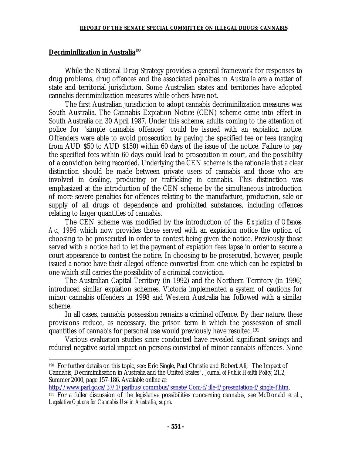## *Decriminilization in Australia*<sup>190</sup>

 $\overline{a}$ 

While the National Drug Strategy provides a general framework for responses to drug problems, drug offences and the associated penalties in Australia are a matter of state and territorial jurisdiction. Some Australian states and territories have adopted cannabis decriminilization measures while others have not.

The first Australian jurisdiction to adopt cannabis decriminilization measures was South Australia. The Cannabis Expiation Notice (CEN) scheme came into effect in South Australia on 30 April 1987. Under this scheme, adults coming to the attention of police for "simple cannabis offences" could be issued with an expiation notice. Offenders were able to avoid prosecution by paying the specified fee or fees (ranging from AUD \$50 to AUD \$150) within 60 days of the issue of the notice. Failure to pay the specified fees within 60 days could lead to prosecution in court, and the possibility of a conviction being recorded. Underlying the CEN scheme is the rationale that a clear distinction should be made between private users of cannabis and those who are involved in dealing, producing or trafficking in cannabis. This distinction was emphasized at the introduction of the CEN scheme by the simultaneous introduction of more severe penalties for offences relating to the manufacture, production, sale or supply of all drugs of dependence and prohibited substances, including offences relating to larger quantities of cannabis.

The CEN scheme was modified by the introduction of the *Expiation of Offences Act, 1996* which now provides those served with an expiation notice the option of choosing to be prosecuted in order to contest being given the notice. Previously those served with a notice had to let the payment of expiation fees lapse in order to secure a court appearance to contest the notice. In choosing to be prosecuted, however, people issued a notice have their alleged offence converted from one which can be expiated to one which still carries the possibility of a criminal conviction.

The Australian Capital Territory (in 1992) and the Northern Territory (in 1996) introduced similar expiation schemes. Victoria implemented a system of cautions for minor cannabis offenders in 1998 and Western Australia has followed with a similar scheme.

In all cases, cannabis possession remains a criminal offence. By their nature, these provisions reduce, as necessary, the prison term in which the possession of small quantities of cannabis for personal use would previously have resulted.<sup>191</sup>

Various evaluation studies since conducted have revealed significant savings and reduced negative social impact on persons convicted of minor cannabis offences. None

<sup>190</sup> For further details on this topic, see: Eric Single, Paul Christie and Robert Ali, "The Impact of Cannabis, Decriminilisation in Australia and the United States", *Journal of Public Health Policy*, 21,2, Summer 2000, page 157-186. Available online at:

http://www.parl.gc.ca/37/1/parlbus/commbus/senate/Com-f/ille-f/presentation-f/single-f.htm. <sup>191</sup> For a fuller discussion of the legislative possibilities concerning cannabis, see McDonald *et al..*, *Legislative Options for Cannabis Use in Australia*, *supra*.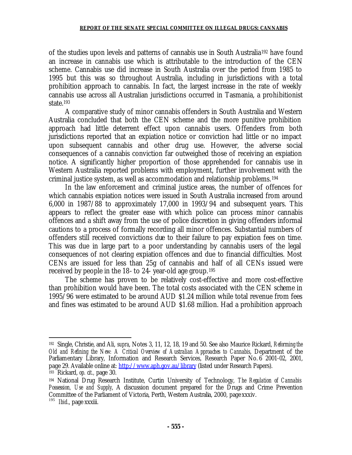of the studies upon levels and patterns of cannabis use in South Australia192 have found an increase in cannabis use which is attributable to the introduction of the CEN scheme. Cannabis use did increase in South Australia over the period from 1985 to 1995 but this was so throughout Australia, including in jurisdictions with a total prohibition approach to cannabis. In fact, the largest increase in the rate of weekly cannabis use across all Australian jurisdictions occurred in Tasmania, a prohibitionist state.<sup>193</sup>

A comparative study of minor cannabis offenders in South Australia and Western Australia concluded that both the CEN scheme and the more punitive prohibition approach had little deterrent effect upon cannabis users. Offenders from both jurisdictions reported that an expiation notice or conviction had little or no impact upon subsequent cannabis and other drug use. However, the adverse social consequences of a cannabis conviction far outweighed those of receiving an expiation notice. A significantly higher proportion of those apprehended for cannabis use in Western Australia reported problems with employment, further involvement with the criminal justice system, as well as accommodation and relationship problems.<sup>194</sup>

In the law enforcement and criminal justice areas, the number of offences for which cannabis expiation notices were issued in South Australia increased from around 6,000 in 1987/88 to approximately 17,000 in 1993/94 and subsequent years. This appears to reflect the greater ease with which police can process minor cannabis offences and a shift away from the use of police discretion in giving offenders informal cautions to a process of formally recording all minor offences. Substantial numbers of offenders still received convictions due to their failure to pay expiation fees on time. This was due in large part to a poor understanding by cannabis users of the legal consequences of not clearing expiation offences and due to financial difficulties. Most CENs are issued for less than 25g of cannabis and half of all CENs issued were received by people in the 18- to 24- year-old age group.<sup>195</sup>

The scheme has proven to be relatively cost-effective and more cost-effective than prohibition would have been. The total costs associated with the CEN scheme in 1995/96 were estimated to be around AUD \$1.24 million while total revenue from fees and fines was estimated to be around AUD \$1.68 million. Had a prohibition approach

 $\overline{a}$ 

<sup>192</sup> Single, Christie, and Ali, *supra*, Notes 3, 11, 12, 18, 19 and 50. See also Maurice Rickard, *Reforming the Old and Refining the New: A Critical Overview of Australian Approaches to Cannabis*, Department of the Parliamentary Library, Information and Research Services, Research Paper No. 6 2001-02, 2001, page 29. Available online at: http://www.aph.gov.au/library (listed under Research Papers).

<sup>193</sup> Rickard, *op. cit.,* page 30.

<sup>194</sup> National Drug Research Institute, Curtin University of Technology, *The Regulation of Cannabis Possession, Use and Supply*, A discussion document prepared for the Drugs and Crime Prevention Committee of the Parliament of Victoria, Perth, Western Australia, 2000, page xxxiv.

<sup>&</sup>lt;sup>195</sup> Ibid., page xxxiii.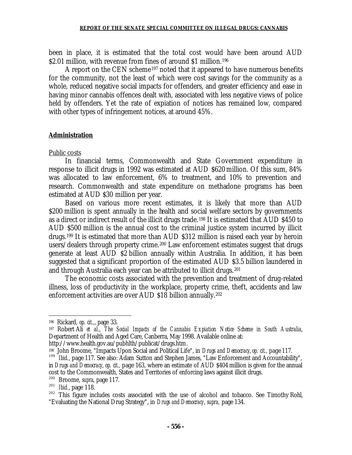been in place, it is estimated that the total cost would have been around AUD \$2.01 million, with revenue from fines of around \$1 million.<sup>196</sup>

A report on the CEN scheme<sup>197</sup> noted that it appeared to have numerous benefits for the community, not the least of which were cost savings for the community as a whole, reduced negative social impacts for offenders, and greater efficiency and ease in having minor cannabis offences dealt with, associated with less negative views of police held by offenders. Yet the rate of expiation of notices has remained low, compared with other types of infringement notices, at around 45%.

### *Administration*

### Public costs

In financial terms, Commonwealth and State Government expenditure in response to illicit drugs in 1992 was estimated at AUD \$620 million. Of this sum, 84% was allocated to law enforcement, 6% to treatment, and 10% to prevention and research. Commonwealth and state expenditure on methadone programs has been estimated at AUD \$30 million per year.

Based on various more recent estimates, it is likely that more than AUD \$200 million is spent annually in the health and social welfare sectors by governments as a direct or indirect result of the illicit drugs trade.198 It is estimated that AUD \$450 to AUD \$500 million is the annual cost to the criminal justice system incurred by illicit drugs.199 It is estimated that more than AUD \$312 million is raised each year by heroin users/dealers through property crime.200 Law enforcement estimates suggest that drugs generate at least AUD \$2 billion annually within Australia. In addition, it has been suggested that a significant proportion of the estimated AUD \$3.5 billion laundered in and through Australia each year can be attributed to illicit drugs.<sup>201</sup>

The economic costs associated with the prevention and treatment of drug-related illness, loss of productivity in the workplace, property crime, theft, accidents and law enforcement activities are over AUD \$18 billion annually.<sup>202</sup>

 $\overline{a}$ 

http://www.health.gov.au/pubhlth/publicat/drugs.htm.

<sup>196</sup> Rickard, *op. cit.,*, page 33.

<sup>197</sup> Robert Ali *et al.*, *The Social Impacts of the Cannabis Expiation Notice Scheme in South Australia*, Department of Health and Aged Care, Canberra, May 1998. Available online at:

<sup>198</sup> John Broome, "Impacts Upon Social and Political Life", in *Drugs and Democracy*, *op. cit.,* page 117.

<sup>199</sup> *Ibid.*, page 117. See also: Adam Sutton and Stephen James, "Law Enforcement and Accountability", in *Drugs and Democracy*, *op. cit.,* page 163, where an estimate of AUD \$404 million is given for the annual cost to the Commonwealth, States and Territories of enforcing laws against illicit drugs.

<sup>200</sup> Broome, *supra*, page 117.

<sup>201</sup> *Ibid.*, page 118.

<sup>&</sup>lt;sup>202</sup> This figure includes costs associated with the use of alcohol and tobacco. See Timothy Rohl, "Evaluating the National Drug Strategy", in *Drugs and Democracy*, *supra,* page 134.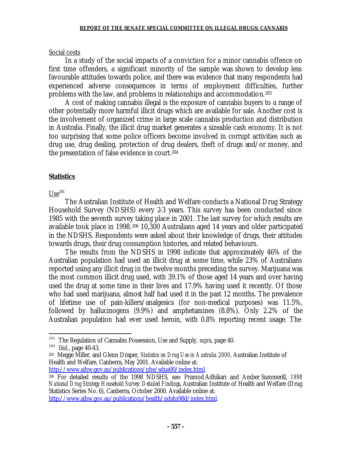## Social costs

In a study of the social impacts of a conviction for a minor cannabis offence on first time offenders, a significant minority of the sample was shown to develop less favourable attitudes towards police, and there was evidence that many respondents had experienced adverse consequences in terms of employment difficulties, further problems with the law, and problems in relationships and accommodation. <sup>203</sup>

A cost of making cannabis illegal is the exposure of cannabis buyers to a range of other potentially more harmful illicit drugs which are available for sale. Another cost is the involvement of organized crime in large scale cannabis production and distribution in Australia. Finally, the illicit drug market generates a sizeable cash economy. It is not too surprising that some police officers become involved in corrupt activities such as drug use, drug dealing, protection of drug dealers, theft of drugs and/or money, and the presentation of false evidence in court.<sup>204</sup>

# *Statistics*

 $U$ se<sup>205</sup>

The Australian Institute of Health and Welfare conducts a National Drug Strategy Household Survey (NDSHS) every 2-3 years. This survey has been conducted since 1985 with the seventh survey taking place in 2001. The last survey for which results are available took place in 1998.206 10,300 Australians aged 14 years and older participated in the NDSHS. Respondents were asked about their knowledge of drugs, their attitudes towards drugs, their drug consumption histories, and related behaviours.

The results from the NDSHS in 1998 indicate that approximately 46% of the Australian population had used an illicit drug at some time, while 23% of Australians reported using any illicit drug in the twelve months preceding the survey. Marijuana was the most common illicit drug used, with 39.1% of those aged 14 years and over having used the drug at some time in their lives and 17.9% having used it recently. Of those who had used marijuana, almost half had used it in the past 12 months. The prevalence of lifetime use of pain-killers/analgesics (for non-medical purposes) was 11.5%, followed by hallucinogens (9.9%) and amphetamines (8.8%). Only 2.2% of the Australian population had ever used heroin, with 0.8% reporting recent usage. The

http://www.aihw.gov.au/publications/phe/sdua00/index.html.

http://www.aihw.gov.au/publications/health/ndshs98d/index.html.

 $\overline{a}$ <sup>203</sup> The Regulation of Cannabis Possession, Use and Supply, *supra*, page 40.

<sup>204</sup> *Ibid.*, page 40-43.

<sup>205</sup> Megge Miller, and Glenn Draper, *Statistics on Drug Use in Australia 2000*, Australian Institute of Health and Welfare, Canberra, May 2001. Available online at:

<sup>206</sup> For detailed results of the 1998 NDSHS, see: Pramod Adhikari and Amber Summerill, *1998 National Drug Strategy Household Survey: Detailed Findings*, Australian Institute of Health and Welfare (Drug Statistics Series No. 6), Canberra, October 2000. Available online at: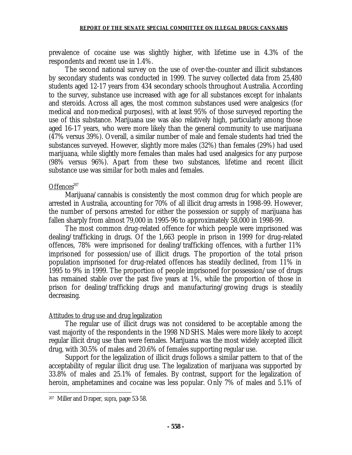prevalence of cocaine use was slightly higher, with lifetime use in 4.3% of the respondents and recent use in 1.4%.

The second national survey on the use of over-the-counter and illicit substances by secondary students was conducted in 1999. The survey collected data from 25,480 students aged 12-17 years from 434 secondary schools throughout Australia. According to the survey, substance use increased with age for all substances except for inhalants and steroids. Across all ages, the most common substances used were analgesics (for medical and non-medical purposes), with at least 95% of those surveyed reporting the use of this substance. Marijuana use was also relatively high, particularly among those aged 16-17 years, who were more likely than the general community to use marijuana (47% versus 39%). Overall, a similar number of male and female students had tried the substances surveyed. However, slightly more males (32%) than females (29%) had used marijuana, while slightly more females than males had used analgesics for any purpose (98% versus 96%). Apart from these two substances, lifetime and recent illicit substance use was similar for both males and females.

### Offences $207$

Marijuana/cannabis is consistently the most common drug for which people are arrested in Australia, accounting for 70% of all illicit drug arrests in 1998-99. However, the number of persons arrested for either the possession or supply of marijuana has fallen sharply from almost 79,000 in 1995-96 to approximately 58,000 in 1998-99.

The most common drug-related offence for which people were imprisoned was dealing/trafficking in drugs. Of the 1,663 people in prison in 1999 for drug-related offences, 78% were imprisoned for dealing/trafficking offences, with a further 11% imprisoned for possession/use of illicit drugs. The proportion of the total prison population imprisoned for drug-related offences has steadily declined, from 11% in 1995 to 9% in 1999. The proportion of people imprisoned for possession/use of drugs has remained stable over the past five years at 1%, while the proportion of those in prison for dealing/trafficking drugs and manufacturing/growing drugs is steadily decreasing.

## Attitudes to drug use and drug legalization

The regular use of illicit drugs was not considered to be acceptable among the vast majority of the respondents in the 1998 NDSHS. Males were more likely to accept regular illicit drug use than were females. Marijuana was the most widely accepted illicit drug, with 30.5% of males and 20.6% of females supporting regular use.

Support for the legalization of illicit drugs follows a similar pattern to that of the acceptability of regular illicit drug use. The legalization of marijuana was supported by 33.8% of males and 25.1% of females. By contrast, support for the legalization of heroin, amphetamines and cocaine was less popular. Only 7% of males and 5.1% of

 $\overline{a}$ 207 Miller and Draper, *supra*, page 53-58.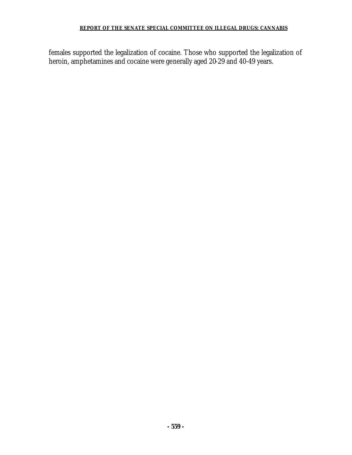females supported the legalization of cocaine. Those who supported the legalization of heroin, amphetamines and cocaine were generally aged 20-29 and 40-49 years.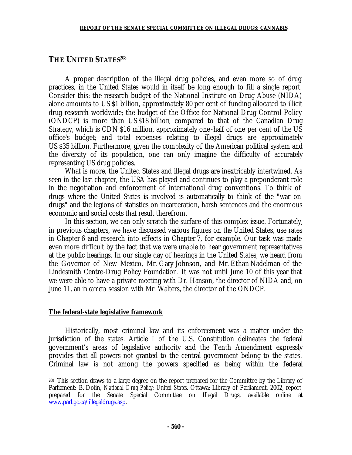# **THE UNITED STATES**<sup>208</sup>

A proper description of the illegal drug policies, and even more so of drug practices, in the United States would in itself be long enough to fill a single report. Consider this: the research budget of the National Institute on Drug Abuse (NIDA) alone amounts to US \$1 billion, approximately 80 per cent of funding allocated to illicit drug research worldwide; the budget of the Office for National Drug Control Policy (ONDCP) is more than US \$18 billion, compared to that of the Canadian Drug Strategy, which is CDN \$16 million, approximately one -half of one per cent of the US office's budget; and total expenses relating to illegal drugs are approximately US \$35 billion. Furthermore, given the complexity of the American political system and the diversity of its population, one can only imagine the difficulty of accurately representing US drug policies.

What is more, the United States and illegal drugs are inextricably intertwined. As seen in the last chapter, the USA has played and continues to play a preponderant role in the negotiation and enforcement of international drug conventions. To think of drugs where the United States is involved is automatically to think of the "war on drugs" and the legions of statistics on incarceration, harsh sentences and the enormous economic and social costs that result therefrom.

In this section, we can only scratch the surface of this complex issue. Fortunately, in previous chapters, we have discussed various figures on the United States, use rates in Chapter 6 and research into effects in Chapter 7, for example. Our task was made even more difficult by the fact that we were unable to hear government representatives at the public hearings. In our single day of hearings in the United States, we heard from the Governor of New Mexico, Mr. Gary Johnson, and Mr. Ethan Nadelman of the Lindesmith Centre-Drug Policy Foundation. It was not until June 10 of this year that we were able to have a private meeting with Dr. Hanson, the director of NIDA and, on June 11, an *in camera* session with Mr. Walters, the director of the ONDCP.

## *The federal-state legislative framework*

Historically, most criminal law and its enforcement was a matter under the jurisdiction of the states. Article I of the U.S. Constitution delineates the federal government's areas of legislative authority and the Tenth Amendment expressly provides that all powers not granted to the central government belong to the states. Criminal law is not among the powers specified as being within the federal

 $\overline{a}$ <sup>208</sup> This section draws to a large degree on the report prepared for the Committee by the Library of Parliament: B. Dolin, *National Drug Policy: United States*. Ottawa: Library of Parliament, 2002, report prepared for the Senate Special Committee on Illegal Drugs, available online at www.parl.gc.ca/illegaldrugs.asp.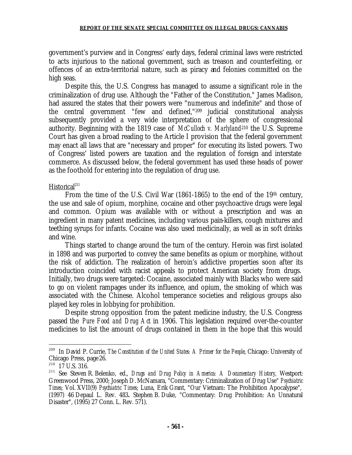government's purview and in Congress' early days, federal criminal laws were restricted to acts injurious to the national government, such as treason and counterfeiting, or offences of an extra-territorial nature, such as piracy and felonies committed on the high seas.

Despite this, the U.S. Congress has managed to assume a significant role in the criminalization of drug use. Although the "Father of the Constitution," James Madison, had assured the states that their powers were "numerous and indefinite" and those of the central government "few and defined,"<sup>209</sup> judicial constitutional analysis subsequently provided a very wide interpretation of the sphere of congressional authority. Beginning with the 1819 case of *McCulloch v. Marlyland* <sup>210</sup> the U.S. Supreme Court has given a broad reading to the Article I provision that the federal government may enact all laws that are "necessary and proper" for executing its listed powers. Two of Congress' listed powers are taxation and the regulation of foreign and interstate commerce. As discussed below, the federal government has used these heads of power as the foothold for entering into the regulation of drug use.

### Historical<sup>211</sup>

From the time of the U.S. Civil War (1861-1865) to the end of the 19<sup>th</sup> century, the use and sale of opium, morphine, cocaine and other psychoactive drugs were legal and common. Opium was available with or without a prescription and was an ingredient in many patent medicines, including various pain-killers, cough mixtures and teething syrups for infants. Cocaine was also used medicinally, as well as in soft drinks and wine.

Things started to change around the turn of the century. Heroin was first isolated in 1898 and was purported to convey the same benefits as opium or morphine, without the risk of addiction. The realization of heroin's addictive properties soon after its introduction coincided with racist appeals to protect American society from drugs. Initially, two drugs were targeted: Cocaine, associated mainly with Blacks who were said to go on violent rampages under its influence, and opium, the smoking of which was associated with the Chinese. Alcohol temperance societies and religious groups also played key roles in lobbying for prohibition.

Despite strong opposition from the patent medicine industry, the U.S. Congress passed the *Pure Food and Drug Act* in 1906. This legislation required over-the-counter medicines to list the amount of drugs contained in them in the hope that this would

<sup>&</sup>lt;sup>209</sup> In David P. Currie, *The Constitution of the United States: A Primer for the People*, Chicago: University of Chicago Press, page 26.

 $210$  17 U.S. 316.

<sup>211</sup> See Steven R. Belenko, ed., *Drugs and Drug Policy in America: A Documentary History*, Westport: Greenwood Press, 2000; Joseph D. McNamara, "Commentary: Criminalization of Drug Use" *Psychiatric Times*; Vol. XVII(9) *Psychiatric Times*; Luna, Erik Grant, "Our Vietnam: The Prohibition Apocalypse", (1997) 46 Depaul L. Rev. 483**.** Stephen B. Duke, "Commentary: Drug Prohibition: An Unnatural Disaster", (1995) 27 Conn. L. Rev. 571).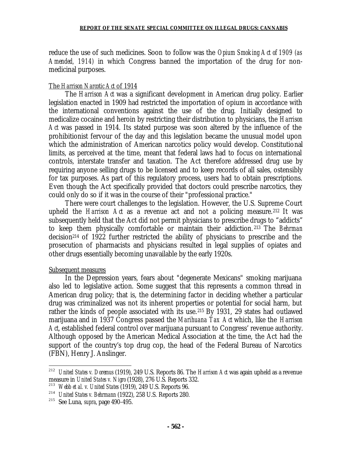reduce the use of such medicines. Soon to follow was the *Opium Smoking Act of 1909 (as Amended, 1914)* in which Congress banned the importation of the drug for nonmedicinal purposes.

## The *Harrison Narcotic Act* of 1914

The *Harrison Act* was a significant development in American drug policy. Earlier legislation enacted in 1909 had restricted the importation of opium in accordance with the international conventions against the use of the drug. Initially designed to medicalize cocaine and heroin by restricting their distribution to physicians, the *Harrison Act* was passed in 1914. Its stated purpose was soon altered by the influence of the prohibitionist fervour of the day and this legislation became the unusual model upon which the administration of American narcotics policy would develop. Constitutional limits, as perceived at the time, meant that federal laws had to focus on international controls, interstate transfer and taxation. The Act therefore addressed drug use by requiring anyone selling drugs to be licensed and to keep records of all sales, ostensibly for tax purposes. As part of this regulatory process, users had to obtain prescriptions. Even though the Act specifically provided that doctors could prescribe narcotics, they could only do so if it was in the course of their "professional practice."

There were court challenges to the legislation. However, the U.S. Supreme Court upheld the *Harrison Act* as a revenue act and not a policing measure.<sup>212</sup> It was subsequently held that the Act did not permit physicians to prescribe drugs to "addicts" to keep them physically comfortable or maintain their addiction. <sup>213</sup> The *Behrman*  decision<sup>214</sup> of 1922 further restricted the ability of physicians to prescribe and the prosecution of pharmacists and physicians resulted in legal supplies of opiates and other drugs essentially becoming unavailable by the early 1920s.

### Subsequent measures

In the Depression years, fears about "degenerate Mexicans" smoking marijuana also led to legislative action. Some suggest that this represents a common thread in American drug policy; that is, the determining factor in deciding whether a particular drug was criminalized was not its inherent properties or potential for social harm, but rather the kinds of people associated with its use.<sup>215</sup> By 1931, 29 states had outlawed marijuana and in 1937 Congress passed the *Marihuana Tax Act* which, like the *Harrison Act*, established federal control over marijuana pursuant to Congress' revenue authority. Although opposed by the American Medical Association at the time, the Act had the support of the country's top drug cop, the head of the Federal Bureau of Narcotics (FBN), Henry J. Anslinger.

<sup>212</sup>  *United States v. Doremus* (1919), 249 U.S. Reports 86. The *Harrison Act* was again upheld as a revenue measure in *United States v. Nigro* (1928), 276 U.S. Reports 332.

<sup>213</sup> *Webb et al. v. United States* (1919), 249 U.S. Reports 96.

<sup>214</sup> *United States v. Behrmann* (1922), 258 U.S. Reports 280.

<sup>215</sup> See Luna, *supra*, page 490-495.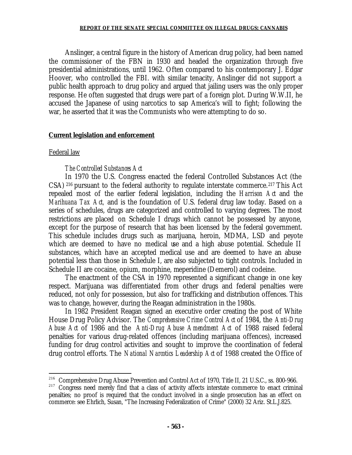#### **REPORT OF THE SENATE SPECIAL COMMITTEE ON ILLEGAL DRUGS: CANNABIS**

Anslinger, a central figure in the history of American drug policy, had been named the commissioner of the FBN in 1930 and headed the organization through five presidential administrations, until 1962. Often compared to his contemporary J. Edgar Hoover, who controlled the FBI. with similar tenacity, Anslinger did not support a public health approach to drug policy and argued that jailing users was the only proper response. He often suggested that drugs were part of a foreign plot. During W.W.II, he accused the Japanese of using narcotics to sap America's will to fight; following the war, he asserted that it was the Communists who were attempting to do so.

### *Current legislation and enforcement*

### Federal law

 $\overline{a}$ 

### *The Controlled Substances Act*

In 1970 the U.S. Congress enacted the federal Controlled Substances Act (the CSA) <sup>216</sup> pursuant to the federal authority to regulate interstate commerce.<sup>217</sup> This Act repealed most of the earlier federal legislation, including the *Harrison Act* and the *Marihuana Tax Act,* and is the foundation of U.S. federal drug law today. Based on a series of schedules, drugs are categorized and controlled to varying degrees. The most restrictions are placed on Schedule I drugs which cannot be possessed by anyone, except for the purpose of research that has been licensed by the federal government. This schedule includes drugs such as marijuana, heroin, MDMA, LSD and peyote which are deemed to have no medical use and a high abuse potential. Schedule II substances, which have an accepted medical use and are deemed to have an abuse potential less than those in Schedule I, are also subjected to tight controls. Included in Schedule II are cocaine, opium, morphine, meperidine (Demerol) and codeine.

The enactment of the CSA in 1970 represented a significant change in one key respect. Marijuana was differentiated from other drugs and federal penalties were reduced, not only for possession, but also for trafficking and distribution offences. This was to change, however, during the Reagan administration in the 1980s.

In 1982 President Reagan signed an executive order creating the post of White House Drug Policy Advisor. The *Comprehensive Crime Control Act* of 1984, the *Anti-Drug Abuse Act* of 1986 and the *Anti-Drug Abuse Amendment Act* of 1988 raised federal penalties for various drug-related offences (including marijuana offences), increased funding for drug control activities and sought to improve the coordination of federal drug control efforts. The *National Narcotics Leadership Act* of 1988 created the Office of

<sup>&</sup>lt;sup>216</sup> Comprehensive Drug Abuse Prevention and Control Act of 1970, Title II, 21 U.S.C., ss. 800-966.

<sup>217</sup> Congress need merely find that a class of activity affects interstate commerce to enact criminal penalties; no proof is required that the conduct involved in a single prosecution has an effect on commerce: see Ehrlich, Susan, "The Increasing Federalization of Crime" (2000) 32 Ariz. St.L.J.825.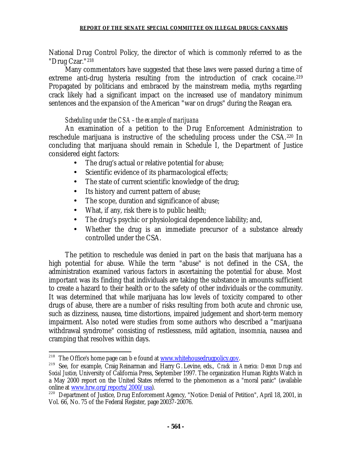National Drug Control Policy, the director of which is commonly referred to as the "Drug Czar."<sup>218</sup>

Many commentators have suggested that these laws were passed during a time of extreme anti-drug hysteria resulting from the introduction of crack cocaine.<sup>219</sup> Propagated by politicians and embraced by the mainstream media, myths regarding crack likely had a significant impact on the increased use of mandatory minimum sentences and the expansion of the American "war on drugs" during the Reagan era.

### *Scheduling under the CSA–the example of marijuana*

An examination of a petition to the Drug Enforcement Administration to reschedule marijuana is instructive of the scheduling process under the CSA.<sup>220</sup> In concluding that marijuana should remain in Schedule I, the Department of Justice considered eight factors:

- The drug's actual or relative potential for abuse;
- Scientific evidence of its pharmacological effects;
- The state of current scientific knowledge of the drug;
- Its history and current pattern of abuse;
- The scope, duration and significance of abuse;
- What, if any, risk there is to public health;
- The drug's psychic or physiological dependence liability; and,
- Whether the drug is an immediate precursor of a substance already controlled under the CSA.

The petition to reschedule was denied in part on the basis that marijuana has a high potential for abuse. While the term "abuse" is not defined in the CSA, the administration examined various factors in ascertaining the potential for abuse. Most important was its finding that individuals are taking the substance in amounts sufficient to create a hazard to their health or to the safety of other individuals or the community. It was determined that while marijuana has low levels of toxicity compared to other drugs of abuse, there are a number of risks resulting from both acute and chronic use, such as dizziness, nausea, time distortions, impaired judgement and short-term memory impairment. Also noted were studies from some authors who described a "marijuana withdrawal syndrome" consisting of restlessness, mild agitation, insomnia, nausea and cramping that resolves within days.

 $\overline{a}$ <sup>218</sup> The Office's home page can b e found at **www.whitehousedrugpolicy.gov**.

<sup>219</sup> See, for example, Craig Reinarman and Harry G. Levine, eds., *Crack in America: Demon Drugs and Social Justice*, University of California Press, September 1997. The organization Human Rights Watch in a May 2000 report on the United States referred to the phenomenon as a "moral panic" (available online at www.hrw.org/reports/2000/usa).

<sup>&</sup>lt;sup>220</sup> Department of Justice, Drug Enforcement Agency, "Notice: Denial of Petition", April 18, 2001, in Vol. 66, No. 75 of the Federal Register, page 20037-20076.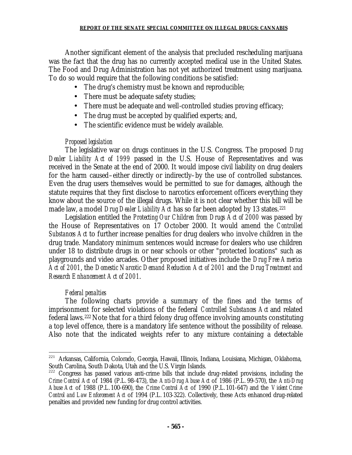Another significant element of the analysis that precluded rescheduling marijuana was the fact that the drug has no currently accepted medical use in the United States. The Food and Drug Administration has not yet authorized treatment using marijuana. To do so would require that the following conditions be satisfied:

- The drug's chemistry must be known and reproducible;
- There must be adequate safety studies;
- There must be adequate and well-controlled studies proving efficacy;
- The drug must be accepted by qualified experts; and,
- The scientific evidence must be widely available.

## *Proposed legislation*

The legislative war on drugs continues in the U.S. Congress. The proposed *Drug Dealer Liability Act of 1999* passed in the U.S. House of Representatives and was received in the Senate at the end of 2000. It would impose civil liability on drug dealers for the harm caused–either directly or indirectly–by the use of controlled substances. Even the drug users themselves would be permitted to sue for damages, although the statute requires that they first disclose to narcotics enforcement officers everything they know about the source of the illegal drugs. While it is not clear whether this bill will be made law, a model *Drug Dealer Liability Act* has so far been adopted by 13 states.<sup>221</sup>

Legislation entitled the *Protecting Our Children from Drugs Act of 2000* was passed by the House of Representatives on 17 October 2000. It would amend the *Controlled Substances Act* to further increase penalties for drug dealers who involve children in the drug trade. Mandatory minimum sentences would increase for dealers who use children under 18 to distribute drugs in or near schools or other "protected locations" such as playgrounds and video arcades. Other proposed initiatives include the *Drug Free America Act of 2001*, the *Domestic Narcotic Demand Reduction Act of 2001* and the *Drug Treatment and Research Enhancement Act of 2001*.

## *Federal penalties*

The following charts provide a summary of the fines and the terms of imprisonment for selected violations of the federal *Controlled Substances Act* and related federal laws.<sup>222</sup> Note that for a third felony drug offence involving amounts constituting a top level offence, there is a mandatory life sentence without the possibility of release. Also note that the indicated weights refer to any mixture containing a detectable

<sup>221</sup>  Arkansas, California, Colorado, Georgia, Hawaii, Illinois, Indiana, Louisiana, Michigan, Oklahoma, South Carolina, South Dakota, Utah and the U.S. Virgin Islands.

<sup>&</sup>lt;sup>222</sup> Congress has passed various anti-crime bills that include drug-related provisions, including the *Crime Control Act* of 1984 (P.L. 98-473), the *Anti-Drug Abuse Act* of 1986 (P.L. 99-570), the *Anti-Drug Abuse Act* of 1988 (P.L. 100-690), the *Crime Control Act* of 1990 (P.L. 101-647) and the *Violent Crime Control and Law Enforcement Act* of 1994 (P.L. 103-322). Collectively, these Acts enhanced drug-related penalties and provided new funding for drug control activities.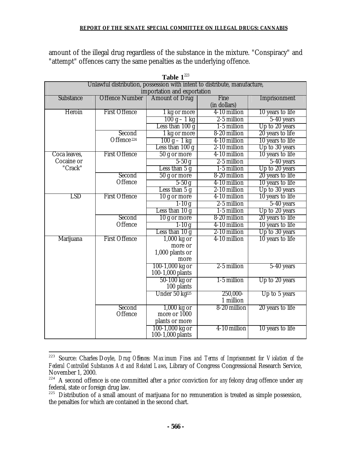amount of the illegal drug regardless of the substance in the mixture. "Conspiracy" and "attempt" offences carry the same penalties as the underlying offence.

| Table $1^{223}$ |                                                                           |                             |               |                  |
|-----------------|---------------------------------------------------------------------------|-----------------------------|---------------|------------------|
|                 | Unlawful distribution, possession with intent to distribute, manufacture, |                             |               |                  |
|                 |                                                                           | importation and exportation |               |                  |
| Substance       | <b>Offence Number</b>                                                     | <b>Amount of Drug</b>       | Fine          | Imprisonment     |
|                 |                                                                           |                             | (in dollars)  |                  |
| Heroin          | <b>First Offence</b>                                                      | 1 kg or more                | 4-10 million  | 10 years to life |
|                 |                                                                           | $100 g - 1 kg$              | 2-5 million   | $5-40$ years     |
|                 |                                                                           | Less than $100 g$           | 1-5 million   | Up to 20 years   |
|                 | Second                                                                    | 1 kg or more                | 8-20 million  | 20 years to life |
|                 | Offence <sup>224</sup>                                                    | $100 g - 1 kg$              | 4-10 million  | 10 years to life |
|                 |                                                                           | ess than 100 g              | 2-10 million  | Up to 30 years   |
| Coca leaves,    | <b>First Offence</b>                                                      | 50 g or more                | 4-10 million  | 10 years to life |
| Cocaine or      |                                                                           | $5-50g$                     | $2-5$ million | $5-40$ years     |
| "Crack"         |                                                                           | Less than 5 g               | 1-5 million   | Up to 20 years   |
|                 | Second                                                                    | $50$ g or more              | 8-20 million  | 20 years to life |
|                 | Offence                                                                   | $5-50g$                     | 4-10 million  | 10 years to life |
|                 |                                                                           | Less than $5g$              | 2-10 million  | Up to 30 years   |
| LSD             | <b>First Offence</b>                                                      | 10 g or more                | 4-10 million  | 10 years to life |
|                 |                                                                           | $1-10g$                     | 2-5 million   | 5-40 years       |
|                 |                                                                           | Less than 10 g              | 1-5 million   | Up to 20 years   |
|                 | Second                                                                    | 10 g or more                | 8-20 million  | 20 years to life |
|                 | Offence                                                                   | $1-10g$                     | 4-10 million  | 10 years to life |
|                 |                                                                           | Less than $10\$             | 2-10 million  | Up to 30 years   |
| Marijuana       | <b>First Offence</b>                                                      | $1,000$ kg or               | 4-10 million  | 10 years to life |
|                 |                                                                           | more or                     |               |                  |
|                 |                                                                           | 1,000 plants or             |               |                  |
|                 |                                                                           | more                        |               |                  |
|                 |                                                                           | $100-1,000$ kg or           | 2-5 million   | $5-40$ years     |
|                 |                                                                           | 100-1,000 plants            |               |                  |
|                 |                                                                           | $50-100$ kg or              | 1-5 million   | Up to 20 years   |
|                 |                                                                           | 100 plants                  |               |                  |
|                 |                                                                           | Under 50 kg <sup>225</sup>  | 250,000-      | Up to 5 years    |
|                 |                                                                           |                             | 1 million     |                  |
|                 | Second                                                                    | $1,000$ kg or               | 8-20 million  | 20 years to life |
|                 | Offence                                                                   | more or 1000                |               |                  |
|                 |                                                                           | plants or more              |               |                  |
|                 |                                                                           | 100-1,000 kg or             | 4-10 million  | 10 years to life |
|                 |                                                                           | 100-1,000 plants            |               |                  |

<sup>&</sup>lt;sup>223</sup> Source: Charles Doyle, *Drug Offences: Maximum Fines and Terms of Imprisonment for Violation of the Federal Controlled Substances Act and Related Laws*, Library of Congress Congressional Research Service,

November 1, 2000. 224 A second offence is one committed after a prior conviction for *any* felony drug offence under *any* federal, state or foreign drug law.

 $225$  Distribution of a small amount of marijuana for no remuneration is treated as simple possession, the penalties for which are contained in the second chart.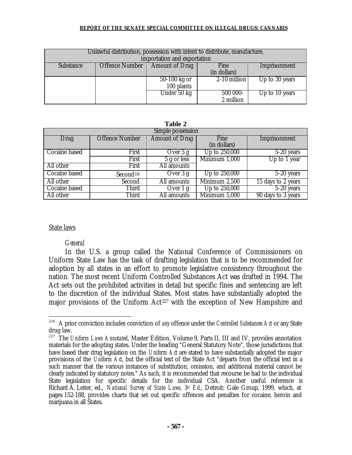#### **REPORT OF THE SENATE SPECIAL COMMITTEE ON ILLEGAL DRUGS: CANNABIS**

| Unlawful distribution, possession with intent to distribute, manufacture, |                       |                       |              |                |
|---------------------------------------------------------------------------|-----------------------|-----------------------|--------------|----------------|
| importation and exportation                                               |                       |                       |              |                |
| Substance                                                                 | <b>Offence Number</b> | <b>Amount of Drug</b> | Fine         | Imprisonment   |
|                                                                           |                       |                       | (in dollars) |                |
|                                                                           |                       | $50-100$ kg or        | 2-10 million | Up to 30 years |
|                                                                           |                       | 100 plants            |              |                |
|                                                                           |                       | Under 50 kg           | 500 000-     | Up to 10 years |
|                                                                           |                       |                       | 2 million    |                |

| taviv <i>2</i>    |                       |                        |               |                         |
|-------------------|-----------------------|------------------------|---------------|-------------------------|
| Simple possession |                       |                        |               |                         |
| Drug              | <b>Offence Number</b> | <b>Amount of Drug</b>  | Fine          | Imprisonment            |
|                   |                       |                        | (in dollars)  |                         |
| Cocaine based     | First                 | Over $5 g$             | Up to 250,000 | $5-20$ years            |
|                   | First                 | 5 g or less            | Minimum 1,000 | Up to $1$ year          |
| All other         | First                 | All amounts            |               |                         |
| Cocaine based     | Second <sup>226</sup> | Over $3 g$             | Up to 250,000 | $\overline{5-20}$ years |
| All other         | Second                | All amounts            | Minimum 2,500 | 15 days to 2 years      |
| Cocaine based     | Third                 | $\overline{O}$ ver 1 g | Up to 250,000 | $5-20$ years            |
| All other         | Third                 | All amounts            | Minimum 5,000 | 90 days to 3 years      |

### State laws

### *General*

In the U.S. a group called the National Conference of Commissioners on Uniform State Law has the task of drafting legislation that is to be recommended for adoption by all states in an effort to promote legislative consistency throughout the nation. The most recent Uniform Controlled Substances Act was drafted in 1994. The Act sets out the prohibited activities in detail but specific fines and sentencing are left to the discretion of the individual States. Most states have substantially adopted the major provisions of the Uniform Act<sup>227</sup> with the exception of New Hampshire and

 226 A prior conviction includes conviction of *any* offence under the *Controlled Substances Act* or any State drug law.

<sup>227</sup> The *Uniform Laws Annotated*, Master Edition, Volume 9, Parts II, III and IV, provides annotation materials for the adopting states. Under the heading "General Statutory Note", those jurisdictions that have based their drug legislation on the *Uniform Act* are stated to have substantially adopted the major provisions of the *Uniform Act*, but the official text of the State Act "departs from the official text in a such manner that the various instances of substitution, omission, and additional material cannot be clearly indicated by statutory notes." As such, it is recommended that recourse be had to the individual State legislation for specific details for the individual CSA. Another useful reference is Richard A. Leiter, ed., *National Survey of State Laws, 3<sup>d</sup> Ed.*, Detroit: Gale Group, 1999, which, at pages 152-188, provides charts that set out specific offences and penalties for cocaine, heroin and marijuana in all States.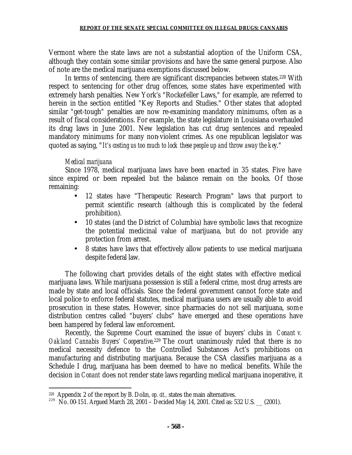Vermont where the state laws are not a substantial adoption of the Uniform CSA, although they contain some similar provisions and have the same general purpose. Also of note are the medical marijuana exemptions discussed below.

In terms of sentencing, there are significant discrepancies between states.<sup>228</sup> With respect to sentencing for other drug offences, some states have experimented with extremely harsh penalties. New York's "Rockefeller Laws," for example, are referred to herein in the section entitled "Key Reports and Studies." Other states that adopted similar "get-tough" penalties are now re-examining mandatory minimums, often as a result of fiscal considerations. For example, the state legislature in Louisiana overhauled its drug laws in June 2001. New legislation has cut drug sentences and repealed mandatory minimums for many non-violent crimes. As one republican legislator was quoted as saying, "*It's costing us too much to lock these people up and throw away the key*."

# *Medical marijuana*

 $\overline{a}$ 

Since 1978, medical marijuana laws have been enacted in 35 states. Five have since expired or been repealed but the balance remain on the books. Of those remaining:

- 12 states have "Therapeutic Research Program" laws that purport to permit scientific research (although this is complicated by the federal prohibition).
- 10 states (and the District of Columbia) have symbolic laws that recognize the potential medicinal value of marijuana, but do not provide any protection from arrest.
- 8 states have laws that effectively allow patients to use medical marijuana despite federal law.

The following chart provides details of the eight states with effective medical marijuana laws. While marijuana possession is still a federal crime, most drug arrests are made by state and local officials. Since the federal government cannot force state and local police to enforce federal statutes, medical marijuana users are usually able to avoid prosecution in these states. However, since pharmacies do not sell marijuana, some distribution centres called "buyers' clubs" have emerged and these operations have been hampered by federal law enforcement.

Recently, the Supreme Court examined the issue of buyers' clubs in *Conant v. Oakland Cannabis Buyers' Cooperative*. <sup>229</sup> The court unanimously ruled that there is no medical necessity defence to the Controlled Substances Act's prohibitions on manufacturing and distributing marijuana. Because the CSA classifies marijuana as a Schedule I drug, marijuana has been deemed to have no medical benefits. While the decision in *Conant* does not render state laws regarding medical marijuana inoperative, it

<sup>228</sup> Appendix 2 of the report by B. Dolin, *op. cit.,* states the main alternatives.

 $229$  No. 00-151. Argued March 28, 2001 – Decided May 14, 2001. Cited as: 532 U.S.  $\_\_$  (2001).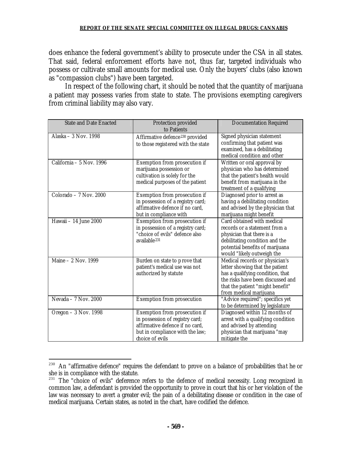does enhance the federal government's ability to prosecute under the CSA in all states. That said, federal enforcement efforts have not, thus far, targeted individuals who possess or cultivate small amounts for medical use. Only the buyers' clubs (also known as "compassion clubs") have been targeted.

In respect of the following chart, it should be noted that the quantity of marijuana a patient may possess varies from state to state. The provisions exempting caregivers from criminal liability may also vary.

| <b>State and Date Enacted</b> | Protection provided<br>to Patients                                                                                                                        | <b>Documentation Required</b>                                                                                                                                                                            |
|-------------------------------|-----------------------------------------------------------------------------------------------------------------------------------------------------------|----------------------------------------------------------------------------------------------------------------------------------------------------------------------------------------------------------|
| Alaska - 3 Nov. 1998          | Affirmative defence <sup>230</sup> provided<br>to those registered with the state                                                                         | Signed physician statement<br>confirming that patient was<br>examined, has a debilitating<br>medical condition and other                                                                                 |
| California - 5 Nov. 1996      | Exemption from prosecution if<br>marijuana possession or<br>cultivation is solely for the<br>medical purposes of the patient                              | Written or oral approval by<br>physician who has determined<br>that the patient's health would<br>benefit from marijuana in the<br>treatment of a qualifying                                             |
| Colorado - 7 Nov. 2000        | Exemption from prosecution if<br>in possession of a registry card;<br>affirmative defence if no card,<br>but in compliance with                           | Diagnosed prior to arrest as<br>having a debilitating condition<br>and advised by the physician that<br>marijuana might benefit                                                                          |
| Hawaii - 14 June 2000         | Exemption from prosecution if<br>in possession of a registry card;<br>"choice of evils" defence also<br>available <sup>231</sup>                          | Card obtained with medical<br>records or a statement from a<br>physician that there is a<br>debilitating condition and the<br>potential benefits of marijuana<br>would "likely outweigh the              |
| Maine - 2 Nov. 1999           | Burden on state to p rove that<br>patient's medical use was not<br>authorized by statute                                                                  | Medical records or physician's<br>letter showing that the patient<br>has a qualifying condition, that<br>the risks have been discussed and<br>that the patient "might benefit"<br>from medical marijuana |
| Nevada - 7 Nov. 2000          | <b>Exemption from prosecution</b>                                                                                                                         | "Advice required"; specifics yet<br>to be determined by legislature                                                                                                                                      |
| Oregon - 3 Nov. 1998          | Exemption from prosecution if<br>in possession of registry card;<br>affirmative defence if no card,<br>but in compliance with the law;<br>choice of evils | Diagnosed within 12 months of<br>arrest with a qualifying condition<br>and advised by attending<br>physician that marijuana "may<br>mitigate the                                                         |

 $\overline{a}$ 230 An "affirmative defence" requires the defendant to prove on a balance of probabilities tha t he or she is in compliance with the statute.

<sup>231</sup> The "choice of evils" deference refers to the defence of medical necessity. Long recognized in common law, a defendant is provided the opportunity to prove in court that his or her violation of the law was necessary to avert a greater evil; the pain of a debilitating disease or condition in the case of medical marijuana. Certain states, as noted in the chart, have codified the defence.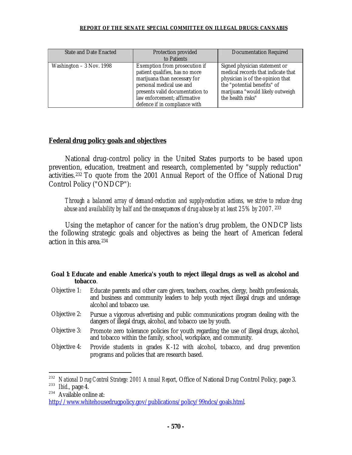| <b>State and Date Enacted</b> | Protection provided<br>to Patients | <b>Documentation Required</b>      |
|-------------------------------|------------------------------------|------------------------------------|
|                               |                                    |                                    |
| Washington $-3$ Nov. 1998     | Exemption from prosecution if      | Signed physician statement or      |
|                               | patient qualifies, has no more     | medical records that indicate that |
|                               | marijuana than necessary for       | physician is of the opinion that   |
|                               | personal medical use and           | the "potential benefits" of        |
|                               | presents valid documentation to    | marijuana "would likely outweigh   |
|                               | law enforcement; affirmative       | the health risks"                  |
|                               | defence if in compliance with      |                                    |

# *Federal drug policy goals and objectives*

National drug-control policy in the United States purports to be based upon prevention, education, treatment and research, complemented by "supply reduction" activities.<sup>232</sup> To quote from the 2001 Annual Report of the Office of National Drug Control Policy ("ONDCP"):

*Through a balanced array of demand-reduction and supply-reduction actions, we strive to reduce drug abuse and availability by half and the consequences of drug abuse by at least 25% by 2007.* <sup>233</sup>

Using the metaphor of cancer for the nation's drug problem, the ONDCP lists the following strategic goals and objectives as being the heart of American federal action in this area.<sup>234</sup>

### **Goal 1: Educate and enable America's youth to reject illegal drugs as well as alcohol and tobacco**.

- Objective 1: Educate parents and other care givers, teachers, coaches, clergy, health professionals, and business and community leaders to help youth reject illegal drugs and underage alcohol and tobacco use.
- Objective 2: Pursue a vigorous advertising and public communications program dealing with the dangers of illegal drugs, alcohol, and tobacco use by youth.
- Objective 3: Promote zero tolerance policies for youth regarding the use of illegal drugs, alcohol, and tobacco within the family, school, workplace, and community.
- Objective 4: Provide students in grades K-12 with alcohol, tobacco, and drug prevention programs and policies that are research based.

 $\overline{a}$ 

<sup>232</sup> *National Drug Control Strategy: 2001 Annual Report*, Office of National Drug Control Policy, page 3.

*Ibid.*, page 4.

<sup>&</sup>lt;sup>234</sup> Available online at:

http://www.whitehousedrugpolicy.gov/publications/policy/99ndcs/goals.html.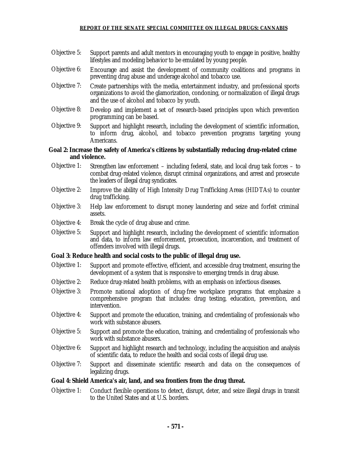- Objective 5: Support parents and adult mentors in encouraging youth to engage in positive, healthy lifestyles and modeling behavior to be emulated by young people.
- Objective 6: Encourage and assist the development of community coalitions and programs in preventing drug abuse and underage alcohol and tobacco use.
- Objective 7: Create partnerships with the media, entertainment industry, and professional sports organizations to avoid the glamorization, condoning, or normalization of illegal drugs and the use of alcohol and tobacco by youth.
- Objective 8: Develop and implement a set of research-based principles upon which prevention programming can be based.
- Objective 9: Support and highlight research, including the development of scientific information, to inform drug, alcohol, and tobacco prevention programs targeting young Americans.

#### **Goal 2: Increase the safety of America's citizens by substantially reducing drug-related crime and violence.**

- Objective 1: Strengthen law enforcement including federal, state, and local drug task forces to combat drug -related violence, disrupt criminal organizations, and arrest and prosecute the leaders of illegal drug syndicates.
- Objective 2: Improve the ability of High Intensity Drug Trafficking Areas (HIDTAs) to counter drug trafficking.
- Objective 3: Help law enforcement to disrupt money laundering and seize and forfeit criminal assets.
- Objective 4: Break the cycle of drug abuse and crime.
- Objective 5: Support and highlight research, including the development of scientific information and data, to inform law enforcement, prosecution, incarceration, and treatment of offenders involved with illegal drugs.

#### **Goal 3: Reduce health and social costs to the public of illegal drug use.**

- Objective 1: Support and promote effective, efficient, and accessible drug treatment, ensuring the development of a system that is responsive to emerging trends in drug abuse.
- Objective 2: Reduce drug-related health problems, with an emphasis on infectious diseases.
- Objective 3: Promote national adoption of drug-free workplace programs that emphasize a comprehensive program that includes: drug testing, education, prevention, and intervention.
- Objective 4: Support and promote the education, training, and credentialing of professionals who work with substance abusers.
- Objective 5: Support and promote the education, training, and credentialing of professionals who work with substance abusers.
- Objective 6: Support and highlight research and technology, including the acquisition and analysis of scientific data, to reduce the health and social costs of illegal drug use.
- Objective 7: Support and disseminate scientific research and data on the consequences of legalizing drugs.

#### **Goal 4: Shield America's air, land, and sea frontiers from the drug threat.**

Objective 1: Conduct flexible operations to detect, disrupt, deter, and seize illegal drugs in transit to the United States and at U.S. borders.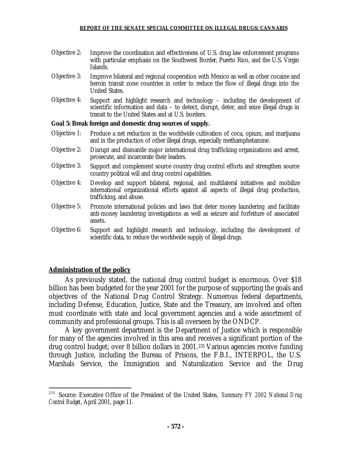- Objective 2: Improve the coordination and effectiveness of U.S. drug law enforcement programs with particular emphasis on the Southwest Border, Puerto Rico, and the U.S. Virgin Islands.
- Objective 3: Improve bilateral and regional cooperation with Mexico as well as other cocaine and heroin transit zone countries in order to reduce the flow of illegal drugs into the United States.
- Objective 4: Support and highlight research and technology including the development of scientific information and data – to detect, disrupt, deter, and seize illegal drugs in transit to the United States and at U.S. borders.

### **Goal 5: Break foreign and domestic drug sources of supply.**

- Objective 1: Produce a net reduction in the worldwide cultivation of coca, opium, and marijuana and in the production of other illegal drugs, especially methamphetamine.
- Objective 2: Disrupt and dismantle major international drug trafficking organizations and arrest, prosecute, and incarcerate their leaders.
- Objective 3: Support and complement source country drug control efforts and strengthen source country political will and drug control capabilities.
- Objective 4: Develop and support bilateral, regional, and multilateral initiatives and mobilize international organizational efforts against all aspects of illegal drug production, trafficking, and abuse.
- Objective 5: Promote international policies and laws that deter money laundering and facilitate anti-money laundering investigations as well as seizure and forfeiture of associated assets.
- Objective 6: Support and highlight research and technology, including the development of scientific data, to reduce the worldwide supply of illegal drugs.

# *Administration of the policy*

 $\overline{a}$ 

As previously stated, the national drug control budget is enormous. Over \$18 billion has been budgeted for the year 2001 for the purpose of supporting the goals and objectives of the National Drug Control Strategy. Numerous federal departments, including Defense, Education, Justice, State and the Treasury, are involved and often must coordinate with state and local government agencies and a wide assortment of community and professional groups. This is all overseen by the ONDCP.

A key government department is the Department of Justice which is responsible for many of the agencies involved in this area and receives a significant portion of the drug control budget; over 8 billion dollars in 2001.<sup>235</sup> Various agencies receive funding through Justice, including the Bureau of Prisons, the F.B.I., INTERPOL, the U.S. Marshals Service, the Immigration and Naturalization Service and the Drug

<sup>235</sup> Source: Executive Office of the President of the United States, *Summary: FY 2002 National Drug Control Budget*, April 2001, page 11.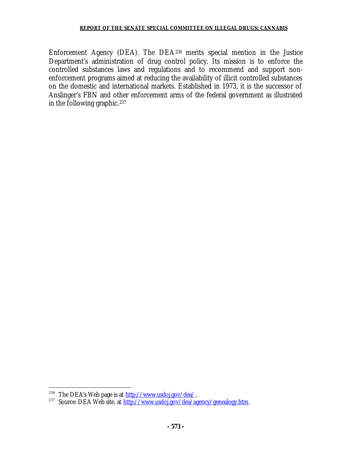Enforcement Agency (DEA). The DEA<sup>236</sup> merits special mention in the Justice Department's administration of drug control policy. Its mission is to enforce the controlled substances laws and regulations and to recommend and support nonenforcement programs aimed at reducing the availability of illicit controlled substances on the domestic and international markets. Established in 1973, it is the successor of Anslinger's FBN and other enforcement arms of the federal government as illustrated in the following graphic.<sup>237</sup>

 $\overline{a}$ 

<sup>&</sup>lt;sup>236</sup> The DEA's Web page is at http://www.usdoj.gov/dea/.

<sup>&</sup>lt;sup>237</sup> Source: DEA Web site, at http://www.usdoj.gov/dea/agency/genealogy.htm.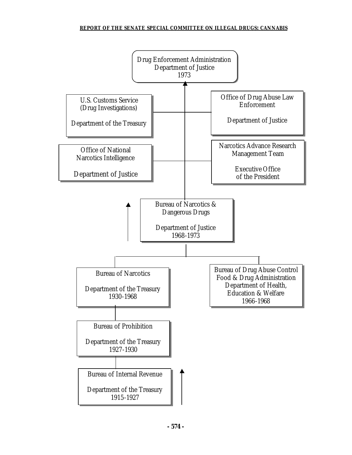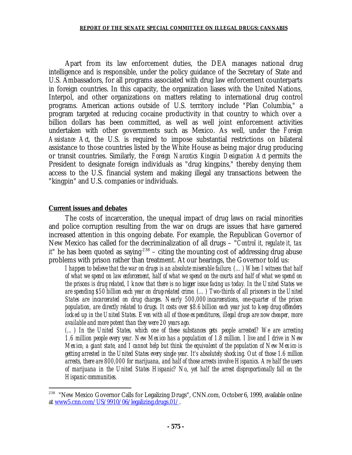Apart from its law enforcement duties, the DEA manages national drug intelligence and is responsible, under the policy guidance of the Secretary of State and U.S. Ambassadors, for all programs associated with drug law enforcement counterparts in foreign countries. In this capacity, the organization liases with the United Nations, Interpol, and other organizations on matters relating to international drug control programs. American actions outside of U.S. territory include "Plan Columbia," a program targeted at reducing cocaine productivity in that country to which over a billion dollars has been committed, as well as well joint enforcement activities undertaken with other governments such as Mexico. As well, under the *Foreign Assistance Act*, the U.S. is required to impose substantial restrictions on bilateral assistance to those countries listed by the White House as being major drug producing or transit countries. Similarly, the *Foreign Narcotics Kingpin Designation Act* permits the President to designate foreign individuals as "drug kingpins," thereby denying them access to the U.S. financial system and making illegal any transactions between the "kingpin" and U.S. companies or individuals.

### *Current issues and debates*

The costs of incarceration, the unequal impact of drug laws on racial minorities and police corruption resulting from the war on drugs are issues that have garnered increased attention in this ongoing debate. For example, the Republican Governor of New Mexico has called for the decriminalization of all drugs – "*Control it, regulate it, tax*   $it$ " he has been quoted as saying<sup>238</sup> – citing the mounting cost of addressing drug abuse problems with prison rather than treatment. At our hearings, the Governor told us:

*I happen to believe that the war on drugs is an absolute miserable failure. (…) When I witness that half of what we spend on law enforcement, half of what we spend on the courts and half of what we spend on the prisons is drug related, I know that there is no bigger issue facing us today. In the United States we are spending \$50 billion each year on drug-related crime. (…) Two-thirds of all prisoners in the United States are incarcerated on drug charges. Nearly 500,000 incarcerations, one-quarter of the prison population, are directly related to drugs. It costs over \$8.6 billion each year just to keep drug offenders locked up in the United States. Even with all of those expenditures, illegal drugs are now cheaper, more available and more potent than they were 20 years ago.*

*(…) In the United States, which one of these substances gets people arrested? We are arresting 1.6 million people every year. New Mexico has a population of 1.8 million. I live and I drive in New Mexico, a giant state, and I cannot help but think the equivalent of the population of New Mexico is getting arrested in the United States every single year. It's absolutely shocking. Out of those 1.6 million arrests, there are 800,000 for marijuana, and half of those arrests involve Hispanics. Are half the users of marijuana in the United States Hispanic? No, yet half the arrest disproportionally fall on the Hispanic communities.*

 238 "New Mexico Governor Calls for Legalizing Drugs", CNN.com, October 6, 1999, available online at www5.cnn.com/US/9910/06/legalizing.drugs.01/.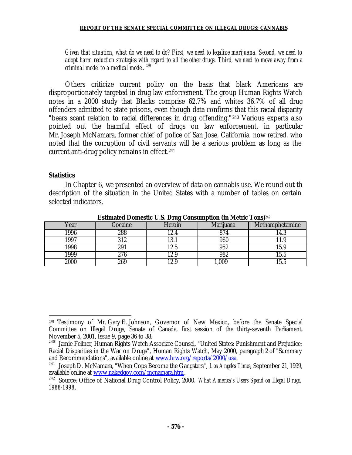*Given that situation, what do we need to do? First, we need to legalize marijuana. Second, we need to adopt harm reduction strategies with regard to all the other drugs. Third, we need to move away from a criminal model to a medical model.* <sup>239</sup>

Others criticize current policy on the basis that black Americans are disproportionately targeted in drug law enforcement. The group Human Rights Watch notes in a 2000 study that Blacks comprise 62.7% and whites 36.7% of all drug offenders admitted to state prisons, even though data confirms that this racial disparity "bears scant relation to racial differences in drug offending."<sup>240</sup> Various experts also pointed out the harmful effect of drugs on law enforcement, in particular Mr. Joseph McNamara, former chief of police of San Jose, California, now retired, who noted that the corruption of civil servants will be a serious problem as long as the current anti-drug policy remains in effect.<sup>241</sup>

### *Statistics*

In Chapter 6, we presented an overview of data on cannabis use. We round out th description of the situation in the United States with a number of tables on certain selected indicators.

|      |         | $\overline{\phantom{a}}$ |            |                 |
|------|---------|--------------------------|------------|-----------------|
| rear | Cocaine | Heroin                   | Marijuana  | Methamphetamine |
| 1996 | 288     | - 2<br>12.4              | ດ~າ<br>874 | 14.3            |
| 1997 | 312     | 13.1                     | 960        | 11.9            |
| 1998 | 291     | 12.5                     | 952        | 15.9            |
| 1999 | 276     | 12.9                     | 982        | 15.5            |
| 2000 | 269     | റ<br>12.9                | 0.009      | 15.5            |
|      |         |                          |            |                 |

**Estimated Domestic U.S. Drug Consumption (in Metric Tons)**<sup>242</sup>

 $\overline{a}$ <sup>239</sup> Testimony of Mr. Gary E. Johnson, Governor of New Mexico, before the Senate Special Committee on Illegal Drugs, Senate of Canada, first session of the thirty-seventh Parliament,

November 5, 2001, Issue 9, page 36 to 38.<br><sup>240</sup> Jamie Fellner, Human Rights Watch Associate Counsel, "United States: Punishment and Prejudice: Racial Disparities in the War on Drugs", Human Rights Watch, May 2000, paragraph 2 of "Summary and Recommendations", available online at www.hrw.org/reports/2000/usa.

<sup>241</sup> JosephD. McNamara, "When Cops Become the Gangsters", *Los Angeles Times*, September 21, 1999, available online at www.nakedgov.com/mcnamara.htm.

<sup>&</sup>lt;sup>242</sup> Source: Office of National Drug Control Policy, 2000. *What America's Users Spend on Illegal Drugs*, *1988-1998*.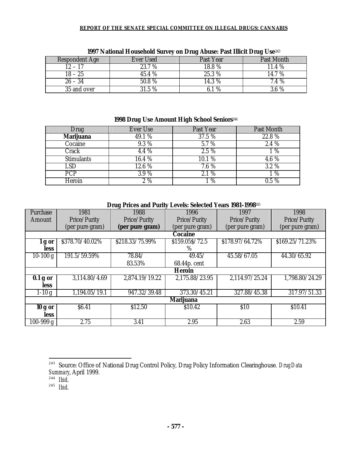| 1997 IN ALIVINAL TRUBENORU SUTVEY VII DTUG ADUSE. I ASL TIIICH DTUG OSC <sup>270</sup> |           |           |            |  |  |  |  |  |
|----------------------------------------------------------------------------------------|-----------|-----------|------------|--|--|--|--|--|
| Respondent Age                                                                         | Ever Used | Past Year | Past Month |  |  |  |  |  |
| $12 - 17$                                                                              | 23.7 %    | 18.8%     | 11.4 %     |  |  |  |  |  |
| $18 - 25$                                                                              | 45.4 %    | 25.3%     | 14.7 %     |  |  |  |  |  |
| $26 - 34$                                                                              | 50.8%     | 14.3 %    | 7.4 %      |  |  |  |  |  |
| 35 and over                                                                            | 31.5 %    | $3.1\ \%$ | $3.6\%$    |  |  |  |  |  |

### **1997 National Household Survey on Drug Abuse: Past Illicit Drug Use**<sup>243</sup>

### **1998 Drug Use Amount High School Seniors**<sup>244</sup>

| Drug              | Ever Use | Past Year | Past Month |
|-------------------|----------|-----------|------------|
| <b>Marijuana</b>  | 49.1 %   | 37.5 %    | 22.8%      |
| Cocaine           | 9.3 %    | 5.7 %     | 2.4 %      |
| Crack             | 4.4 %    | $2.5\%$   | 1 %        |
| <b>Stimulants</b> | 16.4 %   | 10.1%     | 4.6 %      |
| LSD               | $12.6\%$ | 7.6%      | $3.2\%$    |
| <b>PCP</b>        | $3.9\%$  | 2.1 %     | $1\%$      |
| Heroin            | 2 %      | $1\%$     | $0.5\%$    |

#### **Drug Prices and Purity Levels: Selected Years 1981-1998**<sup>245</sup>

| Purchase               | 1981             | ັ<br>1988       | 1996            | 1997            | 1998            |  |  |  |
|------------------------|------------------|-----------------|-----------------|-----------------|-----------------|--|--|--|
| Amount                 | Price/Purity     | Price/Purity    | Price/Purity    | Price/Purity    | Price/Purity    |  |  |  |
|                        | (per pure gram)  | (per pure gram) | (per pure gram) | (per pure gram) | (per pure gram) |  |  |  |
|                        |                  |                 | <b>Cocaine</b>  |                 |                 |  |  |  |
| 1 g or                 | \$378.70/40.02%  | \$218.33/75.99% | \$159.05\$/72.5 | \$178.97/64.72% | \$169.25/71.23% |  |  |  |
| <b>less</b>            |                  |                 | %               |                 |                 |  |  |  |
| $10-100 g$             | 191.5/59.59%     | 78.84/          | 49.45/          | 45.58/67.05     | 44.30/65.92     |  |  |  |
|                        |                  | 83.53%          | 68.44p. cent    |                 |                 |  |  |  |
|                        | <b>Heroin</b>    |                 |                 |                 |                 |  |  |  |
| $0.1g$ or              | 3,114.80/4.69    | 2,874.19/19.22  | 2,175.88/23.95  | 2,114.97/25.24  | 1,798.80/24.29  |  |  |  |
| <b>less</b>            |                  |                 |                 |                 |                 |  |  |  |
| $1-10$ g               | 1,194.05/19.1    | 947.32/39.48    | 373.30/45.21    | 327.88/45.38    | 317.97/51.33    |  |  |  |
|                        | <b>Marijuana</b> |                 |                 |                 |                 |  |  |  |
| 10 g or                | \$6.41           | \$12.50         | \$10.42         | \$10            | \$10.41         |  |  |  |
| <b>less</b>            |                  |                 |                 |                 |                 |  |  |  |
| $\overline{100-999}$ g | 2.75             | 3.41            | 2.95            | 2.63            | 2.59            |  |  |  |

 243 Source: Office of National Drug Control Policy, Drug Policy Information Clearinghouse. *Drug Data Summary*, April 1999.

<sup>244</sup> *Ibid*.

<sup>245</sup> *Ibid*.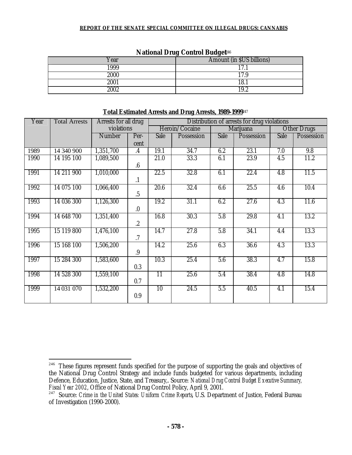| <b>National Drug Control Budget46</b> |  |
|---------------------------------------|--|
|---------------------------------------|--|

| rear | Amount (in \$US billions) |
|------|---------------------------|
| 1999 |                           |
| 2000 |                           |
| 2001 | 10.1                      |
| 2002 | 19.2                      |

| Year | <b>Total Arrests</b> | Arrests for all drug |                   | Distribution of arrests for drug violations |                |             |            |                  |                    |
|------|----------------------|----------------------|-------------------|---------------------------------------------|----------------|-------------|------------|------------------|--------------------|
|      |                      | violations           |                   |                                             | Heroin/Cocaine |             | Marijuana  |                  | <b>Other Drugs</b> |
|      |                      | Number               | Per-              | Sale                                        | Possession     | <b>Sale</b> | Possession | Sale             | Possession         |
|      |                      |                      | cent              |                                             |                |             |            |                  |                    |
| 1989 | 14 340 900           | 1,351,700            | $\cdot$           | 19.1                                        | 34.7           | 6.2         | 23.1       | 7.0              | 9.8                |
| 1990 | 14 195 100           | 1,089,500            |                   | 21.0                                        | 33.3           | 6.1         | 23.9       | 4.5              | 11.2               |
|      |                      |                      | $\boldsymbol{.6}$ |                                             |                |             |            |                  |                    |
| 1991 | 14 211 900           | 1,010,000            |                   | 22.5                                        | 32.8           | 6.1         | 22.4       | 4.8              | 11.5               |
|      |                      |                      | $\cdot$ 1         |                                             |                |             |            |                  |                    |
| 1992 | 14 075 100           | 1,066,400            |                   | 20.6                                        | 32.4           | 6.6         | 25.5       | 4.6              | 10.4               |
|      |                      |                      | $.5\,$            |                                             |                |             |            |                  |                    |
| 1993 | 14 036 300           | 1,126,300            |                   | 19.2                                        | 31.1           | 6.2         | 27.6       | 4.3              | 11.6               |
|      |                      |                      | 0.                |                                             |                |             |            |                  |                    |
| 1994 | 14 648 700           | 1,351,400            |                   | 16.8                                        | 30.3           | 5.8         | 29.8       | $\overline{4.1}$ | 13.2               |
|      |                      |                      | $\cdot$ 2         |                                             |                |             |            |                  |                    |
| 1995 | 15 119 800           | 1,476,100            |                   | 14.7                                        | 27.8           | 5.8         | 34.1       | 4.4              | 13.3               |
|      |                      |                      | $.7\,$            |                                             |                |             |            |                  |                    |
| 1996 | 15 168 100           | 1,506,200            |                   | 14.2                                        | 25.6           | 6.3         | 36.6       | 4.3              | 13.3               |
|      |                      |                      | .9                |                                             |                |             |            |                  |                    |
| 1997 | 15 284 300           | 1,583,600            |                   | 10.3                                        | 25.4           | 5.6         | 38.3       | 4.7              | 15.8               |
|      |                      |                      | 0.3               |                                             |                |             |            |                  |                    |
| 1998 | 14 528 300           | 1,559,100            |                   | $\overline{11}$                             | 25.6           | 5.4         | 38.4       | $\overline{4.8}$ | 14.8               |
|      |                      |                      | 0.7               |                                             |                |             |            |                  |                    |
| 1999 | 14 031 070           | 1,532,200            |                   | $\overline{10}$                             | 24.5           | 5.5         | 40.5       | $\overline{4.1}$ | 15.4               |
|      |                      |                      | 0.9               |                                             |                |             |            |                  |                    |
|      |                      |                      |                   |                                             |                |             |            |                  |                    |

### **Total Estimated Arrests and Drug Arrests, 1989-1999**<sup>247</sup>

<sup>&</sup>lt;sup>246</sup> These figures represent funds specified for the purpose of supporting the goals and objectives of the National Drug Control Strategy and include funds budgeted for various departments, including Defence, Education, Justice, State, and Treasury,. Source: *National Drug Control Budget Executive Summary, Fiscal Year 2002*, Office of National Drug Control Policy, April 9, 2001.

<sup>&</sup>lt;sup>247</sup> Source: *Crime in the United States: Uniform Crime Reports*, U.S. Department of Justice, Federal Bureau of Investigation (1990-2000).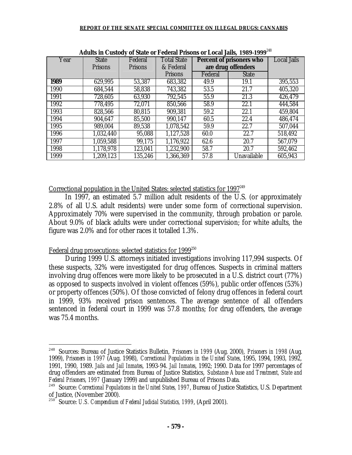| Adults In Custody of State of Federal Phsons of Local Jans, 1989-1999 |              |         |                    |         |                                 |                    |  |
|-----------------------------------------------------------------------|--------------|---------|--------------------|---------|---------------------------------|--------------------|--|
| Year                                                                  | <b>State</b> | Federal | <b>Total State</b> |         | <b>Percent of prisoners who</b> | <b>Local Jails</b> |  |
|                                                                       | Prisons      | Prisons | & Federal          |         | are drug offenders              |                    |  |
|                                                                       |              |         | Prisons            | Federal | <b>State</b>                    |                    |  |
| 1989                                                                  | 629,995      | 53,387  | 683,382            | 49.9    | 19.1                            | 395,553            |  |
| 1990                                                                  | 684,544      | 58,838  | 743,382            | 53.5    | 21.7                            | 405,320            |  |
| 1991                                                                  | 728,605      | 63,930  | 792,545            | 55.9    | 21.3                            | 426,479            |  |
| 1992                                                                  | 778,495      | 72,071  | 850,566            | 58.9    | 22.1                            | 444,584            |  |
| 1993                                                                  | 828,566      | 80,815  | 909,381            | 59.2    | 22.1                            | 459,804            |  |
| 1994                                                                  | 904,647      | 85,500  | 990,147            | 60.5    | 22.4                            | 486,474            |  |
| 1995                                                                  | 989,004      | 89,538  | 1,078,542          | 59.9    | 22.7                            | 507,044            |  |
| 1996                                                                  | 1,032,440    | 95,088  | 1,127,528          | 60.0    | 22.7                            | 518,492            |  |
| 1997                                                                  | 1,059,588    | 99,175  | 1,176,922          | 62.6    | 20.7                            | 567,079            |  |
| 1998                                                                  | 1,178,978    | 123,041 | 1,232,900          | 58.7    | 20.7                            | 592,462            |  |
| 1999                                                                  | 1,209,123    | 135,246 | 1,366,369          | 57.8    | Unavailable                     | 605.943            |  |

**Adults in Custody of State or Federal Prisons or Local Jails, 1989-1999**<sup>248</sup>

Correctional population in the United States: selected statistics for 1997<sup>249</sup>

In 1997, an estimated 5.7 million adult residents of the U.S. (or approximately 2.8% of all U.S. adult residents) were under some form of correctional supervision. Approximately 70% were supervised in the community, through probation or parole. About 9.0% of black adults were under correctional supervision; for white adults, the figure was 2.0% and for other races it totalled 1.3%.

# Federal drug prosecutions: selected statistics for 1999<sup>250</sup>

During 1999 U.S. attorneys initiated investigations involving 117,994 suspects. Of these suspects, 32% were investigated for drug offences. Suspects in criminal matters involving drug offences were more likely to be prosecuted in a U.S. district court (77%) as opposed to suspects involved in violent offences (59%), public order offences (53%) or property offences (50%). Of those convicted of felony drug offences in federal court in 1999, 93% received prison sentences. The average sentence of all offenders sentenced in federal court in 1999 was 57.8 months; for drug offenders, the average was 75.4 months.

 $\overline{a}$ 248 Sources: Bureau of Justice Statistics Bulletin, *Prisoners in 1999* (Aug. 2000), *Prisoners in 1998* (Aug. 1999), *Prisoners in 1997* (Aug. 1998), *Correctional Populations in the United States*, 1995, 1994, 1993, 1992, 1991, 1990, 1989. *Jails and Jail Inmates*, 1993-94. *Jail Inmates*, 1992; 1990. Data for 1997 percentages of drug offenders are estimated from Bureau of Justice Statistics, *Substance Abuse and Treatment, State and Federal Prisoners, 1997* (January 1999) and unpublished Bureau of Prisons Data.

<sup>&</sup>lt;sup>249</sup> Source: *Correctional Populations in the United States, 1997*, Bureau of Justice Statistics, U.S. Department of Justice, (November 2000).

<sup>250</sup> Source: *U.S. Compendium of Federal Judicial Statistics, 1999*, (April 2001).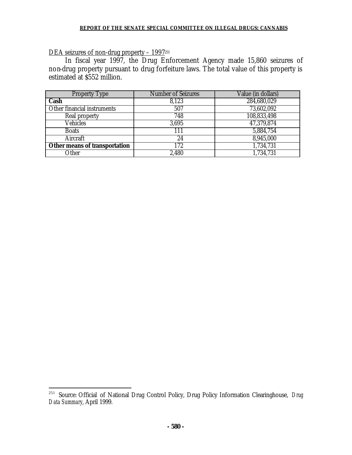# DEA seizures of non-drug property - 1997<sup>251</sup>

In fiscal year 1997, the Drug Enforcement Agency made 15,860 seizures of non-drug property pursuant to drug forfeiture laws. The total value of this property is estimated at \$552 million.

| <b>Property Type</b>                 | <b>Number of Seizures</b> | Value (in dollars) |
|--------------------------------------|---------------------------|--------------------|
| <b>Cash</b>                          | 8,123                     | 284,680,029        |
| Other financial instruments          | 507                       | 73,602,092         |
| Real property                        | 748                       | 108,833,498        |
| Vehicles                             | 3,695                     | 47,379,874         |
| <b>Boats</b>                         | 111                       | 5,884,754          |
| Aircraft                             | 24                        | 8,945,000          |
| <b>Other means of transportation</b> | 172                       | 1,734,731          |
| Other                                | 2,480                     | 1,734,731          |

 251 Source: Official of National Drug Control Policy, Drug Policy Information Clearinghouse, *Drug Data Summary*, April 1999.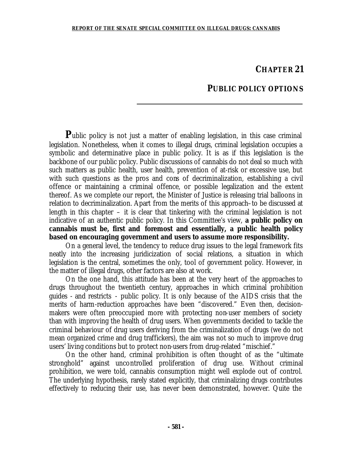# **CHAPTER 21**

# **PUBLIC POLICY OPTIONS**

**Public policy is not just a matter of enabling legislation, in this case criminal** legislation. Nonetheless, when it comes to illegal drugs, criminal legislation occupies a symbolic and determinative place in public policy. It is as if this legislation is the backbone of our public policy. Public discussions of cannabis do not deal so much with such matters as public health, user health, prevention of at-risk or excessive use, but with such questions as the pros and cons of decriminalization, establishing a civil offence or maintaining a criminal offence, or possible legalization and the extent thereof. As we complete our report, the Minister of Justice is releasing trial balloons in relation to decriminalization. Apart from the merits of this approach–to be discussed at length in this chapter – it is clear that tinkering with the criminal legislation is not indicative of an authentic public policy. In this Committee's view, **a public policy on cannabis must be, first and foremost and essentially, a public health policy based on encouraging government and users to assume more responsibility.**

On a general level, the tendency to reduce drug issues to the legal framework fits neatly into the increasing juridicization of social relations, a situation in which legislation is the central, sometimes the only, tool of government policy. However, in the matter of illegal drugs, other factors are also at work.

On the one hand, this attitude has been at the very heart of the approaches to drugs throughout the twentieth century, approaches in which criminal prohibition guides - and restricts - public policy. It is only because of the AIDS crisis that the merits of harm-reduction approaches have been "discovered." Even then, decisionmakers were often preoccupied more with protecting non-user members of society than with improving the health of drug users. When governments decided to tackle the criminal behaviour of drug users deriving from the criminalization of drugs (we do not mean organized crime and drug traffickers), the aim was not so much to improve drug users' living conditions but to protect non-users from drug-related "mischief."

On the other hand, criminal prohibition is often thought of as the "ultimate stronghold" against uncontrolled proliferation of drug use. Without criminal prohibition, we were told, cannabis consumption might well explode out of control. The underlying hypothesis, rarely stated explicitly, that criminalizing drugs contributes effectively to reducing their use, has never been demonstrated, however. Quite the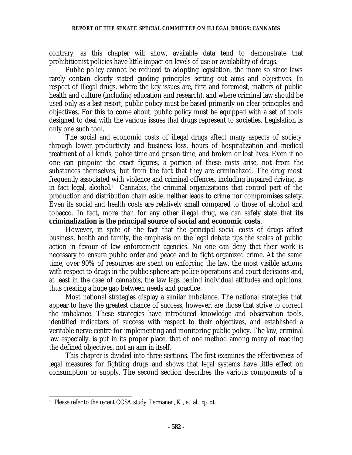contrary, as this chapter will show, available data tend to demonstrate that prohibitionist policies have little impact on levels of use or availability of drugs.

Public policy cannot be reduced to adopting legislation, the more so since laws rarely contain clearly stated guiding principles setting out aims and objectives. In respect of illegal drugs, where the key issues are, first and foremost, matters of public health and culture (including education and research), and where criminal law should be used only as a last resort, public policy must be based primarily on clear principles and objectives. For this to come about, public policy must be equipped with a set of tools designed to deal with the various issues that drugs represent to societies. Legislation is only one such tool.

The social and economic costs of illegal drugs affect many aspects of society through lower productivity and business loss, hours of hospitalization and medical treatment of all kinds, police time and prison time, and broken or lost lives. Even if no one can pinpoint the exact figures, a portion of these costs arise, not from the substances themselves, but from the fact that they are criminalized. The drug most frequently associated with violence and criminal offences, including impaired driving, is in fact legal, alcohol. 1 Cannabis, the criminal organizations that control part of the production and distribution chain aside, neither leads to crime nor compromises safety. Even its social and health costs are relatively small compared to those of alcohol and tobacco. In fact, more than for any other illegal drug, we can safely state that **its criminalization is the principal source of social and economic costs**.

However, in spite of the fact that the principal social costs of drugs affect business, health and family, the emphasis on the legal debate tips the scales of public action in favour of law enforcement agencies. No one can deny that their work is necessary to ensure public order and peace and to fight organized crime. At the same time, over 90% of resources are spent on enforcing the law, the most visible actions with respect to drugs in the public sphere are police operations and court decisions and, at least in the case of cannabis, the law lags behind individual attitudes and opinions, thus creating a huge gap between needs and practice.

Most national strategies display a similar imbalance. The national strategies that appear to have the greatest chance of success, however, are those that strive to correct the imbalance. These strategies have introduced knowledge and observation tools, identified indicators of success with respect to their objectives, and established a veritable nerve centre for implementing and monitoring public policy. The law, criminal law especially, is put in its proper place, that of one method among many of reaching the defined objectives, not an aim in itself.

This chapter is divided into three sections. The first examines the effectiveness of legal measures for fighting drugs and shows that legal systems have little effect on consumption or supply. The second section describes the various components of a

 $\overline{a}$ 1 Please refer to the recent CCSA study: Permanen, K., et. al., *op. cit.*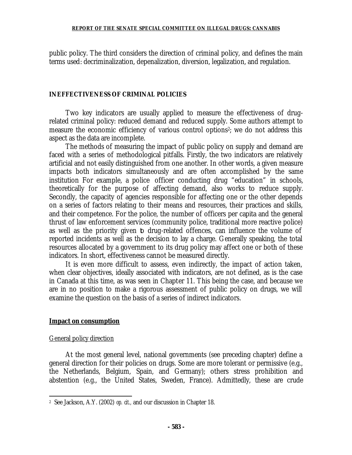public policy. The third considers the direction of criminal policy, and defines the main terms used: decriminalization, depenalization, diversion, legalization, and regulation.

# **INEFFECTIVENESS OF CRIMINAL POLICIES**

Two key indicators are usually applied to measure the effectiveness of drugrelated criminal policy: reduced demand and reduced supply. Some authors attempt to measure the economic efficiency of various control options<sup>2</sup> ; we do not address this aspect as the data are incomplete.

The methods of measuring the impact of public policy on supply and demand are faced with a series of methodological pitfalls. Firstly, the two indicators are relatively artificial and not easily distinguished from one another. In other words, a given measure impacts both indicators simultaneously and are often accomplished by the same institution For example, a police officer conducting drug "education" in schools, theoretically for the purpose of affecting demand, also works to reduce supply. Secondly, the capacity of agencies responsible for affecting one or the other depends on a series of factors relating to their means and resources, their practices and skills, and their competence. For the police, the number of officers per capita and the general thrust of law enforcement services (community police, traditional more reactive police) as well as the priority given to drug-related offences, can influence the volume of reported incidents as well as the decision to lay a charge. Generally speaking, the total resources allocated by a government to its drug policy may affect one or both of these indicators. In short, effectiveness cannot be measured directly.

It is even more difficult to assess, even indirectly, the impact of action taken, when clear objectives, ideally associated with indicators, are not defined, as is the case in Canada at this time, as was seen in Chapter 11. This being the case, and because we are in no position to make a rigorous assessment of public policy on drugs, we will examine the question on the basis of a series of indirect indicators.

# *Impact on consumption*

# General policy direction

At the most general level, national governments (see preceding chapter) define a general direction for their policies on drugs. Some are more tolerant or permissive (e.g., the Netherlands, Belgium, Spain, and Germany); others stress prohibition and abstention (e.g., the United States, Sweden, France). Admittedly, these are crude

 $\overline{a}$ 2 See Jackson, A.Y. (2002) *op. cit.,* and our discussion in Chapter 18.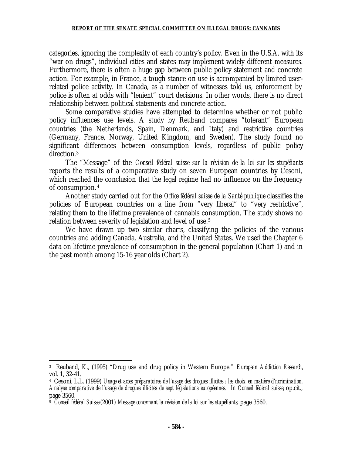categories, ignoring the complexity of each country's policy. Even in the U.S.A. with its "war on drugs", individual cities and states may implement widely different measures. Furthermore, there is often a huge gap between public policy statement and concrete action. For example, in France, a tough stance on use is accompanied by limited userrelated police activity. In Canada, as a number of witnesses told us, enforcement by police is often at odds with "lenient" court decisions. In other words, there is no direct relationship between political statements and concrete action.

Some comparative studies have attempted to determine whether or not public policy influences use levels. A study by Reuband compares "tolerant" European countries (the Netherlands, Spain, Denmark, and Italy) and restrictive countries (Germany, France, Norway, United Kingdom, and Sweden). The study found no significant differences between consumption levels, regardless of public policy direction.<sup>3</sup>

The "Message" of the *Conseil fédéral suisse sur la révision de la loi sur les stupéfiants* reports the results of a comparative study on seven European countries by Cesoni, which reached the conclusion that the legal regime had no influence on the frequency of consumption. <sup>4</sup>

Another study carried out for the *Office fédéral suisse de la Santé publique* classifies the policies of European countries on a line from "very liberal" to "very restrictive", relating them to the lifetime prevalence of cannabis consumption. The study shows no relation between severity of legislation and level of use.<sup>5</sup>

We have drawn up two similar charts, classifying the policies of the various countries and adding Canada, Australia, and the United States. We used the Chapter 6 data on lifetime prevalence of consumption in the general population (Chart 1) and in the past month among 15-16 year olds (Chart 2).

 $\overline{a}$ <sup>3</sup> Reuband, K., (1995) "Drug use and drug policy in Western Europe." *European Addiction Research*, vol. 1, 32-41.

<sup>4</sup> Cesoni, L.L. (1999) *Usage et actes préparatoires de l'usage des drogues illicites : les choix en matière d'ncrimination. Analyse comparative de l'usage de drogues illicites de sept législations européennes. In Conseil fédéral suisse*, op.cit., page 3560.

<sup>5</sup> *Conseil fédéral Suisse* (2001) *Message concernant la révision de la loi sur les stupéfiants*, page 3560.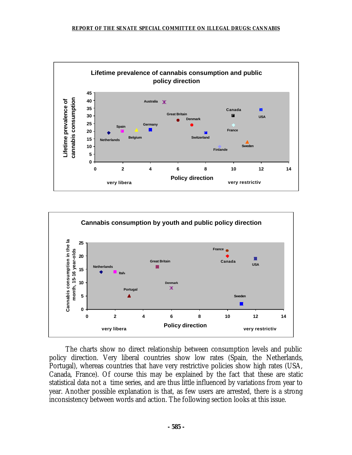



The charts show no direct relationship between consumption levels and public policy direction. Very liberal countries show low rates (Spain, the Netherlands, Portugal), whereas countries that have very restrictive policies show high rates (USA, Canada, France). Of course this may be explained by the fact that these are static statistical data not a time series, and are thus little influenced by variations from year to year. Another possible explanation is that, as few users are arrested, there is a strong inconsistency between words and action. The following section looks at this issue.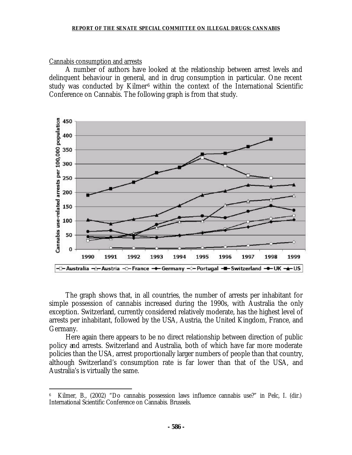### Cannabis consumption and arrests

A number of authors have looked at the relationship between arrest levels and delinquent behaviour in general, and in drug consumption in particular. One recent study was conducted by Kilmer<sup>6</sup> within the context of the International Scientific Conference on Cannabis. The following graph is from that study.



The graph shows that, in all countries, the number of arrests per inhabitant for simple possession of cannabis increased during the 1990s, with Australia the only exception. Switzerland, currently considered relatively moderate, has the highest level of arrests per inhabitant, followed by the USA, Austria, the United Kingdom, France, and Germany.

Here again there appears to be no direct relationship between direction of public policy and arrests. Switzerland and Australia, both of which have far more moderate policies than the USA, arrest proportionally larger numbers of people than that country, although Switzerland's consumption rate is far lower than that of the USA, and Australia's is virtually the same.

 $\overline{a}$ <sup>6</sup> Kilmer, B., (2002) "Do cannabis possession laws influence cannabis use?" in Pelc, I. (dir.) International Scientific Conference on Cannabis*.* Brussels.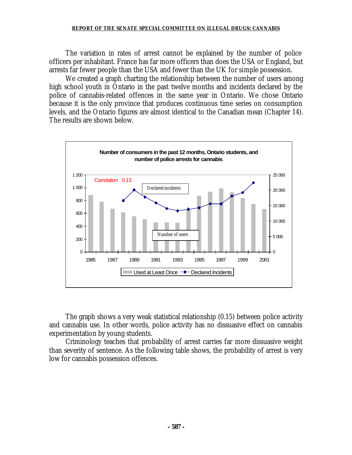The variation in rates of arrest cannot be explained by the number of police officers per inhabitant. France has far more officers than does the USA or England, but arrests far fewer people than the USA and fewer than the UK for simple possession.

We created a graph charting the relationship between the number of users among high school youth in Ontario in the past twelve months and incidents declared by the police of cannabis-related offences in the same year in Ontario. We chose Ontario because it is the only province that produces continuous time series on consumption levels, and the Ontario figures are almost identical to the Canadian mean (Chapter 14). The results are shown below.



The graph shows a very weak statistical relationship (0.15) between police activity and cannabis use. In other words, police activity has no dissuasive effect on cannabis experimentation by young students.

Criminology teaches that probability of arrest carries far more dissuasive weight than severity of sentence. As the following table shows, the probability of arrest is very low for cannabis possession offences.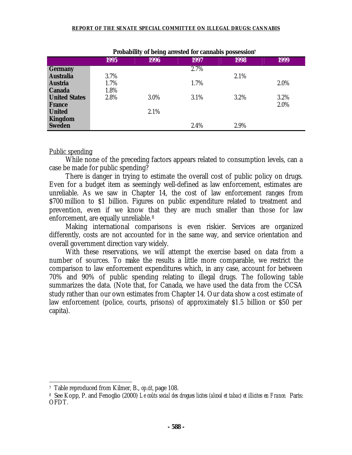|                      |      | Probability of being arrested for cannabis possession |      |      |      |
|----------------------|------|-------------------------------------------------------|------|------|------|
|                      | 1995 | 1996                                                  | 1997 | 1998 | 1999 |
| <b>Germany</b>       |      |                                                       | 2.7% |      |      |
| <b>Australia</b>     | 3.7% |                                                       |      | 2.1% |      |
| Austria              | 1.7% |                                                       | 1.7% |      | 2.0% |
| <b>Canada</b>        | 1.8% |                                                       |      |      |      |
| <b>United States</b> | 2.8% | 3.0%                                                  | 3.1% | 3.2% | 3.2% |
| <b>France</b>        |      |                                                       |      |      | 2.0% |
| <b>United</b>        |      | 2.1%                                                  |      |      |      |
| <b>Kingdom</b>       |      |                                                       |      |      |      |
| <b>Sweden</b>        |      |                                                       | 2.4% | 2.9% |      |

#### **Probability of being arrested for cannabis possession<sup>7</sup>**

### Public spending

While none of the preceding factors appears related to consumption levels, can a case be made for public spending?

There is danger in trying to estimate the overall cost of public policy on drugs. Even for a budget item as seemingly well-defined as law enforcement, estimates are unreliable. As we saw in Chapter 14, the cost of law enforcement ranges from \$700 million to \$1 billion. Figures on public expenditure related to treatment and prevention, even if we know that they are much smaller than those for law enforcement, are equally unreliable.<sup>8</sup>

Making international comparisons is even riskier. Services are organized differently, costs are not accounted for in the same way, and service orientation and overall government direction vary widely.

With these reservations, we will attempt the exercise based on data from a number of sources. To make the results a little more comparable, we restrict the comparison to law enforcement expenditures which, in any case, account for between 70% and 90% of public spending relating to illegal drugs. The following table summarizes the data. (Note that, for Canada, we have used the data from the CCSA study rather than our own estimates from Chapter 14. Our data show a cost estimate of law enforcement (police, courts, prisons) of approximately \$1.5 billion or \$50 per capita).

 $\overline{a}$ <sup>7</sup> Table reproduced from Kilmer, B., *op.cit,* page 108.

<sup>8</sup> See Kopp, P. and Fenoglio (2000) *Le coûts social des drogues licites (alcool et tabac) et illicites en France.* Paris: OFDT.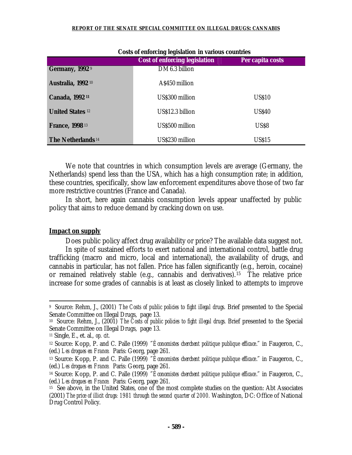| Costs of enforcing registation in various countries |                                      |                  |  |  |  |
|-----------------------------------------------------|--------------------------------------|------------------|--|--|--|
|                                                     | <b>Cost of enforcing legislation</b> | Per capita costs |  |  |  |
| Germany, 1992 <sup>9</sup>                          | DM 6.3 billion                       |                  |  |  |  |
| <b>Australia, 1992</b> 10                           | A\$450 million                       |                  |  |  |  |
| <b>Canada</b> , 1992 <sup>11</sup>                  | US\$300 million                      | <b>US\$10</b>    |  |  |  |
| <b>United States 12</b>                             | US\$12.3 billion                     | <b>US\$40</b>    |  |  |  |
| <b>France, 1998</b> <sup>13</sup>                   | US\$500 million                      | US\$8            |  |  |  |
| <b>The Netherlands</b> <sup>14</sup>                | US\$230 million                      | <b>US\$15</b>    |  |  |  |

**Costs of enforcing legislation in various countries**

We note that countries in which consumption levels are average (Germany, the Netherlands) spend less than the USA, which has a high consumption rate; in addition, these countries, specifically, show law enforcement expenditures above those of two far more restrictive countries (France and Canada).

In short, here again cannabis consumption levels appear unaffected by public policy that aims to reduce demand by cracking down on use.

### *Impact on supply*

Does public policy affect drug availability or price? The available data suggest not. In spite of sustained efforts to exert national and international control, battle drug trafficking (macro and micro, local and international), the availability of drugs, and cannabis in particular, has not fallen. Price has fallen significantly (e.g., heroin, cocaine) or remained relatively stable (e.g., cannabis and derivatives).15 The relative price increase for some grades of cannabis is at least as closely linked to attempts to improve

 $\overline{a}$ <sup>9</sup> Source: Rehm, J., (2001) *The Costs of public policies to fight illegal drugs.* Brief presented to the Special Senate Committee on Illegal Drugs, page 13.

<sup>10</sup> Source: Rehm, J., (2001) *The Costs of public policies to fight illegal drugs.* Brief presented to the Special Senate Committee on Illegal Drugs, page 13.

<sup>11</sup> Single, E., et. al., *op. cit.*

<sup>12</sup> Source: Kopp, P. and C. Palle (1999) ″*Économistes cherchent politique publique efficace*.″ in Faugeron, C., (ed.) *Les drogues en France.* Paris: Georg, page 261.

<sup>13</sup> Source: Kopp, P. and C. Palle (1999) ″*Économistes cherchent politique publique efficace*.″ in Faugeron, C., (ed.) *Les drogues en France.* Paris: Georg, page 261.

<sup>14</sup> Source: Kopp, P. and C. Palle (1999) ″*Économistes cherchent politique publique efficace*.″ in Faugeron, C., (ed.) *Les drogues en France.* Paris: Georg, page 261.

<sup>15</sup> See above, in the United States, one of the most complete studies on the question: Abt Associates (2001) *The price of illicit drugs: 1981 through the second quarter of 2000.* Washington, DC: Office of National Drug Control Policy.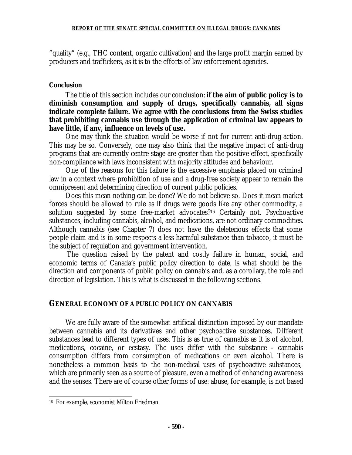"quality" (e.g., THC content, organic cultivation) and the large profit margin earned by producers and traffickers, as it is to the efforts of law enforcement agencies.

# *Conclusion*

The title of this section includes our conclusion: **if the aim of public policy is to diminish consumption and supply of drugs, specifically cannabis, all signs indicate complete failure. We agree with the conclusions from the Swiss studies that prohibiting cannabis use through the application of criminal law appears to have little, if any, influence on levels of use.**

One may think the situation would be worse if not for current anti-drug action. This may be so. Conversely, one may also think that the negative impact of anti-drug programs that are currently centre stage are greater than the positive effect, specifically non-compliance with laws inconsistent with majority attitudes and behaviour.

One of the reasons for this failure is the excessive emphasis placed on criminal law in a context where prohibition of use and a drug-free society appear to remain the omnipresent and determining direction of current public policies.

Does this mean nothing can be done? We do not believe so. Does it mean market forces should be allowed to rule as if drugs were goods like any other commodity, a solution suggested by some free-market advocates?16 Certainly not. Psychoactive substances, including cannabis, alcohol, and medications, are not ordinary commodities. Although cannabis (see Chapter 7) does not have the deleterious effects that some people claim and is in some respects a less harmful substance than tobacco, it must be the subject of regulation and government intervention.

The question raised by the patent and costly failure in human, social, and economic terms of Canada's public policy direction to date, is what should be the direction and components of public policy on cannabis and, as a corollary, the role and direction of legislation. This is what is discussed in the following sections.

# **GENERAL ECONOMY OF A PUBLIC POLICY ON CANNABIS**

We are fully aware of the somewhat artificial distinction imposed by our mandate between cannabis and its derivatives and other psychoactive substances. Different substances lead to different types of uses. This is as true of cannabis as it is of alcohol, medications, cocaine, or ecstasy. The uses differ with the substance - cannabis consumption differs from consumption of medications or even alcohol. There is nonetheless a common basis to the non-medical uses of psychoactive substances, which are primarily seen as a source of pleasure, even a method of enhancing awareness and the senses. There are of course other forms of use: abuse, for example, is not based

 $\overline{a}$ 16 For example, economist Milton Friedman.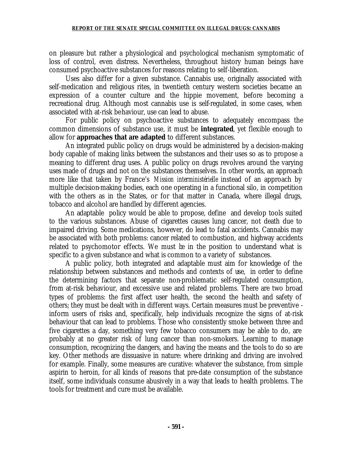on pleasure but rather a physiological and psychological mechanism symptomatic of loss of control, even distress. Nevertheless, throughout history human beings have consumed psychoactive substances for reasons relating to self-liberation.

Uses also differ for a given substance. Cannabis use, originally associated with self-medication and religious rites, in twentieth century western societies became an expression of a counter culture and the hippie movement, before becoming a recreational drug. Although most cannabis use is self-regulated, in some cases, when associated with at-risk behaviour, use can lead to abuse.

For public policy on psychoactive substances to adequately encompass the common dimensions of substance use, it must be **integrated**, yet flexible enough to allow for **approaches that are adapted** to different substances.

An integrated public policy on drugs would be administered by a decision-making body capable of making links between the substances and their uses so as to propose a meaning to different drug uses. A public policy on drugs revolves around the varying uses made of drugs and not on the substances themselves. In other words, an approach more like that taken by France's *Mission interministérielle* instead of an approach by multiple decision-making bodies, each one operating in a functional silo, in competition with the others as in the States, or for that matter in Canada, where illegal drugs, tobacco and alcohol are handled by different agencies.

An adaptable policy would be able to propose, define and develop tools suited to the various substances. Abuse of cigarettes causes lung cancer, not death due to impaired driving. Some medications, however, do lead to fatal accidents. Cannabis may be associated with both problems: cancer related to combustion, and highway accidents related to psychomotor effects. We must be in the position to understand what is specific to a given substance and what is common to a variety of substances.

A public policy, both integrated and adaptable must aim for knowledge of the relationship between substances and methods and contexts of use, in order to define the determining factors that separate non-problematic self-regulated consumption, from at-risk behaviour, and excessive use and related problems. There are two broad types of problems: the first affect user health, the second the health and safety of others; they must be dealt with in different ways. Certain measures must be preventive inform users of risks and, specifically, help individuals recognize the signs of at-risk behaviour that can lead to problems. Those who consistently smoke between three and five cigarettes a day, something very few tobacco consumers may be able to do, are probably at no greater risk of lung cancer than non-smokers. Learning to manage consumption, recognizing the dangers, and having the means and the tools to do so are key. Other methods are dissuasive in nature: where drinking and driving are involved for example. Finally, some measures are curative: whatever the substance, from simple aspirin to heroin, for all kinds of reasons that pre-date consumption of the substance itself, some individuals consume abusively in a way that leads to health problems. The tools for treatment and cure must be available.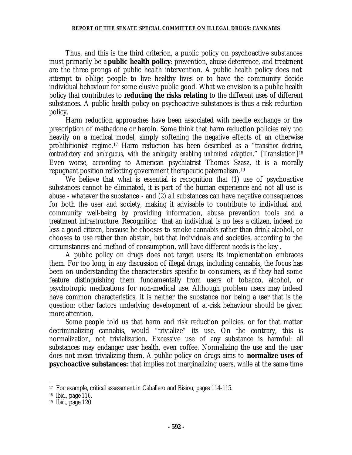Thus, and this is the third criterion, a public policy on psychoactive substances must primarily be a **public health policy**: prevention, abuse deterrence, and treatment are the three prongs of public health intervention. A public health policy does not attempt to oblige people to live healthy lives or to have the community decide individual behaviour for some elusive public good. What we envision is a public health policy that contributes to **reducing the risks relating** to the different uses of different substances. A public health policy on psychoactive substances is thus a risk reduction policy.

Harm reduction approaches have been associated with needle exchange or the prescription of methadone or heroin. Some think that harm reduction policies rely too heavily on a medical model, simply softening the negative effects of an otherwise prohibitionist regime.17 Harm reduction has been described as a "*transition doctrine, contradictory and ambiguous, with the ambiguity enabling unlimited adaption*." [Translation] <sup>18</sup> Even worse, according to American psychiatrist Thomas Szasz, it is a morally repugnant position reflecting government therapeutic paternalism.<sup>19</sup>

We believe that what is essential is recognition that (1) use of psychoactive substances cannot be eliminated, it is part of the human experience and not all use is abuse - whatever the substance - and (2) all substances can have negative consequences for both the user and society, making it advisable to contribute to individual and community well-being by providing information, abuse prevention tools and a treatment infrastructure. Recognition that an individual is no less a citizen, indeed no less a good citizen, because he chooses to smoke cannabis rather than drink alcohol, or chooses to use rather than abstain, but that individuals and societies, according to the circumstances and method of consumption, will have different needs is the key .

A public policy on drugs does not target users: its implementation embraces them. For too long, in any discussion of illegal drugs, including cannabis, the focus has been on understanding the characteristics specific to consumers, as if they had some feature distinguishing them fundamentally from users of tobacco, alcohol, or psychotropic medications for non-medical use. Although problem users may indeed have common characteristics, it is neither the substance nor being a user that is the question: other factors underlying development of at-risk behaviour should be given more attention.

Some people told us that harm and risk reduction policies, or for that matter decriminalizing cannabis, would "trivialize" its use. On the contrary, this is normalization, not trivialization. Excessive use of any substance is harmful: all substances may endanger user health, even coffee. Normalizing the use and the user does not mean trivializing them. A public policy on drugs aims to **normalize uses of psychoactive substances:** that implies not marginalizing users, while at the same time

 $\overline{a}$ <sup>17</sup> For example, critical assessment in Caballero and Bisiou, pages 114-115.

<sup>18</sup> *Ibid.,* page *116.*

<sup>19</sup> *Ibid*., page 120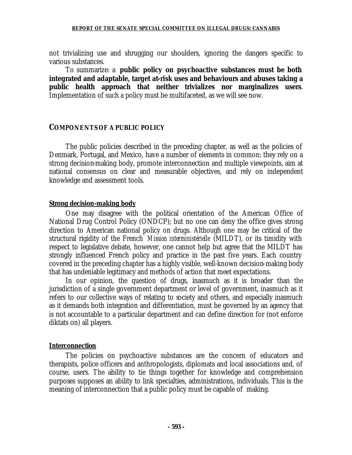not trivializing use and shrugging our shoulders, ignoring the dangers specific to various substances.

To summarize: a **public policy on psychoactive substances must be both integrated and adaptable, target at-risk uses and behaviours and abuses taking a public health approach that neither trivializes nor marginalizes users**. Implementation of such a policy must be multifaceted, as we will see now.

# **COMPONENTS OF A PUBLIC POLICY**

The public policies described in the preceding chapter, as well as the policies of Denmark, Portugal, and Mexico, have a number of elements in common: they rely on a strong decision-making body, promote interconnection and multiple viewpoints, aim at national consensus on clear and measurable objectives, and rely on independent knowledge and assessment tools.

# *Strong decision-making body*

One may disagree with the political orientation of the American Office of National Drug Control Policy (ONDCP); but no one can deny the office gives strong direction to American national policy on drugs. Although one may be critical of the structural rigidity of the French *Mission interministérielle* (MILDT), or its timidity with respect to legislative debate, however, one cannot help but agree that the MILDT has strongly influenced French policy and practice in the past five years. Each country covered in the preceding chapter has a highly visible, well-known decision-making body that has undeniable legitimacy and methods of action that meet expectations.

In our opinion, the question of drugs, inasmuch as it is broader than the jurisdiction of a single government department or level of government, inasmuch as it refers to our collective ways of relating to society and others, and especially inasmuch as it demands both integration and differentiation, must be governed by an agency that is not accountable to a particular department and can define direction for (not enforce diktats on) all players.

# *Interconnection*

The policies on psychoactive substances are the concern of educators and therapists, police officers and anthropologists, diplomats and local associations and, of course, users. The ability to tie things together for knowledge and comprehension purposes supposes an ability to link specialties, administrations, individuals. This is the meaning of interconnection that a public policy must be capable of making.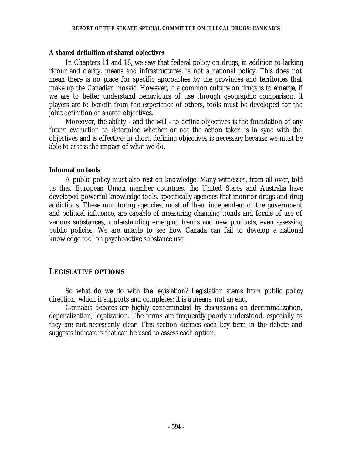### *A shared definition of shared objectives*

In Chapters 11 and 18, we saw that federal policy on drugs, in addition to lacking rigour and clarity, means and infrastructures, is not a national policy. This does not mean there is no place for specific approaches by the provinces and territories that make up the Canadian mosaic. However, if a common culture on drugs is to emerge, if we are to better understand behaviours of use through geographic comparison, if players are to benefit from the experience of others, tools must be developed for the joint definition of shared objectives.

Moreover, the ability - and the will - to define objectives is the foundation of any future evaluation to determine whether or not the action taken is in sync with the objectives and is effective; in short, defining objectives is necessary because we must be able to assess the impact of what we do.

# *Information tools*

A public policy must also rest on knowledge. Many witnesses, from all over, told us this. European Union member countries, the United States and Australia have developed powerful knowledge tools, specifically agencies that monitor drugs and drug addictions. These monitoring agencies, most of them independent of the government and political influence, are capable of measuring changing trends and forms of use of various substances, understanding emerging trends and new products, even assessing public policies. We are unable to see how Canada can fail to develop a national knowledge tool on psychoactive substance use.

# **LEGISLATIVE OPTIONS**

So what do we do with the legislation? Legislation stems from public policy direction, which it supports and completes; it is a means, not an end.

Cannabis debates are highly contaminated by discussions on decriminalization, depenalization, legalization. The terms are frequently poorly understood, especially as they are not necessarily clear. This section defines each key term in the debate and suggests indicators that can be used to assess each option.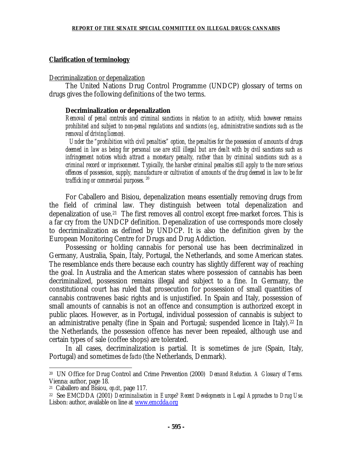### *Clarification of terminology*

### Decriminalization or depenalization

The United Nations Drug Control Programme (UNDCP) glossary of terms on drugs gives the following definitions of the two terms.

### *Decriminalization or depenalization*

*Removal of penal controls and criminal sanctions in relation to an activity, which however remains prohibited and subject to non-penal regulations and sanctions (e.g., administrative sanctions such as the removal of driving licence).*

*Under the "prohibition with civil penalties" option, the penalties for the possession of amounts of drugs deemed in law as being for personal use are still illegal but are dealt with by civil sanctions such as infringement notices which attract a monetary penalty, rather than by criminal sanctions such as a criminal record or imprisonment. Typically, the harsher criminal penalties still apply to the more serious offences of possession, supply, manufacture or cultivation of amounts of the drug deemed in law to be for trafficking or commercial purposes.* <sup>20</sup>

For Caballero and Bisiou, depenalization means essentially removing drugs from the field of criminal law. They distinguish between total depenalization and depenalization of use.21 The first removes all control except free-market forces. This is a far cry from the UNDCP definition. Depenalization of use corresponds more closely to decriminalization as defined by UNDCP. It is also the definition given by the European Monitoring Centre for Drugs and Drug Addiction.

Possessing or holding cannabis for personal use has been decriminalized in Germany, Australia, Spain, Italy, Portugal, the Netherlands, and some American states. The resemblance ends there because each country has slightly different way of reaching the goal. In Australia and the American states where possession of cannabis has been decriminalized, possession remains illegal and subject to a fine. In Germany, the constitutional court has ruled that prosecution for possession of small quantities of cannabis contravenes basic rights and is unjustified. In Spain and Italy, possession of small amounts of cannabis is not an offence and consumption is authorized except in public places. However, as in Portugal, individual possession of cannabis is subject to an administrative penalty (fine in Spain and Portugal; suspended licence in Italy).<sup>22</sup> In the Netherlands, the possession offence has never been repealed, although use and certain types of sale (coffee shops) are tolerated.

In all cases, decriminalization is partial. It is sometimes *de jure* (Spain, Italy, Portugal) and sometimes *de facto* (the Netherlands, Denmark).

 $\overline{a}$ 

<sup>20</sup> UN Office for Drug Control and Crime Prevention (2000) *Demand Reduction. A Glossary of Terms.* Vienna: author, page 18.

<sup>21</sup> Caballero and Bisiou, *op.cit*, page 117.

<sup>22</sup> See EMCDDA (2001) *Decriminalisation in Europe? Recent Developments in Legal Approaches to Drug Use.* Lisbon: author, available on line at www.emcdda.org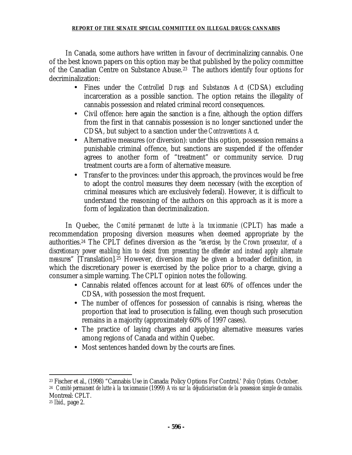In Canada, some authors have written in favour of decriminalizing cannabis. One of the best known papers on this option may be that published by the policy committee of the Canadian Centre on Substance Abuse.23 The authors identify four options for decriminalization:

- Fines under the *Controlled Drugs and Substances Act* (CDSA) excluding incarceration as a possible sanction. The option retains the illegality of cannabis possession and related criminal record consequences.
- Civil offence: here again the sanction is a fine, although the option differs from the first in that cannabis possession is no longer sanctioned under the CDSA, but subject to a sanction under the *Contraventions Act*.
- Alternative measures (or diversion): under this option, possession remains a punishable criminal offence, but sanctions are suspended if the offender agrees to another form of "treatment" or community service. Drug treatment courts are a form of alternative measure.
- Transfer to the provinces: under this approach, the provinces would be free to adopt the control measures they deem necessary (with the exception of criminal measures which are exclusively federal). However, it is difficult to understand the reasoning of the authors on this approach as it is more a form of legalization than decriminalization.

In Quebec, the *Comité permanent de lutte à la toxicomanie (*CPLT*)* has made a recommendation proposing diversion measures when deemed appropriate by the authorities.24 The CPLT defines diversion as the "*exercise, by the Crown prosecutor, of a discretionary power enabling him to desist from prosecuting the offender and instead apply alternate measures*" [Translation].<sup>25</sup> However, diversion may be given a broader definition, in which the discretionary power is exercised by the police prior to a charge, giving a consumer a simple warning. The CPLT opinion notes the following.

- Cannabis related offences account for at least 60% of offences under the CDSA, with possession the most frequent.
- The number of offences for possession of cannabis is rising, whereas the proportion that lead to prosecution is falling, even though such prosecution remains in a majority (approximately 60% of 1997 cases).
- The practice of laying charges and applying alternative measures varies among regions of Canada and within Quebec.
- Most sentences handed down by the courts are fines.

 $\overline{a}$ <sup>23</sup> Fischer et al., (1998) "Cannabis Use in Canada: Policy Options For Control.' *Policy Options.* October.

<sup>24</sup> *Comité permanent de lutte à la toxicomanie* (1999) *Avis sur la déjudiciarisation de la possession simple de cannabis.* Montreal: CPLT.

<sup>25</sup> *Ibid.,* page 2.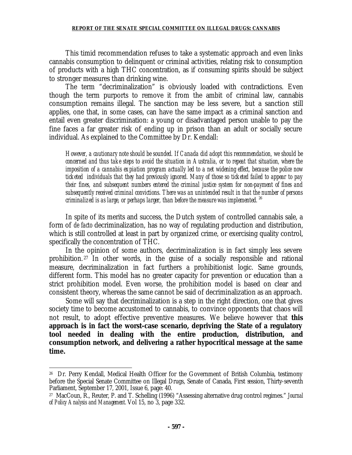This timid recommendation refuses to take a systematic approach and even links cannabis consumption to delinquent or criminal activities, relating risk to consumption of products with a high THC concentration, as if consuming spirits should be subject to stronger measures than drinking wine.

The term "decriminalization" is obviously loaded with contradictions. Even though the term purports to remove it from the ambit of criminal law, cannabis consumption remains illegal. The sanction may be less severe, but a sanction still applies, one that, in some cases, can have the same impact as a criminal sanction and entail even greater discrimination: a young or disadvantaged person unable to pay the fine faces a far greater risk of ending up in prison than an adult or socially secure individual. As explained to the Committee by Dr. Kendall:

*However, a cautionary note should be sounded. If Canada did adopt this recommendation, we should be concerned and thus take steps to avoid the situation in Australia, or to repeat that situation, where the imposition of a cannabis expiation program actually led to a net widening effect, because the police now ticketed individuals that they had previously ignored. Many of those so ticketed failed to appear to pay their fines, and subsequent numbers entered the criminal justice system for non-payment of fines and subsequently received criminal convictions. There was an unintended result in that the number of persons criminalized is as large, or perhaps larger, than before the measure was implemented.* <sup>26</sup>

In spite of its merits and success, the Dutch system of controlled cannabis sale, a form of *de facto* decriminalization, has no way of regulating production and distribution, which is still controlled at least in part by organized crime, or exercising quality control, specifically the concentration of THC.

In the opinion of some authors, decriminalization is in fact simply less severe prohibition.<sup>27</sup> In other words, in the guise of a socially responsible and rational measure, decriminalization in fact furthers a prohibitionist logic. Same grounds, different form. This model has no greater capacity for prevention or education than a strict prohibition model. Even worse, the prohibition model is based on clear and consistent theory, whereas the same cannot be said of decriminalization as an approach.

Some will say that decriminalization is a step in the right direction, one that gives society time to become accustomed to cannabis, to convince opponents that chaos will not result, to adopt effective preventive measures. We believe however that **this approach is in fact the worst-case scenario, depriving the State of a regulatory tool needed in dealing with the entire production, distribution, and consumption network, and delivering a rather hypocritical message at the same time.**

 $\overline{a}$ 

<sup>26</sup> Dr. Perry Kendall, Medical Health Officer for the Government of British Columbia, testimony before the Special Senate Committee on Illegal Drugs, Senate of Canada, First session, Thirty-seventh Parliament, September 17, 2001, Issue 6, page: 40.

<sup>27</sup> MacCoun, R., Reuter, P. and T. Schelling (1996) "Assessing alternative drug control regimes." *Journal of Policy Analysis and Management.* Vol 15, no 3, page 332.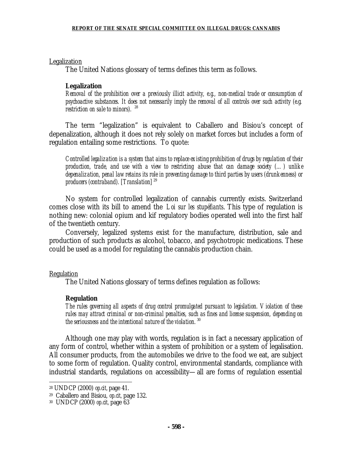### **Legalization**

The United Nations glossary of terms defines this term as follows.

# *Legalization*

*Removal of the prohibition over a previously illicit activity, e.g., non-medical trade or consumption of psychoactive substances. It does not necessarily imply the removal of all controls over such activity (e.g. restriction on sale to minors).* <sup>28</sup>

The term "legalization" is equivalent to Caballero and Bisiou's concept of depenalization, although it does not rely solely on market forces but includes a form of regulation entailing some restrictions. To quote:

*Controlled legalization is a system that aims to replace existing prohibition of drugs by regulation of their production, trade, and use with a view to restricting abuse that can damage society (…) unlike depenalization, penal law retains its role in preventing damage to third parties by users (drunkenness) or producers (contraband). [Translation]* <sup>29</sup>

No system for controlled legalization of cannabis currently exists. Switzerland comes close with its bill to amend the *Loi sur les stupéfiants*. This type of regulation is nothing new: colonial opium and kif regulatory bodies operated well into the first half of the twentieth century.

Conversely, legalized systems exist for the manufacture, distribution, sale and production of such products as alcohol, tobacco, and psychotropic medications. These could be used as a model for regulating the cannabis production chain.

# Regulation

The United Nations glossary of terms defines regulation as follows:

# *Regulation*

*The rules governing all aspects of drug control promulgated pursuant to legislation. Violation of these rules may attract criminal or non-criminal penalties, such as fines and license suspension, depending on the seriousness and the intentional nature of the violation.* <sup>30</sup>

Although one may play with words, regulation is in fact a necessary application of any form of control, whether within a system of prohibition or a system of legalisation. All consumer products, from the automobiles we drive to the food we eat, are subject to some form of regulation. Quality control, environmental standards, compliance with industrial standards, regulations on accessibility—all are forms of regulation essential

 $\overline{a}$ <sup>28</sup> UNDCP (2000) *op.cit,* page 41.

<sup>29</sup> Caballero and Bisiou, *op.cit,* page 132.

<sup>30</sup> UNDCP (2000) *op.cit,* page 63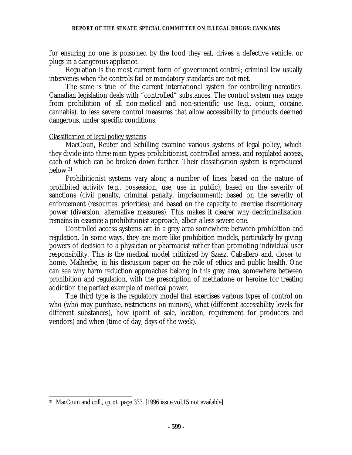for ensuring no one is poisoned by the food they eat, drives a defective vehicle, or plugs in a dangerous appliance.

Regulation is the most current form of government control; criminal law usually intervenes when the controls fail or mandatory standards are not met.

The same is true of the current international system for controlling narcotics. Canadian legislation deals with "controlled" substances. The control system may range from prohibition of all non-medical and non-scientific use (e.g., opium, cocaine, cannabis), to less severe control measures that allow accessibility to products deemed dangerous, under specific conditions.

### Classification of legal policy systems

MacCoun, Reuter and Schilling examine various systems of legal policy, which they divide into three main types: prohibitionist, controlled access, and regulated access, each of which can be broken down further. Their classification system is reproduced below.<sup>31</sup>

Prohibitionist systems vary along a number of lines: based on the nature of prohibited activity (e.g., possession, use, use in public); based on the severity of sanctions (civil penalty, criminal penalty, imprisonment); based on the severity of enforcement (resources, priorities); and based on the capacity to exercise discretionary power (diversion, alternative measures). This makes it clearer why decriminalization remains in essence a prohibitionist approach, albeit a less severe one.

Controlled access systems are in a grey area somewhere between prohibition and regulation. In some ways, they are more like prohibition models, particularly by giving powers of decision to a physician or pharmacist rather than promoting individual user responsibility. This is the medical model criticized by Szasz, Caballero and, closer to home, Malherbe, in his discussion paper on the role of ethics and public health. One can see why harm reduction approaches belong in this grey area, somewhere between prohibition and regulation, with the prescription of methadone or heroine for treating addiction the perfect example of medical power.

The third type is the regulatory model that exercises various types of control on who (who may purchase, restrictions on minors), what (different accessibility levels for different substances), how (point of sale, location, requirement for producers and vendors) and when (time of day, days of the week).

 $\overline{a}$ 31 MacCoun and coll., *op. cit,* page 333. [1996 issue vol.15 not available]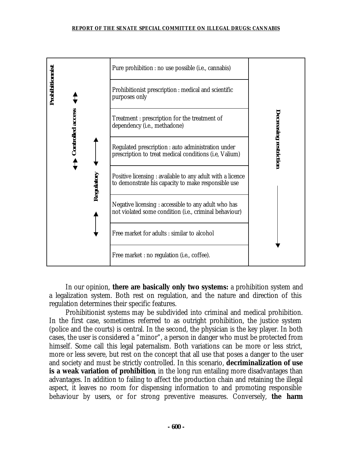

In our opinion, **there are basically only two systems:** a prohibition system and a legalization system. Both rest on regulation, and the nature and direction of this regulation determines their specific features.

Prohibitionist systems may be subdivided into criminal and medical prohibition. In the first case, sometimes referred to as outright prohibition, the justice system (police and the courts) is central. In the second, the physician is the key player. In both cases, the user is considered a "minor", a person in danger who must be protected from himself. Some call this legal paternalism. Both variations can be more or less strict, more or less severe, but rest on the concept that all use that poses a danger to the user and society and must be strictly controlled. In this scenario, **decriminalization of use**  is a weak variation of prohibition, in the long run entailing more disadvantages than advantages. In addition to failing to affect the production chain and retaining the illegal aspect, it leaves no room for dispensing information to and promoting responsible behaviour by users, or for strong preventive measures. Conversely, **the harm**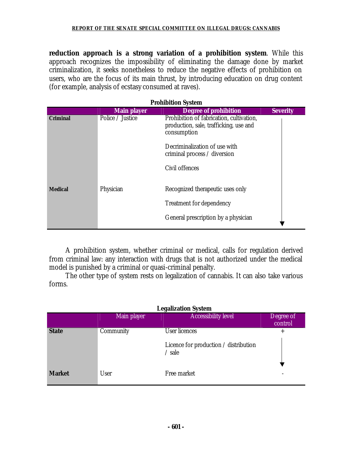**reduction approach is a strong variation of a prohibition system**. While this approach recognizes the impossibility of eliminating the damage done by market criminalization, it seeks nonetheless to reduce the negative effects of prohibition on users, who are the focus of its main thrust, by introducing education on drug content (for example, analysis of ecstasy consumed at raves).

**Prohibition System**

| РІОШОЦІОП Эузіеш |                    |                                                                                                   |                 |  |  |
|------------------|--------------------|---------------------------------------------------------------------------------------------------|-----------------|--|--|
|                  | <b>Main player</b> | <b>Degree of prohibition</b>                                                                      | <b>Severity</b> |  |  |
| <b>Criminal</b>  | Police / Justice   | Prohibition of fabrication, cultivation,<br>production, sale, trafficking, use and<br>consumption |                 |  |  |
|                  |                    | Decriminalization of use with<br>criminal process $\angle$ diversion                              |                 |  |  |
|                  |                    | Civil offences                                                                                    |                 |  |  |
| <b>Medical</b>   | Physician          | Recognized therapeutic uses only                                                                  |                 |  |  |
|                  |                    | <b>Treatment for dependency</b>                                                                   |                 |  |  |
|                  |                    | General prescription by a physician                                                               |                 |  |  |

A prohibition system, whether criminal or medical, calls for regulation derived from criminal law: any interaction with drugs that is not authorized under the medical model is punished by a criminal or quasi-criminal penalty.

The other type of system rests on legalization of cannabis. It can also take various forms.

| <b>Legalization System</b> |             |                                                 |                      |  |  |
|----------------------------|-------------|-------------------------------------------------|----------------------|--|--|
|                            | Main player | <b>Accessibility level</b>                      | Degree of<br>control |  |  |
| <b>State</b>               | Community   | <b>User licences</b>                            | $\,{}^+$             |  |  |
|                            |             | Licence for production / distribution<br>/ sale |                      |  |  |
| <b>Market</b>              | <b>User</b> | Free market                                     |                      |  |  |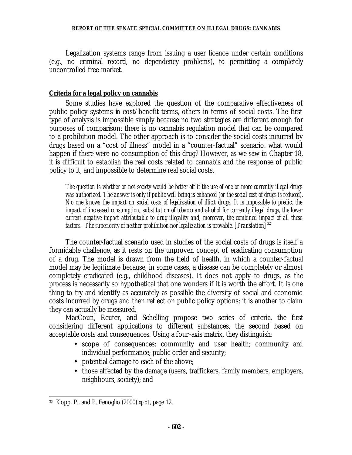Legalization systems range from issuing a user licence under certain conditions (e.g., no criminal record, no dependency problems), to permitting a completely uncontrolled free market.

# *Criteria for a legal policy on cannabis*

Some studies have explored the question of the comparative effectiveness of public policy systems in cost/benefit terms, others in terms of social costs. The first type of analysis is impossible simply because no two strategies are different enough for purposes of comparison: there is no cannabis regulation model that can be compared to a prohibition model. The other approach is to consider the social costs incurred by drugs based on a "cost of illness" model in a "counter-factual" scenario: what would happen if there were no consumption of this drug? However, as we saw in Chapter 18, it is difficult to establish the real costs related to cannabis and the response of public policy to it, and impossible to determine real social costs.

*The question is whether or not society would be better off if the use of one or more currently illegal drugs was authorized. The answer is only if public well-being is enhanced (or the social cost of drugs is reduced). No one knows the impact on social costs of legalization of illicit drugs. It is impossible to predict the impact of increased consumption, substitution of tobacco and alcohol for currently illegal drugs, the lower current negative impact attributable to drug illegality and, moreover, the combined impact of all these factors. The superiority of neither prohibition nor legalization is provable. [Translation]* <sup>32</sup>

The counter-factual scenario used in studies of the social costs of drugs is itself a formidable challenge, as it rests on the unproven concept of eradicating consumption of a drug. The model is drawn from the field of health, in which a counter-factual model may be legitimate because, in some cases, a disease can be completely or almost completely eradicated (e.g., childhood diseases). It does not apply to drugs, as the process is necessarily so hypothetical that one wonders if it is worth the effort. It is one thing to try and identify as accurately as possible the diversity of social and economic costs incurred by drugs and then reflect on public policy options; it is another to claim they can actually be measured.

MacCoun, Reuter, and Schelling propose two series of criteria, the first considering different applications to different substances, the second based on acceptable costs and consequences. Using a four-axis matrix, they distinguish:

- scope of consequences: community and user health; community and individual performance; public order and security;
- potential damage to each of the above;
- those affected by the damage (users, traffickers, family members, employers, neighbours, society); and

 $\overline{a}$ 32 Kopp, P., and P. Fenoglio (2000) *op.cit*, page 12.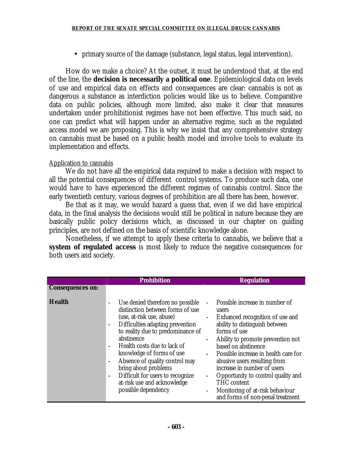• primary source of the damage (substance, legal status, legal intervention).

How do we make a choice? At the outset, it must be understood that, at the end of the line, the **decision is necessarily a political one**. Epidemiological data on levels of use and empirical data on effects and consequences are clear: cannabis is not as dangerous a substance as interdiction policies would like us to believe. Comparative data on public policies, although more limited, also make it clear that measures undertaken under prohibitionist regimes have not been effective. This much said, no one can predict what will happen under an alternative regime, such as the regulated access model we are proposing. This is why we insist that any comprehensive strategy on cannabis must be based on a public health model and involve tools to evaluate its implementation and effects.

### Application to cannabis

We do not have all the empirical data required to make a decision with respect to all the potential consequences of different control systems. To produce such data, one would have to have experienced the different regimes of cannabis control. Since the early twentieth century, various degrees of prohibition are all there has been, however.

Be that as it may, we would hazard a guess that, even if we did have empirical data, in the final analysis the decisions would still be political in nature because they are basically public policy decisions which, as discussed in our chapter on guiding principles, are not defined on the basis of scientific knowledge alone.

Nonetheless, if we attempt to apply these criteria to cannabis, we believe that a **system of regulated access** is most likely to reduce the negative consequences for both users and society.

|                         | <b>Prohibition</b>                                                                                                                                                                                                                                                                                                                                                                                       | <b>Regulation</b>                                                                                                                                                                                                                                                                                                                                                                                                                                                                            |  |  |
|-------------------------|----------------------------------------------------------------------------------------------------------------------------------------------------------------------------------------------------------------------------------------------------------------------------------------------------------------------------------------------------------------------------------------------------------|----------------------------------------------------------------------------------------------------------------------------------------------------------------------------------------------------------------------------------------------------------------------------------------------------------------------------------------------------------------------------------------------------------------------------------------------------------------------------------------------|--|--|
| <b>Consequences on:</b> |                                                                                                                                                                                                                                                                                                                                                                                                          |                                                                                                                                                                                                                                                                                                                                                                                                                                                                                              |  |  |
| <b>Health</b>           | Use denied therefore no possible<br>distinction between forms of use<br>(use, at-risk use, abuse)<br>Difficulties adapting prevention<br>to reality due to predominance of<br>abstinence<br>Health costs due to lack of<br>knowledge of forms of use<br>Absence of quality control may<br>bring about problems<br>Difficult for users to recognize<br>at-risk use and acknowledge<br>possible dependency | Possible increase in number of<br>users<br>Enhanced recognition of use and<br>ability to distinguish between<br>forms of use<br>Ability to promote prevention not<br>based on abstinence<br>- Possible increase in health care for<br>abusive users resulting from<br>increase in number of users<br>Opportunity to control quality and<br>$\overline{\phantom{0}}$<br><b>THC</b> content<br>Monitoring of at-risk behaviour<br>$\overline{\phantom{0}}$<br>and forms of non-penal treatment |  |  |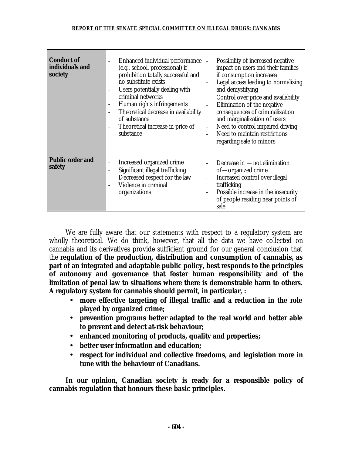| <b>Conduct of</b><br>individuals and<br>society | Enhanced individual performance -<br>(e.g., school, professional) if<br>prohibition totally successful and<br>no substitute exists<br>Users potentially dealing with<br>criminal networks<br>Human rights infringements<br>$\overline{\phantom{a}}$<br>Theoretical decrease in availability<br>$\blacksquare$<br>of substance<br>Theoretical increase in price of<br>substance | Possibility of increased negative<br>impact on users and their families<br>if consumption increases<br>Legal access leading to normalizing<br>and demystifying<br>Control over price and availability<br>Elimination of the negative<br>consequences of criminalization<br>and marginalization of users<br>Need to control impaired driving<br>$\overline{\phantom{0}}$<br>Need to maintain restrictions<br>regarding sale to minors |
|-------------------------------------------------|--------------------------------------------------------------------------------------------------------------------------------------------------------------------------------------------------------------------------------------------------------------------------------------------------------------------------------------------------------------------------------|--------------------------------------------------------------------------------------------------------------------------------------------------------------------------------------------------------------------------------------------------------------------------------------------------------------------------------------------------------------------------------------------------------------------------------------|
| <b>Public order and</b><br>safety               | Increased organized crime<br>Significant illegal trafficking<br>-<br>Decreased respect for the law<br>$\overline{\phantom{a}}$<br>Violence in criminal<br>organizations                                                                                                                                                                                                        | Decrease in - not elimination<br>of-organized crime<br>Increased control over illegal<br>trafficking<br>Possible increase in the insecurity<br>$\overline{\phantom{0}}$<br>of people residing near points of<br>sale                                                                                                                                                                                                                 |

We are fully aware that our statements with respect to a regulatory system are wholly theoretical. We do think, however, that all the data we have collected on cannabis and its derivatives provide sufficient ground for our general conclusion that the **regulation of the production, distribution and consumption of cannabis, as part of an integrated and adaptable public policy, best responds to the principles of autonomy and governance that foster human responsibility and of the limitation of penal law to situations where there is demonstrable harm to others. A regulatory system for cannabis should permit, in particular, :** 

- **more effective targeting of illegal traffic and a reduction in the role played by organized crime;**
- **prevention programs better adapted to the real world and better able to prevent and detect at-risk behaviour;**
- **enhanced monitoring of products, quality and properties;**
- **better user information and education;**
- **respect for individual and collective freedoms, and legislation more in tune with the behaviour of Canadians.**

**In our opinion, Canadian society is ready for a responsible policy of cannabis regulation that honours these basic principles.**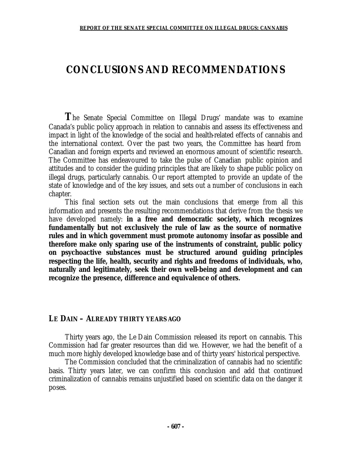# **CONCLUSIONS AND RECOMMENDATIONS**

The Senate Special Committee on Illegal Drugs' mandate was to examine Canada's public policy approach in relation to cannabis and assess its effectiveness and impact in light of the knowledge of the social and health-related effects of cannabis and the international context. Over the past two years, the Committee has heard from Canadian and foreign experts and reviewed an enormous amount of scientific research. The Committee has endeavoured to take the pulse of Canadian public opinion and attitudes and to consider the guiding principles that are likely to shape public policy on illegal drugs, particularly cannabis. Our report attempted to provide an update of the state of knowledge and of the key issues, and sets out a number of conclusions in each chapter.

This final section sets out the main conclusions that emerge from all this information and presents the resulting recommendations that derive from the thesis we have developed namely: *in a free and democratic society, which recognizes fundamentally but not exclusively the rule of law as the source of normative rules and in which government must promote autonomy insofar as possible and therefore make only sparing use of the instruments of constraint, public policy on psychoactive substances must be structured around guiding principles respecting the life, health, security and rights and freedoms of individuals, who, naturally and legitimately, seek their own well-being and development and can recognize the presence, difference and equivalence of others.*

### **LE DAIN – ALREADY THIRTY YEARS AGO**

Thirty years ago, the Le Dain Commission released its report on cannabis. This Commission had far greater resources than did we. However, we had the benefit of a much more highly developed knowledge base and of thirty years' historical perspective.

The Commission concluded that the criminalization of cannabis had no scientific basis. Thirty years later, we can confirm this conclusion and add that continued criminalization of cannabis remains unjustified based on scientific data on the danger it poses.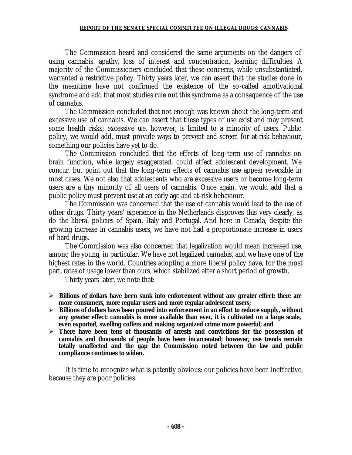The Commission heard and considered the same arguments on the dangers of using cannabis: apathy, loss of interest and concentration, learning difficulties. A majority of the Commissioners concluded that these concerns, while unsubstantiated, warranted a restrictive policy. Thirty years later, we can assert that the studies done in the meantime have not confirmed the existence of the so-called amotivational syndrome and add that most studies rule out this syndrome as a consequence of the use of cannabis.

The Commission concluded that not enough was known about the long-term and excessive use of cannabis. We can assert that these types of use exist and may present some health risks; excessive use, however, is limited to a minority of users. Public policy, we would add, must provide ways to prevent and screen for at-risk behaviour, something our policies have yet to do.

The Commission concluded that the effects of long-term use of cannabis on brain function, while largely exaggerated, could affect adolescent development. We concur, but point out that the long -term effects of cannabis use appear reversible in most cases. We not also that adolescents who are excessive users or become long-term users are a tiny minority of all users of cannabis. Once again, we would add that a public policy must prevent use at an early age and at-risk behaviour.

The Commission was concerned that the use of cannabis would lead to the use of other drugs. Thirty years' experience in the Netherlands disproves this very clearly, as do the liberal policies of Spain, Italy and Portugal. And here in Canada, despite the growing increase in cannabis users, we have not had a proportionate increase in users of hard drugs.

The Commission was also concerned that legalization would mean increased use, among the young, in particular. We have not legalized cannabis, and we have one of the highest rates in the world. Countries adopting a more liberal policy have, for the most part, rates of usage lower than ours, which stabilized after a short period of growth.

Thirty years later, we note that:

- ÿ **Billions of dollars have been sunk into enforcement without any greater effect: there are more consumers, more regular users and more regular adolescent users;**
- ÿ **Billions of dollars have been poured into enforcement in an effort to reduce supply, without any greater effect: cannabis is more available than ever, it is cultivated on a large scale, even exported, swelling coffers and making organized crime more powerful; and**
- ÿ **There have been tens of thousands of arrests and convictions for the possession of cannabis and thousands of people have been incarcerated; however, use trends remain totally unaffected and the gap the Commission noted between the law and public compliance continues to widen.**

It is time to recognize what is patently obvious: our policies have been ineffective, because they are poor policies.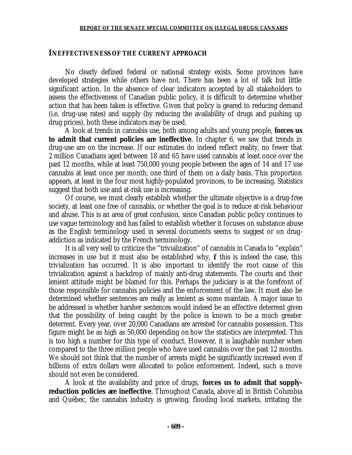### **INEFFECTIVENESS OF THE CURRENT APPROACH**

No clearly defined federal or national strategy exists. Some provinces have developed strategies while others have not. There has been a lot of talk but little significant action. In the absence of clear indicators accepted by all stakeholders to assess the effectiveness of Canadian public policy, it is difficult to determine whether action that has been taken is effective. Given that policy is geared to reducing demand (i.e. drug-use rates) and supply (by reducing the availability of drugs and pushing up drug prices), both these indicators may be used.

A look at trends in cannabis use, both among adults and young people, **forces us to admit that current policies are ineffective**. In chapter 6, we saw that trends in drug-use are on the increase. If our estimates do indeed reflect reality, no fewer that 2 million Canadians aged between 18 and 65 have used cannabis at least once over the past 12 months, while at least 750,000 young people between the ages of 14 and 17 use cannabis at least once per month; one third of them on a daily basis. This proportion appears, at least in the four most highly-populated provinces, to be increasing. Statistics suggest that both use and at-risk use is increasing.

Of course, we must clearly establish whether the ultimate objective is a drug-free society, at least one free of cannabis, or whether the goal is to reduce at-risk behaviour and abuse. This is an area of great confusion, since Canadian public policy continues to use vague terminology and has failed to establish whether it focuses on substance abuse as the English terminology used in several documents seems to suggest or on drugaddiction as indicated by the French terminology.

It is all very well to criticize the "trivialization" of cannabis in Canada to "explain" increases in use but it must also be established why, if this is indeed the case, this trivialization has occurred. It is also important to identify the root cause of this trivialization against a backdrop of mainly anti-drug statements. The courts and their lenient attitude might be blamed for this. Perhaps the judiciary is at the forefront of those responsible for cannabis policies and the enforcement of the law. It must also be determined whether sentences are really as lenient as some maintain. A major issue to be addressed is whether harsher sentences would indeed be an effective deterrent given that the possibility of being caught by the police is known to be a much greater deterrent. Every year, over 20,000 Canadians are arrested for cannabis possession. This figure might be as high as 50,000 depending on how the statistics are interpreted. This is too high a number for this type of conduct. However, it is laughable number when compared to the three million people who have used cannabis over the past 12 months. We should not think that the number of arrests might be significantly increased even if billions of extra dollars were allocated to police enforcement. Indeed, such a move should not even be considered.

A look at the availability and price of drugs, **forces us to admit that supplyreduction policies are ineffective**. Throughout Canada, above all in British Columbia and Québec, the cannabis industry is growing, flooding local markets, irritating the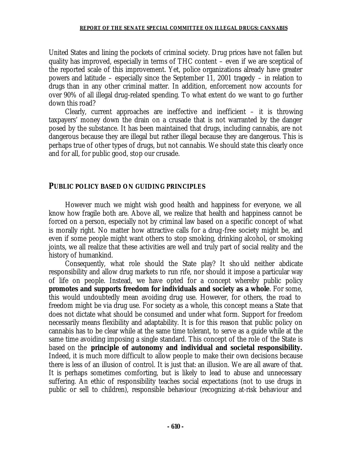United States and lining the pockets of criminal society. Drug prices have not fallen but quality has improved, especially in terms of THC content – even if we are sceptical of the reported scale of this improvement. Yet, police organizations already have greater powers and latitude – especially since the September 11, 2001 tragedy – in relation to drugs than in any other criminal matter. In addition, enforcement now accounts for over 90% of all illegal drug-related spending. To what extent do we want to go further down this road?

Clearly, current approaches are ineffective and inefficient – it is throwing taxpayers' money down the drain on a crusade that is not warranted by the danger posed by the substance. It has been maintained that drugs, including cannabis, are not dangerous because they are illegal but rather illegal because they are dangerous. This is perhaps true of other types of drugs, but not cannabis. We should state this clearly once and for all, for public good, stop our crusade.

### **PUBLIC POLICY BASED ON GUIDING PRINCIPLES**

However much we might wish good health and happiness for everyone, we all know how fragile both are. Above all, we realize that health and happiness cannot be forced on a person, especially not by criminal law based on a specific concept of what is morally right. No matter how attractive calls for a drug -free society might be, and even if some people might want others to stop smoking, drinking alcohol, or smoking joints, we all realize that these activities are well and truly part of social reality and the history of humankind.

Consequently, what role should the State play? It should neither abdicate responsibility and allow drug markets to run rife, nor should it impose a particular way of life on people. Instead, we have opted for a concept whereby public policy **promotes and supports freedom for individuals and society as a whole**. For some, this would undoubtedly mean avoiding drug use. However, for others, the road to freedom might be via drug use. For society as a whole, this concept means a State that does not dictate what should be consumed and under what form. Support for freedom necessarily means flexibility and adaptability. It is for this reason that public policy on cannabis has to be clear while at the same time tolerant, to serve as a guide while at the same time avoiding imposing a single standard. This concept of the role of the State is based on the **principle of autonomy and individual and societal responsibility.** Indeed, it is much more difficult to allow people to make their own decisions because there is less of an illusion of control. It is just that: an illusion. We are all aware of that. It is perhaps sometimes comforting, but is likely to lead to abuse and unnecessary suffering. An ethic of responsibility teaches social expectations (not to use drugs in public or sell to children), responsible behaviour (recognizing at-risk behaviour and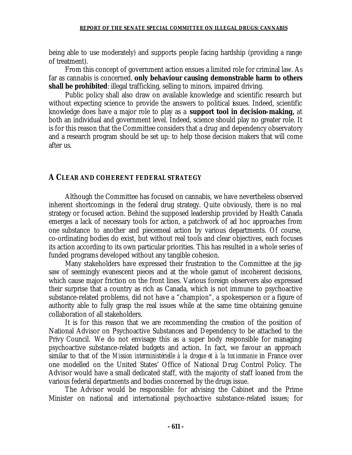being able to use moderately) and supports people facing hardship (providing a range of treatment).

From this concept of government action ensues a limited role for criminal law. As far as cannabis is concerned, **only behaviour causing demonstrable harm to others shall be prohibited**: illegal trafficking, selling to minors, impaired driving.

Public policy shall also draw on available knowledge and scientific research but without expecting science to provide the answers to political issues. Indeed, scientific knowledge does have a major role to play as a **support tool in decision-making,** at both an individual and government level. Indeed, science should play no greater role. It is for this reason that the Committee considers that a drug and dependency observatory and a research program should be set up: to help those decision makers that will come after us.

## **A CLEAR AND COHERENT FEDERAL STRATEGY**

Although the Committee has focused on cannabis, we have nevertheless observed inherent shortcomings in the federal drug strategy. Quite obviously, there is no real strategy or focused action. Behind the supposed leadership provided by Health Canada emerges a lack of necessary tools for action, a patchwork of ad hoc approaches from one substance to another and piecemeal action by various departments. Of course, co-ordinating bodies do exist, but without real tools and clear objectives, each focuses its action according to its own particular priorities. This has resulted in a whole series of funded programs developed without any tangible cohesion.

Many stakeholders have expressed their frustration to the Committee at the jigsaw of seemingly evanescent pieces and at the whole gamut of incoherent decisions, which cause major friction on the front lines. Various foreign observers also expressed their surprise that a country as rich as Canada, which is not immune to psychoactive substance-related problems, did not have a "champion", a spokesperson or a figure of authority able to fully grasp the real issues while at the same time obtaining genuine collaboration of all stakeholders.

It is for this reason that we are recommending the creation of the position of National Advisor on Psychoactive Substances and Dependency to be attached to the Privy Council. We do not envisage this as a super body responsible for managing psychoactive substance-related budgets and action. In fact, we favour an approach similar to that of the *Mission interministérielle à la drogue et à la toxicomanie* in France over one modelled on the United States' Office of National Drug Control Policy. The Advisor would have a small dedicated staff, with the majority of staff loaned from the various federal departments and bodies concerned by the drugs issue.

The Advisor would be responsible: for advising the Cabinet and the Prime Minister on national and international psychoactive substance-related issues; for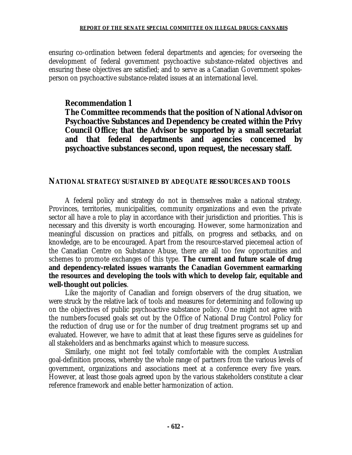ensuring co-ordination between federal departments and agencies; for overseeing the development of federal government psychoactive substance-related objectives and ensuring these objectives are satisfied; and to serve as a Canadian Government spokesperson on psychoactive substance-related issues at an international level.

## **Recommendation 1**

**The Committee recommends that the position of National Advisor on Psychoactive Substances and Dependency be created within the Privy Council Office; that the Advisor be supported by a small secretariat and that federal departments and agencies concerned by psychoactive substances second, upon request, the necessary staff.**

## **NATIONAL STRATEGY SUSTAINED BY ADEQUATE RESSOURCES AND TOOLS**

A federal policy and strategy do not in themselves make a national strategy. Provinces, territories, municipalities, community organizations and even the private sector all have a role to play in accordance with their jurisdiction and priorities. This is necessary and this diversity is worth encouraging. However, some harmonization and meaningful discussion on practices and pitfalls, on progress and setbacks, and on knowledge, are to be encouraged. Apart from the resource-starved piecemeal action of the Canadian Centre on Substance Abuse, there are all too few opportunities and schemes to promote exchanges of this type. **The current and future scale of drug and dependency-related issues warrants the Canadian Government earmarking the resources and developing the tools with which to develop fair, equitable and well-thought out policies**.

Like the majority of Canadian and foreign observers of the drug situation, we were struck by the relative lack of tools and measures for determining and following up on the objectives of public psychoactive substance policy. One might not agree with the numbers-focused goals set out by the Office of National Drug Control Policy for the reduction of drug use or for the number of drug treatment programs set up and evaluated. However, we have to admit that at least these figures serve as guidelines for all stakeholders and as benchmarks against which to measure success.

Similarly, one might not feel totally comfortable with the complex Australian goal-definition process, whereby the whole range of partners from the various levels of government, organizations and associations meet at a conference every five years. However, at least those goals agreed upon by the various stakeholders constitute a clear reference framework and enable better harmonization of action.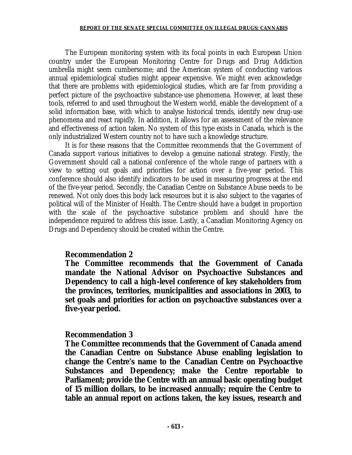The European monitoring system with its focal points in each European Union country under the European Monitoring Centre for Drugs and Drug Addiction umbrella might seem cumbersome; and the American system of conducting various annual epidemiological studies might appear expensive. We might even acknowledge that there are problems with epidemiological studies, which are far from providing a perfect picture of the psychoactive substance-use phenomena. However, at least these tools, referred to and used throughout the Western world, enable the development of a solid information base, with which to analyse historical trends, identify new drug-use phenomena and react rapidly. In addition, it allows for an assessment of the relevance and effectiveness of action taken. No system of this type exists in Canada, which is the only industrialized Western country not to have such a knowledge structure.

It is for these reasons that the Committee recommends that the Government of Canada support various initiatives to develop a genuine national strategy. Firstly, the Government should call a national conference of the whole range of partners with a view to setting out goals and priorities for action over a five-year period. This conference should also identify indicators to be used in measuring progress at the end of the five-year period. Secondly, the Canadian Centre on Substance Abuse needs to be renewed. Not only does this body lack resources but it is also subject to the vagaries of political will of the Minister of Health. The Centre should have a budget in proportion with the scale of the psychoactive substance problem and should have the independence required to address this issue. Lastly, a Canadian Monitoring Agency on Drugs and Dependency should be created within the Centre.

## **Recommendation 2**

**The Committee recommends that the Government of Canada mandate the National Advisor on Psychoactive Substances and Dependency to call a high-level conference of key stakeholders from the provinces, territories, municipalities and associations in 2003, to set goals and priorities for action on psychoactive substances over a five-year period.**

## **Recommendation 3**

**The Committee recommends that the Government of Canada amend the Canadian Centre on Substance Abuse enabling legislation to change the Centre's name to the** *Canadian Centre on Psychoactive Substances and Dependency***; make the Centre reportable to Parliament; provide the Centre with an annual basic operating budget of 15 million dollars, to be increased annually; require the Centre to table an annual report on actions taken, the key issues, research and**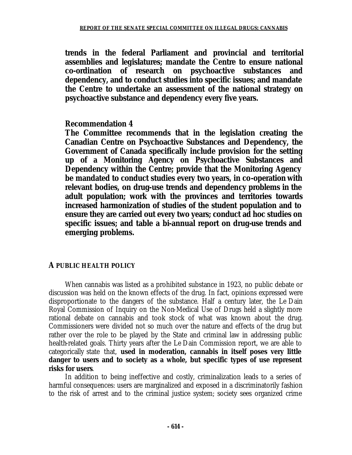**trends in the federal Parliament and provincial and territorial assemblies and legislatures; mandate the Centre to ensure national co-ordination of research on psychoactive substances and dependency, and to conduct studies into specific issues; and mandate the Centre to undertake an assessment of the national strategy on psychoactive substance and dependency every five years.**

### **Recommendation 4**

**The Committee recommends that in the legislation creating the Canadian Centre on Psychoactive Substances and Dependency, the Government of Canada specifically include provision for the setting up of a Monitoring Agency on Psychoactive Substances and Dependency within the Centre; provide that the Monitoring Agency be mandated to conduct studies every two years, in co-operation with relevant bodies, on drug-use trends and dependency problems in the adult population; work with the provinces and territories towards increased harmonization of studies of the student population and to ensure they are carried out every two years; conduct ad hoc studies on specific issues; and table a bi-annual report on drug-use trends and emerging problems.** 

## **A PUBLIC HEALTH POLICY**

When cannabis was listed as a prohibited substance in 1923, no public debate or discussion was held on the known effects of the drug. In fact, opinions expressed were disproportionate to the dangers of the substance. Half a century later, the Le Dain Royal Commission of Inquiry on the Non-Medical Use of Drugs held a slightly more rational debate on cannabis and took stock of what was known about the drug. Commissioners were divided not so much over the nature and effects of the drug but rather over the role to be played by the State and criminal law in addressing public health-related goals. Thirty years after the Le Dain Commission report, we are able to categorically state that, **used in moderation, cannabis in itself poses very little danger to users and to society as a whole, but specific types of use represent risks for users**.

In addition to being ineffective and costly, criminalization leads to a series of harmful consequences: users are marginalized and exposed in a discriminatorily fashion to the risk of arrest and to the criminal justice system; society sees organized crime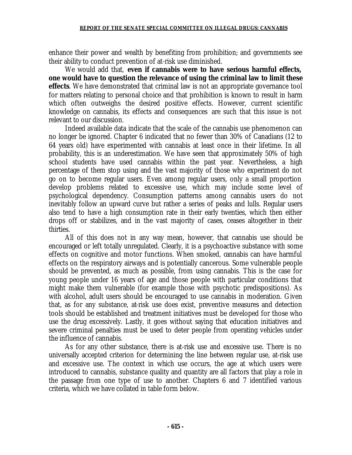enhance their power and wealth by benefiting from prohibition; and governments see their ability to conduct prevention of at-risk use diminished.

We would add that, **even if cannabis were to have serious harmful effects, one would have to question the relevance of using the criminal law to limit these effects**. We have demonstrated that criminal law is not an appropriate governance tool for matters relating to personal choice and that prohibition is known to result in harm which often outweighs the desired positive effects. However, current scientific knowledge on cannabis, its effects and consequences are such that this issue is not relevant to our discussion.

Indeed available data indicate that the scale of the cannabis use phenomenon can no longer be ignored. Chapter 6 indicated that no fewer than 30% of Canadians (12 to 64 years old) have experimented with cannabis at least once in their lifetime. In all probability, this is an underestimation. We have seen that approximately 50% of high school students have used cannabis within the past year. Nevertheless, a high percentage of them stop using and the vast majority of those who experiment do not go on to become regular users. Even among regular users, only a small proportion develop problems related to excessive use, which may include some level of psychological dependency. Consumption patterns among cannabis users do not inevitably follow an upward curve but rather a series of peaks and lulls. Regular users also tend to have a high consumption rate in their early twenties, which then either drops off or stabilizes, and in the vast majority of cases, ceases altogether in their thirties.

All of this does not in any way mean, however, that cannabis use should be encouraged or left totally unregulated. Clearly, it is a psychoactive substance with some effects on cognitive and motor functions. When smoked, cannabis can have harmful effects on the respiratory airways and is potentially cancerous. Some vulnerable people should be prevented, as much as possible, from using cannabis. This is the case for young people under 16 years of age and those people with particular conditions that might make them vulnerable (for example those with psychotic predispositions). As with alcohol, adult users should be encouraged to use cannabis in moderation. Given that, as for any substance, at-risk use does exist, preventive measures and detection tools should be established and treatment initiatives must be developed for those who use the drug excessively. Lastly, it goes without saying that education initiatives and severe criminal penalties must be used to deter people from operating vehicles under the influence of cannabis.

As for any other substance, there is at-risk use and excessive use. There is no universally accepted criterion for determining the line between regular use, at-risk use and excessive use. The context in which use occurs, the age at which users were introduced to cannabis, substance quality and quantity are all factors that play a role in the passage from one type of use to another. Chapters 6 and 7 identified various criteria, which we have collated in table form below.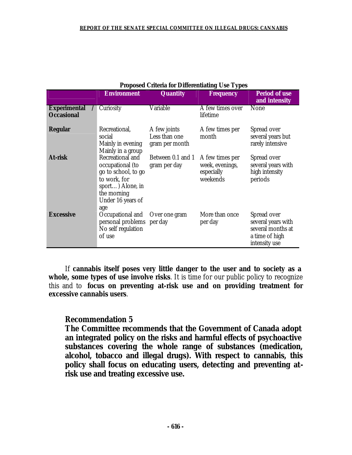| Troposed Chiena for Dincremating CSC Types |                                                                                                                                     |                                                 |                                                              |                                                                                           |  |  |  |
|--------------------------------------------|-------------------------------------------------------------------------------------------------------------------------------------|-------------------------------------------------|--------------------------------------------------------------|-------------------------------------------------------------------------------------------|--|--|--|
|                                            | <b>Environment</b>                                                                                                                  | <b>Quantity</b>                                 | <b>Frequency</b>                                             | <b>Period of use</b><br>and intensity                                                     |  |  |  |
| <b>Experimental</b><br><b>Occasional</b>   | Curiosity                                                                                                                           | Variable                                        | A few times over<br>lifetime                                 | None                                                                                      |  |  |  |
| <b>Regular</b>                             | Recreational,<br>social<br>Mainly in evening<br>Mainly in a group                                                                   | A few joints<br>Less than one<br>gram per month | A few times per<br>month                                     | Spread over<br>several years but<br>rarely intensive                                      |  |  |  |
| At-risk                                    | Recreational and<br>occupational (to<br>go to school, to go<br>to work, for<br>sport) Alone, in<br>the morning<br>Under 16 years of | Between 0.1 and 1<br>gram per day               | A few times per<br>week, evenings,<br>especially<br>weekends | Spread over<br>several years with<br>high intensity<br>periods                            |  |  |  |
| <b>Excessive</b>                           | age<br>Occupational and<br>personal problems per day<br>No self regulation<br>of use                                                | Over one gram                                   | More than once<br>per day                                    | Spread over<br>several years with<br>several months at<br>a time of high<br>intensity use |  |  |  |

## **Proposed Criteria for Differentiating Use Types**

If **cannabis itself poses very little danger to the user and to society as a**  whole, some types of use involve risks. It is time for our public policy to recognize this and to **focus on preventing at-risk use and on providing treatment for excessive cannabis users**.

## **Recommendation 5**

**The Committee recommends that the Government of Canada adopt an integrated** *policy on the risks and harmful effects of psychoactive substances* **covering the whole range of substances (medication, alcohol, tobacco and illegal drugs). With respect to cannabis, this policy shall focus on educating users, detecting and preventing atrisk use and treating excessive use.**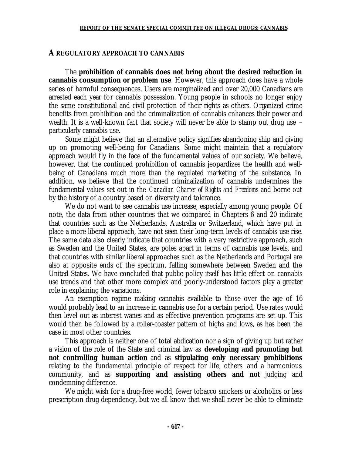### **A REGULATORY APPROACH TO CANNABIS**

The **prohibition of cannabis does not bring about the desired reduction in cannabis consumption or problem use**. However, this approach does have a whole series of harmful consequences. Users are marginalized and over 20,000 Canadians are arrested each year for cannabis possession. Young people in schools no longer enjoy the same constitutional and civil protection of their rights as others. Organized crime benefits from prohibition and the criminalization of cannabis enhances their power and wealth. It is a well-known fact that society will never be able to stamp out drug use – particularly cannabis use.

Some might believe that an alternative policy signifies abandoning ship and giving up on promoting well-being for Canadians. Some might maintain that a regulatory approach would fly in the face of the fundamental values of our society. We believe, however, that the continued prohibition of cannabis jeopardizes the health and wellbeing of Canadians much more than the regulated marketing of the substance. In addition, we believe that the continued criminalization of cannabis undermines the fundamental values set out in the *Canadian Charter of Rights and Freedoms* and borne out by the history of a country based on diversity and tolerance.

We do not want to see cannabis use increase, especially among young people. Of note, the data from other countries that we compared in Chapters 6 and 20 indicate that countries such as the Netherlands, Australia or Switzerland, which have put in place a more liberal approach, have not seen their long-term levels of cannabis use rise. The same data also clearly indicate that countries with a very restrictive approach, such as Sweden and the United States, are poles apart in terms of cannabis use levels, and that countries with similar liberal approaches such as the Netherlands and Portugal are also at opposite ends of the spectrum, falling somewhere between Sweden and the United States. We have concluded that public policy itself has little effect on cannabis use trends and that other more complex and poorly-understood factors play a greater role in explaining the variations.

An exemption regime making cannabis available to those over the age of 16 would probably lead to an increase in cannabis use for a certain period. Use rates would then level out as interest wanes and as effective prevention programs are set up. This would then be followed by a roller-coaster pattern of highs and lows, as has been the case in most other countries.

This approach is neither one of total abdication nor a sign of giving up but rather a vision of the role of the State and criminal law as **developing and promoting but not controlling human action** and as **stipulating only necessary prohibitions** relating to the fundamental principle of respect for life, others and a harmonious community, and as **supporting and assisting others and not** judging and condemning difference.

We might wish for a drug-free world, fewer tobacco smokers or alcoholics or less prescription drug dependency, but we all know that we shall never be able to eliminate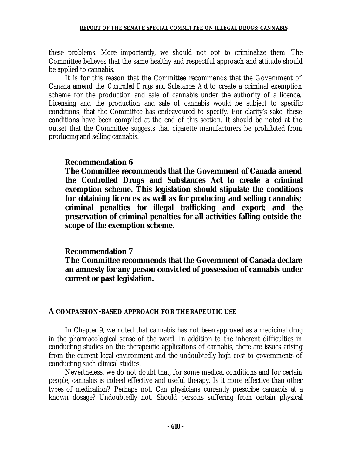these problems. More importantly, we should not opt to criminalize them. The Committee believes that the same healthy and respectful approach and attitude should be applied to cannabis.

It is for this reason that the Committee recommends that the Government of Canada amend the *Controlled Drugs and Substances Act* to create a criminal exemption scheme for the production and sale of cannabis under the authority of a licence. Licensing and the production and sale of cannabis would be subject to specific conditions, that the Committee has endeavoured to specify. For clarity's sake, these conditions have been compiled at the end of this section. It should be noted at the outset that the Committee suggests that cigarette manufacturers be prohibited from producing and selling cannabis.

## **Recommendation 6**

**The Committee recommends that the Government of Canada amend the** *Controlled Drugs and Substances Act* **to create a criminal exemption scheme. This legislation should stipulate the conditions for obtaining licences as well as for producing and selling cannabis; criminal penalties for illegal trafficking and export; and the preservation of criminal penalties for all activities falling outside the scope of the exemption scheme.**

## **Recommendation 7**

**The Committee recommends that the Government of Canada declare an amnesty for any person convicted of possession of cannabis under current or past legislation.**

### **A COMPASSION-BASED APPROACH FOR THERAPEUTIC USE**

In Chapter 9, we noted that cannabis has not been approved as a medicinal drug in the pharmacological sense of the word. In addition to the inherent difficulties in conducting studies on the therapeutic applications of cannabis, there are issues arising from the current legal environment and the undoubtedly high cost to governments of conducting such clinical studies.

Nevertheless, we do not doubt that, for some medical conditions and for certain people, cannabis is indeed effective and useful therapy. Is it more effective than other types of medication? Perhaps not. Can physicians currently prescribe cannabis at a known dosage? Undoubtedly not. Should persons suffering from certain physical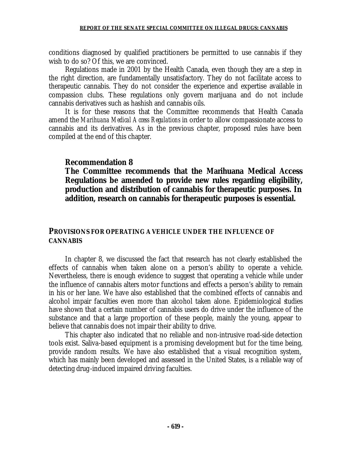conditions diagnosed by qualified practitioners be permitted to use cannabis if they wish to do so? Of this, we are convinced.

Regulations made in 2001 by the Health Canada, even though they are a step in the right direction, are fundamentally unsatisfactory. They do not facilitate access to therapeutic cannabis. They do not consider the experience and expertise available in compassion clubs. These regulations only govern marijuana and do not include cannabis derivatives such as hashish and cannabis oils.

It is for these reasons that the Committee recommends that Health Canada amend the *Marihuana Medical Access Regulations* in order to allow compassionate access to cannabis and its derivatives. As in the previous chapter, proposed rules have been compiled at the end of this chapter.

## **Recommendation 8**

**The Committee recommends that the** *Marihuana Medical Access Regulations* **be amended to provide new rules regarding eligibility, production and distribution of cannabis for therapeutic purposes. In addition, research on cannabis for therapeutic purposes is essential.**

## **PROVISIONS FOR OPERATING A VEHICLE UNDER THE INFLUENCE OF CANNABIS**

In chapter 8, we discussed the fact that research has not clearly established the effects of cannabis when taken alone on a person's ability to operate a vehicle. Nevertheless, there is enough evidence to suggest that operating a vehicle while under the influence of cannabis alters motor functions and effects a person's ability to remain in his or her lane. We have also established that the combined effects of cannabis and alcohol impair faculties even more than alcohol taken alone. Epidemiological studies have shown that a certain number of cannabis users do drive under the influence of the substance and that a large proportion of these people, mainly the young, appear to believe that cannabis does not impair their ability to drive.

This chapter also indicated that no reliable and non-intrusive road-side detection tools exist. Saliva-based equipment is a promising development but for the time being, provide random results. We have also established that a visual recognition system, which has mainly been developed and assessed in the United States, is a reliable way of detecting drug -induced impaired driving faculties.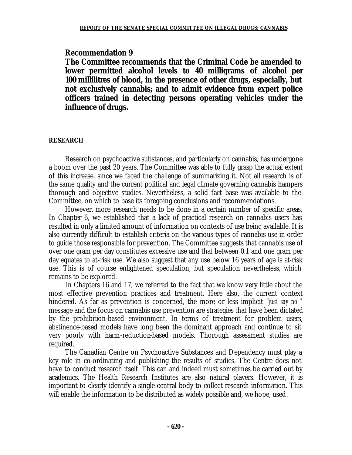## **Recommendation 9**

**The Committee recommends that the Criminal Code be amended to lower permitted alcohol levels to 40 milligrams of alcohol per 100 millilitres of blood, in the presence of other drugs, especially, but not exclusively cannabis; and to admit evidence from expert police officers trained in detecting persons operating vehicles under the influence of drugs.**

### **RESEARCH**

Research on psychoactive substances, and particularly on cannabis, has undergone a boom over the past 20 years. The Committee was able to fully grasp the actual extent of this increase, since we faced the challenge of summarizing it. Not all research is of the same quality and the current political and legal climate governing cannabis hampers thorough and objective studies. Nevertheless, a solid fact base was available to the Committee, on which to base its foregoing conclusions and recommendations.

However, more research needs to be done in a certain number of specific areas. In Chapter 6, we established that a lack of practical research on cannabis users has resulted in only a limited amount of information on contexts of use being available. It is also currently difficult to establish criteria on the various types of cannabis use in order to guide those responsible for prevention. The Committee suggests that cannabis use of over one gram per day constitutes excessive use and that between 0.1 and one gram per day equates to at-risk use. We also suggest that any use below 16 years of age is at-risk use. This is of course enlightened speculation, but speculation nevertheless, which remains to be explored.

In Chapters 16 and 17, we referred to the fact that we know very little about the most effective prevention practices and treatment. Here also, the current context hindered. As far as prevention is concerned, the more or less implicit "*just say no* " message and the focus on cannabis use prevention are strategies that have been dictated by the prohibition-based environment. In terms of treatment for problem users, abstinence-based models have long been the dominant approach and continue to sit very poorly with harm-reduction-based models. Thorough assessment studies are required.

The Canadian Centre on Psychoactive Substances and Dependency must play a key role in co-ordinating and publishing the results of studies. The Centre does not have to conduct research itself. This can and indeed must sometimes be carried out by academics. The Health Research Institutes are also natural players. However, it is important to clearly identify a single central body to collect research information. This will enable the information to be distributed as widely possible and, we hope, used.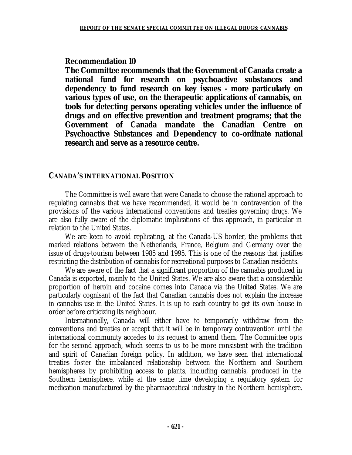## **Recommendation 10**

**The Committee recommends that the Government of Canada create a national fund for research on psychoactive substances and dependency to fund research on key issues - more particularly on various types of use, on the therapeutic applications of cannabis, on tools for detecting persons operating vehicles under the influence of drugs and on effective prevention and treatment programs; that the Government of Canada mandate the Canadian Centre on Psychoactive Substances and Dependency to co-ordinate national research and serve as a resource centre.**

## **CANADA'S INTERNATIONAL POSITION**

The Committee is well aware that were Canada to choose the rational approach to regulating cannabis that we have recommended, it would be in contravention of the provisions of the various international conventions and treaties governing drugs. We are also fully aware of the diplomatic implications of this approach, in particular in relation to the United States.

We are keen to avoid replicating, at the Canada-US border, the problems that marked relations between the Netherlands, France, Belgium and Germany over the issue of drugs-tourism between 1985 and 1995. This is one of the reasons that justifies restricting the distribution of cannabis for recreational purposes to Canadian residents.

We are aware of the fact that a significant proportion of the cannabis produced in Canada is exported, mainly to the United States. We are also aware that a considerable proportion of heroin and cocaine comes into Canada via the United States. We are particularly cognisant of the fact that Canadian cannabis does not explain the increase in cannabis use in the United States. It is up to each country to get its own house in order before criticizing its neighbour.

Internationally, Canada will either have to temporarily withdraw from the conventions and treaties or accept that it will be in temporary contravention until the international community accedes to its request to amend them. The Committee opts for the second approach, which seems to us to be more consistent with the tradition and spirit of Canadian foreign policy. In addition, we have seen that international treaties foster the imbalanced relationship between the Northern and Southern hemispheres by prohibiting access to plants, including cannabis, produced in the Southern hemisphere, while at the same time developing a regulatory system for medication manufactured by the pharmaceutical industry in the Northern hemisphere.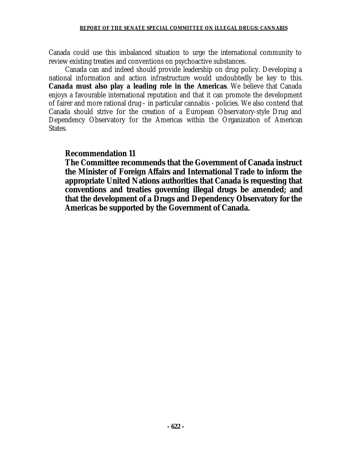Canada could use this imbalanced situation to urge the international community to review existing treaties and conventions on psychoactive substances.

Canada can and indeed should provide leadership on drug policy. Developing a national information and action infrastructure would undoubtedly be key to this. **Canada must also play a leading role in the Americas**. We believe that Canada enjoys a favourable international reputation and that it can promote the development of fairer and more rational drug – in particular cannabis - policies. We also contend that Canada should strive for the creation of a European Observatory-style Drug and Dependency Observatory for the Americas within the Organization of American States.

### **Recommendation 11**

**The Committee recommends that the Government of Canada instruct the Minister of Foreign Affairs and International Trade to inform the appropriate United Nations authorities that Canada is requesting that conventions and treaties governing illegal drugs be amended; and that the development of a Drugs and Dependency Observatory for the Americas be supported by the Government of Canada.**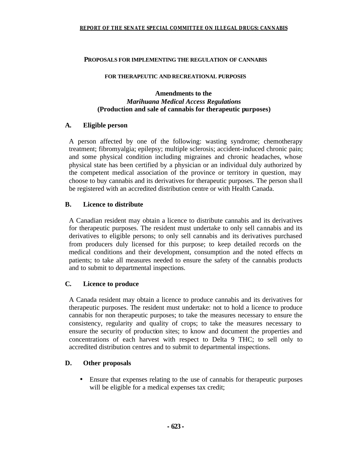### **PROPOSALS FOR IMPLEMENTING THE REGULATION OF CANNABIS**

### **FOR THERAPEUTIC AND RECREATIONAL PURPOSES**

### **Amendments to the** *Marihuana Medical Access Regulations* **(Production and sale of cannabis for therapeutic purposes)**

### **A. Eligible person**

A person affected by one of the following: wasting syndrome; chemotherapy treatment; fibromyalgia; epilepsy; multiple sclerosis; accident-induced chronic pain; and some physical condition including migraines and chronic headaches, whose physical state has been certified by a physician or an individual duly authorized by the competent medical association of the province or territory in question, may choose to buy cannabis and its derivatives for therapeutic purposes. The person sha ll be registered with an accredited distribution centre or with Health Canada.

### **B. Licence to distribute**

A Canadian resident may obtain a licence to distribute cannabis and its derivatives for therapeutic purposes. The resident must undertake to only sell cannabis and its derivatives to eligible persons; to only sell cannabis and its derivatives purchased from producers duly licensed for this purpose; to keep detailed records on the medical conditions and their development, consumption and the noted effects on patients; to take all measures needed to ensure the safety of the cannabis products and to submit to departmental inspections.

### **C. Licence to produce**

A Canada resident may obtain a licence to produce cannabis and its derivatives for therapeutic purposes. The resident must undertake: not to hold a licence to produce cannabis for non therapeutic purposes; to take the measures necessary to ensure the consistency, regularity and quality of crops; to take the measures necessary to ensure the security of production sites; to know and document the properties and concentrations of each harvest with respect to Delta 9 THC; to sell only to accredited distribution centres and to submit to departmental inspections.

### **D. Other proposals**

• Ensure that expenses relating to the use of cannabis for therapeutic purposes will be eligible for a medical expenses tax credit;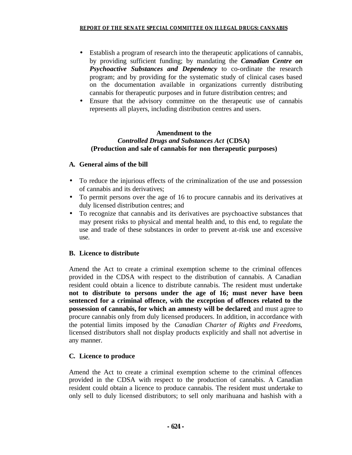- Establish a program of research into the therapeutic applications of cannabis, by providing sufficient funding; by mandating the *Canadian Centre on Psychoactive Substances and Dependency* to co-ordinate the research program; and by providing for the systematic study of clinical cases based on the documentation available in organizations currently distributing cannabis for therapeutic purposes and in future distribution centres; and
- Ensure that the advisory committee on the therapeutic use of cannabis represents all players, including distribution centres and users.

### **Amendment to the**  *Controlled Drugs and Substances Act* **(CDSA) (Production and sale of cannabis for non therapeutic purposes)**

### **A. General aims of the bill**

- To reduce the injurious effects of the criminalization of the use and possession of cannabis and its derivatives;
- To permit persons over the age of 16 to procure cannabis and its derivatives at duly licensed distribution centres; and
- To recognize that cannabis and its derivatives are psychoactive substances that may present risks to physical and mental health and, to this end, to regulate the use and trade of these substances in order to prevent at-risk use and excessive use.

### **B. Licence to distribute**

Amend the Act to create a criminal exemption scheme to the criminal offences provided in the CDSA with respect to the distribution of cannabis. A Canadian resident could obtain a licence to distribute cannabis. The resident must undertake **not to distribute to persons under the age of 16; must never have been sentenced for a criminal offence, with the exception of offences related to the possession of cannabis, for which an amnesty will be declared**; and must agree to procure cannabis only from duly licensed producers. In addition, in accordance with the potential limits imposed by the *Canadian Charter of Rights and Freedoms*, licensed distributors shall not display products explicitly and shall not advertise in any manner.

### **C. Licence to produce**

Amend the Act to create a criminal exemption scheme to the criminal offences provided in the CDSA with respect to the production of cannabis. A Canadian resident could obtain a licence to produce cannabis. The resident must undertake to only sell to duly licensed distributors; to sell only marihuana and hashish with a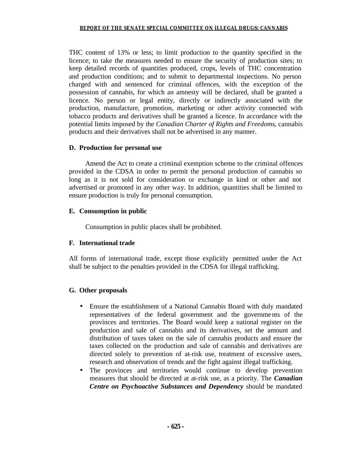THC content of 13% or less; to limit production to the quantity specified in the licence; to take the measures needed to ensure the security of production sites; to keep detailed records of quantities produced, crops, levels of THC concentration and production conditions; and to submit to departmental inspections. No person charged with and sentenced for criminal offences, with the exception of the possession of cannabis, for which an amnesty will be declared, shall be granted a licence. No person or legal entity, directly or indirectly associated with the production, manufacture, promotion, marketing or other activity connected with tobacco products and derivatives shall be granted a licence. In accordance with the potential limits imposed by the *Canadian Charter of Rights and Freedoms*, cannabis products and their derivatives shall not be advertised in any manner.

### **D. Production for personal use**

Amend the Act to create a criminal exemption scheme to the criminal offences provided in the CDSA in order to permit the personal production of cannabis so long as it is not sold for consideration or exchange in kind or other and not advertised or promoted in any other way. In addition, quantities shall be limited to ensure production is truly for personal consumption.

### **E. Consumption in public**

Consumption in public places shall be prohibited.

### **F. International trade**

All forms of international trade, except those explicitly permitted under the Act shall be subject to the penalties provided in the CDSA for illegal trafficking.

### **G. Other proposals**

- Ensure the establishment of a National Cannabis Board with duly mandated representatives of the federal government and the governments of the provinces and territories. The Board would keep a national register on the production and sale of cannabis and its derivatives, set the amount and distribution of taxes taken on the sale of cannabis products and ensure the taxes collected on the production and sale of cannabis and derivatives are directed solely to prevention of at-risk use, treatment of excessive users, research and observation of trends and the fight against illegal trafficking.
- The provinces and territories would continue to develop prevention measures that should be directed at at-risk use, as a priority. The *Canadian Centre on Psychoactive Substances and Dependency* should be mandated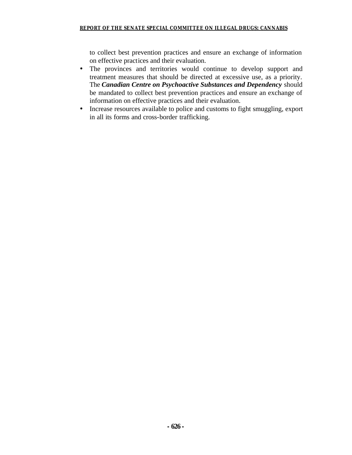to collect best prevention practices and ensure an exchange of information on effective practices and their evaluation.

- The provinces and territories would continue to develop support and treatment measures that should be directed at excessive use, as a priority. The *Canadian Centre on Psychoactive Substances and Dependency* should be mandated to collect best prevention practices and ensure an exchange of information on effective practices and their evaluation.
- Increase resources available to police and customs to fight smuggling, export in all its forms and cross-border trafficking.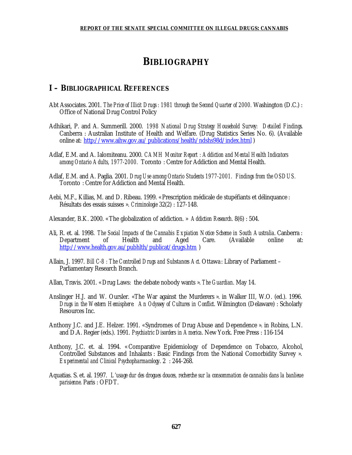## **BIBLIOGRAPHY**

### **I – BIBLIOGRAPHICAL REFERENCES**

- Abt Associates. 2001. *The Price of Illicit Drugs : 1981 through the Second Quarter of 2000.* Washington (D.C.) : Office of National Drug Control Policy
- Adhikari, P. and A. Summerill. 2000. *1998 National Drug Strategy Household Survey: Detailed Findings*. Canberra : Australian Institute of Health and Welfare. (Drug Statistics Series No. 6). (Available online at: http://www.aihw.gov.au/publications/health/ndshs98d/index.html)
- Adlaf, E.M. and A. Ialomiteanu. 2000. *CAMH Monitor Report : Addiction and Mental Health Indicators among Ontario Adults, 1977-2000.* Toronto : Centre for Addiction and Mental Health.
- Adlaf, E.M. and A. Paglia. 2001. *Drug Use among Ontario Students 1977-2001. Findings from the OSDUS.* Toronto : Centre for Addiction and Mental Health.
- Aebi, M.F., Killias, M. and D. Ribeau. 1999. « Prescription médicale de stupéfiants et délinquance : Résultats des essais suisses ». *Criminologie* 32(2) : 127-148.
- Alexander, B.K. 2000. « The globalization of addiction. » *Addiction Research*. 8(6) : 504.
- Ali, R. et. al. 1998. *The Social Impacts of the Cannabis Expiation Notice Scheme in South Australia*. Canberra : Department of Health and Aged Care. (Available online at: http://www.health.gov.au/pubhlth/publicat/drugs.htm )
- Allain, J. 1997. *Bill C-8 : The Controlled Drugs and Substances Act.* Ottawa : Library of Parliament Parliamentary Research Branch.
- Allan, Travis. 2001. « Drug Laws: the debate nobody wants ». *The Guardian*. May 14.
- Anslinger H.J. and W. Oursler. «The War against the Murderers ». in Walker III, W.O. (ed.). 1996. *Drugs in the Western Hemisphere: An Odyssey of Cultures in Conflict*. Wilmington (Delaware) : Scholarly Resources Inc.
- Anthony J.C. and J.E. Helzer. 1991. « Syndromes of Drug Abuse and Dependence ». in Robins, L.N. and D.A. Regier (eds.). 1991. *Psychiatric Disorders in America*. New York. Free Press : 116-154
- Anthony, J.C. et. al. 1994. « Comparative Epidemiology of Dependence on Tobacco, Alcohol, Controlled Substances and Inhalants : Basic Findings from the National Comorbidity Survey ». *Experimental and Clinical Psychopharmacology*. 2 : 244-268.
- Aquatias. S. et. al. 1997. *L'usage dur des drogues douces, recherche sur la consommation de cannabis dans la banlieue parisienne.* Paris : OFDT.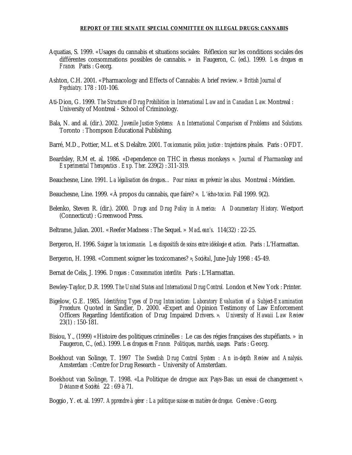- Aquatias, S. 1999. «Usages du cannabis et situations sociales: Réflexion sur les conditions sociales des différentes consommations possibles de cannabis. » in Faugeron, C. (ed.). 1999. *Les drogues en France.* Paris : Georg.
- Ashton, C.H. 2001. « Pharmacology and Effects of Cannabis: A brief review. » *British Journal of Psychiatry.* 178 : 101-106.
- Ati-Dion, G. 1999. *The Structure of Drug Prohibition in International Law and in Canadian Law.* Montreal : University of Montreal - School of Criminology.
- Bala, N. and al. (dir.). 2002. *Juvenile Justice Systems: An International Comparison of Problems and Solutions.* Toronto : Thompson Educational Publishing.
- Barré, M.D., Pottier, M.L. et S. Delaître. 2001. *Toxicomanie, police, justice : trajectoires pénales.* Paris : OFDT.
- Beardsley, R.M et. al. 1986. «Dependence on THC in rhesus monkeys ». *Journal of Pharmacology and Experimental Therapeutics . Exp. Ther.* 239(2) : 311-319.
- Beauchesne, Line. 1991. *La légalisation des drogues… Pour mieux en prévenir les abus.* Montreal : Méridien.
- Beauchesne, Line. 1999. « À propos du cannabis, que faire? ». *L'écho-toxico.* Fall 1999. 9(2).
- Belenko, Steven R. (dir.). 2000. *Drugs and Drug Policy in America: A Documentary History*. Westport (Connecticut) : Greenwood Press.
- Beltrame, Julian. 2001. « Reefer Madness : The Sequel. » *MacLean's*. 114(32) : 22-25.
- Bergeron, H. 1996. *Soigner la toxicomanie. Les dispositifs de soins entre idéologie et action.* Paris : L'Harmattan.
- Bergeron, H. 1998. «Comment soigner les toxicomanes? », *Sociétal*, June-July 1998 : 45-49.
- Bernat de Celis, J. 1996. *Drogues : Consommation interdite.* Paris : L'Harmattan.
- Bewley-Taylor, D.R. 1999. *The United States and International Drug Control.* London et New York : Printer.
- Bigelow, G.E. 1985. *Identifying Types of Drug Intoxication: Laboratory Evaluation of a Subject-Examination Procedure.* Quoted in Sandler, D. 2000. «Expert and Opinion Testimony of Law Enforcement Officers Regarding Identification of Drug Impaired Drivers. ». *University of Hawaii Law Review* 23(1) : 150-181.
- Bisiou, Y., (1999) « Histoire des politiques criminelles : Le cas des régies françaises des stupéfiants. » in Faugeron, C., (ed.). 1999. *Les drogues en France. Politiques, marchés, usages.* Paris : Georg.
- Boekhout van Solinge, T. 1997 *The Swedish Drug Control System : An in-depth Review and Analysis*. Amsterdam : Centre for Drug Research – University of Amsterdam.
- Boekhout van Solinge, T. 1998. «La Politique de drogue aux Pays-Bas: un essai de changement ». *Déviance et Société.* 22 : 69 à 71.

Boggio, Y. et. al. 1997. *Apprendre à gérer : La politique suisse en matière de drogue*. Genève : Georg.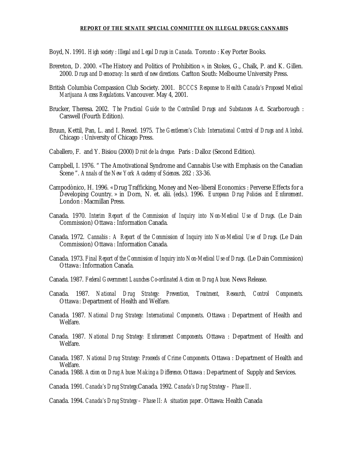Boyd, N. 1991. *High society : Illegal and Legal Drugs in Canada.* Toronto : Key Porter Books.

- Brereton, D. 2000. «The History and Politics of Prohibition ». in Stokes, G., Chalk, P. and K. Gillen. 2000. *Drugs and Democracy: In search of new directions.* Carlton South: Melbourne University Press.
- British Columbia Compassion Club Society. 2001. *BCCCS Response to Health Canada's Proposed Medical Marijuana Access Regulations*. Vancouver. May 4, 2001.
- Brucker, Theresa. 2002. *The Practical Guide to the Controlled Drugs and Substances Act*. Scarborough : Carswell (Fourth Edition).
- Bruun, Kettil, Pan, L. and I. Rexed. 1975. *The Gentlemen's Club: International Control of Drugs and Alcohol*. Chicago : University of Chicago Press.
- Caballero, F. and Y. Bisiou (2000) *Droit de la drogue.* Paris : Dalloz (Second Edition).
- Campbell, I. 1976. " The Amotivational Syndrome and Cannabis Use with Emphasis on the Canadian Scene ". *Annals of the New York Academy of Sciences*. 282 : 33-36.
- Campodònico, H. 1996. « Drug Trafficking, Money and Neo-liberal Economics : Perverse Effects for a Developing Country. » in Dorn, N. et. alii. (eds.). 1996. *European Drug Policies and Enforcement*. London : Macmillan Press.
- Canada. 1970. *Interim Report of the Commission of Inquiry into Non-Medical Use of Drugs.* (Le Dain Commission) Ottawa : Information Canada.
- Canada. 1972. *Cannabis : A Report of the Commission of Inquiry into Non-Medical Use of Drugs.* (Le Dain Commission) Ottawa : Information Canada.
- Canada. 1973. *Final Report of the Commission of Inquiry into Non-Medical Use of Drugs.* (Le Dain Commission) Ottawa : Information Canada.
- Canada. 1987. *Federal Government Launches Co-ordinated Action on Drug Abuse*. News Release.
- Canada. 1987. *National Drug Strategy: Prevention, Treatment, Research, Control Components*. Ottawa : Department of Health and Welfare.
- Canada. 1987. *National Drug Strategy: International Components*. Ottawa : Department of Health and Welfare.
- Canada. 1987. *National Drug Strategy: Enforcement Components*. Ottawa : Department of Health and Welfare.
- Canada. 1987. *National Drug Strategy: Proceeds of Crime Components*. Ottawa : Department of Health and Welfare.

Canada. 1988. *Action on Drug Abuse: Making a Difference*. Ottawa : Department of Supply and Services.

Canada. 1991. *Canada's Drug Strategy*.Canada. 1992. *Canada's Drug Strategy – Phase II*.

Canada. 1994. *Canada's Drug Strategy – Phase II: A situation paper*. Ottawa: Health Canada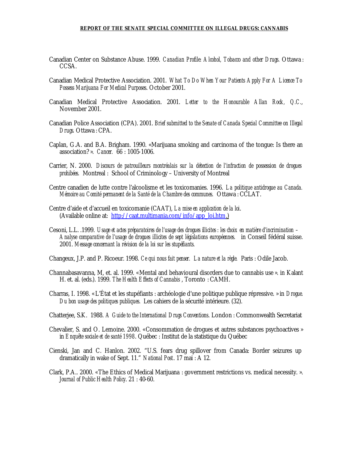- Canadian Center on Substance Abuse. 1999. *Canadian Profile: Alcohol, Tobacco and other Drugs.* Ottawa : CCSA.
- Canadian Medical Protective Association. 2001. *What To Do When Your Patients Apply For A Licence To Possess Marijuana For Medical Purposes*. October 2001.
- Canadian Medical Protective Association. 2001. *Letter to the Honourable Allan Rock, Q.C.*, November 2001.
- Canadian Police Association (CPA). 2001. *Brief submitted to the Senate of Canada Special Committee on Illegal Drugs.* Ottawa : CPA.
- Caplan, G.A. and B.A. Brigham. 1990. «Marijuana smoking and carcinoma of the tongue: Is there an association? ». *Cancer.* 66 : 1005-1006.
- Carrier, N. 2000. *Discours de patrouilleurs montréalais sur la détection de l'infraction de possession de drogues prohibées.* Montreal : School of Criminology – University of Montreal
- Centre canadien de lutte contre l'alcoolisme et les toxicomanies. 1996. *La politique antidrogue au Canada. Mémoire au Comité permanent de la Santé de la Chambre des communes.* Ottawa : CCLAT.
- Centre d'aide et d'accueil en toxicomanie (CAAT), *La mise en application de la loi*. (Available online at: http://caat.multimania.com/info/app\_loi.htm.)
- Cesoni, L.L. .1999. *Usage et actes préparatoires de l'usage des drogues illicites : les choix en matière d'incrimination – Analyse comparative de l'usage de drogues illicites de sept législations européennes.* in Conseil fédéral suisse. 2001. *Message concernant la révision de la loi sur les stupéfiants.*
- Changeux, J.P. and P. Ricoeur. 1998. *Ce qui nous fait penser. La nature et la règle.* Paris : Odile Jacob.
- Channabasavanna, M, et. al. 1999. «Mental and behavioural disorders due to cannabis use ». in Kalant H. et. al. (eds.). 1999. *The Health Effects of Cannabis* , Toronto : CAMH.
- Charras, I. 1998. « L'État et les stupéfiants : archéologie d'une politique publique répressive. » in *Drogue. Du bon usage des politiques publiques.* Les cahiers de la sécurité intérieure. (32).
- Chatterjee, S.K. 1988. *A Guide to the International Drugs Conventions*. London : Commonwealth Secretariat
- Chevalier, S. and O. Lemoine. 2000. «Consommation de drogues et autres substances psychoactives » in *Enquête sociale et de santé 1998*. Québec : Institut de la statistique du Québec
- Cienski, Jan and C. Hanlon. 2002. "U.S. fears drug spillover from Canada: Border seizures up dramatically in wake of Sept. 11." *National Post*. 17 mai : A 12.
- Clark, P.A.. 2000. «The Ethics of Medical Marijuana : government restrictions vs. medical necessity. ». *Journal of Public Health Policy*. 21 : 40-60.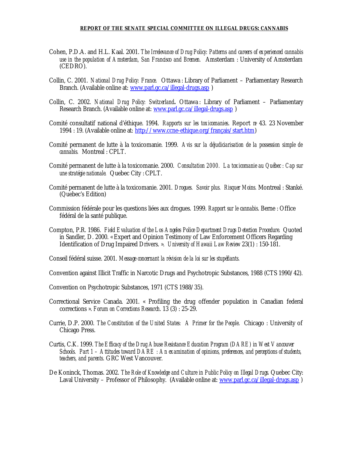- Cohen, P.D.A. and H.L. Kaal. 2001. *The Irrelevance of Drug Policy: Patterns and careers of experienced cannabis use in the population of Amsterdam, San Francisco and Bremen.* Amsterdam : University of Amsterdam (CEDRO).
- Collin, C. 2001. *National Drug Policy: France.* Ottawa : Library of Parliament Parliamentary Research Branch. (Available online at: www.parl.gc.ca/illegal-drugs.asp)
- Collin, C. 2002. *National Drug Policy: Switzerland***.** Ottawa : Library of Parliament Parliamentary Research Branch. (Available online at: www.parl.gc.ca/illegal-drugs.asp)
- Comité consultatif national d'éthique. 1994. *Rapports sur les toxicomanies*. Report n<sup>o</sup> 43. 23 November 1994 : 19. (Available online at: http://www.ccne-ethique.org/français/start.htm)
- Comité permanent de lutte à la toxicomanie. 1999. *Avis sur la déjudiciarisation de la possession simple de cannabis.* Montreal : CPLT.
- Comité permanent de lutte à la toxicomanie. 2000. *Consultation 2000. La toxicomanie au Québec : Cap sur une stratégie nationale.* Quebec City : CPLT.
- Comité permanent de lutte à la toxicomanie. 2001. *Drogues. Savoir plus. Risquer Moins.* Montreal : Stanké. (Quebec's Edition)
- Commission fédérale pour les questions liées aux drogues. 1999. *Rapport sur le cannabis*. Berne : Office fédéral de la santé publique.
- Compton, P.R. 1986. *Field Evaluation of the Los Angeles Police Department Drugs Detection Procedure.* Quoted in Sandler, D. 2000. « Expert and Opinion Testimony of Law Enforcement Officers Regarding Identification of Drug Impaired Drivers. ». *University of Hawaii Law Review* 23(1) : 150-181.

Conseil fédéral suisse. 2001. *Message concernant la révision de la loi sur les stupéfiants.*

Convention against Illicit Traffic in Narcotic Drugs and Psychotropic Substances, 1988 (CTS 1990/42).

- Convention on Psychotropic Substances, 1971 (CTS 1988/35).
- Correctional Service Canada. 2001. « Profiling the drug offender population in Canadian federal corrections ». *Forum on Corrections Research*. 13 (3) : 25-29.
- Currie, D.P. 2000. *The Constitution of the United States: A Primer for the People*. Chicago : University of Chicago Press.
- Curtis, C.K. 1999. *The Efficacy of the Drug Abuse Resistance Education Program (DARE) in West Vancouver Schools. Part 1 – Attitudes toward DARE : An examination of opinions, preferences, and perceptions of students, teachers, and parents.* GRC West Vancouver.
- De Koninck, Thomas. 2002. *The Role of Knowledge and Culture in Public Policy on Illegal Drugs.* Quebec City: Laval University - Professor of Philosophy. (Available online at: www.parl.gc.ca/illegal-drugs.asp)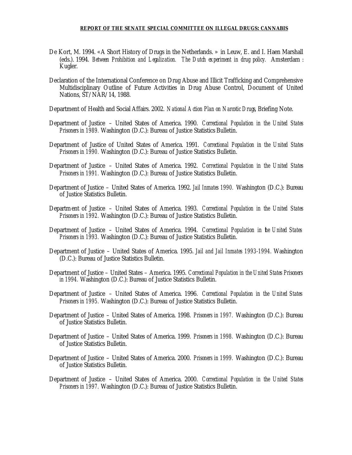- De Kort, M. 1994. « A Short History of Drugs in the Netherlands. » in Leuw, E. and I. Haen Marshall (eds.). 1994. *Between Prohibition and Legalization. The Dutch experiment in drug policy.* Amsterdam : Kugler.
- Declaration of the International Conference on Drug Abuse and Illicit Trafficking and Comprehensive Multidisciplinary Outline of Future Activities in Drug Abuse Control, Document of United Nations, ST/NAR/14, 1988.

Department of Health and Social Affairs. 2002. *National Action Plan on Narcotic Drugs*, Briefing Note.

- Department of Justice United States of America. 1990. *Correctional Population in the United States Prisoners in 1989.* Washington (D.C.): Bureau of Justice Statistics Bulletin.
- Department of Justice of United States of America. 1991. *Correctional Population in the United States Prisoners in 1990.* Washington (D.C.): Bureau of Justice Statistics Bulletin.
- Department of Justice United States of America. 1992. *Correctional Population in the United States Prisoners in 1991.* Washington (D.C.): Bureau of Justice Statistics Bulletin.
- Department of Justice United States of America. 1992. *Jail Inmates 1990.* Washington (D.C.): Bureau of Justice Statistics Bulletin.
- Department of Justice United States of America. 1993. *Correctional Population in the United States Prisoners in 1992.* Washington (D.C.): Bureau of Justice Statistics Bulletin.
- Department of Justice United States of America. 1994. *Correctional Population in the United States Prisoners in 1993.* Washington (D.C.): Bureau of Justice Statistics Bulletin.
- Department of Justice United States of America. 1995. *Jail and Jail Inmates 1993-1994.* Washington (D.C.): Bureau of Justice Statistics Bulletin.
- Department of Justice United States America. 1995. *Correctional Population in the United States Prisoners in 1994.* Washington (D.C.): Bureau of Justice Statistics Bulletin.
- Department of Justice United States of America. 1996. *Correctional Population in the United States Prisoners in 1995.* Washington (D.C.): Bureau of Justice Statistics Bulletin.
- Department of Justice United States of America. 1998. *Prisoners in 1997.* Washington (D.C.): Bureau of Justice Statistics Bulletin.
- Department of Justice United States of America. 1999. *Prisoners in 1998.* Washington (D.C.): Bureau of Justice Statistics Bulletin.
- Department of Justice United States of America. 2000. *Prisoners in 1999.* Washington (D.C.): Bureau of Justice Statistics Bulletin.
- Department of Justice United States of America. 2000. *Correctional Population in the United States Prisoners in 1997.* Washington (D.C.): Bureau of Justice Statistics Bulletin.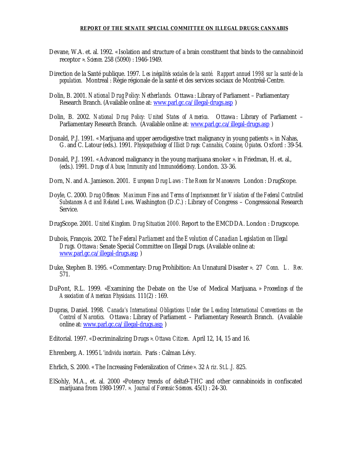- Devane, W.A. et. al. 1992. « Isolation and structure of a brain constituent that binds to the cannabinoid receptor ». *Science*. 258 (5090) : 1946-1949.
- Direction de la Santé publique. 1997. *Les inégalités sociales de la santé. Rapport annuel 1998 sur la santé de la population.* Montreal : Régie régionale de la santé et des services sociaux de Montréal-Centre.
- Dolin, B. 2001. *National Drug Policy: Netherlands.* Ottawa : Library of Parliament Parliamentary Research Branch. (Available online at: www.parl.gc.ca/illegal-drugs.asp)
- Dolin, B. 2002. *National Drug Policy: United States of America.* Ottawa : Library of Parliament Parliamentary Research Branch. (Available online at: www.parl.gc.ca/illegal-drugs.asp)
- Donald, P.J. 1991. « Marijuana and upper aerodigestive tract malignancy in young patients ». in Nahas, G. and C. Latour (eds.). 1991. *Physiopathology of Illicit Drugs: Cannabis, Cocaine, Opiates*. Oxford : 39-54.
- Donald, P.J. 1991. « Advanced malignancy in the young marijuana smoker ». in Friedman, H. et. al., (eds.). 1991. *Drugs of Abuse, Immunity and Immunodeficiency*. London. 33-36.
- Dorn, N. and A. Jamieson. 2001. *European Drug Laws : The Room for Manoeuvre*. London : DrugScope.
- Doyle, C. 2000. *Drug Offences: Maximum Fines and Terms of Imprisonment for Violation of the Federal Controlled Substances Act and Related Laws*. Washington (D.C.) : Library of Congress – Congressional Research Service.
- DrugScope. 2001. *United Kingdom. Drug Situation 2000.* Report to the EMCDDA. London : Drugscope.
- Dubois, François. 2002. *The Federal Parliament and the Evolution of Canadian Legislation on Illegal Drugs.* Ottawa : Senate Special Committee on Illegal Drugs. (Available online at: www.parl.gc.ca/illegal-drugs.asp )
- Duke, Stephen B. 1995. « Commentary: Drug Prohibition: An Unnatural Disaster ». 27 *Conn. L. Rev*. 571.
- DuPont, R.L. 1999. «Examining the Debate on the Use of Medical Marijuana. » *Proceedings of the Association of American Physicians.* 111(2) : 169.
- Dupras, Daniel. 1998. *Canada's International Obligations Under the Leading International Conventions on the Control of Narcotics.* Ottawa : Library of Parliament – Parliamentary Research Branch. (Available online at: www.parl.gc.ca/illegal-drugs.asp)

Editorial. 1997. «Decriminalizing Drugs ». *Ottawa Citizen*. April 12, 14, 15 and 16.

Ehrenberg, A. 1995 *L'individu incertain*. Paris : Calman Lévy.

- Ehrlich, S. 2000. « The Increasing Federalization of Crime ». 32 *Ariz. St.L.J.* 825.
- ElSohly, M.A., et. al. 2000 «Potency trends of delta9-THC and other cannabinoids in confiscated marijuana from 1980-1997. ». *Journal of Forensic Sciences*. 45(1) : 24-30.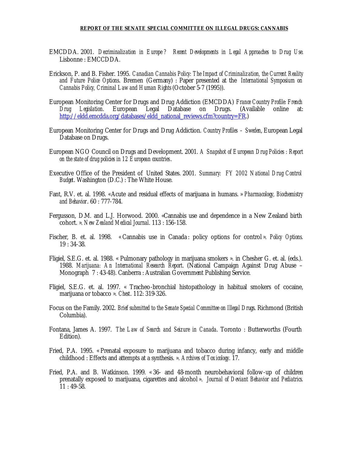- EMCDDA. 2001. *Decriminalization in Europe ? Recent Developments in Legal Approaches to Drug Use.* Lisbonne : EMCCDDA.
- Erickson, P. and B. Fisher. 1995. *Canadian Cannabis Policy: The Impact of Criminalization, the Current Reality and Future Police Options*. Bremen (Germany) : Paper presented at the *International Symposium on Cannabis Policy, Criminal Law and Human Rights* (October 5-7 (1995)).
- European Monitoring Center for Drugs and Drug Addiction (EMCDDA) *France Country Profile: French Drug Legislation*. European Legal Database on Drugs. (Available online at: http://eldd.emcdda.org/databases/eldd\_national\_reviews.cfm?country=FR.)
- European Monitoring Center for Drugs and Drug Addiction. *Country Profiles Sweden*, European Legal Database on Drugs.
- European NGO Council on Drugs and Development. 2001. *A Snapshot of European Drug Policies : Report on the state of drug policies in 12 European countries*.
- Executive Office of the President of United States. 2001. *Summary: FY 2002 National Drug Control Budget*. Washington (D.C.) : The White House.
- Fant, R.V. et. al. 1998. «Acute and residual effects of marijuana in humans. » *Pharmacology, Biochemistry and Behavior*. 60 : 777-784.
- Fergusson, D.M. and L.J. Horwood. 2000. «Cannabis use and dependence in a New Zealand birth cohort. ». *New Zealand Medical Journal*. 113 : 156-158.
- Fischer, B. et. al. 1998. « Cannabis use in Canada : policy options for control ». *Policy Options.* 19 : 34-38.
- Fligiel, S.E.G. et. al. 1988. « Pulmonary pathology in marijuana smokers ». in Chesher G. et. al. (eds.). 1988. *Marijuana: An International Research Report*. (National Campaign Against Drug Abuse – Monograph 7 : 43-48). Canberra : Australian Government Publishing Service.
- Fligiel, S.E.G. et. al. 1997. « Tracheo-bronchial histopathology in habitual smokers of cocaine, marijuana or tobacco ». *Chest*. 112: 319-326.
- Focus on the Family. 2002. *Brief submitted to the Senate Special Committee on Illegal Drugs*. Richmond (British Columbia).
- Fontana, James A. 1997. *The Law of Search and Seizure in Canada*. Toronto : Butterworths (Fourth Edition).
- Fried, P.A. 1995. « Prenatal exposure to marijuana and tobacco during infancy, early and middle childhood : Effects and attempts at a synthesis. ». *Archives of Toxicology*. 17.
- Fried, P.A. and B. Watkinson. 1999. « 36- and 48-month neurobehavioral follow-up of children prenatally exposed to marijuana, cigarettes and alcohol ». *Journal of Deviant Behavior and Pediatrics.* 11 : 49-58.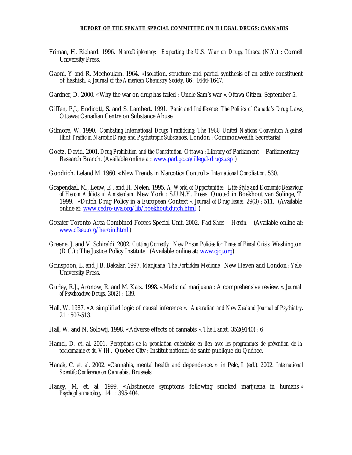- Friman, H. Richard. 1996. *NarcoDiplomacy: Exporting the U.S. War on Drugs*, Ithaca (N.Y.) : Cornell University Press.
- Gaoni, Y and R. Mechoulam. 1964. «Isolation, structure and partial synthesis of an active constituent of hashish. ». *Journal of the American Chemistry Society*. 86 : 1646-1647.
- Gardner, D. 2000. « Why the war on drug has failed : Uncle Sam's war ». *Ottawa Citizen.* September 5.
- Giffen, P.J., Endicott, S. and S. Lambert. 1991. *Panic and Indifference: The Politics of Canada's Drug Laws*, Ottawa: Canadian Centre on Substance Abuse.
- Gilmore, W. 1990. *Combating International Drugs Trafficking: The 1988 United Nations Convention Against Illicit Traffic in Narcotic Drugs and Psychotropic Substances*, London : Commonwealth Secretariat
- Goetz, David. 2001. *Drug Prohibition and the Constitution*. Ottawa : Library of Parliament Parliamentary Research Branch. (Available online at: www.parl.gc.ca/illegal-drugs.asp )
- Goodrich, Leland M. 1960. « New Trends in Narcotics Control ». *International Conciliation.* 530.
- Grapendaal, M., Leuw, E., and H. Nelen. 1995. *A World of Opportunities: Life-Style and Economic Behaviour of Heroin Addicts in Amsterdam*. New York : S.U.N.Y. Press. Quoted in Boekhout van Solinge, T. 1999. «Dutch Drug Policy in a European Context ». *Journal of Drug Issues*. 29(3) : 511. (Available online at: www.cedro-uva.org/lib/boekhout.dutch.html.)
- Greater Toronto Area Combined Forces Special Unit. 2002. *Fact Sheet Heroin*. (Available online at: www.cfseu.org/heroin.html )
- Greene, J. and V. Schiraldi. 2002. *Cutting Correctly : New Prison Policies for Times of Fiscal Crisis.* Washington (D.C.) : The Justice Policy Institute. (Available online at: www.cici.org)
- Grinspoon, L. and J.B. Bakalar. 1997. *Marijuana. The Forbidden Medicine.* New Haven and London : Yale University Press.
- Gurley, R.J., Aronow, R. and M. Katz. 1998. « Medicinal marijuana : A comprehensive review. ». *Journal of Psychoactive Drugs.* 30(2) : 139.
- Hall, W. 1987. « A simplified logic of causal inference ». *Australian and New Zealand Journal of Psychiatry*. 21 : 507-513.
- Hall, W. and N. Solowij. 1998. « Adverse effects of cannabis ». *The Lancet*. 352(9140) : 6
- Hamel, D. et. al. 2001. *Perceptions de la population québécoise en lien avec les programmes de prévention de la toxicomanie et du VIH.* Quebec City : Institut national de santé publique du Québec.
- Hanak, C. et. al. 2002. «Cannabis, mental health and dependence. » in Pelc, I. (ed.). 2002. *International Scientifc Conference on Cannabis*. Brussels.
- Haney, M. et. al. 1999. « Abstinence symptoms following smoked marijuana in humans » *Psychopharmacology*. 141 : 395-404.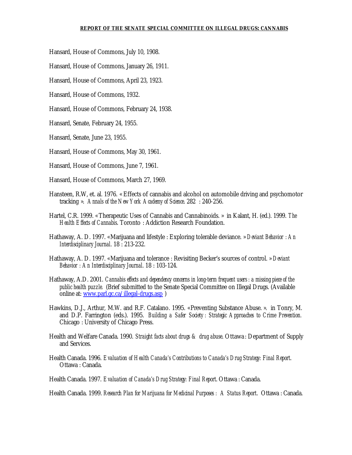- Hansard, House of Commons, July 10, 1908.
- Hansard, House of Commons, January 26, 1911.
- Hansard, House of Commons, April 23, 1923.
- Hansard, House of Commons, 1932.
- Hansard, House of Commons, February 24, 1938.
- Hansard, Senate, February 24, 1955.
- Hansard, Senate, June 23, 1955.
- Hansard, House of Commons, May 30, 1961.
- Hansard, House of Commons, June 7, 1961.
- Hansard, House of Commons, March 27, 1969.
- Hansteen, R.W, et. al. 1976. « Effects of cannabis and alcohol on automobile driving and psychomotor tracking ». *Annals of the New York Academy of Science*. 282 : 240-256.
- Hartel, C.R. 1999. « Therapeutic Uses of Cannabis and Cannabinoids. » in Kalant, H. (ed.). 1999. *The Health Effects of Cannabis*. Toronto : Addiction Research Foundation.
- Hathaway, A. D. 1997. «Marijuana and lifestyle : Exploring tolerable deviance. » *Deviant Behavior : An Interdisciplinary Journal*. 18 : 213-232.
- Hathaway, A. D. 1997. «Marijuana and tolerance : Revisiting Becker's sources of control. » *Deviant Behavior : An Interdisciplinary Journal*. 18 : 103-124.
- Hathaway, A.D. 2001. *Cannabis effects and dependency concerns in long-term frequent users : a missing piece of the public health puzzle.* (Brief submitted to the Senate Special Committee on Illegal Drugs. (Available online at: www.parl.gc.ca/illegal-drugs.asp )
- Hawkins, D.J., Arthur, M.W. and R.F. Catalano. 1995. «Preventing Substance Abuse. ». in Tonry, M. and D.P. Farrington (eds.). 1995. *Building a Safer Society : Strategic Approaches to Crime Prevention.*  Chicago : University of Chicago Press.
- Health and Welfare Canada. 1990. *Straight facts about drugs & drug abuse*. Ottawa : Department of Supply and Services.
- Health Canada. 1996. *Evaluation of Health Canada's Contributions to Canada's Drug Strategy: Final Report*. Ottawa : Canada.

Health Canada. 1997. *Evaluation of Canada's Drug Strategy: Final Report*. Ottawa : Canada.

Health Canada. 1999. *Research Plan for Marijuana for Medicinal Purposes : A Status Report*. Ottawa : Canada.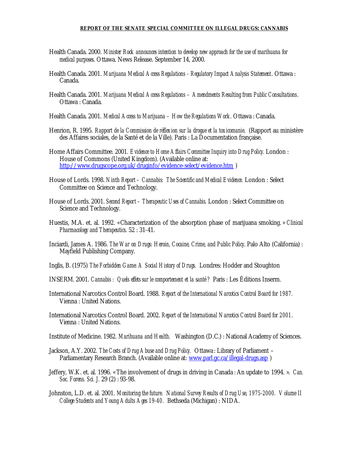- Health Canada. 2000. *Minister Rock announces intention to develop new approach for the use of marihuana for medical purposes*. Ottawa. News Release. September 14, 2000.
- Health Canada. 2001. *Marijuana Medical Access Regulations Regulatory Impact Analysis Statement*. Ottawa : Canada.
- Health Canada. 2001. *Marijuana Medical Access Regulations Amendments Resulting from Public Consultations*. Ottawa : Canada.
- Health Canada. 2001. *Medical Access to Marijuana How the Regulations Work.* Ottawa : Canada.
- Henrion, R. 1995. *Rapport de la Commission de réflexion sur la drogue et la toxicomanie*. (Rapport au ministère des Affaires sociales, de la Santé et de la Ville). Paris : La Documentation française.
- Home Affairs Committee. 2001. *Evidence to Home Affairs Committee Inquiry into Drug Policy.* London : House of Commons (United Kingdom). (Available online at: http://www.drugscope.org.uk/druginfo/evidence-select/evidence.htm )
- House of Lords. 1998. *Ninth Report – Cannabis: The Scientific and Medical Evidence.* London : Select Committee on Science and Technology.
- House of Lords. 2001. *Second Report Therapeutic Uses of Cannabis.* London : Select Committee on Science and Technology.
- Huestis, M.A. et. al. 1992. «Characterization of the absorption phase of marijuana smoking. » *Clinical Pharmacology and Therapeutics*. 52 : 31-41.
- Inciardi, James A. 1986. *The War on Drugs: Heroin, Cocaine, Crime, and Public Policy*. Palo Alto (California) : Mayfield Publishing Company.
- Inglis, B. (1975) *The Forbidden Game: A Social History of Drugs.* Londres: Hodder and Stoughton
- INSERM. 2001. *Cannabis : Quels effets sur le comportement et la santé ?* Paris : Les Éditions Inserm.
- International Narcotics Control Board. 1988. *Report of the International Narcotics Control Board for 1987.* Vienna : United Nations.
- International Narcotics Control Board. 2002. *Report of the International Narcotics Control Board for 2001*. Vienna : United Nations.
- Institute of Medicine. 1982. *Marihuana and Health.* Washington (D.C.) : National Academy of Sciences.
- Jackson, A.Y. 2002. *The Costs of Drug Abuse and Drug Policy.* Ottawa : Library of Parliament Parliamentary Research Branch. (Available online at: www.parl.gc.ca/illegal-drugs.asp)
- Jeffery, W.K. et. al. 1996. « The involvement of drugs in driving in Canada : An update to 1994. ». *Can. Soc. Forens. Sci. J.* 29 (2) : 93-98.
- Johnston, L.D. et. al. 2001. *Monitoring the future. National Survey Results of Drug Use, 1975-2000. Volume II College Students and Young Adults Ages 19-40.* Bethseda (Michigan) : NIDA.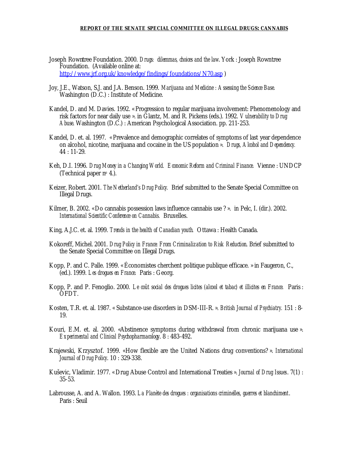- Joseph Rowntree Foundation. 2000. *Drugs: dilemmas, choices and the law*. York : Joseph Rowntree Foundation. (Available online at: http://www.jrf.org.uk/knowledge/findings/foundations/N70.asp )
- Joy, J.E., Watson, S.J. and J.A. Benson. 1999. *Marijuana and Medicine : Assessing the Science Base.* Washington (D.C.) : Institute of Medicine.
- Kandel, D. and M. Davies. 1992. « Progression to regular marijuana involvement: Phenomenology and risk factors for near daily use ». in Glantz, M. and R. Pickens (eds.). 1992. *Vulnerability to Drug Abuse*. Washington (D.C.) : American Psychological Association. pp. 211-253.
- Kandel, D. et. al. 1997. « Prevalence and demographic correlates of symptoms of last year dependence on alcohol, nicotine, marijuana and cocaine in the US population ». *Drugs, Alcohol and Dependency.*  44 : 11-29.
- Keh, D.I. 1996. *Drug Money in a Changing World. Economic Reform and Criminal Finance.* Vienne : UNDCP (Technical paper no 4.).
- Keizer, Robert. 2001. *The Netherland's Drug Policy.* Brief submitted to the Senate Special Committee on Illegal Drugs.
- Kilmer, B. 2002. «Do cannabis possession laws influence cannabis use ? ». in Pelc, I. (dir.). 2002. *International Scientific Conference on Cannabis.* Bruxelles.
- King, A.J.C. et. al. 1999. *Trends in the health of Canadian youth.* Ottawa : Health Canada.
- Kokoreff, Michel. 2001. *Drug Policy in France: From Criminalization to Risk Reduction*. Brief submitted to the Senate Special Committee on Illegal Drugs.
- Kopp, P. and C. Palle. 1999. « Économistes cherchent politique publique efficace. » in Faugeron, C., (ed.). 1999. *Les drogues en France.* Paris : Georg.
- Kopp, P. and P. Fenoglio. 2000. *Le coût social des drogues licites (alcool et tabac) et illicites en France.* Paris : OFDT.
- Kosten, T.R. et. al. 1987. « Substance-use disorders in DSM-III-R. ». *British Journal of Psychiatry.* 151 : 8- 19.
- Kouri, E.M. et. al. 2000. «Abstinence symptoms during withdrawal from chronic marijuana use ». *Experimental and Clinical Psychopharmacology*. 8 : 483-492.
- Krajewski, Krzysztof. 1999. «How flexible are the United Nations drug conventions? ». *International Journal of Drug Policy*. 10 : 329-338.
- Kuševic, Vladimir. 1977. « Drug Abuse Control and International Treaties ». *Journal of Drug Issues*. 7(1) : 35-53.
- Labrousse, A. and A. Wallon. 1993. *La Planète des drogues : organisations criminelles, guerres et blanchiment*. Paris : Seuil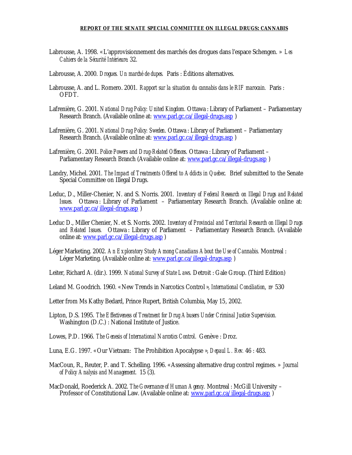- Labrousse, A. 1998. « L'approvisionnement des marchés des drogues dans l'espace Schengen. » *Les Cahiers de la Sécurité Intérieure*. 32.
- Labrousse, A. 2000. *Drogues. Un marché de dupes.* Paris : Éditions alternatives.
- Labrousse, A. and L. Romero. 2001. *Rapport sur la situation du cannabis dans le RIF marocain.* Paris : OFDT.
- Lafrenière, G. 2001. *National Drug Policy: United Kingdom.* Ottawa : Library of Parliament Parliamentary Research Branch. (Available online at: www.parl.gc.ca/illegal-drugs.asp)
- Lafrenière, G. 2001. *National Drug Policy: Sweden*. Ottawa : Library of Parliament Parliamentary Research Branch. (Available online at: www.parl.gc.ca/illegal-drugs.asp)
- Lafrenière, G. 2001. *Police Powers and Drug-Related Offences*. Ottawa : Library of Parliament Parliamentary Research Branch (Available online at: www.parl.gc.ca/illegal-drugs.asp)
- Landry, Michel. 2001. *The Impact of Treatments Offered to Addicts in Quebec.* Brief submitted to the Senate Special Committee on Illegal Drugs.
- Leduc, D., Miller-Chenier, N. and S. Norris. 2001. *Inventory of Federal Research on Illegal Drugs and Related Issues.* Ottawa : Library of Parliament – Parliamentary Research Branch. (Available online at: www.parl.gc.ca/illegal-drugs.asp )
- Leduc D., Miller Chenier, N. et S. Norris. 2002. *Inventory of Provincial and Territorial Research on Illegal Drugs and Related Issues.* Ottawa : Library of Parliament – Parliamentary Research Branch. (Available online at: www.parl.gc.ca/illegal-drugs.asp )
- Léger Marketing. 2002. *An Exploratory Study Among Canadians About the Use of Cannabis.* Montreal : Léger Marketing. (Available online at: www.parl.gc.ca/illegal-drugs.asp)
- Leiter, Richard A. (dir.). 1999. *National Survey of State Laws.* Detroit : Gale Group. (Third Edition)
- Leland M. Goodrich. 1960. « New Trends in Narcotics Control », *International Conciliation*, n<sup>o</sup> 530
- Letter from Ms Kathy Bedard, Prince Rupert, British Columbia, May 15, 2002.
- Lipton, D.S. 1995. *The Effectiveness of Treatment for Drug Abusers Under Criminal Justice Supervision.* Washington (D.C.) : National Institute of Justice.
- Lowes, P.D. 1966. *The Genesis of International Narcotics Control*. Genève : Droz.
- Luna, E.G. 1997. « Our Vietnam: The Prohibition Apocalypse », *Depaul L. Rev.* 46 : 483.
- MacCoun, R., Reuter, P. and T. Schelling. 1996. « Assessing alternative drug control regimes. » *Journal of Policy Analysis and Management.* 15 (3).
- MacDonald, Roederick A. 2002. *The Governance of Human Agency.* Montreal : McGill University Professor of Constitutional Law. (Available online at: www.parl.gc.ca/illegal-drugs.asp)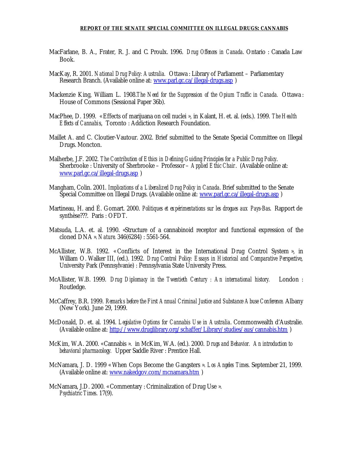- MacFarlane, B. A., Frater, R. J. and C. Proulx. 1996. *Drug Offences in Canada*. Ontario : Canada Law Book.
- MacKay, R. 2001. *National Drug Policy: Australia.* Ottawa : Library of Parliament Parliamentary Research Branch. (Available online at: www.parl.gc.ca/illegal-drugs.asp)
- Mackenzie King, William L. 1908.*The Need for the Suppression of the Opium Traffic in Canada.* Ottawa : House of Commons (Sessional Paper 36b).
- MacPhee, D. 1999. « Effects of marijuana on cell nuclei », in Kalant, H. et. al. (eds.). 1999. *The Health Effects of Cannabi*s, Toronto : Addiction Research Foundation.
- Maillet A. and C. Cloutier-Vautour. 2002. Brief submitted to the Senate Special Committee on Illegal Drugs. Moncton.
- Malherbe, J.F. 2002*. The Contribution of Ethics in Defining Guiding Principles for a Public Drug Policy*. Sherbrooke : University of Sherbrooke – Professor – *Applied Ethic Chair*. (Available online at: www.parl.gc.ca/illegal-drugs.asp )
- Mangham, Colin. 2001. *Implications of a Liberalized Drug Policy in Canada*. Brief submitted to the Senate Special Committee on Illegal Drugs. (Available online at: www.parl.gc.ca/illegal-drugs.asp)
- Martineau, H. and É. Gomart. 2000. *Politiques et expérimentations sur les drogues aux Pays-Bas*. Rapport de synthèse???. Paris : OFDT.
- Matsuda, L.A. et. al. 1990. «Structure of a cannabinoid receptor and functional expression of the cloned DNA ». *Nature*. 346(6284) : 5561-564.
- McAllister, W.B. 1992. « Conflicts of Interest in the International Drug Control System », in William O. Walker III, (ed.). 1992. *Drug Control Policy: Essays in Historical and Comparative Perspective*, University Park (Pennsylvanie) : Pennsylvania State University Press.
- McAllister, W.B. 1999. *Drug Diplomacy in the Twentieth Century : An international history.* London : Routledge.
- McCaffrey, B.R. 1999. *Remarks before the First Annual Criminal Justice and Substance Abuse Conference.* Albany (New York). June 29, 1999.
- McDonald, D. et. al. 1994. *Legislative Options for Cannabis Use in Australia*. Commonwealth d'Australie. (Available online at: http://www.druglibrary.org/schaffer/Library/studies/aus/cannabis.htm )
- McKim, W.A. 2000. «Cannabis ». in McKim, W.A. (ed.). 2000. *Drugs and Behavior. An introduction to behavioral pharmacology.* Upper Saddle River : Prentice Hall.
- McNamara, J. D. 1999 « When Cops Become the Gangsters ». *Los Angeles Times*. September 21, 1999. (Available online at: www.nakedgov.com/mcnamara.htm)
- McNamara, J.D. 2000. « Commentary : Criminalization of Drug Use ». *Psychiatric Times*. 17(9).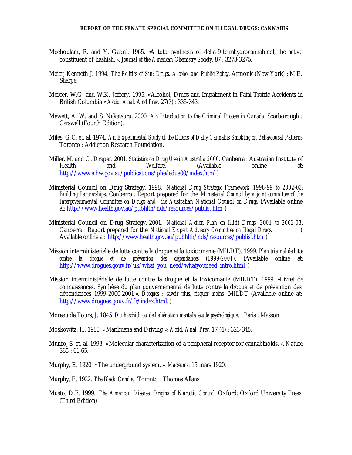- Mechoulam, R. and Y. Gaoni. 1965. «A total synthesis of delta-9-tetrahydrocannabinol, the active constituent of hashish. ». *Journal of the American Chemistry Society*, 87 : 3273-3275.
- Meier, Kenneth J. 1994. *The Politics of Sin: Drugs, Alcohol and Public Policy*. Armonk (New York) : M.E. Sharpe.
- Mercer, W.G. and W.K. Jeffery. 1995. «Alcohol, Drugs and Impairment in Fatal Traffic Accidents in British Columbia » *Accid. Anal. And Prev.* 27(3) : 335-343.
- Mewett, A. W. and S. Nakatsuru. 2000. *An Introduction to the Criminal Process in Canada*. Scarborough : Carswell (Fourth Edition).
- Miles, G.C. et. al. 1974. *An Experimental Study of the Effects of Daily Cannabis Smoking on Behavioural Patterns*. Toronto : Addiction Research Foundation.
- Miller, M. and G. Draper. 2001. *Statistics on Drug Use in Australia 2000*. Canberra : Australian Institute of Health and Welfare. (Available online at: http://www.aihw.gov.au/publications/phe/sdua00/index.html )
- Ministerial Council on Drug Strategy. 1998. *National Drug Strategic Framework 1998-99 to 2002-03: Building Partnerships*. Canberra : Report prepared for the *Ministerial Council by a joint committee of the Intergovernmental Committee on Drugs and the Australian National Council on Drugs*. (Available online at: http://www.health.gov.au/pubhlth/nds/resources/publist.htm )
- Ministerial Council on Drug Strategy. 2001. *National Action Plan on Illicit Drugs, 2001 to 2002-03*. Canberra : Report prepared for the *National Expert Advisory Committee on Illegal Drugs*. ( Available online at: http://www.health.gov.au/pubhlth/nds/resources/publist.htm )
- Mission interministérielle de lutte contre la drogue et la toxicomanie (MILDT). 1999. *Plan triennal de lutte contre la drogue et de prévention des dépendances (1999-2001)*. (Available online at: http://www.drogues.gouv.fr/uk/what\_you\_need/whatyouneed\_intro.html. )
- Mission interministérielle de lutte contre la drogue et la toxicomanie (MILDT). 1999. «Livret de connaissances, Synthèse du plan gouvernemental de lutte contre la drogue et de prévention des dépendances 1999-2000-2001 ». *Drogues : savoir plus, risquer moins*. MILDT (Available online at: http://www.drogues.gouv.fr/fr/index.html. )

Moreau de Tours, J. 1845. *Du haschich ou de l'aliénation mentale, étude psychologique*. Paris : Masson.

- Moskowitz, H. 1985. « Marihuana and Driving ». *Accid. Anal. Prev.* 17 (4) : 323-345.
- Munro, S. et. al. 1993. « Molecular characterization of a peripheral receptor for cannabinoids. ». *Nature*. 365 : 61-65.
- Murphy, E. 1920. « The underground system. » *Maclean's*. 15 mars 1920.
- Murphy, E. 1922. *The Black Candle.* Toronto : Thomas Allans.
- Musto, D.F. 1999. *The American Disease: Origins of Narcotic Control.* Oxford: Oxford University Press (Third Edition)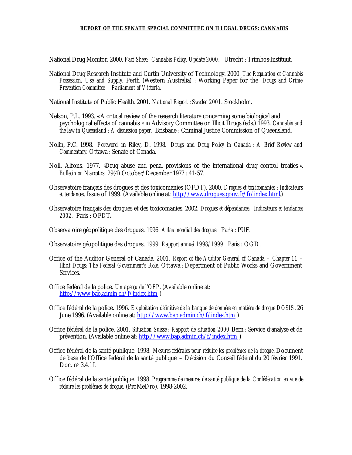National Drug Monitor. 2000. *Fact Sheet: Cannabis Policy, Update 2000*. Utrecht : Trimbos-Instituut.

National Drug Research Institute and Curtin University of Technology. 2000. *The Regulation of Cannabis Possession, Use and Supply*. Perth (Western Australia) : Working Paper for the *Drugs and Crime Prevention Committee – Parliament of Victoria*.

National Institute of Public Health. 2001. *National Report : Sweden 2001*. Stockholm.

- Nelson, P.L. 1993. « A critical review of the research literature concerning some biological and psychological effects of cannabis » in Advisory Committee on Illicit Drugs (eds.) 1993. *Cannabis and the law in Queensland : A discussion paper.* Brisbane : Criminal Justice Commission of Queensland.
- Nolin, P.C. 1998. *Foreword*. in Riley, D. 1998. *Drugs and Drug Policy in Canada : A Brief Review and Commentary.* Ottawa : Senate of Canada.
- Noll, Alfons. 1977. «Drug abuse and penal provisions of the international drug control treaties ». *Bulletin on Narcotics*. 29(4) October/December 1977 : 41-57.
- Observatoire français des drogues et des toxicomanies (OFDT). 2000. *Drogues et toxicomanies : Indicateurs et tendances*. Issue of 1999. (Available online at: http://www.drogues.gouv.fr/fr/index.html.)
- Observatoire français des drogues et des toxicomanies. 2002. *Drogues et dépendances: Indicateurs et tendances 2002.* Paris : OFDT**.**
- Observatoire géopolitique des drogues. 1996. *Atlas mondial des drogues.* Paris : PUF.

Observatoire géopolitique des drogues. 1999. *Rapport annuel 1998/1999*. Paris : OGD.

- Office of the Auditor General of Canada. 2001. *Report of the Auditor General of Canada Chapter 11 – Illicit Drugs: The Federal Government's Role.* Ottawa : Department of Public Works and Government Services.
- Office fédéral de la police. *Un aperçu de l'OFP*. (Available online at: http://www.bap.admin.ch/f/index.htm )
- Office fédéral de la police. 1996. *Exploitation définitive de la banque de données en matière de drogue DOSIS*. 26 June 1996. (Available online at: http://www.bap.admin.ch/f/index.htm )
- Office fédéral de la police. 2001. *Situation Suisse : Rapport de situation 2000* Bern : Service d'analyse et de prévention. (Available online at: http://www.bap.admin.ch/f/index.htm)
- Office fédéral de la santé publique. 1998. *Mesures fédérales pour réduire les problèmes de la drogue*. Document de base de l'Office fédéral de la santé publique – Décision du Conseil fédéral du 20 février 1991. Doc. no 3.4.1f.
- Office fédéral de la santé publique. 1998. *Programme de mesures de santé publique de la Confédération en vue de réduire les problèmes de drogue.* (ProMeDro). 1998-2002.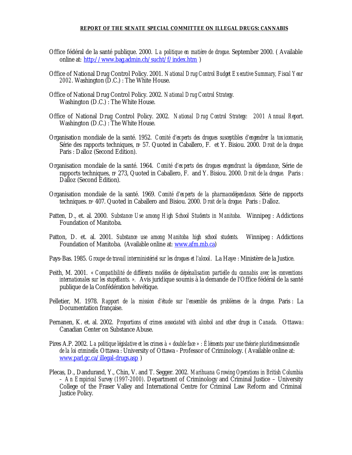- Office fédéral de la santé publique. 2000. *La politique en matière de drogue*. September 2000. ( Available online at: http://www.bag.admin.ch/sucht/f/index.htm )
- Office of National Drug Control Policy. 2001. *National Drug Control Budget Executive Summary, Fiscal Year 2002*. Washington (D.C.) : The White House.
- Office of National Drug Control Policy. 2002. *National Drug Control Strategy.* Washington (D.C.) : The White House.
- Office of National Drug Control Policy. 2002. *National Drug Control Strategy: 2001 Annual Report*. Washington (D.C.) : The White House.
- Organisation mondiale de la santé. 1952. *Comité d'experts des drogues susceptibles d'engendrer la toxicomanie*, Série des rapports techniques, m 57. Quoted in Caballero, F. et Y. Bisiou. 2000. *Droit de la drogue.* Paris : Dalloz (Second Edition).
- Organisation mondiale de la santé. 1964. *Comité d'experts des drogues engendrant la dépendance*, Série de rapports techniques, m<sup>273</sup>, Quoted in Caballero, F. and Y. Bisiou. 2000. *Droit de la drogue.* Paris : Dalloz (Second Edition).
- Organisation mondiale de la santé. 1969. *Comité d'experts de la pharmacodépendance*. Série de rapports techniques. no 407. Quoted in Caballero and Bisiou. 2000. *Droit de la drogue.* Paris : Dalloz.
- Patten, D., et. al. 2000. *Substance Use among High School Students in Manitoba.* Winnipeg : Addictions Foundation of Manitoba.
- Patton, D. et. al. 2001. *Substance use among Manitoba high school students.* Winnipeg : Addictions Foundation of Manitoba. (Available online at: www.afm.mb.ca)
- Pays-Bas. 1985. *Groupe de travail interministériel sur les drogues et l'alcool*. La Haye : Ministère de la Justice.
- Peith, M. 2001. *« Compatibilité de différents modèles de dépénalisation partielle du cannabis avec les conventions internationales sur les stupéfiants. ».* Avis juridique soumis à la demande de l'Office fédéral de la santé publique de la Confédération helvétique.
- Pelletier, M. 1978. *Rapport de la mission d'étude sur l'ensemble des problèmes de la drogue*. Paris : La Documentation française.
- Pernanen, K. et. al. 2002. *Proportions of crimes associated with alcohol and other drugs in Canada.* Ottawa : Canadian Center on Substance Abuse.
- Pires A.P. 2002. *La politique législative et les crimes à « double face » : Éléments pour une théorie pluridimensionnelle de la loi criminelle*. Ottawa : University of Ottawa - Professor of Criminology. ( Available online at: www.parl.gc.ca/illegal-drugs.asp )
- Plecas, D., Dandurand, Y., Chin, V. and T. Segger. 2002. *Marihuana Growing Operations in British Columbia – An Empirical Survey (1997-2000)*. Department of Criminology and Criminal Justice – University College of the Fraser Valley and International Centre for Criminal Law Reform and Criminal Justice Policy.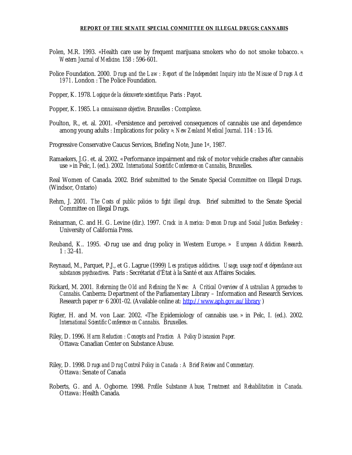- Polen, M.R. 1993. «Health care use by frequent marijuana smokers who do not smoke tobacco. ». *Western Journal of Medicine*. 158 : 596-601.
- Police Foundation. 2000. *Drugs and the Law : Report of the Independent Inquiry into the Misuse of Drugs Act 1971*. London : The Police Foundation.
- Popper, K. 1978. *Logique de la découverte scientifique.* Paris : Payot.
- Popper, K. 1985. *La connaissance objective*. Bruxelles : Complexe.
- Poulton, R., et. al. 2001. «Persistence and perceived consequences of cannabis use and dependence among young adults : Implications for policy ». *New Zealand Medical Journal*. 114 : 13-16.
- Progressive Conservative Caucus Services, Briefing Note, June 1st, 1987.
- Ramaekers, J.G. et. al. 2002. « Performance impairment and risk of motor vehicle crashes after cannabis use » in Pelc, I. (ed.). 2002. *International Scientific Conference on Cannabis*, Bruxelles.

Real Women of Canada. 2002. Brief submitted to the Senate Special Committee on Illegal Drugs. (Windsor, Ontario)

- Rehm, J. 2001. *The Costs of public policies to fight illegal drugs.* Brief submitted to the Senate Special Committee on Illegal Drugs.
- Reinarman, C. and H. G. Levine (dir.). 1997. *Crack in America: Demon Drugs and Social Justice*. Berkeley : University of California Press.
- Reuband, K.. 1995. «Drug use and drug policy in Western Europe. » *European Addiction Research*. 1 : 32-41.
- Reynaud, M., Parquet, P.J., et G. Lagrue (1999) *Les pratiques addictives. Usage, usage nocif et dépendance aux substances psychoactives*. Paris : Secrétariat d'État à la Santé et aux Affaires Sociales.
- Rickard, M. 2001. *Reforming the Old and Refining the New: A Critical Overview of Australian Approaches to Cannabis*. Canberra: Department of the Parliamentary Library – Information and Research Services. Research paper nº 6 2001-02. (Available online at: http://www.aph.gov.au/library)
- Rigter, H. and M. von Laar. 2002. «The Epidemiology of cannabis use. » in Pelc, I. (ed.). 2002. *International Scientific Conference on Cannabis*. Bruxelles.
- Riley, D. 1996. *Harm Reduction : Concepts and Practice. A Policy Discussion Paper.* Ottawa: Canadian Center on Substance Abuse.
- Riley, D. 1998. *Drugs and Drug Control Policy in Canada : A Brief Review and Commentary.*  Ottawa : Senate of Canada
- Roberts, G. and A. Ogborne. 1998. *Profile: Substance Abuse, Treatment and Rehabilitation in Canada.* Ottawa : Health Canada.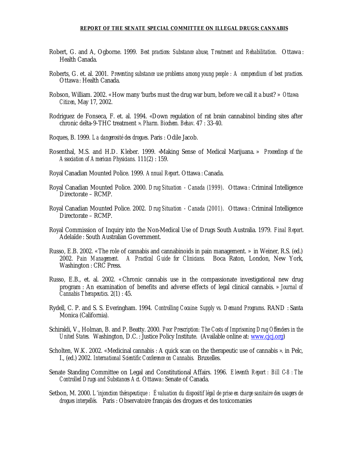- Robert, G. and A, Ogborne. 1999. *Best practices: Substance abuse, Treatment and Rehabilitation.* Ottawa : Health Canada.
- Roberts, G. et. al. 2001. *Preventing substance use problems among young people : A compendium of best practices.* Ottawa : Health Canada.
- Robson, William. 2002. « How many 'burbs must the drug war burn, before we call it a bust? » *Ottawa Citizen*, May 17, 2002.
- Rodriguez de Fonseca, F. et. al. 1994. «Down regulation of rat brain cannabinol binding sites after chronic delta-9-THC treatment ». *Pharm. Biochem. Behav*. 47 : 33-40.
- Roques, B. 1999. *La dangerosité des drogues*. Paris : Odile Jacob.
- Rosenthal, M.S. and H.D. Kleber. 1999. «Making Sense of Medical Marijuana. » *Proceedings of the Association of American Physicians.* 111(2) : 159.
- Royal Canadian Mounted Police. 1999. *Annual Report*. Ottawa : Canada.
- Royal Canadian Mounted Police. 2000. *Drug Situation Canada (1999)*. Ottawa : Criminal Intelligence Directorate – RCMP.
- Royal Canadian Mounted Police. 2002. *Drug Situation Canada (2001)*. Ottawa : Criminal Intelligence Directorate – RCMP.
- Royal Commission of Inquiry into the Non-Medical Use of Drugs South Australia. 1979. *Final Report.* Adelaïde : South Australian Government.
- Russo, E.B. 2002. « The role of cannabis and cannabinoids in pain management. » in Weiner, R.S. (ed.) 2002. *Pain Management. A Practical Guide for Clinicians.* Boca Raton, London, New York, Washington : CRC Press.
- Russo, E.B., et. al. 2002. « Chronic cannabis use in the compassionate investigational new drug program : An examination of benefits and adverse effects of legal clinical cannabis. » *Journal of Cannabis Therapeutics*. 2(1) : 45.
- Rydell, C. P. and S. S. Everingham. 1994. *Controlling Cocaine: Supply vs. Demand Programs*. RAND : Santa Monica (California).
- Schiraldi, V., Holman, B. and P. Beatty. 2000. *Poor Prescription: The Costs of Imprisoning Drug Offenders in the United States.* Washington, D.C. : Justice Policy Institute. (Available online at: www.cjcj.org)
- Scholten, W.K. 2002. «Medicinal cannabis : A quick scan on the therapeutic use of cannabis ». in Pelc, I., (ed.) 2002. *International Scientific Conference on Cannabis.* Bruxelles.
- Senate Standing Committee on Legal and Constitutional Affairs. 1996. *Eleventh Report : Bill C-8 : The Controlled Drugs and Substances Act.* Ottawa : Senate of Canada.
- Setbon, M. 2000. *L'injonction thérapeutique : Évaluation du dispositif légal de prise en charge sanitaire des usagers de drogues interpellés.* Paris : Observatoire français des drogues et des toxicomanies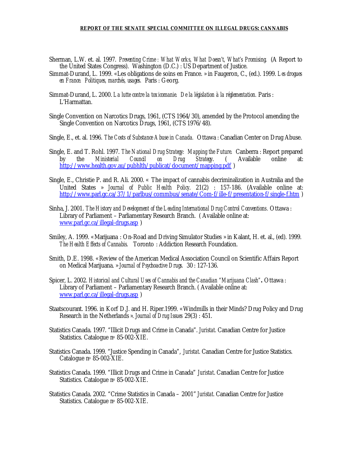- Sherman, L.W. et. al. 1997. *Preventing Crime : What Works, What Doesn't, What's Promising.* (A Report to the United States Congress). Washington (D.C.) : US Department of Justice.
- Simmat-Durand, L. 1999. «Les obligations de soins en France. » in Faugeron, C., (ed.). 1999. *Les drogues en France. Politiques, marchés, usages.* Paris : Georg.
- Simmat-Durand, L. 2000. *La lutte contre la toxicomanie. De la législation à la réglementation.* Paris : L'Harmattan.
- Single Convention on Narcotics Drugs, 1961, (CTS 1964/30), amended by the Protocol amending the Single Convention on Narcotics Drugs, 1961, (CTS 1976/48).
- Single, E., et. al. 1996. *The Costs of Substance Abuse in Canada.* Ottawa : Canadian Center on Drug Abuse.
- Single, E. and T. Rohl. 1997. *The National Drug Strategy: Mapping the Future.* Canberra : Report prepared by the *Ministerial Council on Drug Strategy*. ( Available online at: http://www.health.gov.au/pubhlth/publicat/document/mapping.pdf)
- Single, E., Christie P. and R. Ali. 2000. « The impact of cannabis decriminalization in Australia and the United States » *Journal of Public Health Policy*. 21(2) : 157-186. (Available online at: http://www.parl.gc.ca/37/1/parlbus/commbus/senate/Com-f/ille-f/presentation-f/single-f.htm )
- Sinha, J. 2001. *The History and Development of the Leading International Drug Control Conventions.* Ottawa : Library of Parliament – Parliamentary Research Branch. ( Available online at: www.parl.gc.ca/illegal-drugs.asp )
- Smiley, A. 1999. « Marijuana : On-Road and Driving Simulator Studies » in Kalant, H. et. al., (ed). 1999. *The Health Effects of Cannabis.* Toronto : Addiction Research Foundation.
- Smith, D.E. 1998. « Review of the American Medical Association Council on Scientific Affairs Report on Medical Marijuana. » *Journal of Psychoactive Drugs.* 30 : 127-136.
- Spicer, L. 2002. *Historical and Cultural Uses of Cannabis and the Canadian "Marijuana Clash"***.** Ottawa : Library of Parliament – Parliamentary Research Branch. ( Available online at: www.parl.gc.ca/illegal-drugs.asp )
- Staatscourant. 1996. in Korf D.J. and H. Riper.1999. « Windmills in their Minds? Drug Policy and Drug Research in the Netherlands ». *Journal of Drug Issues* 29(3) : 451.
- Statistics Canada. 1997. "Illicit Drugs and Crime in Canada". *Juristat.* Canadian Centre for Justice Statistics. Catalogue no 85-002-XIE.
- Statistics Canada. 1999. "Justice Spending in Canada", *Juristat.* Canadian Centre for Justice Statistics. Catalogue no 85-002-XIE.
- Statistics Canada. 1999. "Illicit Drugs and Crime in Canada" *Juristat*. Canadian Centre for Justice Statistics. Catalogue nº 85-002-XIE.
- Statistics Canada. 2002. "Crime Statistics in Canada 2001" *Juristat.* Canadian Centre for Justice Statistics. Catalogue no 85-002-XIE.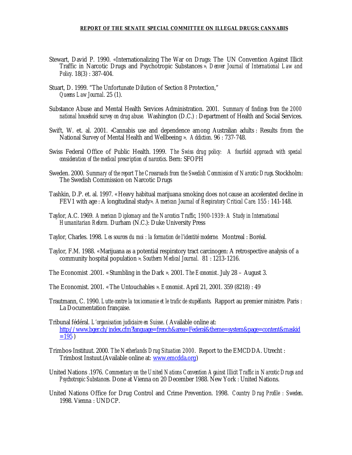- Stewart, David P. 1990. «Internationalizing The War on Drugs: The UN Convention Against Illicit Traffic in Narcotic Drugs and Psychotropic Substances ». *Denver Journal of International Law and Policy*. 18(3) : 387-404.
- Stuart, D. 1999. "The Unfortunate Dilution of Section 8 Protection," *Queens Law Journal*. 25 (1).
- Substance Abuse and Mental Health Services Administration. 2001. *Summary of findings from the 2000 national household survey on drug abuse.* Washington (D.C.) : Department of Health and Social Services.
- Swift, W. et. al. 2001. «Cannabis use and dependence among Australian adults : Results from the National Survey of Mental Health and Wellbeeing ». *Addiction*. 96 : 737-748.
- Swiss Federal Office of Public Health. 1999. *The Swiss drug policy: A fourfold approach with special consideration of the medical prescription of narcotics*. Bern: SFOPH
- Sweden. 2000. *Summary of the report The Crossroads from the Swedish Commission of Narcotic Drugs*. Stockholm: The Swedish Commission on Narcotic Drugs
- Tashkin, D.P. et. al. 1997. « Heavy habitual marijuana smoking does not cause an accelerated decline in FEV1 with age : A longitudinal study». *American Journal of Respiratory Critical Care*. 155 : 141-148.
- Taylor, A.C. 1969. *American Diplomacy and the Narcotics Traffic, 1900-1939: A Study in International Humanitarian Reform.* Durham (N.C.): Duke University Press
- Taylor, Charles. 1998. *Les sources du moi : la formation de l'identité moderne.* Montreal : Boréal.
- Taylor, F.M. 1988. «Marijuana as a potential respiratory tract carcinogen: A retrospective analysis of a community hospital population ». *Southern Medical Journal.* 81 : 1213-1216.
- The Economist .2001. « Stumbling in the Dark ». 2001. *The Economist*. July 28 August 3.
- The Economist. 2001. « The Untouchables ». *Economist*. April 21, 2001. 359 (8218) : 49
- Trautmann, C. 1990. *Lutte contre la toxicomanie et le trafic de stupéfiants*. Rapport au premier ministre. Paris : La Documentation française.
- Tribunal fédéral. *L'organisation judiciaire en Suisse*. ( Available online at: http://www.bger.ch/index.cfm?language=french&area=Federal&theme=system&page=content&maskid  $=195$ )
- Trimbos-Instituut. 2000. *The Netherlands Drug Situation 2000*. Report to the EMCDDA. Utrecht : Trimbost Instuut. (Available online at: www.emcdda.org)
- United Nations .1976. *Commentary on the United Nations Convention Against Illicit Traffic in Narcotic Drugs and Psychotropic Substances*. Done at Vienna on 20 December 1988. New York : United Nations.
- United Nations Office for Drug Control and Crime Prevention. 1998. *Country Drug Profile : Sweden*. 1998. Vienna : UNDCP.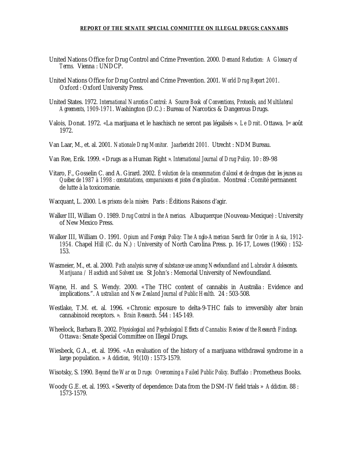- United Nations Office for Drug Control and Crime Prevention. 2000. *Demand Reduction: A Glossary of Terms.* Vienna : UNDCP.
- United Nations Office for Drug Control and Crime Prevention. 2001. *World Drug Report 2001*. Oxford : Oxford University Press.
- United States. 1972. *International Narcotics Control: A Source Book of Conventions, Protocols, and Multilateral Agreements, 1909-1971*. Washington (D.C.) : Bureau of Narcotics & Dangerous Drugs.
- Valois, Donat. 1972. «La marijuana et le haschisch ne seront pas légalisés ». *Le Droit*. Ottawa. 1er août 1972.
- Van Laar, M., et. al. 2001. *Nationale Drug Monitor. Jaarbericht 2001.* Utrecht : NDM Bureau.
- Van Ree, Erik. 1999. « Drugs as a Human Right ». *International Journal of Drug Policy*. 10 : 89-98
- Vitaro, F., Gosselin C. and A. Girard. 2002. *Évolution de la consommation d'alcool et de drogues chez les jeunes au Québec de 1987 à 1998 : constatations, comparaisons et pistes d'explication*. Montreal : Comité permanent de lutte à la toxicomanie.
- Wacquant, L. 2000. *Les prisons de la misère.* Paris : Éditions Raisons d'agir.
- Walker III, William O. 1989. *Drug Control in the Americas.* Albuquerque (Nouveau-Mexique) : University of New Mexico Press.
- Walker III, William O. 1991. *Opium and Foreign Policy: The Anglo-American Search for Order in Asia, 1912- 1954.* Chapel Hill (C. du N.) : University of North Carolina Press. p. 16-17, Lowes (1966) : 152- 153.
- Wasmeier, M., et. al. 2000. *Path analysis survey of substance use among Newfoundland and Labrador Adolescents. Marijuana / Haschich and Solvent use.* St John's : Memorial University of Newfoundland.
- Wayne, H. and S. Wendy. 2000. « The THC content of cannabis in Australia : Evidence and implications.". *Australian and New Zealand Journal of Public Health.* 24 : 503-508.
- Westlake, T.M. et. al. 1996. « Chronic exposure to delta-9-THC fails to irreversibly alter brain cannabinoid receptors. ». *Brain Research*. 544 : 145-149.
- Wheelock, Barbara B. 2002. *Physiological and Psychological Effects of Cannabis: Review of the Research Findings.* Ottawa : Senate Special Committee on Illegal Drugs.
- Wiesbeck, G.A., et. al. 1996. «An evaluation of the history of a marijuana withdrawal syndrome in a large population. » *Addiction*, 91(10) : 1573-1579.
- Wisotsky, S. 1990. *Beyond the War on Drugs: Overcoming a Failed Public Policy*. Buffalo : Prometheus Books.
- Woody G.E. et. al. 1993. « Severity of dependence: Data from the DSM-IV field trials » *Addiction.* 88 : 1573-1579.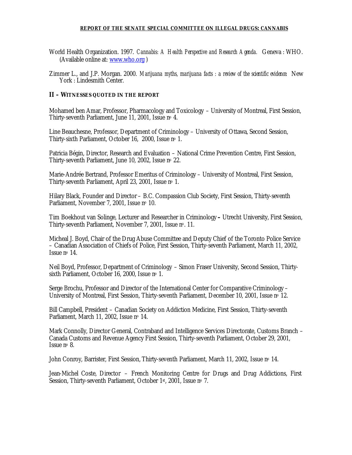- World Health Organization. 1997. *Cannabis: A Health Perspective and Research Agenda.* Geneva : WHO. (Available online at: www.who.org)
- Zimmer L., and J.P. Morgan. 2000. *Marijuana myths, marijuana facts : a review of the scientific evidence.* New York : Lindesmith Center.

# **II – WITNESSES QUOTED IN THE REPORT**

Mohamed ben Amar, Professor, Pharmacology and Toxicology – University of Montreal, First Session, Thirty-seventh Parliament, June 11, 2001, Issue no 4.

Line Beauchesne, Professor, Department of Criminology – University of Ottawa, Second Session, Thirty-sixth Parliament, October 16, 2000, Issue no 1.

Patricia Bégin, Director, Research and Evaluation – National Crime Prevention Centre, First Session, Thirty-seventh Parliament, June 10, 2002, Issue no 22.

Marie-Andrée Bertrand, Professor Emeritus of Criminology – University of Montreal, First Session, Thirty-seventh Parliament, April 23, 2001, Issue no 1.

Hilary Black, Founder and Director – B.C. Compassion Club Society, First Session, Thirty-seventh Parliament, November 7, 2001, Issue nº 10.

Tim Boekhout van Solinge, Lecturer and Researcher in Criminology **–** Utrecht University, First Session, Thirty-seventh Parliament, November 7, 2001, Issue no. 11.

Micheal J. Boyd, Chair of the Drug Abuse Committee and Deputy Chief of the Toronto Police Service – Canadian Association of Chiefs of Police, First Session, Thirty-seventh Parliament, March 11, 2002, Issue no 14.

Neil Boyd, Professor, Department of Criminology – Simon Fraser University, Second Session, Thirtysixth Parliament, October 16, 2000, Issue no 1.

Serge Brochu, Professor and Director of the International Center for Comparative Criminology – University of Montreal, First Session, Thirty-seventh Parliament, December 10, 2001, Issue no 12.

Bill Campbell, President – Canadian Society on Addiction Medicine, First Session, Thirty-seventh Parliament, March 11, 2002, Issue nº 14.

Mark Connolly, Director General, Contraband and Intelligence Services Directorate, Customs Branch – Canada Customs and Revenue Agency First Session, Thirty-seventh Parliament, October 29, 2001, Issue no 8.

John Conroy, Barrister, First Session, Thirty-seventh Parliament, March 11, 2002, Issue no 14.

Jean-Michel Coste, Director – French Monitoring Centre for Drugs and Drug Addictions, First Session, Thirty-seventh Parliament, October 1st, 2001, Issue nº 7.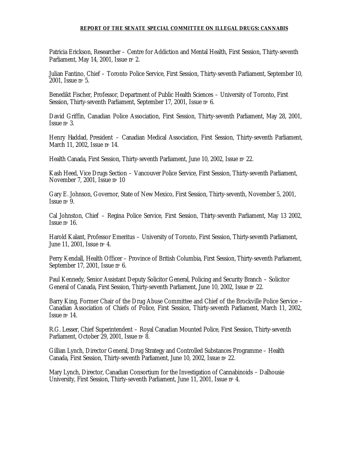Patricia Erickson, Researcher – Centre for Addiction and Mental Health, First Session, Thirty-seventh Parliament, May 14, 2001, Issue nº 2.

Julian Fantino, Chief – Toronto Police Service, First Session, Thirty-seventh Parliament, September 10, 2001, Issue no 5.

Benedikt Fischer, Professor, Department of Public Health Sciences – University of Toronto, First Session, Thirty-seventh Parliament, September 17, 2001, Issue nº 6.

David Griffin, Canadian Police Association, First Session, Thirty-seventh Parliament, May 28, 2001, Issue no 3.

Henry Haddad, President – Canadian Medical Association, First Session, Thirty-seventh Parliament, March 11, 2002, Issue no 14.

Health Canada, First Session, Thirty-seventh Parliament, June 10, 2002, Issue no 22.

Kash Heed, Vice Drugs Section – Vancouver Police Service, First Session, Thirty-seventh Parliament, November 7, 2001, Issue no 10

Gary E. Johnson, Governor, State of New Mexico, First Session, Thirty-seventh, November 5, 2001, Issue no 9.

Cal Johnston, Chief – Regina Police Service, First Session, Thirty-seventh Parliament, May 13 2002, Issue no 16.

Harold Kalant, Professor Emeritus – University of Toronto, First Session, Thirty-seventh Parliament, June 11, 2001, Issue no 4.

Perry Kendall, Health Officer – Province of British Columbia, First Session, Thirty-seventh Parliament, September 17, 2001, Issue nº 6.

Paul Kennedy, Senior Assistant Deputy Solicitor General, Policing and Security Branch – Solicitor General of Canada, First Session, Thirty-seventh Parliament, June 10, 2002, Issue no 22.

Barry King, Former Chair of the Drug Abuse Committee and Chief of the Brockville Police Service – Canadian Association of Chiefs of Police, First Session, Thirty-seventh Parliament, March 11, 2002, Issue no 14.

R.G. Lesser, Chief Superintendent – Royal Canadian Mounted Police, First Session, Thirty-seventh Parliament, October 29, 2001, Issue nº 8.

Gillian Lynch, Director General, Drug Strategy and Controlled Substances Programme – Health Canada, First Session, Thirty-seventh Parliament, June 10, 2002, Issue n<sup>o</sup> 22.

Mary Lynch, Director, Canadian Consortium for the Investigation of Cannabinoids – Dalhousie University, First Session, Thirty-seventh Parliament, June 11, 2001, Issue no 4.